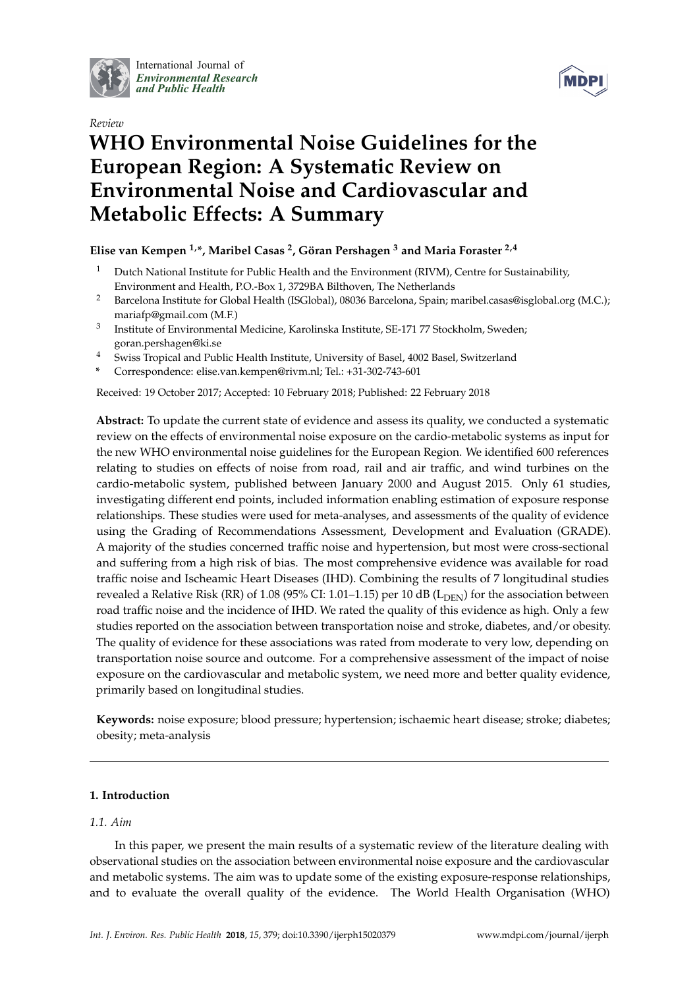

International Journal of *[Environmental Research](http://www.mdpi.com/journal/ijerph) and Public Health*



# *Review* **WHO Environmental Noise Guidelines for the European Region: A Systematic Review on Environmental Noise and Cardiovascular and Metabolic Effects: A Summary**

# **Elise van Kempen 1,\*, Maribel Casas <sup>2</sup> , Göran Pershagen <sup>3</sup> and Maria Foraster 2,4**

- Dutch National Institute for Public Health and the Environment (RIVM), Centre for Sustainability, Environment and Health, P.O.-Box 1, 3729BA Bilthoven, The Netherlands
- <sup>2</sup> Barcelona Institute for Global Health (ISGlobal), 08036 Barcelona, Spain; maribel.casas@isglobal.org (M.C.); mariafp@gmail.com (M.F.)
- $^3$  Institute of Environmental Medicine, Karolinska Institute, SE-171 77 Stockholm, Sweden; goran.pershagen@ki.se
- <sup>4</sup> Swiss Tropical and Public Health Institute, University of Basel, 4002 Basel, Switzerland
- **\*** Correspondence: elise.van.kempen@rivm.nl; Tel.: +31-302-743-601

Received: 19 October 2017; Accepted: 10 February 2018; Published: 22 February 2018

**Abstract:** To update the current state of evidence and assess its quality, we conducted a systematic review on the effects of environmental noise exposure on the cardio-metabolic systems as input for the new WHO environmental noise guidelines for the European Region. We identified 600 references relating to studies on effects of noise from road, rail and air traffic, and wind turbines on the cardio-metabolic system, published between January 2000 and August 2015. Only 61 studies, investigating different end points, included information enabling estimation of exposure response relationships. These studies were used for meta-analyses, and assessments of the quality of evidence using the Grading of Recommendations Assessment, Development and Evaluation (GRADE). A majority of the studies concerned traffic noise and hypertension, but most were cross-sectional and suffering from a high risk of bias. The most comprehensive evidence was available for road traffic noise and Ischeamic Heart Diseases (IHD). Combining the results of 7 longitudinal studies revealed a Relative Risk (RR) of 1.08 (95% CI: 1.01–1.15) per 10 dB ( $L_{\text{DERN}}$ ) for the association between road traffic noise and the incidence of IHD. We rated the quality of this evidence as high. Only a few studies reported on the association between transportation noise and stroke, diabetes, and/or obesity. The quality of evidence for these associations was rated from moderate to very low, depending on transportation noise source and outcome. For a comprehensive assessment of the impact of noise exposure on the cardiovascular and metabolic system, we need more and better quality evidence, primarily based on longitudinal studies.

**Keywords:** noise exposure; blood pressure; hypertension; ischaemic heart disease; stroke; diabetes; obesity; meta-analysis

# **1. Introduction**

## <span id="page-0-0"></span>*1.1. Aim*

In this paper, we present the main results of a systematic review of the literature dealing with observational studies on the association between environmental noise exposure and the cardiovascular and metabolic systems. The aim was to update some of the existing exposure-response relationships, and to evaluate the overall quality of the evidence. The World Health Organisation (WHO)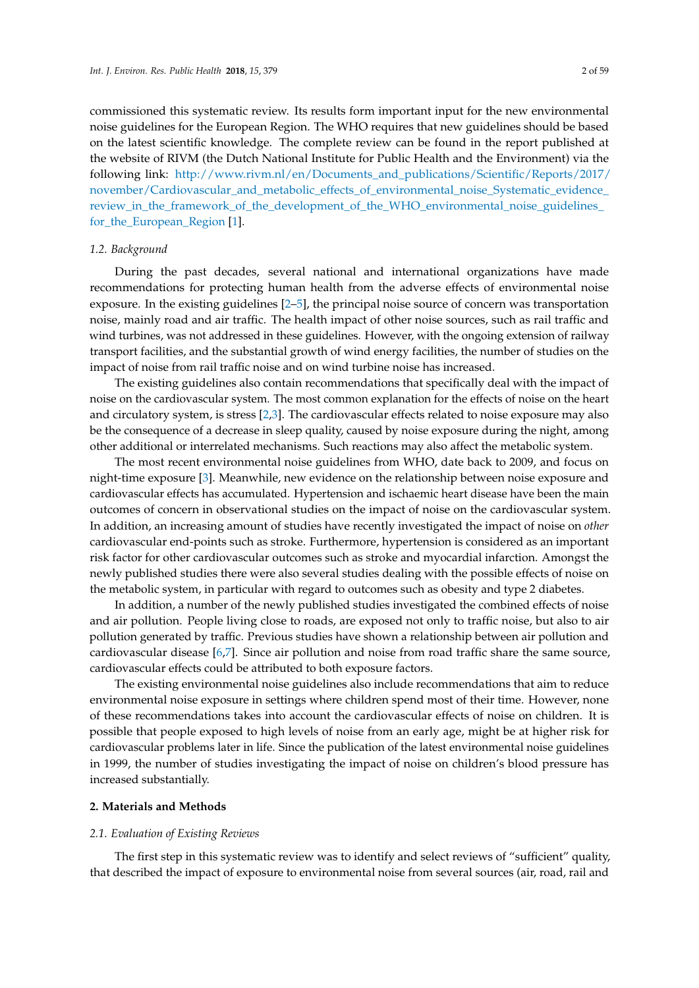commissioned this systematic review. Its results form important input for the new environmental noise guidelines for the European Region. The WHO requires that new guidelines should be based on the latest scientific knowledge. The complete review can be found in the report published at the website of RIVM (the Dutch National Institute for Public Health and the Environment) via the following link: [http://www.rivm.nl/en/Documents\\_and\\_publications/Scientific/Reports/2017/](http://www.rivm.nl/en/Documents_and_publications/Scientific/Reports/2017/november/Cardiovascular_and_metabolic_effects_of_environmental_noise_Systematic_evidence_review_in_the_framework_of_the_development_of_the_WHO_environmental_noise_guidelines_for_the_European_Region) [november/Cardiovascular\\_and\\_metabolic\\_effects\\_of\\_environmental\\_noise\\_Systematic\\_evidence\\_](http://www.rivm.nl/en/Documents_and_publications/Scientific/Reports/2017/november/Cardiovascular_and_metabolic_effects_of_environmental_noise_Systematic_evidence_review_in_the_framework_of_the_development_of_the_WHO_environmental_noise_guidelines_for_the_European_Region) [review\\_in\\_the\\_framework\\_of\\_the\\_development\\_of\\_the\\_WHO\\_environmental\\_noise\\_guidelines\\_](http://www.rivm.nl/en/Documents_and_publications/Scientific/Reports/2017/november/Cardiovascular_and_metabolic_effects_of_environmental_noise_Systematic_evidence_review_in_the_framework_of_the_development_of_the_WHO_environmental_noise_guidelines_for_the_European_Region) [for\\_the\\_European\\_Region](http://www.rivm.nl/en/Documents_and_publications/Scientific/Reports/2017/november/Cardiovascular_and_metabolic_effects_of_environmental_noise_Systematic_evidence_review_in_the_framework_of_the_development_of_the_WHO_environmental_noise_guidelines_for_the_European_Region) [\[1\]](#page-49-0).

# *1.2. Background*

During the past decades, several national and international organizations have made recommendations for protecting human health from the adverse effects of environmental noise exposure. In the existing guidelines [\[2–](#page-49-1)[5\]](#page-49-2), the principal noise source of concern was transportation noise, mainly road and air traffic. The health impact of other noise sources, such as rail traffic and wind turbines, was not addressed in these guidelines. However, with the ongoing extension of railway transport facilities, and the substantial growth of wind energy facilities, the number of studies on the impact of noise from rail traffic noise and on wind turbine noise has increased.

The existing guidelines also contain recommendations that specifically deal with the impact of noise on the cardiovascular system. The most common explanation for the effects of noise on the heart and circulatory system, is stress [\[2,](#page-49-1)[3\]](#page-49-3). The cardiovascular effects related to noise exposure may also be the consequence of a decrease in sleep quality, caused by noise exposure during the night, among other additional or interrelated mechanisms. Such reactions may also affect the metabolic system.

The most recent environmental noise guidelines from WHO, date back to 2009, and focus on night-time exposure [\[3\]](#page-49-3). Meanwhile, new evidence on the relationship between noise exposure and cardiovascular effects has accumulated. Hypertension and ischaemic heart disease have been the main outcomes of concern in observational studies on the impact of noise on the cardiovascular system. In addition, an increasing amount of studies have recently investigated the impact of noise on *other* cardiovascular end-points such as stroke. Furthermore, hypertension is considered as an important risk factor for other cardiovascular outcomes such as stroke and myocardial infarction. Amongst the newly published studies there were also several studies dealing with the possible effects of noise on the metabolic system, in particular with regard to outcomes such as obesity and type 2 diabetes.

In addition, a number of the newly published studies investigated the combined effects of noise and air pollution. People living close to roads, are exposed not only to traffic noise, but also to air pollution generated by traffic. Previous studies have shown a relationship between air pollution and cardiovascular disease [\[6](#page-49-4)[,7\]](#page-49-5). Since air pollution and noise from road traffic share the same source, cardiovascular effects could be attributed to both exposure factors.

The existing environmental noise guidelines also include recommendations that aim to reduce environmental noise exposure in settings where children spend most of their time. However, none of these recommendations takes into account the cardiovascular effects of noise on children. It is possible that people exposed to high levels of noise from an early age, might be at higher risk for cardiovascular problems later in life. Since the publication of the latest environmental noise guidelines in 1999, the number of studies investigating the impact of noise on children's blood pressure has increased substantially.

### **2. Materials and Methods**

#### <span id="page-1-0"></span>*2.1. Evaluation of Existing Reviews*

The first step in this systematic review was to identify and select reviews of "sufficient" quality, that described the impact of exposure to environmental noise from several sources (air, road, rail and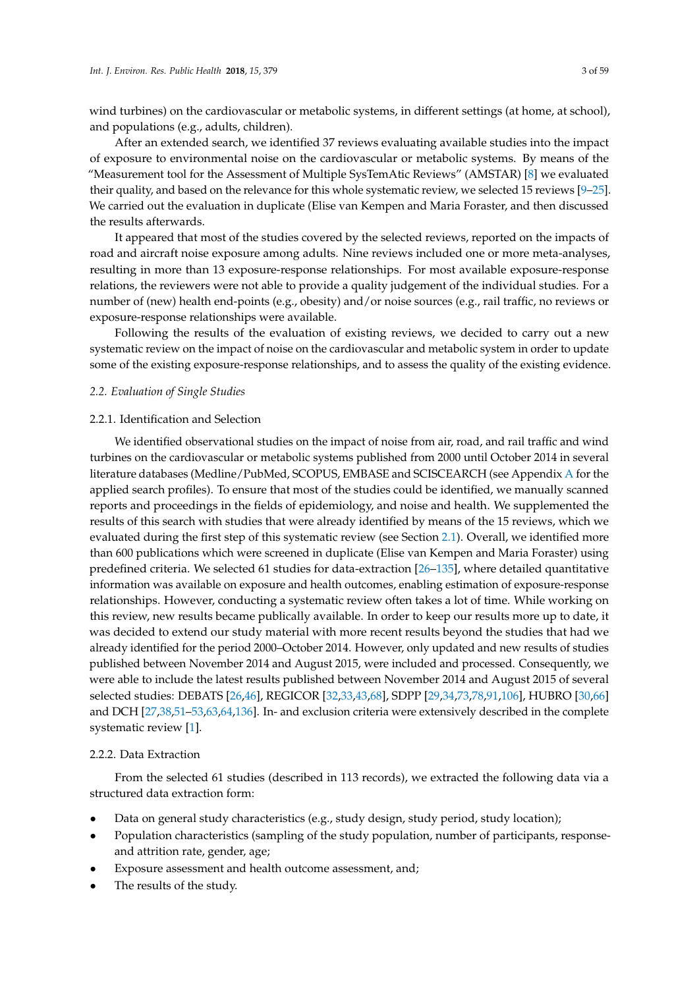wind turbines) on the cardiovascular or metabolic systems, in different settings (at home, at school), and populations (e.g., adults, children).

After an extended search, we identified 37 reviews evaluating available studies into the impact of exposure to environmental noise on the cardiovascular or metabolic systems. By means of the "Measurement tool for the Assessment of Multiple SysTemAtic Reviews" (AMSTAR) [\[8\]](#page-49-6) we evaluated their quality, and based on the relevance for this whole systematic review, we selected 15 reviews [\[9–](#page-50-0)[25\]](#page-50-1). We carried out the evaluation in duplicate (Elise van Kempen and Maria Foraster, and then discussed the results afterwards.

It appeared that most of the studies covered by the selected reviews, reported on the impacts of road and aircraft noise exposure among adults. Nine reviews included one or more meta-analyses, resulting in more than 13 exposure-response relationships. For most available exposure-response relations, the reviewers were not able to provide a quality judgement of the individual studies. For a number of (new) health end-points (e.g., obesity) and/or noise sources (e.g., rail traffic, no reviews or exposure-response relationships were available.

Following the results of the evaluation of existing reviews, we decided to carry out a new systematic review on the impact of noise on the cardiovascular and metabolic system in order to update some of the existing exposure-response relationships, and to assess the quality of the existing evidence.

## *2.2. Evaluation of Single Studies*

### 2.2.1. Identification and Selection

We identified observational studies on the impact of noise from air, road, and rail traffic and wind turbines on the cardiovascular or metabolic systems published from 2000 until October 2014 in several literature databases (Medline/PubMed, SCOPUS, EMBASE and SCISCEARCH (see Appendix [A](#page-12-0) for the applied search profiles). To ensure that most of the studies could be identified, we manually scanned reports and proceedings in the fields of epidemiology, and noise and health. We supplemented the results of this search with studies that were already identified by means of the 15 reviews, which we evaluated during the first step of this systematic review (see Section [2.1\)](#page-1-0). Overall, we identified more than 600 publications which were screened in duplicate (Elise van Kempen and Maria Foraster) using predefined criteria. We selected 61 studies for data-extraction [\[26–](#page-50-2)[135\]](#page-57-0), where detailed quantitative information was available on exposure and health outcomes, enabling estimation of exposure-response relationships. However, conducting a systematic review often takes a lot of time. While working on this review, new results became publically available. In order to keep our results more up to date, it was decided to extend our study material with more recent results beyond the studies that had we already identified for the period 2000–October 2014. However, only updated and new results of studies published between November 2014 and August 2015, were included and processed. Consequently, we were able to include the latest results published between November 2014 and August 2015 of several selected studies: DEBATS [\[26](#page-50-2)[,46\]](#page-52-0), REGICOR [\[32,](#page-51-0)[33](#page-51-1)[,43](#page-51-2)[,68\]](#page-53-0), SDPP [\[29,](#page-50-3)[34,](#page-51-3)[73,](#page-53-1)[78,](#page-54-0)[91,](#page-54-1)[106\]](#page-55-0), HUBRO [\[30](#page-51-4)[,66\]](#page-53-2) and DCH [\[27,](#page-50-4)[38](#page-51-5)[,51](#page-52-1)[–53,](#page-52-2)[63,](#page-53-3)[64,](#page-53-4)[136\]](#page-57-1). In- and exclusion criteria were extensively described in the complete systematic review [\[1\]](#page-49-0).

#### 2.2.2. Data Extraction

From the selected 61 studies (described in 113 records), we extracted the following data via a structured data extraction form:

- Data on general study characteristics (e.g., study design, study period, study location);
- Population characteristics (sampling of the study population, number of participants, responseand attrition rate, gender, age;
- Exposure assessment and health outcome assessment, and;
- The results of the study.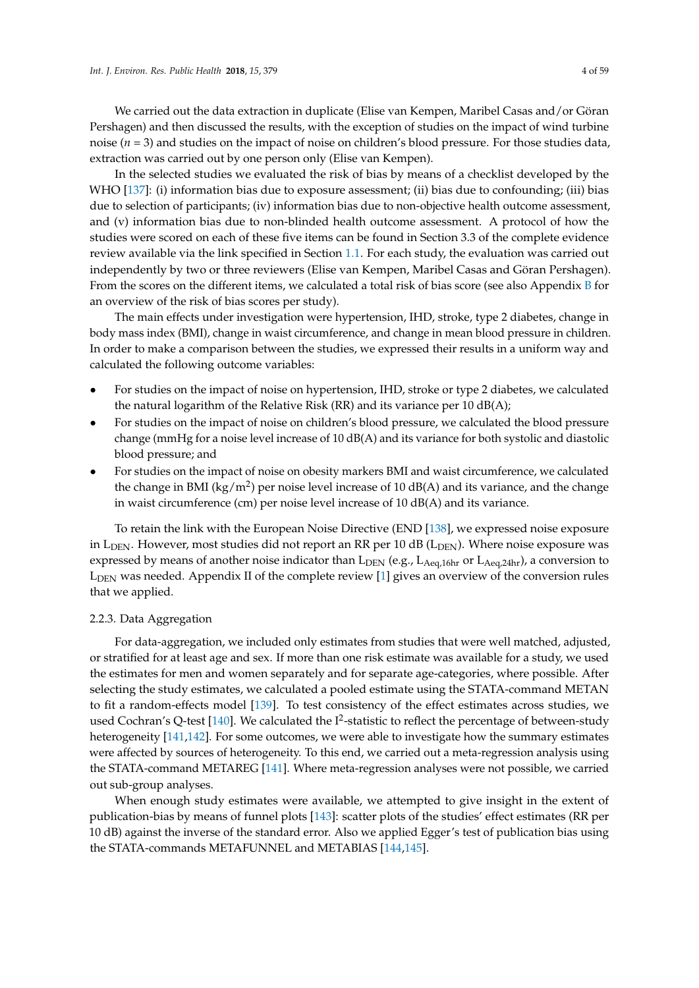We carried out the data extraction in duplicate (Elise van Kempen, Maribel Casas and/or Göran Pershagen) and then discussed the results, with the exception of studies on the impact of wind turbine noise (*n* = 3) and studies on the impact of noise on children's blood pressure. For those studies data, extraction was carried out by one person only (Elise van Kempen).

In the selected studies we evaluated the risk of bias by means of a checklist developed by the WHO [\[137\]](#page-57-2): (i) information bias due to exposure assessment; (ii) bias due to confounding; (iii) bias due to selection of participants; (iv) information bias due to non-objective health outcome assessment, and (v) information bias due to non-blinded health outcome assessment. A protocol of how the studies were scored on each of these five items can be found in Section 3.3 of the complete evidence review available via the link specified in Section [1.1.](#page-0-0) For each study, the evaluation was carried out independently by two or three reviewers (Elise van Kempen, Maribel Casas and Göran Pershagen). From the scores on the different items, we calculated a total risk of bias score (see also Appendix [B](#page-15-0) for an overview of the risk of bias scores per study).

The main effects under investigation were hypertension, IHD, stroke, type 2 diabetes, change in body mass index (BMI), change in waist circumference, and change in mean blood pressure in children. In order to make a comparison between the studies, we expressed their results in a uniform way and calculated the following outcome variables:

- For studies on the impact of noise on hypertension, IHD, stroke or type 2 diabetes, we calculated the natural logarithm of the Relative Risk (RR) and its variance per 10 dB(A);
- For studies on the impact of noise on children's blood pressure, we calculated the blood pressure change (mmHg for a noise level increase of 10 dB(A) and its variance for both systolic and diastolic blood pressure; and
- For studies on the impact of noise on obesity markers BMI and waist circumference, we calculated the change in BMI (kg/m<sup>2</sup>) per noise level increase of 10 dB(A) and its variance, and the change in waist circumference (cm) per noise level increase of  $10 \text{ dB}(A)$  and its variance.

To retain the link with the European Noise Directive (END [\[138\]](#page-57-3), we expressed noise exposure in  $L<sub>DEN</sub>$ . However, most studies did not report an RR per 10 dB ( $L<sub>DEN</sub>$ ). Where noise exposure was expressed by means of another noise indicator than  $L_{DEN}$  (e.g.,  $L_{Aeq,16hr}$  or  $L_{Aeq,24hr}$ ), a conversion to  $L<sub>DEN</sub>$  was needed. Appendix II of the complete review [\[1\]](#page-49-0) gives an overview of the conversion rules that we applied.

#### 2.2.3. Data Aggregation

For data-aggregation, we included only estimates from studies that were well matched, adjusted, or stratified for at least age and sex. If more than one risk estimate was available for a study, we used the estimates for men and women separately and for separate age-categories, where possible. After selecting the study estimates, we calculated a pooled estimate using the STATA-command METAN to fit a random-effects model [\[139\]](#page-57-4). To test consistency of the effect estimates across studies, we used Cochran's Q-test [\[140\]](#page-57-5). We calculated the I<sup>2</sup>-statistic to reflect the percentage of between-study heterogeneity [\[141](#page-57-6)[,142\]](#page-57-7). For some outcomes, we were able to investigate how the summary estimates were affected by sources of heterogeneity. To this end, we carried out a meta-regression analysis using the STATA-command METAREG [\[141\]](#page-57-6). Where meta-regression analyses were not possible, we carried out sub-group analyses.

When enough study estimates were available, we attempted to give insight in the extent of publication-bias by means of funnel plots [\[143\]](#page-57-8): scatter plots of the studies' effect estimates (RR per 10 dB) against the inverse of the standard error. Also we applied Egger's test of publication bias using the STATA-commands METAFUNNEL and METABIAS [\[144,](#page-57-9)[145\]](#page-57-10).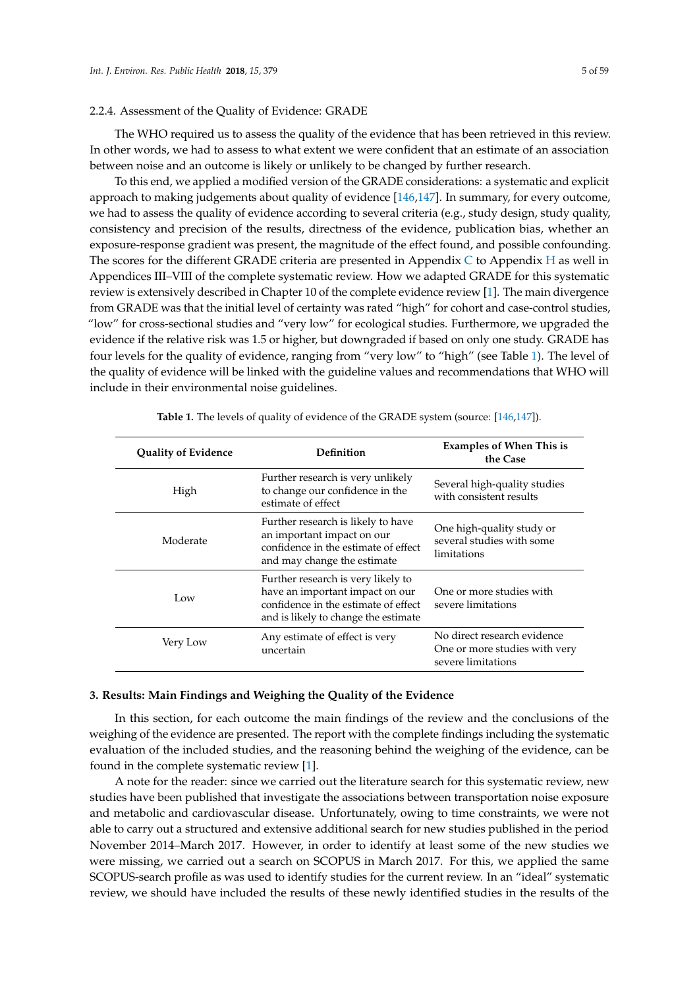## 2.2.4. Assessment of the Quality of Evidence: GRADE

The WHO required us to assess the quality of the evidence that has been retrieved in this review. In other words, we had to assess to what extent we were confident that an estimate of an association between noise and an outcome is likely or unlikely to be changed by further research.

To this end, we applied a modified version of the GRADE considerations: a systematic and explicit approach to making judgements about quality of evidence [\[146](#page-57-11)[,147\]](#page-57-12). In summary, for every outcome, we had to assess the quality of evidence according to several criteria (e.g., study design, study quality, consistency and precision of the results, directness of the evidence, publication bias, whether an exposure-response gradient was present, the magnitude of the effect found, and possible confounding. The scores for the different GRADE criteria are presented in Appendix  $C$  to Appendix  $H$  as well in Appendices III–VIII of the complete systematic review. How we adapted GRADE for this systematic review is extensively described in Chapter 10 of the complete evidence review [\[1\]](#page-49-0). The main divergence from GRADE was that the initial level of certainty was rated "high" for cohort and case-control studies, "low" for cross-sectional studies and "very low" for ecological studies. Furthermore, we upgraded the evidence if the relative risk was 1.5 or higher, but downgraded if based on only one study. GRADE has four levels for the quality of evidence, ranging from "very low" to "high" (see Table [1\)](#page-4-0). The level of the quality of evidence will be linked with the guideline values and recommendations that WHO will include in their environmental noise guidelines.

<span id="page-4-0"></span>

| <b>Quality of Evidence</b> | Definition                                                                                                                                            | <b>Examples of When This is</b><br>the Case                                        |
|----------------------------|-------------------------------------------------------------------------------------------------------------------------------------------------------|------------------------------------------------------------------------------------|
| High                       | Further research is very unlikely<br>to change our confidence in the<br>estimate of effect                                                            | Several high-quality studies<br>with consistent results                            |
| Moderate                   | Further research is likely to have<br>an important impact on our<br>confidence in the estimate of effect<br>and may change the estimate               | One high-quality study or<br>several studies with some<br>limitations              |
| Low                        | Further research is very likely to<br>have an important impact on our<br>confidence in the estimate of effect<br>and is likely to change the estimate | One or more studies with<br>severe limitations                                     |
| Very Low                   | Any estimate of effect is very<br>uncertain                                                                                                           | No direct research evidence<br>One or more studies with very<br>severe limitations |

**Table 1.** The levels of quality of evidence of the GRADE system (source: [\[146](#page-57-11)[,147\]](#page-57-12)).

#### **3. Results: Main Findings and Weighing the Quality of the Evidence**

In this section, for each outcome the main findings of the review and the conclusions of the weighing of the evidence are presented. The report with the complete findings including the systematic evaluation of the included studies, and the reasoning behind the weighing of the evidence, can be found in the complete systematic review [\[1\]](#page-49-0).

A note for the reader: since we carried out the literature search for this systematic review, new studies have been published that investigate the associations between transportation noise exposure and metabolic and cardiovascular disease. Unfortunately, owing to time constraints, we were not able to carry out a structured and extensive additional search for new studies published in the period November 2014–March 2017. However, in order to identify at least some of the new studies we were missing, we carried out a search on SCOPUS in March 2017. For this, we applied the same SCOPUS-search profile as was used to identify studies for the current review. In an "ideal" systematic review, we should have included the results of these newly identified studies in the results of the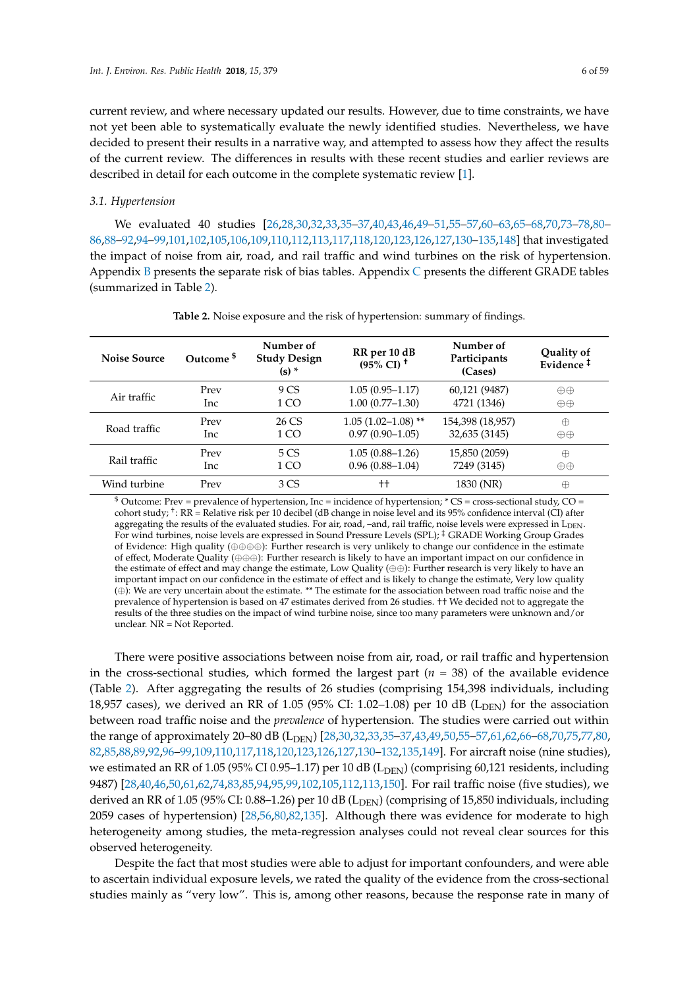current review, and where necessary updated our results. However, due to time constraints, we have not yet been able to systematically evaluate the newly identified studies. Nevertheless, we have decided to present their results in a narrative way, and attempted to assess how they affect the results of the current review. The differences in results with these recent studies and earlier reviews are described in detail for each outcome in the complete systematic review [\[1\]](#page-49-0).

## *3.1. Hypertension*

We evaluated 40 studies [\[26](#page-50-2)[,28](#page-50-5)[,30](#page-51-4)[,32](#page-51-0)[,33](#page-51-1)[,35–](#page-51-6)[37](#page-51-7)[,40](#page-51-8)[,43](#page-51-2)[,46](#page-52-0)[,49–](#page-52-3)[51,](#page-52-1)[55](#page-52-4)[–57,](#page-52-5)[60](#page-53-5)[–63,](#page-53-3)[65–](#page-53-6)[68,](#page-53-0)[70,](#page-53-7)[73–](#page-53-1)[78,](#page-54-0)[80–](#page-54-2) [86](#page-54-3)[,88–](#page-54-4)[92](#page-54-5)[,94](#page-55-1)[–99,](#page-55-2)[101,](#page-55-3)[102](#page-55-4)[,105](#page-55-5)[,106](#page-55-0)[,109,](#page-55-6)[110,](#page-55-7)[112,](#page-56-0)[113](#page-56-1)[,117](#page-56-2)[,118](#page-56-3)[,120,](#page-56-4)[123,](#page-56-5)[126,](#page-56-6)[127](#page-56-7)[,130](#page-57-13)[–135](#page-57-0)[,148\]](#page-57-14) that investigated the impact of noise from air, road, and rail traffic and wind turbines on the risk of hypertension. Appendix  $B$  presents the separate risk of bias tables. Appendix  $C$  presents the different GRADE tables (summarized in Table [2\)](#page-5-0).

<span id="page-5-0"></span>

| Noise Source | Outcome <sup>\$</sup> | Number of<br><b>Study Design</b><br>$(s)$ * | RR per 10 dB<br>$(95\% \text{ CI})$ <sup>+</sup> | Number of<br>Participants<br>(Cases) | Quality of<br>Evidence $‡$ |
|--------------|-----------------------|---------------------------------------------|--------------------------------------------------|--------------------------------------|----------------------------|
| Air traffic  | Prev                  | 9 CS                                        | $1.05(0.95 - 1.17)$                              | 60,121 (9487)                        | $\oplus \oplus$            |
|              | Inc                   | 1 CO                                        | $1.00(0.77-1.30)$                                | 4721 (1346)                          | $\oplus \oplus$            |
| Road traffic | Prev                  | 26 CS                                       | $1.05(1.02 - 1.08)$ **                           | 154,398 (18,957)                     | $\oplus$                   |
|              | Inc                   | 1 CO                                        | $0.97(0.90-1.05)$                                | 32,635 (3145)                        | $\oplus \oplus$            |
| Rail traffic | Prev                  | 5 CS                                        | $1.05(0.88 - 1.26)$                              | 15,850 (2059)                        | $\oplus$                   |
|              | Inc                   | 1 CO                                        | $0.96(0.88 - 1.04)$                              | 7249 (3145)                          | $\oplus$                   |
| Wind turbine | Prev                  | 3 CS                                        | tt.                                              | 1830 (NR)                            | $\oplus$                   |

**Table 2.** Noise exposure and the risk of hypertension: summary of findings.

\$ Outcome: Prev = prevalence of hypertension, Inc = incidence of hypertension; \* CS = cross-sectional study, CO = cohort study; † : RR = Relative risk per 10 decibel (dB change in noise level and its 95% confidence interval (CI) after aggregating the results of the evaluated studies. For air, road, -and, rail traffic, noise levels were expressed in L<sub>DEN</sub>. For wind turbines, noise levels are expressed in Sound Pressure Levels (SPL); ‡ GRADE Working Group Grades of Evidence: High quality (⊕⊕⊕⊕): Further research is very unlikely to change our confidence in the estimate of effect, Moderate Quality (⊕⊕⊕): Further research is likely to have an important impact on our confidence in the estimate of effect and may change the estimate, Low Quality (⊕⊕): Further research is very likely to have an important impact on our confidence in the estimate of effect and is likely to change the estimate, Very low quality (⊕): We are very uncertain about the estimate. \*\* The estimate for the association between road traffic noise and the prevalence of hypertension is based on 47 estimates derived from 26 studies. †† We decided not to aggregate the results of the three studies on the impact of wind turbine noise, since too many parameters were unknown and/or unclear. NR = Not Reported.

There were positive associations between noise from air, road, or rail traffic and hypertension in the cross-sectional studies, which formed the largest part ( $n = 38$ ) of the available evidence (Table [2\)](#page-5-0). After aggregating the results of 26 studies (comprising 154,398 individuals, including 18,957 cases), we derived an RR of 1.05 (95% CI: 1.02–1.08) per 10 dB ( $L_{\text{DERN}}$ ) for the association between road traffic noise and the *prevalence* of hypertension. The studies were carried out within the range of approximately 20–80 dB (L<sub>DEN</sub>) [\[28](#page-50-5)[,30](#page-51-4)[,32](#page-51-0)[,33](#page-51-1)[,35–](#page-51-6)[37,](#page-51-7)[43,](#page-51-2)[49,](#page-52-3)[50,](#page-52-6)[55](#page-52-4)[–57](#page-52-5)[,61](#page-53-8)[,62](#page-53-9)[,66–](#page-53-2)[68,](#page-53-0)[70,](#page-53-7)[75,](#page-54-6)[77,](#page-54-7)[80,](#page-54-2) [82](#page-54-8)[,85](#page-54-9)[,88](#page-54-4)[,89,](#page-54-10)[92,](#page-54-5)[96–](#page-55-8)[99](#page-55-2)[,109,](#page-55-6)[110,](#page-55-7)[117,](#page-56-2)[118](#page-56-3)[,120](#page-56-4)[,123,](#page-56-5)[126](#page-56-6)[,127](#page-56-7)[,130–](#page-57-13)[132,](#page-57-15)[135](#page-57-0)[,149\]](#page-57-16). For aircraft noise (nine studies), we estimated an RR of 1.05 (95% CI 0.95-1.17) per 10 dB (L<sub>DEN</sub>) (comprising 60,121 residents, including 9487) [\[28](#page-50-5)[,40](#page-51-8)[,46](#page-52-0)[,50](#page-52-6)[,61](#page-53-8)[,62](#page-53-9)[,74](#page-54-11)[,83](#page-54-12)[,85](#page-54-9)[,94](#page-55-1)[,95](#page-55-9)[,99](#page-55-2)[,102](#page-55-4)[,105,](#page-55-5)[112](#page-56-0)[,113](#page-56-1)[,150\]](#page-57-17). For rail traffic noise (five studies), we derived an RR of 1.05 (95% CI: 0.88–1.26) per 10 dB ( $L_{\text{DEN}}$ ) (comprising of 15,850 individuals, including 2059 cases of hypertension) [\[28](#page-50-5)[,56,](#page-52-7)[80,](#page-54-2)[82,](#page-54-8)[135\]](#page-57-0). Although there was evidence for moderate to high heterogeneity among studies, the meta-regression analyses could not reveal clear sources for this observed heterogeneity.

Despite the fact that most studies were able to adjust for important confounders, and were able to ascertain individual exposure levels, we rated the quality of the evidence from the cross-sectional studies mainly as "very low". This is, among other reasons, because the response rate in many of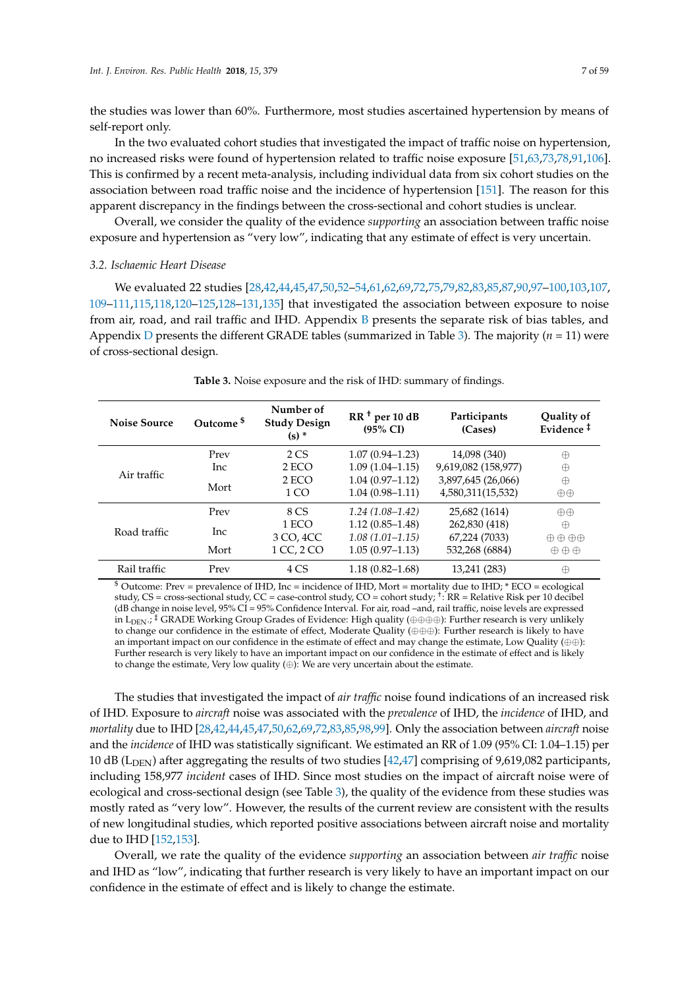the studies was lower than 60%. Furthermore, most studies ascertained hypertension by means of self-report only.

In the two evaluated cohort studies that investigated the impact of traffic noise on hypertension, no increased risks were found of hypertension related to traffic noise exposure [\[51,](#page-52-1)[63,](#page-53-3)[73,](#page-53-1)[78,](#page-54-0)[91,](#page-54-1)[106\]](#page-55-0). This is confirmed by a recent meta-analysis, including individual data from six cohort studies on the association between road traffic noise and the incidence of hypertension [\[151\]](#page-58-0). The reason for this apparent discrepancy in the findings between the cross-sectional and cohort studies is unclear.

Overall, we consider the quality of the evidence *supporting* an association between traffic noise exposure and hypertension as "very low", indicating that any estimate of effect is very uncertain.

### *3.2. Ischaemic Heart Disease*

We evaluated 22 studies [\[28](#page-50-5)[,42](#page-51-9)[,44](#page-51-10)[,45](#page-52-8)[,47](#page-52-9)[,50](#page-52-6)[,52](#page-52-10)[–54](#page-52-11)[,61](#page-53-8)[,62](#page-53-9)[,69](#page-53-10)[,72](#page-53-11)[,75](#page-54-6)[,79](#page-54-13)[,82](#page-54-8)[,83](#page-54-12)[,85](#page-54-9)[,87](#page-54-14)[,90](#page-54-15)[,97–](#page-55-10)[100](#page-55-11)[,103,](#page-55-12)[107,](#page-55-13) [109](#page-55-6)[–111,](#page-56-8)[115](#page-56-9)[,118,](#page-56-3)[120–](#page-56-4)[125](#page-56-10)[,128](#page-56-11)[–131,](#page-57-18)[135\]](#page-57-0) that investigated the association between exposure to noise from air, road, and rail traffic and IHD. Appendix [B](#page-15-0) presents the separate risk of bias tables, and Appendix [D](#page-25-0) presents the different GRADE tables (summarized in Table [3\)](#page-6-0). The majority (*n* = 11) were of cross-sectional design.

<span id="page-6-0"></span>

| <b>Noise Source</b> | Outcome <sup>\$</sup> | Number of<br><b>Study Design</b><br>$(s)$ * | $RR^{\dagger}$ per 10 dB<br>$(95\% \text{ CI})$ | Participants<br>(Cases) | Quality of<br>Evidence <sup>‡</sup> |
|---------------------|-----------------------|---------------------------------------------|-------------------------------------------------|-------------------------|-------------------------------------|
|                     | Prev                  | 2 CS                                        | $1.07(0.94 - 1.23)$                             | 14,098 (340)            | $\oplus$                            |
|                     | Inc.                  | 2 ECO                                       | $1.09(1.04 - 1.15)$                             | 9,619,082 (158,977)     | $\oplus$                            |
| Air traffic         | Mort                  | 2 ECO                                       | $1.04(0.97-1.12)$                               | 3,897,645 (26,066)      | $\oplus$                            |
|                     |                       | 1 <sub>CO</sub>                             | $1.04(0.98 - 1.11)$                             | 4,580,311(15,532)       | $\oplus\oplus$                      |
|                     | Prev                  | 8 CS                                        | $1.24(1.08-1.42)$                               | 25,682 (1614)           | $\oplus$                            |
| Road traffic        |                       | 1 ECO                                       | $1.12(0.85 - 1.48)$                             | 262,830 (418)           | ⊕                                   |
|                     | Inc                   | 3 CO, 4CC                                   | $1.08(1.01 - 1.15)$                             | 67,224 (7033)           | $\oplus$ $\oplus$ $\oplus$          |
|                     | Mort                  | 1 CC, 2 CO                                  | $1.05(0.97-1.13)$                               | 532,268 (6884)          | $\oplus$ $\oplus$ $\oplus$          |
| Rail traffic        | Prev                  | 4 CS                                        | $1.18(0.82 - 1.68)$                             | 13,241 (283)            | ⊕                                   |

**Table 3.** Noise exposure and the risk of IHD: summary of findings.

\$ Outcome: Prev = prevalence of IHD, Inc = incidence of IHD, Mort = mortality due to IHD; \* ECO = ecological study, CS = cross-sectional study, CC = case-control study, CO = cohort study; † : RR = Relative Risk per 10 decibel (dB change in noise level, 95% CI = 95% Confidence Interval. For air, road –and, rail traffic, noise levels are expressed in L<sub>DEN</sub>: ‡ GRADE Working Group Grades of Evidence: High quality (⊕⊕⊕⊕): Further research is very unlikely to change our confidence in the estimate of effect, Moderate Quality (⊕⊕⊕): Further research is likely to have an important impact on our confidence in the estimate of effect and may change the estimate, Low Quality (⊕⊕): Further research is very likely to have an important impact on our confidence in the estimate of effect and is likely to change the estimate, Very low quality  $(\oplus)$ : We are very uncertain about the estimate.

The studies that investigated the impact of *air traffic* noise found indications of an increased risk of IHD. Exposure to *aircraft* noise was associated with the *prevalence* of IHD, the *incidence* of IHD, and *mortality* due to IHD [\[28,](#page-50-5)[42](#page-51-9)[,44](#page-51-10)[,45,](#page-52-8)[47,](#page-52-9)[50,](#page-52-6)[62](#page-53-9)[,69](#page-53-10)[,72](#page-53-11)[,83,](#page-54-12)[85,](#page-54-9)[98](#page-55-14)[,99\]](#page-55-2). Only the association between *aircraft* noise and the *incidence* of IHD was statistically significant. We estimated an RR of 1.09 (95% CI: 1.04–1.15) per 10 dB ( $L_{\text{DEN}}$ ) after aggregating the results of two studies [\[42,](#page-51-9)[47\]](#page-52-9) comprising of 9,619,082 participants, including 158,977 *incident* cases of IHD. Since most studies on the impact of aircraft noise were of ecological and cross-sectional design (see Table [3\)](#page-6-0), the quality of the evidence from these studies was mostly rated as "very low". However, the results of the current review are consistent with the results of new longitudinal studies, which reported positive associations between aircraft noise and mortality due to IHD [\[152,](#page-58-1)[153\]](#page-58-2).

Overall, we rate the quality of the evidence *supporting* an association between *air traffic* noise and IHD as "low", indicating that further research is very likely to have an important impact on our confidence in the estimate of effect and is likely to change the estimate.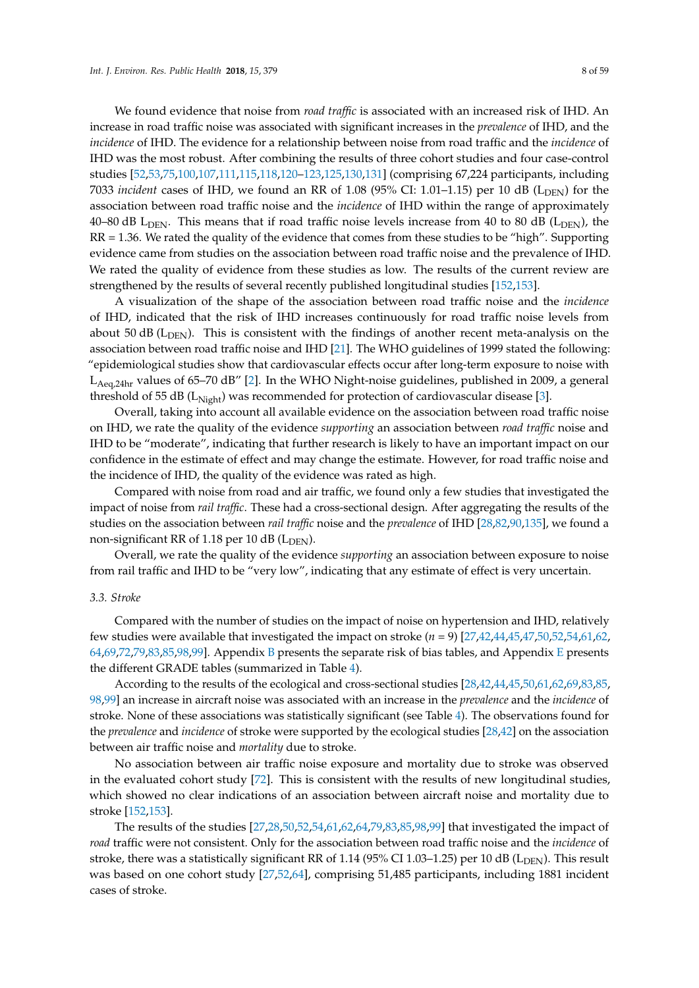We found evidence that noise from *road traffic* is associated with an increased risk of IHD. An increase in road traffic noise was associated with significant increases in the *prevalence* of IHD, and the *incidence* of IHD. The evidence for a relationship between noise from road traffic and the *incidence* of IHD was the most robust. After combining the results of three cohort studies and four case-control studies [\[52,](#page-52-10)[53](#page-52-2)[,75](#page-54-6)[,100](#page-55-11)[,107](#page-55-13)[,111](#page-56-8)[,115](#page-56-9)[,118,](#page-56-3)[120–](#page-56-4)[123,](#page-56-5)[125,](#page-56-10)[130,](#page-57-13)[131\]](#page-57-18) (comprising 67,224 participants, including 7033 *incident* cases of IHD, we found an RR of 1.08 (95% CI: 1.01–1.15) per 10 dB ( $L_{\text{DEN}}$ ) for the association between road traffic noise and the *incidence* of IHD within the range of approximately 40–80 dB L<sub>DEN</sub>. This means that if road traffic noise levels increase from 40 to 80 dB (L<sub>DEN</sub>), the RR = 1.36. We rated the quality of the evidence that comes from these studies to be "high". Supporting evidence came from studies on the association between road traffic noise and the prevalence of IHD. We rated the quality of evidence from these studies as low. The results of the current review are strengthened by the results of several recently published longitudinal studies [\[152](#page-58-1)[,153\]](#page-58-2).

A visualization of the shape of the association between road traffic noise and the *incidence* of IHD, indicated that the risk of IHD increases continuously for road traffic noise levels from about 50 dB ( $L<sub>DEN</sub>$ ). This is consistent with the findings of another recent meta-analysis on the association between road traffic noise and IHD [\[21\]](#page-50-6). The WHO guidelines of 1999 stated the following: "epidemiological studies show that cardiovascular effects occur after long-term exposure to noise with LAeq,24hr values of 65–70 dB" [\[2\]](#page-49-1). In the WHO Night-noise guidelines, published in 2009, a general threshold of 55 dB ( $L<sub>Night</sub>$ ) was recommended for protection of cardiovascular disease [\[3\]](#page-49-3).

Overall, taking into account all available evidence on the association between road traffic noise on IHD, we rate the quality of the evidence *supporting* an association between *road traffic* noise and IHD to be "moderate", indicating that further research is likely to have an important impact on our confidence in the estimate of effect and may change the estimate. However, for road traffic noise and the incidence of IHD, the quality of the evidence was rated as high.

Compared with noise from road and air traffic, we found only a few studies that investigated the impact of noise from *rail traffic*. These had a cross-sectional design. After aggregating the results of the studies on the association between *rail traffic* noise and the *prevalence* of IHD [\[28,](#page-50-5)[82](#page-54-8)[,90](#page-54-15)[,135\]](#page-57-0), we found a non-significant RR of 1.18 per 10 dB ( $L<sub>DEN</sub>$ ).

Overall, we rate the quality of the evidence *supporting* an association between exposure to noise from rail traffic and IHD to be "very low", indicating that any estimate of effect is very uncertain.

#### *3.3. Stroke*

Compared with the number of studies on the impact of noise on hypertension and IHD, relatively few studies were available that investigated the impact on stroke (*n* = 9) [\[27,](#page-50-4)[42,](#page-51-9)[44](#page-51-10)[,45](#page-52-8)[,47](#page-52-9)[,50](#page-52-6)[,52,](#page-52-10)[54,](#page-52-11)[61,](#page-53-8)[62,](#page-53-9) [64](#page-53-4)[,69](#page-53-10)[,72](#page-53-11)[,79,](#page-54-13)[83,](#page-54-12)[85,](#page-54-9)[98](#page-55-14)[,99\]](#page-55-2). Appendix [B](#page-15-0) presents the separate risk of bias tables, and Appendix [E](#page-31-0) presents the different GRADE tables (summarized in Table [4\)](#page-8-0).

According to the results of the ecological and cross-sectional studies [\[28](#page-50-5)[,42](#page-51-9)[,44](#page-51-10)[,45,](#page-52-8)[50,](#page-52-6)[61](#page-53-8)[,62](#page-53-9)[,69,](#page-53-10)[83,](#page-54-12)[85,](#page-54-9) [98](#page-55-14)[,99\]](#page-55-2) an increase in aircraft noise was associated with an increase in the *prevalence* and the *incidence* of stroke. None of these associations was statistically significant (see Table [4\)](#page-8-0). The observations found for the *prevalence* and *incidence* of stroke were supported by the ecological studies [\[28,](#page-50-5)[42\]](#page-51-9) on the association between air traffic noise and *mortality* due to stroke.

No association between air traffic noise exposure and mortality due to stroke was observed in the evaluated cohort study [\[72\]](#page-53-11). This is consistent with the results of new longitudinal studies, which showed no clear indications of an association between aircraft noise and mortality due to stroke [\[152](#page-58-1)[,153\]](#page-58-2).

The results of the studies [\[27](#page-50-4)[,28](#page-50-5)[,50](#page-52-6)[,52](#page-52-10)[,54](#page-52-11)[,61](#page-53-8)[,62](#page-53-9)[,64](#page-53-4)[,79](#page-54-13)[,83](#page-54-12)[,85](#page-54-9)[,98](#page-55-14)[,99\]](#page-55-2) that investigated the impact of *road* traffic were not consistent. Only for the association between road traffic noise and the *incidence* of stroke, there was a statistically significant RR of 1.14 (95% CI 1.03–1.25) per 10 dB ( $L<sub>DEN</sub>$ ). This result was based on one cohort study [\[27,](#page-50-4)[52](#page-52-10)[,64\]](#page-53-4), comprising 51,485 participants, including 1881 incident cases of stroke.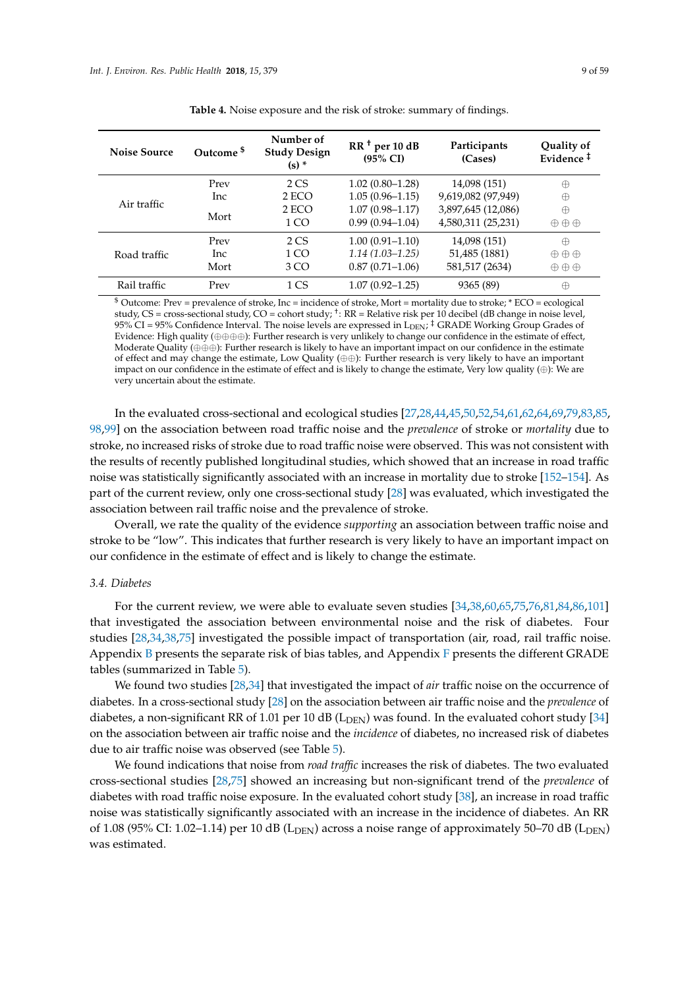<span id="page-8-0"></span>

| <b>Noise Source</b> | Outcome <sup>\$</sup> | Number of<br><b>Study Design</b><br>$(s)$ * | $RR^{\dagger}$ per 10 dB<br>$(95\% \text{ CI})$ | Participants<br>(Cases) | Quality of<br>Evidence <sup>‡</sup> |
|---------------------|-----------------------|---------------------------------------------|-------------------------------------------------|-------------------------|-------------------------------------|
|                     | Prev                  | 2 CS                                        | $1.02(0.80-1.28)$                               | 14,098 (151)            | $\oplus$                            |
|                     | Inc.                  | 2 ECO                                       | $1.05(0.96 - 1.15)$                             | 9,619,082 (97,949)      | $\oplus$                            |
| Air traffic         | Mort                  | 2 ECO                                       | $1.07(0.98 - 1.17)$                             | 3,897,645 (12,086)      | $\oplus$                            |
|                     |                       | 1 <sub>CO</sub>                             | $0.99(0.94 - 1.04)$                             | 4,580,311 (25,231)      | $\oplus$ $\oplus$                   |
|                     | Prev                  | 2 CS                                        | $1.00(0.91 - 1.10)$                             | 14,098 (151)            | $\oplus$                            |
| Road traffic        | Inc.                  | 1 CO                                        | $1.14(1.03 - 1.25)$                             | 51,485 (1881)           | $\oplus$ $\oplus$ $\oplus$          |
|                     | Mort                  | 3CO                                         | $0.87(0.71 - 1.06)$                             | 581,517 (2634)          | $\oplus$ $\oplus$                   |
| Rail traffic        | Prev                  | 1 CS                                        | $1.07(0.92 - 1.25)$                             | 9365 (89)               | ⊕                                   |

| Table 4. Noise exposure and the risk of stroke: summary of findings. |  |  |  |  |  |
|----------------------------------------------------------------------|--|--|--|--|--|
|----------------------------------------------------------------------|--|--|--|--|--|

\$ Outcome: Prev = prevalence of stroke, Inc = incidence of stroke, Mort = mortality due to stroke; \* ECO = ecological study, CS = cross-sectional study, CO = cohort study; † : RR = Relative risk per 10 decibel (dB change in noise level, 95% CI = 95% Confidence Interval. The noise levels are expressed in  $L_{\rm DEN}$ ;  $\ddot{}$  GRADE Working Group Grades of Evidence: High quality (⊕⊕⊕⊕): Further research is very unlikely to change our confidence in the estimate of effect, Moderate Quality (⊕⊕⊕): Further research is likely to have an important impact on our confidence in the estimate of effect and may change the estimate, Low Quality (⊕⊕): Further research is very likely to have an important impact on our confidence in the estimate of effect and is likely to change the estimate, Very low quality (⊕): We are very uncertain about the estimate.

In the evaluated cross-sectional and ecological studies [\[27,](#page-50-4)[28](#page-50-5)[,44,](#page-51-10)[45](#page-52-8)[,50,](#page-52-6)[52](#page-52-10)[,54,](#page-52-11)[61](#page-53-8)[,62](#page-53-9)[,64](#page-53-4)[,69](#page-53-10)[,79](#page-54-13)[,83](#page-54-12)[,85,](#page-54-9) [98](#page-55-14)[,99\]](#page-55-2) on the association between road traffic noise and the *prevalence* of stroke or *mortality* due to stroke, no increased risks of stroke due to road traffic noise were observed. This was not consistent with the results of recently published longitudinal studies, which showed that an increase in road traffic noise was statistically significantly associated with an increase in mortality due to stroke [\[152](#page-58-1)[–154\]](#page-58-3). As part of the current review, only one cross-sectional study [\[28\]](#page-50-5) was evaluated, which investigated the association between rail traffic noise and the prevalence of stroke.

Overall, we rate the quality of the evidence *supporting* an association between traffic noise and stroke to be "low". This indicates that further research is very likely to have an important impact on our confidence in the estimate of effect and is likely to change the estimate.

# *3.4. Diabetes*

For the current review, we were able to evaluate seven studies [\[34](#page-51-3)[,38](#page-51-5)[,60](#page-53-5)[,65](#page-53-6)[,75](#page-54-6)[,76](#page-54-16)[,81](#page-54-17)[,84](#page-54-18)[,86](#page-54-3)[,101\]](#page-55-3) that investigated the association between environmental noise and the risk of diabetes. Four studies [\[28](#page-50-5)[,34](#page-51-3)[,38](#page-51-5)[,75\]](#page-54-6) investigated the possible impact of transportation (air, road, rail traffic noise. Appendix [B](#page-15-0) presents the separate risk of bias tables, and Appendix [F](#page-37-0) presents the different GRADE tables (summarized in Table [5\)](#page-9-0).

We found two studies [\[28](#page-50-5)[,34\]](#page-51-3) that investigated the impact of *air* traffic noise on the occurrence of diabetes. In a cross-sectional study [\[28\]](#page-50-5) on the association between air traffic noise and the *prevalence* of diabetes, a non-significant RR of 1.01 per 10 dB ( $L_{\text{DEN}}$ ) was found. In the evaluated cohort study [\[34\]](#page-51-3) on the association between air traffic noise and the *incidence* of diabetes, no increased risk of diabetes due to air traffic noise was observed (see Table [5\)](#page-9-0).

We found indications that noise from *road traffic* increases the risk of diabetes. The two evaluated cross-sectional studies [\[28](#page-50-5)[,75\]](#page-54-6) showed an increasing but non-significant trend of the *prevalence* of diabetes with road traffic noise exposure. In the evaluated cohort study [\[38\]](#page-51-5), an increase in road traffic noise was statistically significantly associated with an increase in the incidence of diabetes. An RR of 1.08 (95% CI: 1.02–1.14) per 10 dB (L<sub>DEN</sub>) across a noise range of approximately 50–70 dB (L<sub>DEN</sub>) was estimated.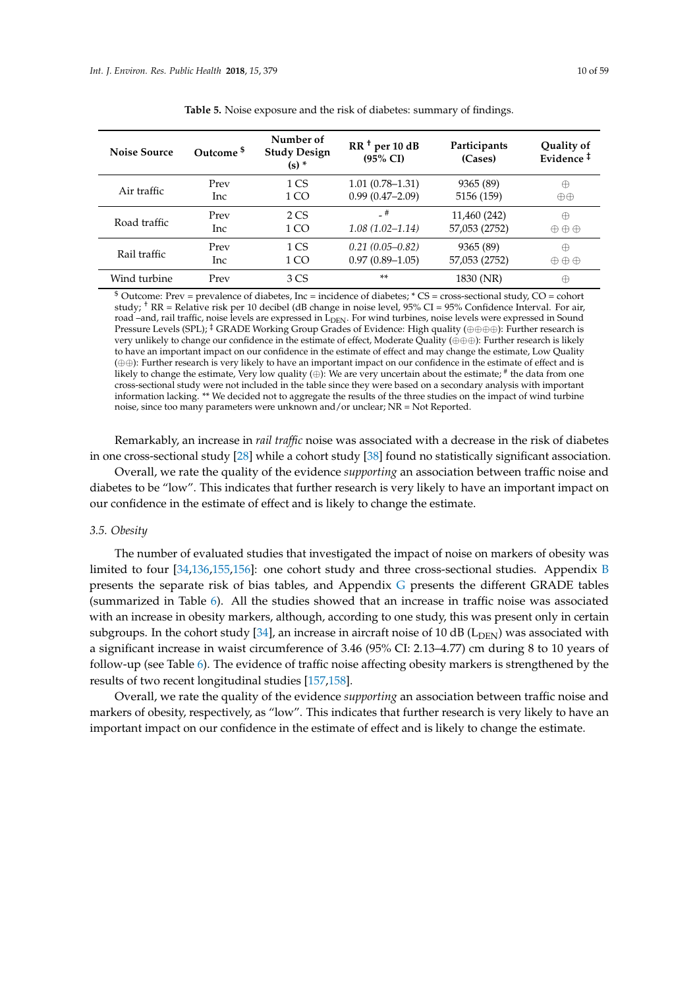<span id="page-9-0"></span>

| Noise Source | Outcome <sup>\$</sup> | Number of<br><b>Study Design</b><br>$(s)$ * | $RR^{\dagger}$ per 10 dB<br>$(95\% \text{ CI})$ | Participants<br>(Cases) | Quality of<br>Evidence $‡$ |
|--------------|-----------------------|---------------------------------------------|-------------------------------------------------|-------------------------|----------------------------|
| Air traffic  | Prev                  | 1 CS                                        | $1.01(0.78 - 1.31)$                             | 9365 (89)               | ⊕                          |
|              | Inc.                  | 1 C.O                                       | $0.99(0.47 - 2.09)$                             | 5156 (159)              | $\oplus$                   |
| Road traffic | Prev                  | 2 CS                                        | $-$ #                                           | 11,460 (242)            | $\oplus$                   |
|              | Inc.                  | 1 CO                                        | $1.08(1.02 - 1.14)$                             | 57,053 (2752)           | $\oplus$ $\oplus$ $\oplus$ |
| Rail traffic | Prev                  | 1 CS                                        | $0.21(0.05 - 0.82)$                             | 9365 (89)               | $\oplus$                   |
|              | Inc.                  | 1 CO                                        | $0.97(0.89 - 1.05)$                             | 57,053 (2752)           | $\oplus$ $\oplus$ $\oplus$ |
| Wind turbine | Prev                  | 3 CS                                        | $**$                                            | 1830 (NR)               | ⊕                          |

**Table 5.** Noise exposure and the risk of diabetes: summary of findings.

\$ Outcome: Prev = prevalence of diabetes, Inc = incidence of diabetes; \* CS = cross-sectional study, CO = cohort study; † RR = Relative risk per 10 decibel (dB change in noise level, 95% CI = 95% Confidence Interval. For air, road –and, rail traffic, noise levels are expressed in L<sub>DEN</sub>. For wind turbines, noise levels were expressed in Sound Pressure Levels (SPL); ‡ GRADE Working Group Grades of Evidence: High quality (⊕⊕⊕⊕): Further research is very unlikely to change our confidence in the estimate of effect, Moderate Quality (⊕⊕⊕): Further research is likely to have an important impact on our confidence in the estimate of effect and may change the estimate, Low Quality (⊕⊕): Further research is very likely to have an important impact on our confidence in the estimate of effect and is likely to change the estimate, Very low quality (⊕): We are very uncertain about the estimate; <sup>#</sup> the data from one cross-sectional study were not included in the table since they were based on a secondary analysis with important information lacking. \*\* We decided not to aggregate the results of the three studies on the impact of wind turbine noise, since too many parameters were unknown and/or unclear; NR = Not Reported.

Remarkably, an increase in *rail traffic* noise was associated with a decrease in the risk of diabetes in one cross-sectional study [\[28\]](#page-50-5) while a cohort study [\[38\]](#page-51-5) found no statistically significant association.

Overall, we rate the quality of the evidence *supporting* an association between traffic noise and diabetes to be "low". This indicates that further research is very likely to have an important impact on our confidence in the estimate of effect and is likely to change the estimate.

# *3.5. Obesity*

The number of evaluated studies that investigated the impact of noise on markers of obesity was limited to four [\[34](#page-51-3)[,136](#page-57-1)[,155](#page-58-4)[,156\]](#page-58-5): one cohort study and three cross-sectional studies. Appendix [B](#page-15-0) presents the separate risk of bias tables, and Appendix [G](#page-41-0) presents the different GRADE tables (summarized in Table [6\)](#page-10-0). All the studies showed that an increase in traffic noise was associated with an increase in obesity markers, although, according to one study, this was present only in certain subgroups. In the cohort study [\[34\]](#page-51-3), an increase in aircraft noise of 10 dB ( $L<sub>DEN</sub>$ ) was associated with a significant increase in waist circumference of 3.46 (95% CI: 2.13–4.77) cm during 8 to 10 years of follow-up (see Table [6\)](#page-10-0). The evidence of traffic noise affecting obesity markers is strengthened by the results of two recent longitudinal studies [\[157](#page-58-6)[,158\]](#page-58-7).

Overall, we rate the quality of the evidence *supporting* an association between traffic noise and markers of obesity, respectively, as "low". This indicates that further research is very likely to have an important impact on our confidence in the estimate of effect and is likely to change the estimate.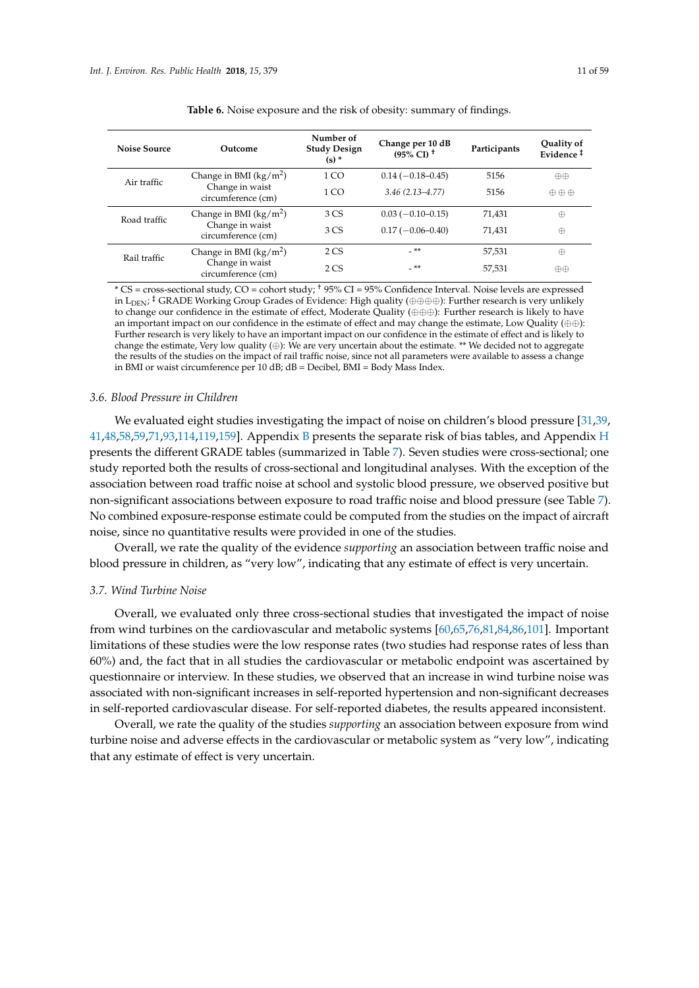<span id="page-10-0"></span>

| <b>Noise Source</b> | Outcome                               | Number of<br><b>Study Design</b><br>$(s)$ * | Change per 10 dB<br>$(95\%$ CI) <sup>+</sup> | Participants | Quality of<br>Evidence $‡$ |
|---------------------|---------------------------------------|---------------------------------------------|----------------------------------------------|--------------|----------------------------|
| Air traffic         | Change in BMI $(kg/m^2)$              | 1 CO                                        | $0.14(-0.18-0.45)$                           | 5156         | $\oplus$                   |
|                     | Change in waist<br>circumference (cm) | 1 CO                                        | $3.46(2.13 - 4.77)$                          | 5156         | $\oplus$ $\oplus$          |
| Road traffic        | Change in BMI $(kg/m^2)$              | 3 CS                                        | $0.03(-0.10-0.15)$                           | 71.431       | $\oplus$                   |
|                     | Change in waist<br>circumference (cm) | 3 CS                                        | $0.17(-0.06-0.40)$                           | 71.431       | $\oplus$                   |
|                     | Change in BMI $(kg/m^2)$              | 2 <sub>CS</sub>                             | $-$ **                                       | 57,531       | $\oplus$                   |
| Rail traffic        | Change in waist<br>circumference (cm) | 2 CS                                        | $-$ **                                       | 57,531       | $\oplus \oplus$            |

| Table 6. Noise exposure and the risk of obesity: summary of findings. |  |  |
|-----------------------------------------------------------------------|--|--|
|                                                                       |  |  |

\* CS = cross-sectional study, CO = cohort study; † 95% CI = 95% Confidence Interval. Noise levels are expressed in L $_{\rm DEN}$ ; ‡ GRADE Working Group Grades of Evidence: High quality (⊕⊕⊕⊕): Further research is very unlikely to change our confidence in the estimate of effect, Moderate Quality (⊕⊕⊕): Further research is likely to have an important impact on our confidence in the estimate of effect and may change the estimate, Low Quality (⊕⊕): Further research is very likely to have an important impact on our confidence in the estimate of effect and is likely to change the estimate, Very low quality (⊕): We are very uncertain about the estimate. \*\* We decided not to aggregate the results of the studies on the impact of rail traffic noise, since not all parameters were available to assess a change in BMI or waist circumference per 10 dB; dB = Decibel, BMI = Body Mass Index.

#### *3.6. Blood Pressure in Children*

We evaluated eight studies investigating the impact of noise on children's blood pressure [\[31,](#page-51-11)[39,](#page-51-12) [41](#page-51-13)[,48](#page-52-12)[,58](#page-53-12)[,59](#page-53-13)[,71](#page-53-14)[,93](#page-55-15)[,114](#page-56-12)[,119](#page-56-13)[,159\]](#page-58-8). Appendix [B](#page-15-0) presents the separate risk of bias tables, and Appendix [H](#page-44-0) presents the different GRADE tables (summarized in Table [7\)](#page-11-0). Seven studies were cross-sectional; one study reported both the results of cross-sectional and longitudinal analyses. With the exception of the association between road traffic noise at school and systolic blood pressure, we observed positive but non-significant associations between exposure to road traffic noise and blood pressure (see Table [7\)](#page-11-0). No combined exposure-response estimate could be computed from the studies on the impact of aircraft noise, since no quantitative results were provided in one of the studies.

Overall, we rate the quality of the evidence *supporting* an association between traffic noise and blood pressure in children, as "very low", indicating that any estimate of effect is very uncertain.

#### *3.7. Wind Turbine Noise*

Overall, we evaluated only three cross-sectional studies that investigated the impact of noise from wind turbines on the cardiovascular and metabolic systems [\[60](#page-53-5)[,65](#page-53-6)[,76](#page-54-16)[,81](#page-54-17)[,84](#page-54-18)[,86](#page-54-3)[,101\]](#page-55-3). Important limitations of these studies were the low response rates (two studies had response rates of less than 60%) and, the fact that in all studies the cardiovascular or metabolic endpoint was ascertained by questionnaire or interview. In these studies, we observed that an increase in wind turbine noise was associated with non-significant increases in self-reported hypertension and non-significant decreases in self-reported cardiovascular disease. For self-reported diabetes, the results appeared inconsistent.

Overall, we rate the quality of the studies *supporting* an association between exposure from wind turbine noise and adverse effects in the cardiovascular or metabolic system as "very low", indicating that any estimate of effect is very uncertain.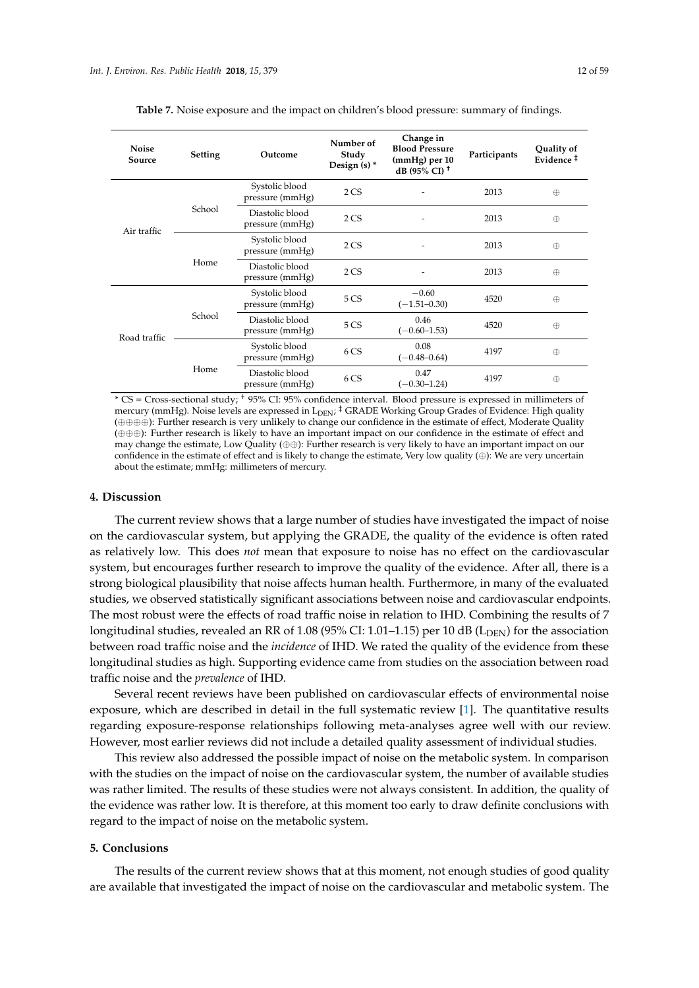<span id="page-11-0"></span>

| <b>Noise</b><br>Source | <b>Setting</b> | Outcome                            | Number of<br>Study<br>Design $(s)$ * | Change in<br><b>Blood Pressure</b><br>$(mmHg)$ per 10<br>dB (95% CI) <sup>+</sup> | Participants | Quality of<br>Evidence <sup>‡</sup> |
|------------------------|----------------|------------------------------------|--------------------------------------|-----------------------------------------------------------------------------------|--------------|-------------------------------------|
| Air traffic            |                | Systolic blood<br>pressure (mmHg)  | 2 CS                                 |                                                                                   | 2013         | $\oplus$                            |
|                        | School         | Diastolic blood<br>pressure (mmHg) | 2 CS                                 |                                                                                   | 2013         | $\oplus$                            |
|                        |                | Systolic blood<br>pressure (mmHg)  | 2 CS                                 |                                                                                   | 2013         | $\oplus$                            |
|                        | Home           | Diastolic blood<br>pressure (mmHg) | 2 CS                                 |                                                                                   | 2013         | $\oplus$                            |
|                        |                | Systolic blood<br>pressure (mmHg)  | 5 CS                                 | $-0.60$<br>$(-1.51 - 0.30)$                                                       | 4520         | $\oplus$                            |
| Road traffic           | School         | Diastolic blood<br>pressure (mmHg) | 5 CS                                 | 0.46<br>$(-0.60 - 1.53)$                                                          | 4520         | $\oplus$                            |
|                        |                | Systolic blood<br>pressure (mmHg)  | 6 CS                                 | 0.08<br>$(-0.48 - 0.64)$                                                          | 4197         | $\oplus$                            |
|                        | Home           | Diastolic blood<br>pressure (mmHg) | 6 CS                                 | 0.47<br>$(-0.30 - 1.24)$                                                          | 4197         | $\oplus$                            |

**Table 7.** Noise exposure and the impact on children's blood pressure: summary of findings.

\* CS = Cross-sectional study; † 95% CI: 95% confidence interval. Blood pressure is expressed in millimeters of mercury (mmHg). Noise levels are expressed in  $L_{\rm DEN}$ ;  $^\ddag$  GRADE Working Group Grades of Evidence: High quality (⊕⊕⊕⊕): Further research is very unlikely to change our confidence in the estimate of effect, Moderate Quality (⊕⊕⊕): Further research is likely to have an important impact on our confidence in the estimate of effect and may change the estimate, Low Quality (⊕⊕): Further research is very likely to have an important impact on our confidence in the estimate of effect and is likely to change the estimate, Very low quality (⊕): We are very uncertain about the estimate; mmHg: millimeters of mercury.

### **4. Discussion**

The current review shows that a large number of studies have investigated the impact of noise on the cardiovascular system, but applying the GRADE, the quality of the evidence is often rated as relatively low. This does *not* mean that exposure to noise has no effect on the cardiovascular system, but encourages further research to improve the quality of the evidence. After all, there is a strong biological plausibility that noise affects human health. Furthermore, in many of the evaluated studies, we observed statistically significant associations between noise and cardiovascular endpoints. The most robust were the effects of road traffic noise in relation to IHD. Combining the results of 7 longitudinal studies, revealed an RR of 1.08 (95% CI: 1.01–1.15) per 10 dB (L<sub>DEN</sub>) for the association between road traffic noise and the *incidence* of IHD. We rated the quality of the evidence from these longitudinal studies as high. Supporting evidence came from studies on the association between road traffic noise and the *prevalence* of IHD.

Several recent reviews have been published on cardiovascular effects of environmental noise exposure, which are described in detail in the full systematic review [\[1\]](#page-49-0). The quantitative results regarding exposure-response relationships following meta-analyses agree well with our review. However, most earlier reviews did not include a detailed quality assessment of individual studies.

This review also addressed the possible impact of noise on the metabolic system. In comparison with the studies on the impact of noise on the cardiovascular system, the number of available studies was rather limited. The results of these studies were not always consistent. In addition, the quality of the evidence was rather low. It is therefore, at this moment too early to draw definite conclusions with regard to the impact of noise on the metabolic system.

#### **5. Conclusions**

The results of the current review shows that at this moment, not enough studies of good quality are available that investigated the impact of noise on the cardiovascular and metabolic system. The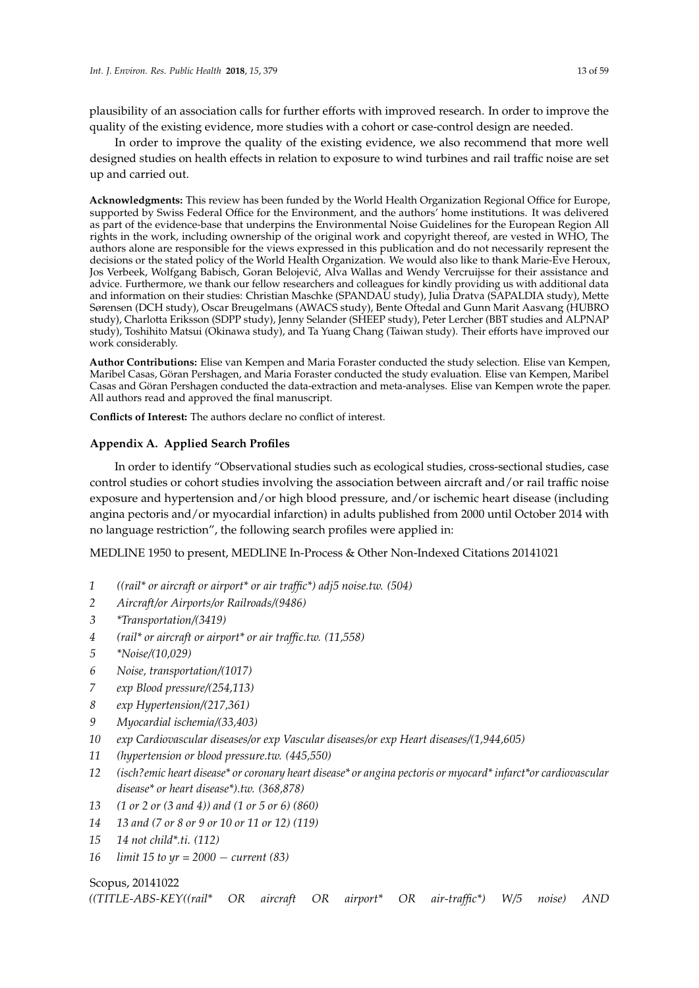plausibility of an association calls for further efforts with improved research. In order to improve the quality of the existing evidence, more studies with a cohort or case-control design are needed.

In order to improve the quality of the existing evidence, we also recommend that more well designed studies on health effects in relation to exposure to wind turbines and rail traffic noise are set up and carried out.

**Acknowledgments:** This review has been funded by the World Health Organization Regional Office for Europe, supported by Swiss Federal Office for the Environment, and the authors' home institutions. It was delivered as part of the evidence-base that underpins the Environmental Noise Guidelines for the European Region All rights in the work, including ownership of the original work and copyright thereof, are vested in WHO, The authors alone are responsible for the views expressed in this publication and do not necessarily represent the decisions or the stated policy of the World Health Organization. We would also like to thank Marie-Eve Heroux, Jos Verbeek, Wolfgang Babisch, Goran Belojević, Alva Wallas and Wendy Vercruijsse for their assistance and advice. Furthermore, we thank our fellow researchers and colleagues for kindly providing us with additional data and information on their studies: Christian Maschke (SPANDAU study), Julia Dratva (SAPALDIA study), Mette Sørensen (DCH study), Oscar Breugelmans (AWACS study), Bente Oftedal and Gunn Marit Aasvang (HUBRO study), Charlotta Eriksson (SDPP study), Jenny Selander (SHEEP study), Peter Lercher (BBT studies and ALPNAP study), Toshihito Matsui (Okinawa study), and Ta Yuang Chang (Taiwan study). Their efforts have improved our work considerably.

**Author Contributions:** Elise van Kempen and Maria Foraster conducted the study selection. Elise van Kempen, Maribel Casas, Göran Pershagen, and Maria Foraster conducted the study evaluation. Elise van Kempen, Maribel Casas and Göran Pershagen conducted the data-extraction and meta-analyses. Elise van Kempen wrote the paper. All authors read and approved the final manuscript.

**Conflicts of Interest:** The authors declare no conflict of interest.

# <span id="page-12-0"></span>**Appendix A. Applied Search Profiles**

In order to identify "Observational studies such as ecological studies, cross-sectional studies, case control studies or cohort studies involving the association between aircraft and/or rail traffic noise exposure and hypertension and/or high blood pressure, and/or ischemic heart disease (including angina pectoris and/or myocardial infarction) in adults published from 2000 until October 2014 with no language restriction", the following search profiles were applied in:

MEDLINE 1950 to present, MEDLINE In-Process & Other Non-Indexed Citations 20141021

- *1 ((rail\* or aircraft or airport\* or air traffic\*) adj5 noise.tw. (504)*
- *2 Aircraft/or Airports/or Railroads/(9486)*
- *3 \*Transportation/(3419)*
- *4 (rail\* or aircraft or airport\* or air traffic.tw. (11,558)*
- *5 \*Noise/(10,029)*
- *6 Noise, transportation/(1017)*
- *7 exp Blood pressure/(254,113)*
- *8 exp Hypertension/(217,361)*
- *9 Myocardial ischemia/(33,403)*
- *10 exp Cardiovascular diseases/or exp Vascular diseases/or exp Heart diseases/(1,944,605)*
- *11 (hypertension or blood pressure.tw. (445,550)*
- *12 (isch?emic heart disease\* or coronary heart disease\* or angina pectoris or myocard\* infarct\*or cardiovascular disease\* or heart disease\*).tw. (368,878)*
- *13 (1 or 2 or (3 and 4)) and (1 or 5 or 6) (860)*
- *14 13 and (7 or 8 or 9 or 10 or 11 or 12) (119)*
- *15 14 not child\*.ti. (112)*
- *16 limit 15 to yr = 2000* − *current (83)*

Scopus, 20141022 *((TITLE-ABS-KEY((rail\* OR aircraft OR airport\* OR air-traffic\*) W/5 noise) AND*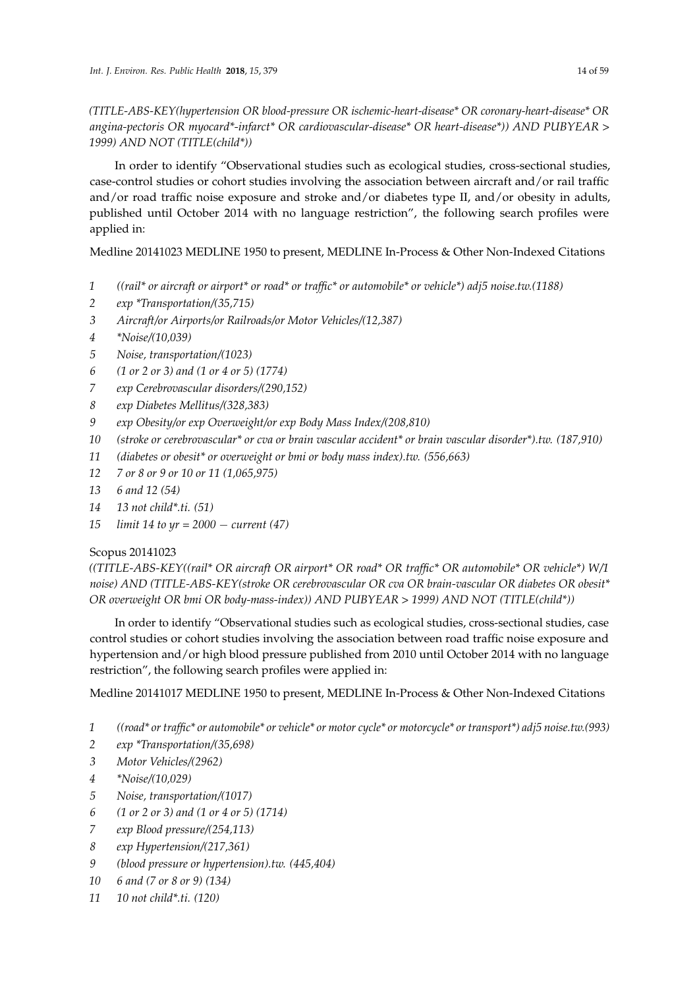# *(TITLE-ABS-KEY(hypertension OR blood-pressure OR ischemic-heart-disease\* OR coronary-heart-disease\* OR angina-pectoris OR myocard\*-infarct\* OR cardiovascular-disease\* OR heart-disease\*)) AND PUBYEAR > 1999) AND NOT (TITLE(child\*))*

In order to identify "Observational studies such as ecological studies, cross-sectional studies, case-control studies or cohort studies involving the association between aircraft and/or rail traffic and/or road traffic noise exposure and stroke and/or diabetes type II, and/or obesity in adults, published until October 2014 with no language restriction", the following search profiles were applied in:

Medline 20141023 MEDLINE 1950 to present, MEDLINE In-Process & Other Non-Indexed Citations

- *1 ((rail\* or aircraft or airport\* or road\* or traffic\* or automobile\* or vehicle\*) adj5 noise.tw.(1188)*
- *2 exp \*Transportation/(35,715)*
- *3 Aircraft/or Airports/or Railroads/or Motor Vehicles/(12,387)*
- *4 \*Noise/(10,039)*
- *5 Noise, transportation/(1023)*
- *6 (1 or 2 or 3) and (1 or 4 or 5) (1774)*
- *7 exp Cerebrovascular disorders/(290,152)*
- *8 exp Diabetes Mellitus/(328,383)*
- *9 exp Obesity/or exp Overweight/or exp Body Mass Index/(208,810)*
- *10 (stroke or cerebrovascular\* or cva or brain vascular accident\* or brain vascular disorder\*).tw. (187,910)*
- *11 (diabetes or obesit\* or overweight or bmi or body mass index).tw. (556,663)*
- *12 7 or 8 or 9 or 10 or 11 (1,065,975)*
- *13 6 and 12 (54)*
- *14 13 not child\*.ti. (51)*
- *15 limit 14 to yr = 2000* − *current (47)*

# Scopus 20141023

*((TITLE-ABS-KEY((rail\* OR aircraft OR airport\* OR road\* OR traffic\* OR automobile\* OR vehicle\*) W/1 noise) AND (TITLE-ABS-KEY(stroke OR cerebrovascular OR cva OR brain-vascular OR diabetes OR obesit\* OR overweight OR bmi OR body-mass-index)) AND PUBYEAR > 1999) AND NOT (TITLE(child\*))*

In order to identify "Observational studies such as ecological studies, cross-sectional studies, case control studies or cohort studies involving the association between road traffic noise exposure and hypertension and/or high blood pressure published from 2010 until October 2014 with no language restriction", the following search profiles were applied in:

Medline 20141017 MEDLINE 1950 to present, MEDLINE In-Process & Other Non-Indexed Citations

- *1 ((road\* or traffic\* or automobile\* or vehicle\* or motor cycle\* or motorcycle\* or transport\*) adj5 noise.tw.(993)*
- *2 exp \*Transportation/(35,698)*
- *3 Motor Vehicles/(2962)*
- *4 \*Noise/(10,029)*
- *5 Noise, transportation/(1017)*
- *6 (1 or 2 or 3) and (1 or 4 or 5) (1714)*
- *7 exp Blood pressure/(254,113)*
- *8 exp Hypertension/(217,361)*
- *9 (blood pressure or hypertension).tw. (445,404)*
- *10 6 and (7 or 8 or 9) (134)*
- *11 10 not child\*.ti. (120)*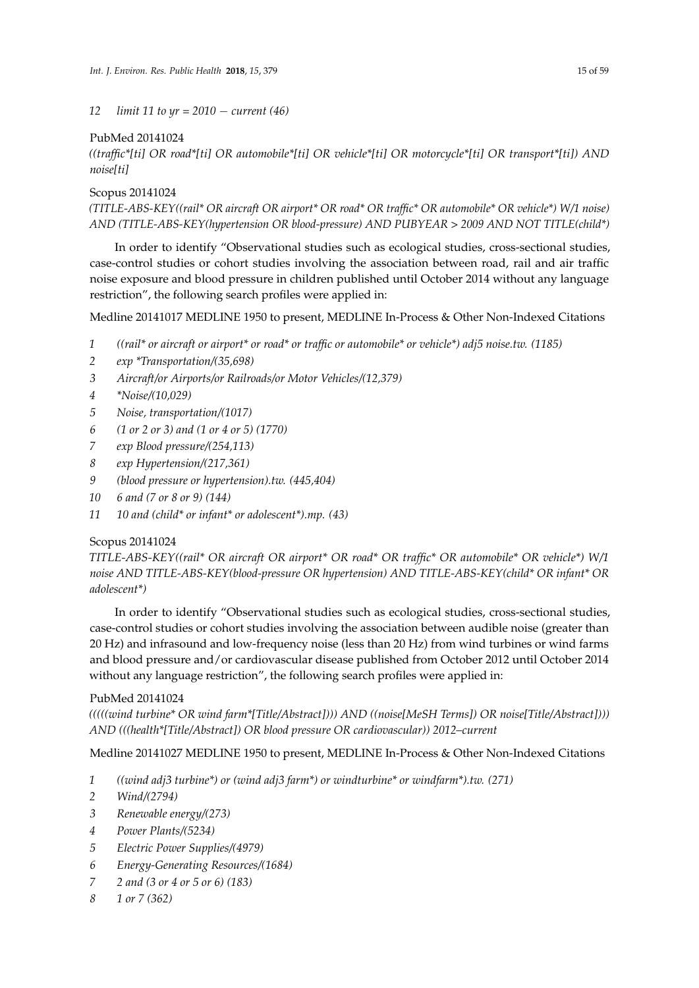*12 limit 11 to yr = 2010* − *current (46)*

# PubMed 20141024

*((traffic\*[ti] OR road\*[ti] OR automobile\*[ti] OR vehicle\*[ti] OR motorcycle\*[ti] OR transport\*[ti]) AND noise[ti]*

# Scopus 20141024

*(TITLE-ABS-KEY((rail\* OR aircraft OR airport\* OR road\* OR traffic\* OR automobile\* OR vehicle\*) W/1 noise) AND (TITLE-ABS-KEY(hypertension OR blood-pressure) AND PUBYEAR > 2009 AND NOT TITLE(child\*)*

In order to identify "Observational studies such as ecological studies, cross-sectional studies, case-control studies or cohort studies involving the association between road, rail and air traffic noise exposure and blood pressure in children published until October 2014 without any language restriction", the following search profiles were applied in:

Medline 20141017 MEDLINE 1950 to present, MEDLINE In-Process & Other Non-Indexed Citations

- *1 ((rail\* or aircraft or airport\* or road\* or traffic or automobile\* or vehicle\*) adj5 noise.tw. (1185)*
- *2 exp \*Transportation/(35,698)*
- *3 Aircraft/or Airports/or Railroads/or Motor Vehicles/(12,379)*
- *4 \*Noise/(10,029)*
- *5 Noise, transportation/(1017)*
- *6 (1 or 2 or 3) and (1 or 4 or 5) (1770)*
- *7 exp Blood pressure/(254,113)*
- *8 exp Hypertension/(217,361)*
- *9 (blood pressure or hypertension).tw. (445,404)*
- *10 6 and (7 or 8 or 9) (144)*
- *11 10 and (child\* or infant\* or adolescent\*).mp. (43)*

# Scopus 20141024

*TITLE-ABS-KEY((rail\* OR aircraft OR airport\* OR road\* OR traffic\* OR automobile\* OR vehicle\*) W/1 noise AND TITLE-ABS-KEY(blood-pressure OR hypertension) AND TITLE-ABS-KEY(child\* OR infant\* OR adolescent\*)*

In order to identify "Observational studies such as ecological studies, cross-sectional studies, case-control studies or cohort studies involving the association between audible noise (greater than 20 Hz) and infrasound and low-frequency noise (less than 20 Hz) from wind turbines or wind farms and blood pressure and/or cardiovascular disease published from October 2012 until October 2014 without any language restriction", the following search profiles were applied in:

# PubMed 20141024

*(((((wind turbine\* OR wind farm\*[Title/Abstract]))) AND ((noise[MeSH Terms]) OR noise[Title/Abstract]))) AND (((health\*[Title/Abstract]) OR blood pressure OR cardiovascular)) 2012–current*

Medline 20141027 MEDLINE 1950 to present, MEDLINE In-Process & Other Non-Indexed Citations

- *1 ((wind adj3 turbine\*) or (wind adj3 farm\*) or windturbine\* or windfarm\*).tw. (271)*
- *2 Wind/(2794)*
- *3 Renewable energy/(273)*
- *4 Power Plants/(5234)*
- *5 Electric Power Supplies/(4979)*
- *6 Energy-Generating Resources/(1684)*
- *7 2 and (3 or 4 or 5 or 6) (183)*
- *8 1 or 7 (362)*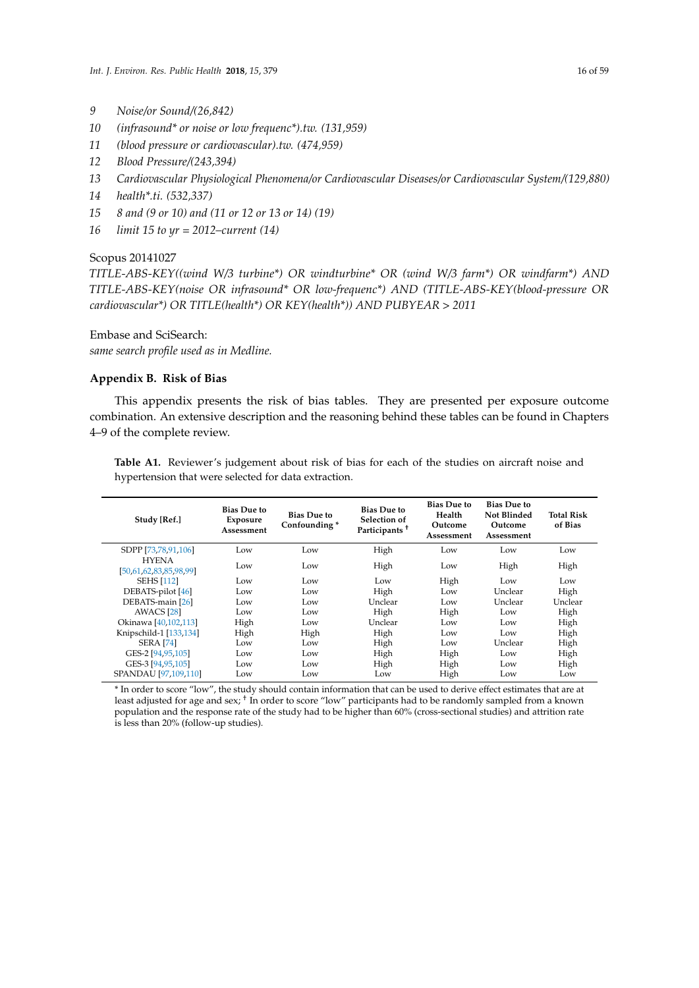- *9 Noise/or Sound/(26,842)*
- *10 (infrasound\* or noise or low frequenc\*).tw. (131,959)*
- *11 (blood pressure or cardiovascular).tw. (474,959)*
- *12 Blood Pressure/(243,394)*
- *13 Cardiovascular Physiological Phenomena/or Cardiovascular Diseases/or Cardiovascular System/(129,880)*
- *14 health\*.ti. (532,337)*
- *15 8 and (9 or 10) and (11 or 12 or 13 or 14) (19)*
- *16 limit 15 to yr = 2012–current (14)*

# Scopus 20141027

*TITLE-ABS-KEY((wind W/3 turbine\*) OR windturbine\* OR (wind W/3 farm\*) OR windfarm\*) AND TITLE-ABS-KEY(noise OR infrasound\* OR low-frequenc\*) AND (TITLE-ABS-KEY(blood-pressure OR cardiovascular\*) OR TITLE(health\*) OR KEY(health\*)) AND PUBYEAR > 2011*

Embase and SciSearch: *same search profile used as in Medline.*

# <span id="page-15-0"></span>**Appendix B. Risk of Bias**

This appendix presents the risk of bias tables. They are presented per exposure outcome combination. An extensive description and the reasoning behind these tables can be found in Chapters 4–9 of the complete review.

**Table A1.** Reviewer's judgement about risk of bias for each of the studies on aircraft noise and hypertension that were selected for data extraction.

| Study [Ref.]                           | <b>Bias Due to</b><br>Exposure<br>Assessment | <b>Bias Due to</b><br>Confounding <sup>*</sup> | <b>Bias Due to</b><br>Selection of<br>Participants <sup>†</sup> | <b>Bias Due to</b><br><b>Health</b><br>Outcome<br>Assessment | <b>Bias Due to</b><br>Not Blinded<br>Outcome<br>Assessment | <b>Total Risk</b><br>of Bias |
|----------------------------------------|----------------------------------------------|------------------------------------------------|-----------------------------------------------------------------|--------------------------------------------------------------|------------------------------------------------------------|------------------------------|
| SDPP [73,78,91,106]                    | Low                                          | Low                                            | High                                                            | Low                                                          | Low                                                        | Low                          |
| <b>HYENA</b><br>[50,61,62,83,85,98,99] | Low                                          | Low                                            | High                                                            | Low                                                          | High                                                       | High                         |
| <b>SEHS</b> [112]                      | Low                                          | Low                                            | Low                                                             | High                                                         | Low                                                        | Low                          |
| DEBATS-pilot [46]                      | Low                                          | Low                                            | High                                                            | Low                                                          | Unclear                                                    | High                         |
| DEBATS-main [26]                       | Low                                          | Low                                            | Unclear                                                         | Low                                                          | Unclear                                                    | Unclear                      |
| AWACS [28]                             | Low                                          | Low                                            | High                                                            | High                                                         | Low                                                        | High                         |
| Okinawa [40,102,113]                   | High                                         | Low                                            | Unclear                                                         | Low                                                          | Low                                                        | High                         |
| Knipschild-1 [133,134]                 | High                                         | High                                           | High                                                            | Low                                                          | Low                                                        | High                         |
| <b>SERA</b> [74]                       | Low                                          | Low                                            | High                                                            | Low                                                          | Unclear                                                    | High                         |
| GES-2 [94,95,105]                      | Low                                          | Low                                            | High                                                            | High                                                         | Low                                                        | High                         |
| GES-3 [94,95,105]                      | Low                                          | Low                                            | High                                                            | High                                                         | Low                                                        | High                         |
| SPANDAU [97,109,110]                   | Low                                          | Low                                            | Low                                                             | High                                                         | Low                                                        | Low                          |

\* In order to score "low", the study should contain information that can be used to derive effect estimates that are at least adjusted for age and sex; † In order to score "low" participants had to be randomly sampled from a known population and the response rate of the study had to be higher than 60% (cross-sectional studies) and attrition rate is less than 20% (follow-up studies).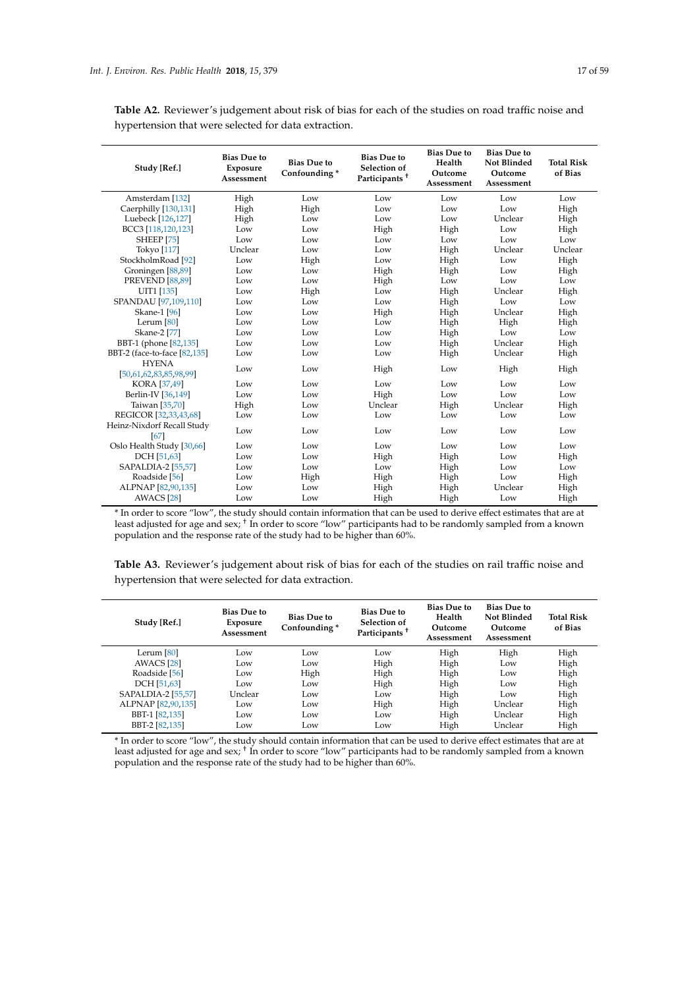**Table A2.** Reviewer's judgement about risk of bias for each of the studies on road traffic noise and hypertension that were selected for data extraction.

| Study [Ref.]                           | <b>Bias Due to</b><br>Exposure<br>Assessment | <b>Bias Due to</b><br>Confounding* | <b>Bias Due to</b><br>Selection of<br>Participants <sup>†</sup> | <b>Bias Due to</b><br>Health<br>Outcome<br>Assessment | <b>Bias Due to</b><br><b>Not Blinded</b><br>Outcome<br>Assessment | <b>Total Risk</b><br>of Bias |
|----------------------------------------|----------------------------------------------|------------------------------------|-----------------------------------------------------------------|-------------------------------------------------------|-------------------------------------------------------------------|------------------------------|
| Amsterdam <sup>[132]</sup>             | High                                         | Low                                | Low                                                             | Low                                                   | Low                                                               | Low                          |
| Caerphilly [130,131]                   | High                                         | High                               | Low                                                             | Low                                                   | Low                                                               | High                         |
| Luebeck [126,127]                      | High                                         | Low                                | Low                                                             | Low                                                   | Unclear                                                           | High                         |
| BCC3 [118,120,123]                     | Low                                          | Low                                | High                                                            | High                                                  | Low                                                               | High                         |
| <b>SHEEP</b> [75]                      | Low                                          | Low                                | Low                                                             | Low                                                   | Low                                                               | Low                          |
| Tokyo [117]                            | Unclear                                      | Low                                | Low                                                             | High                                                  | Unclear                                                           | Unclear                      |
| StockholmRoad <sup>[92]</sup>          | Low                                          | High                               | Low                                                             | High                                                  | Low                                                               | High                         |
| Groningen [88,89]                      | Low                                          | Low                                | High                                                            | High                                                  | Low                                                               | High                         |
| <b>PREVEND</b> [88,89]                 | Low                                          | Low                                | High                                                            | Low                                                   | Low                                                               | Low                          |
| UIT1 [135]                             | Low                                          | High                               | Low                                                             | High                                                  | Unclear                                                           | High                         |
| SPANDAU [97,109,110]                   | Low                                          | Low                                | Low                                                             | High                                                  | Low                                                               | Low                          |
| Skane-1 <sup>[96]</sup>                | Low                                          | Low                                | High                                                            | High                                                  | Unclear                                                           | High                         |
| Lerum $[80]$                           | Low                                          | Low                                | Low                                                             | High                                                  | High                                                              | High                         |
| Skane-2 <sup>[77]</sup>                | Low                                          | Low                                | Low                                                             | High                                                  | Low                                                               | Low                          |
| BBT-1 (phone [82,135]                  | Low                                          | Low                                | Low                                                             | High                                                  | Unclear                                                           | High                         |
| BBT-2 (face-to-face [82,135]           | Low                                          | Low                                | Low                                                             | High                                                  | Unclear                                                           | High                         |
| <b>HYENA</b><br>[50,61,62,83,85,98,99] | Low                                          | Low                                | High                                                            | Low                                                   | High                                                              | High                         |
| KORA [37,49]                           | Low                                          | Low                                | Low                                                             | Low                                                   | Low                                                               | Low                          |
| Berlin-IV [36,149]                     | Low                                          | Low                                | High                                                            | Low                                                   | Low                                                               | Low                          |
| Taiwan [35,70]                         | High                                         | Low                                | Unclear                                                         | High                                                  | Unclear                                                           | High                         |
| REGICOR [32,33,43,68]                  | Low                                          | Low                                | Low                                                             | Low                                                   | Low                                                               | Low                          |
| Heinz-Nixdorf Recall Study<br>[67]     | Low                                          | Low                                | Low                                                             | Low                                                   | Low                                                               | Low                          |
| Oslo Health Study [30,66]              | Low                                          | Low                                | Low                                                             | Low                                                   | Low                                                               | Low                          |
| DCH [51,63]                            | Low                                          | Low                                | High                                                            | High                                                  | Low                                                               | High                         |
| SAPALDIA-2 [55,57]                     | Low                                          | Low                                | Low                                                             | High                                                  | Low                                                               | Low                          |
| Roadside <sup>[56]</sup>               | Low                                          | High                               | High                                                            | High                                                  | Low                                                               | High                         |
| ALPNAP [82,90,135]                     | Low                                          | Low                                | High                                                            | High                                                  | Unclear                                                           | High                         |
| AWACS [28]                             | Low                                          | Low                                | High                                                            | High                                                  | Low                                                               | High                         |

\* In order to score "low", the study should contain information that can be used to derive effect estimates that are at least adjusted for age and sex; † In order to score "low" participants had to be randomly sampled from a known population and the response rate of the study had to be higher than 60%.

**Table A3.** Reviewer's judgement about risk of bias for each of the studies on rail traffic noise and hypertension that were selected for data extraction.

| Study [Ref.]       | <b>Bias Due to</b><br>Exposure<br>Assessment | <b>Bias Due to</b><br>Confounding <sup>*</sup> | <b>Bias Due to</b><br>Selection of<br>Participants <sup>†</sup> | <b>Bias Due to</b><br>Health<br>Outcome<br>Assessment | <b>Bias Due to</b><br>Not Blinded<br>Outcome<br>Assessment | <b>Total Risk</b><br>of Bias |
|--------------------|----------------------------------------------|------------------------------------------------|-----------------------------------------------------------------|-------------------------------------------------------|------------------------------------------------------------|------------------------------|
| Lerum [80]         | Low                                          | Low                                            | Low                                                             | High                                                  | High                                                       | High                         |
| AWACS [28]         | Low                                          | Low                                            | High                                                            | High                                                  | Low                                                        | High                         |
| Roadside [56]      | Low                                          | High                                           | High                                                            | High                                                  | Low                                                        | High                         |
| DCH [51,63]        | Low                                          | Low                                            | High                                                            | High                                                  | Low                                                        | High                         |
| SAPALDIA-2 [55,57] | Unclear                                      | Low                                            | Low                                                             | High                                                  | Low                                                        | High                         |
| ALPNAP [82,90,135] | Low                                          | Low                                            | High                                                            | High                                                  | Unclear                                                    | High                         |
| BBT-1 [82,135]     | Low                                          | Low                                            | Low                                                             | High                                                  | Unclear                                                    | High                         |
| BBT-2 [82,135]     | Low                                          | Low                                            | Low                                                             | High                                                  | Unclear                                                    | High                         |

\* In order to score "low", the study should contain information that can be used to derive effect estimates that are at least adjusted for age and sex; † In order to score "low" participants had to be randomly sampled from a known population and the response rate of the study had to be higher than 60%.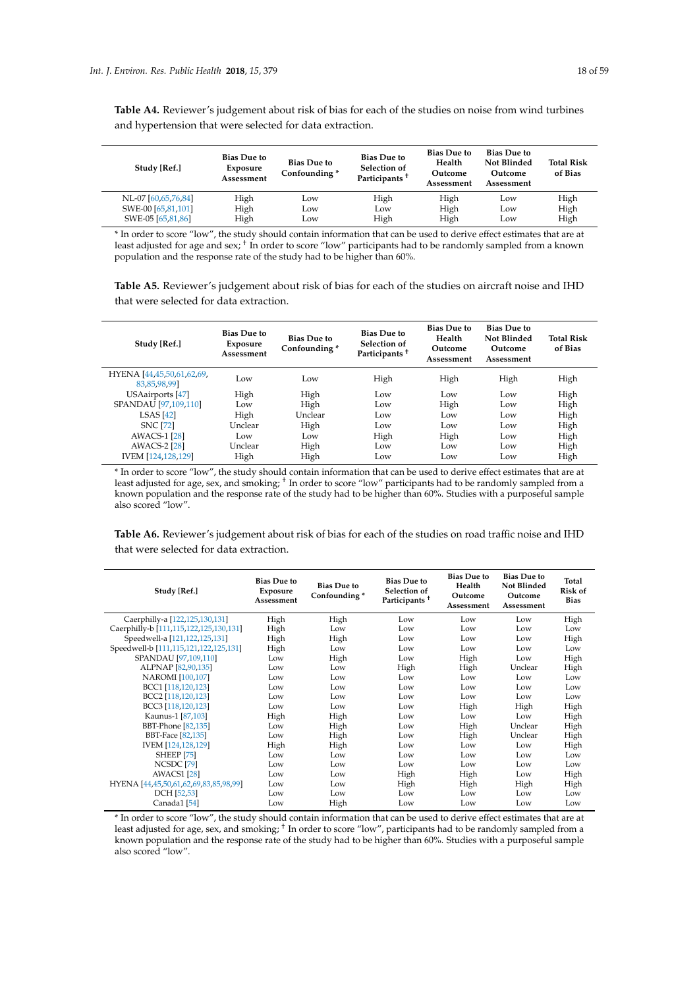| Study [Ref.]        | <b>Bias Due to</b><br>Exposure<br>Assessment | <b>Bias Due to</b><br>Confounding <sup>*</sup> | <b>Bias Due to</b><br>Selection of<br>Participants <sup>†</sup> | <b>Bias Due to</b><br>Health<br>Outcome<br>Assessment | <b>Bias Due to</b><br>Not Blinded<br>Outcome<br>Assessment | <b>Total Risk</b><br>of Bias |
|---------------------|----------------------------------------------|------------------------------------------------|-----------------------------------------------------------------|-------------------------------------------------------|------------------------------------------------------------|------------------------------|
| NL-07 [60,65,76,84] | High                                         | Low                                            | High                                                            | High                                                  | Low                                                        | High                         |
| SWE-00 [65,81,101]  | High                                         | Low                                            | Low                                                             | High                                                  | Low                                                        | High                         |
| SWE-05 [65,81,86]   | High                                         | Low                                            | High                                                            | High                                                  | Low                                                        | High                         |

<span id="page-17-0"></span>**Table A4.** Reviewer's judgement about risk of bias for each of the studies on noise from wind turbines and hypertension that were selected for data extraction.

\* In order to score "low", the study should contain information that can be used to derive effect estimates that are at least adjusted for age and sex; † In order to score "low" participants had to be randomly sampled from a known population and the response rate of the study had to be higher than 60%.

**Table A5.** Reviewer's judgement about risk of bias for each of the studies on aircraft noise and IHD that were selected for data extraction.

| Study [Ref.]                                 | <b>Bias Due to</b><br>Exposure<br>Assessment | <b>Bias Due to</b><br>Confounding* | <b>Bias Due to</b><br>Selection of<br>Participants <sup>†</sup> | <b>Bias Due to</b><br>Health<br>Outcome<br>Assessment | <b>Bias Due to</b><br>Not Blinded<br>Outcome<br>Assessment | <b>Total Risk</b><br>of Bias |
|----------------------------------------------|----------------------------------------------|------------------------------------|-----------------------------------------------------------------|-------------------------------------------------------|------------------------------------------------------------|------------------------------|
| HYENA [44,45,50,61,62,69,<br>83, 85, 98, 99] | Low                                          | Low                                | High                                                            | High                                                  | High                                                       | High                         |
| USAairports [47]                             | High                                         | High                               | Low                                                             | Low                                                   | Low                                                        | High                         |
| SPANDAU [97,109,110]                         | Low                                          | High                               | Low                                                             | High                                                  | Low                                                        | High                         |
| LSAS[42]                                     | High                                         | Unclear                            | Low                                                             | Low                                                   | Low                                                        | High                         |
| <b>SNC</b> [72]                              | Unclear                                      | High                               | Low                                                             | Low                                                   | Low                                                        | High                         |
| <b>AWACS-1 [28]</b>                          | Low                                          | Low                                | High                                                            | High                                                  | Low                                                        | High                         |
| <b>AWACS-2 [28]</b>                          | Unclear                                      | High                               | Low                                                             | Low                                                   | Low                                                        | High                         |
| IVEM [124,128,129]                           | High                                         | High                               | Low                                                             | Low                                                   | Low                                                        | High                         |

\* In order to score "low", the study should contain information that can be used to derive effect estimates that are at least adjusted for age, sex, and smoking; † In order to score "low" participants had to be randomly sampled from a known population and the response rate of the study had to be higher than 60%. Studies with a purposeful sample also scored "low".

**Table A6.** Reviewer's judgement about risk of bias for each of the studies on road traffic noise and IHD that were selected for data extraction.

| Study [Ref.]                           | <b>Bias Due to</b><br>Exposure<br>Assessment | <b>Bias Due to</b><br>Confounding* | <b>Bias Due to</b><br>Selection of<br>Participants <sup>†</sup> | <b>Bias Due to</b><br>Health<br>Outcome<br>Assessment | <b>Bias Due to</b><br><b>Not Blinded</b><br>Outcome<br>Assessment | Total<br>Risk of<br><b>Bias</b> |
|----------------------------------------|----------------------------------------------|------------------------------------|-----------------------------------------------------------------|-------------------------------------------------------|-------------------------------------------------------------------|---------------------------------|
| Caerphilly-a [122,125,130,131]         | High                                         | High                               | Low                                                             | Low                                                   | Low                                                               | High                            |
| Caerphilly-b [111,115,122,125,130,131] | High                                         | Low                                | Low                                                             | Low                                                   | Low                                                               | Low                             |
| Speedwell-a [121,122,125,131]          | High                                         | High                               | Low                                                             | Low                                                   | Low                                                               | High                            |
| Speedwell-b [111,115,121,122,125,131]  | High                                         | Low                                | Low                                                             | Low                                                   | Low                                                               | Low                             |
| SPANDAU [97,109,110]                   | Low                                          | High                               | Low                                                             | High                                                  | Low                                                               | High                            |
| ALPNAP [82,90,135]                     | Low                                          | Low                                | High                                                            | High                                                  | Unclear                                                           | High                            |
| <b>NAROMI</b> [100,107]                | Low                                          | Low                                | Low                                                             | Low                                                   | Low                                                               | Low                             |
| BCC1 [118,120,123]                     | Low                                          | Low                                | Low                                                             | Low                                                   | Low                                                               | Low                             |
| BCC2 [118,120,123]                     | Low                                          | Low                                | Low                                                             | Low                                                   | Low                                                               | Low                             |
| BCC3 [118,120,123]                     | Low                                          | Low                                | Low                                                             | High                                                  | High                                                              | High                            |
| Kaunus-1 [87,103]                      | High                                         | High                               | Low                                                             | Low                                                   | Low                                                               | High                            |
| BBT-Phone [82,135]                     | Low                                          | High                               | Low                                                             | High                                                  | Unclear                                                           | High                            |
| BBT-Face [82,135]                      | Low                                          | High                               | Low                                                             | High                                                  | Unclear                                                           | High                            |
| IVEM [124,128,129]                     | High                                         | High                               | Low                                                             | Low                                                   | Low                                                               | High                            |
| <b>SHEEP</b> [75]                      | Low                                          | Low                                | Low                                                             | Low                                                   | Low                                                               | Low                             |
| <b>NCSDC</b> [79]                      | Low                                          | Low                                | Low                                                             | Low                                                   | Low                                                               | Low                             |
| <b>AWACS1</b> [28]                     | Low                                          | Low                                | High                                                            | High                                                  | Low                                                               | High                            |
| HYENA [44,45,50,61,62,69,83,85,98,99]  | Low                                          | Low                                | High                                                            | High                                                  | High                                                              | High                            |
| DCH [52,53]                            | Low                                          | Low                                | Low                                                             | Low                                                   | Low                                                               | Low                             |
| Canada1 <sup>[54]</sup>                | Low                                          | High                               | Low                                                             | Low                                                   | Low                                                               | Low                             |

\* In order to score "low", the study should contain information that can be used to derive effect estimates that are at least adjusted for age, sex, and smoking; † In order to score "low", participants had to be randomly sampled from a known population and the response rate of the study had to be higher than 60%. Studies with a purposeful sample also scored "low".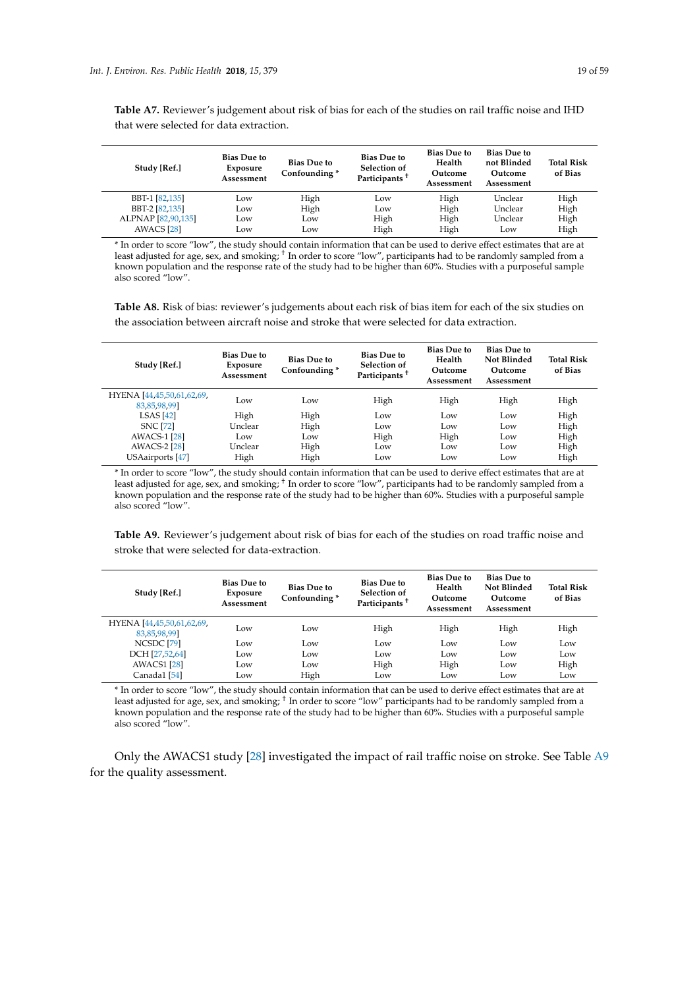| Study [Ref.]       | <b>Bias Due to</b><br>Exposure<br>Assessment | <b>Bias Due to</b><br>Confounding <sup>*</sup> | <b>Bias Due to</b><br>Selection of<br>Participants <sup>†</sup> | <b>Bias Due to</b><br>Health<br>Outcome<br>Assessment | <b>Bias Due to</b><br>not Blinded<br>Outcome<br>Assessment | <b>Total Risk</b><br>of Bias |
|--------------------|----------------------------------------------|------------------------------------------------|-----------------------------------------------------------------|-------------------------------------------------------|------------------------------------------------------------|------------------------------|
| BBT-1 [82,135]     | Low                                          | High                                           | Low                                                             | High                                                  | Unclear                                                    | High                         |
| BBT-2 [82,135]     | Low                                          | High                                           | Low                                                             | High                                                  | Unclear                                                    | High                         |
| ALPNAP [82,90,135] | Low                                          | Low                                            | High                                                            | High                                                  | Unclear                                                    | High                         |
| AWACS [28]         | Low                                          | Low                                            | High                                                            | High                                                  | Low                                                        | High                         |

\* In order to score "low", the study should contain information that can be used to derive effect estimates that are at least adjusted for age, sex, and smoking; † In order to score "low", participants had to be randomly sampled from a known population and the response rate of the study had to be higher than 60%. Studies with a purposeful sample also scored "low".

**Table A8.** Risk of bias: reviewer's judgements about each risk of bias item for each of the six studies on the association between aircraft noise and stroke that were selected for data extraction.

| Study [Ref.]                             | <b>Bias Due to</b><br>Exposure<br>Assessment | <b>Bias Due to</b><br>Confounding <sup>*</sup> | <b>Bias Due to</b><br>Selection of<br>Participants <sup>†</sup> | <b>Bias Due to</b><br>Health<br>Outcome<br>Assessment | <b>Bias Due to</b><br>Not Blinded<br>Outcome<br>Assessment | <b>Total Risk</b><br>of Bias |
|------------------------------------------|----------------------------------------------|------------------------------------------------|-----------------------------------------------------------------|-------------------------------------------------------|------------------------------------------------------------|------------------------------|
| HYENA [44,45,50,61,62,69,<br>83,85,98,99 | Low                                          | Low                                            | High                                                            | High                                                  | High                                                       | High                         |
| <b>LSAS</b> [42]                         | High                                         | High                                           | Low                                                             | Low                                                   | Low                                                        | High                         |
| <b>SNC</b> [72]                          | Unclear                                      | High                                           | Low                                                             | Low                                                   | Low                                                        | High                         |
| <b>AWACS-1 [28]</b>                      | Low                                          | Low                                            | High                                                            | High                                                  | Low                                                        | High                         |
| <b>AWACS-2 [28]</b><br>USAairports [47]  | Unclear<br>High                              | High<br>High                                   | Low<br>Low                                                      | Low<br>Low                                            | Low<br>Low                                                 | High<br>High                 |

\* In order to score "low", the study should contain information that can be used to derive effect estimates that are at least adjusted for age, sex, and smoking; † In order to score "low", participants had to be randomly sampled from a known population and the response rate of the study had to be higher than 60%. Studies with a purposeful sample also scored "low".

<span id="page-18-0"></span>**Table A9.** Reviewer's judgement about risk of bias for each of the studies on road traffic noise and stroke that were selected for data-extraction.

| Study [Ref.]                              | <b>Bias Due to</b><br>Exposure<br>Assessment | <b>Bias Due to</b><br>Confounding <sup>*</sup> | <b>Bias Due to</b><br>Selection of<br>Participants <sup>†</sup> | <b>Bias Due to</b><br><b>Health</b><br>Outcome<br>Assessment | <b>Bias Due to</b><br>Not Blinded<br>Outcome<br>Assessment | <b>Total Risk</b><br>of Bias |
|-------------------------------------------|----------------------------------------------|------------------------------------------------|-----------------------------------------------------------------|--------------------------------------------------------------|------------------------------------------------------------|------------------------------|
| HYENA [44,45,50,61,62,69,<br>83,85,98,99] | Low                                          | Low                                            | High                                                            | High                                                         | High                                                       | High                         |
| NCSDC [79]                                | Low                                          | Low                                            | Low                                                             | Low                                                          | Low                                                        | Low                          |
| DCH [27,52,64]                            | Low                                          | Low                                            | Low                                                             | Low                                                          | Low                                                        | Low                          |
| <b>AWACS1</b> [28]                        | Low                                          | Low                                            | High                                                            | High                                                         | Low                                                        | High                         |
| Canada1 <sup>[54]</sup>                   | Low                                          | High                                           | Low                                                             | Low                                                          | Low                                                        | Low                          |

\* In order to score "low", the study should contain information that can be used to derive effect estimates that are at least adjusted for age, sex, and smoking; † In order to score "low" participants had to be randomly sampled from a known population and the response rate of the study had to be higher than 60%. Studies with a purposeful sample also scored "low".

Only the AWACS1 study [\[28\]](#page-50-5) investigated the impact of rail traffic noise on stroke. See Table [A9](#page-18-0) for the quality assessment.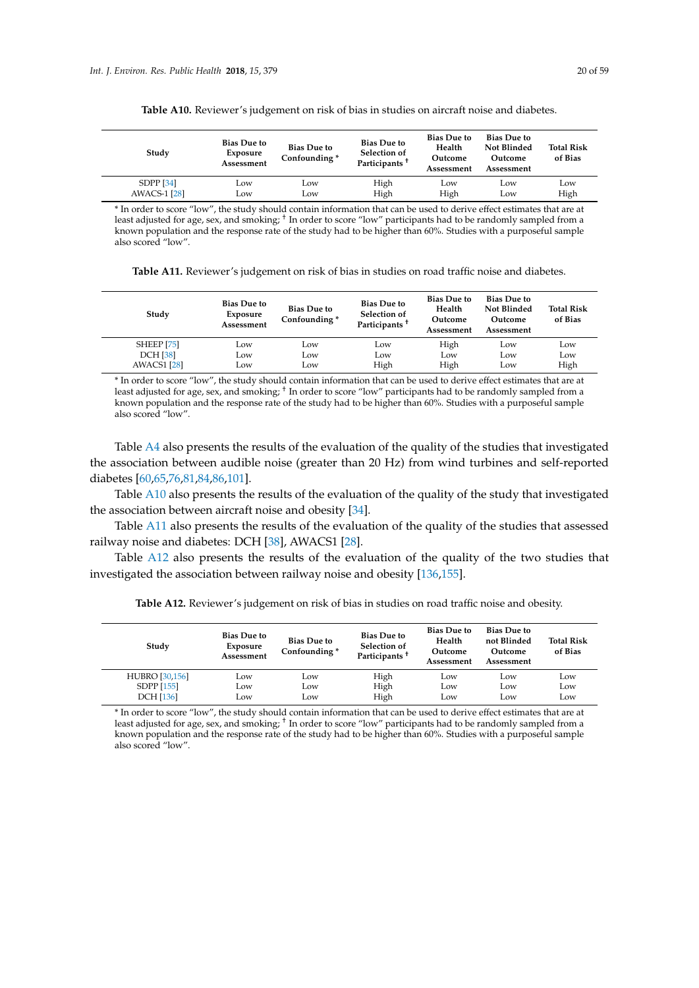<span id="page-19-0"></span>

| Study               | <b>Bias Due to</b><br>Exposure<br>Assessment | <b>Bias Due to</b><br>Confounding <sup>*</sup> | <b>Bias Due to</b><br>Selection of<br>Participants <sup>†</sup> | <b>Bias Due to</b><br>Health<br>Outcome<br>Assessment | <b>Bias Due to</b><br>Not Blinded<br>Outcome<br>Assessment | <b>Total Risk</b><br>of Bias |
|---------------------|----------------------------------------------|------------------------------------------------|-----------------------------------------------------------------|-------------------------------------------------------|------------------------------------------------------------|------------------------------|
| <b>SDPP</b> [34]    | Low                                          | Low                                            | High                                                            | Low                                                   | Low                                                        | Low                          |
| <b>AWACS-1 [28]</b> | Low                                          | Low                                            | High                                                            | High                                                  | Low                                                        | High                         |

**Table A10.** Reviewer's judgement on risk of bias in studies on aircraft noise and diabetes.

\* In order to score "low", the study should contain information that can be used to derive effect estimates that are at least adjusted for age, sex, and smoking; † In order to score "low" participants had to be randomly sampled from a known population and the response rate of the study had to be higher than 60%. Studies with a purposeful sample also scored "low".

**Table A11.** Reviewer's judgement on risk of bias in studies on road traffic noise and diabetes.

<span id="page-19-1"></span>

| Study              | <b>Bias Due to</b><br>Exposure<br>Assessment | <b>Bias Due to</b><br>Confounding* | <b>Bias Due to</b><br>Selection of<br>Participants <sup>†</sup> | <b>Bias Due to</b><br>Health<br>Outcome<br>Assessment | <b>Bias Due to</b><br>Not Blinded<br>Outcome<br>Assessment | <b>Total Risk</b><br>of Bias |
|--------------------|----------------------------------------------|------------------------------------|-----------------------------------------------------------------|-------------------------------------------------------|------------------------------------------------------------|------------------------------|
| <b>SHEEP</b> [75]  | Low                                          | Low                                | Low                                                             | High                                                  | Low                                                        | Low                          |
| <b>DCH</b> [38]    | Low                                          | Low                                | Low                                                             | Low                                                   | Low                                                        | Low                          |
| <b>AWACS1 [28]</b> | Low                                          | Low                                | High                                                            | High                                                  | Low                                                        | High                         |

\* In order to score "low", the study should contain information that can be used to derive effect estimates that are at least adjusted for age, sex, and smoking; † In order to score "low" participants had to be randomly sampled from a known population and the response rate of the study had to be higher than 60%. Studies with a purposeful sample also scored "low".

Table [A4](#page-17-0) also presents the results of the evaluation of the quality of the studies that investigated the association between audible noise (greater than 20 Hz) from wind turbines and self-reported diabetes [\[60](#page-53-5)[,65,](#page-53-6)[76,](#page-54-16)[81,](#page-54-17)[84,](#page-54-18)[86,](#page-54-3)[101\]](#page-55-3).

Table [A10](#page-19-0) also presents the results of the evaluation of the quality of the study that investigated the association between aircraft noise and obesity [\[34\]](#page-51-3).

Table [A11](#page-19-1) also presents the results of the evaluation of the quality of the studies that assessed railway noise and diabetes: DCH [\[38\]](#page-51-5), AWACS1 [\[28\]](#page-50-5).

<span id="page-19-2"></span>Table [A12](#page-19-2) also presents the results of the evaluation of the quality of the two studies that investigated the association between railway noise and obesity [\[136,](#page-57-1)[155\]](#page-58-4).

**Table A12.** Reviewer's judgement on risk of bias in studies on road traffic noise and obesity.

| Study                 | <b>Bias Due to</b><br>Exposure<br>Assessment | <b>Bias Due to</b><br>Confounding* | <b>Bias Due to</b><br>Selection of<br>Participants <sup>†</sup> | <b>Bias Due to</b><br>Health<br>Outcome<br>Assessment | <b>Bias Due to</b><br>not Blinded<br>Outcome<br>Assessment | <b>Total Risk</b><br>of Bias |
|-----------------------|----------------------------------------------|------------------------------------|-----------------------------------------------------------------|-------------------------------------------------------|------------------------------------------------------------|------------------------------|
| <b>HUBRO</b> [30,156] | Low                                          | Low                                | High                                                            | Low                                                   | Low                                                        | Low                          |
| <b>SDPP</b> [155]     | Low                                          | Low                                | High                                                            | Low                                                   | Low                                                        | Low                          |
| <b>DCH</b> [136]      | Low                                          | Low                                | High                                                            | Low                                                   | Low                                                        | Low                          |

\* In order to score "low", the study should contain information that can be used to derive effect estimates that are at least adjusted for age, sex, and smoking; † In order to score "low" participants had to be randomly sampled from a known population and the response rate of the study had to be higher than 60%. Studies with a purposeful sample also scored "low".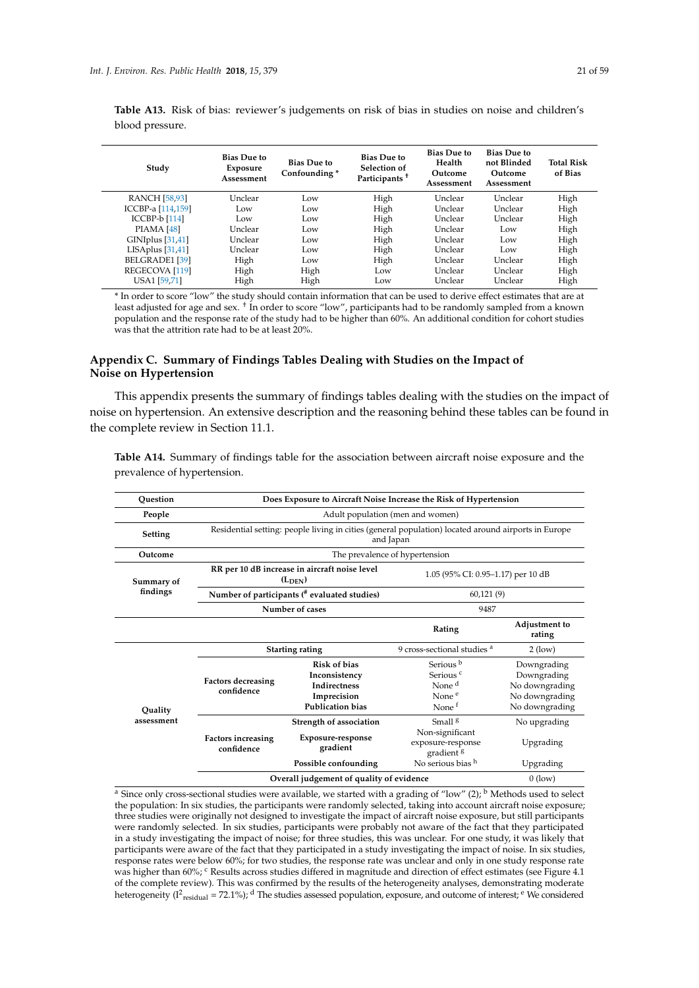|                 | <b>Table A13.</b> Risk of bias: reviewer's judgements on risk of bias in studies on noise and children's |  |  |  |  |
|-----------------|----------------------------------------------------------------------------------------------------------|--|--|--|--|
| blood pressure. |                                                                                                          |  |  |  |  |

| Study                | <b>Bias Due to</b><br>Exposure<br>Assessment | <b>Bias Due to</b><br>Confounding* | <b>Bias Due to</b><br>Selection of<br>Participants <sup>†</sup> | <b>Bias Due to</b><br>Health<br>Outcome<br>Assessment | <b>Bias Due to</b><br>not Blinded<br>Outcome<br>Assessment | <b>Total Risk</b><br>of Bias |
|----------------------|----------------------------------------------|------------------------------------|-----------------------------------------------------------------|-------------------------------------------------------|------------------------------------------------------------|------------------------------|
| <b>RANCH</b> [58,93] | Unclear                                      | Low                                | High                                                            | Unclear                                               | Unclear                                                    | High                         |
| ICCBP-a [114,159]    | Low                                          | Low                                | High                                                            | Unclear                                               | Unclear                                                    | High                         |
| <b>ICCBP-b [114]</b> | Low                                          | Low                                | High                                                            | Unclear                                               | Unclear                                                    | High                         |
| <b>PIAMA</b> [48]    | Unclear                                      | Low                                | High                                                            | Unclear                                               | Low                                                        | High                         |
| GINIplus [31,41]     | Unclear                                      | Low                                | High                                                            | Unclear                                               | Low                                                        | High                         |
| LISAplus [31,41]     | Unclear                                      | Low                                | High                                                            | Unclear                                               | Low                                                        | High                         |
| BELGRADE1 [39]       | High                                         | Low                                | High                                                            | Unclear                                               | Unclear                                                    | High                         |
| REGECOVA [119]       | High                                         | High                               | Low                                                             | Unclear                                               | Unclear                                                    | High                         |
| USA1 [59,71]         | High                                         | High                               | Low                                                             | Unclear                                               | Unclear                                                    | High                         |

\* In order to score "low" the study should contain information that can be used to derive effect estimates that are at least adjusted for age and sex. † In order to score "low", participants had to be randomly sampled from a known population and the response rate of the study had to be higher than 60%. An additional condition for cohort studies was that the attrition rate had to be at least 20%.

# <span id="page-20-0"></span>**Appendix C. Summary of Findings Tables Dealing with Studies on the Impact of Noise on Hypertension**

This appendix presents the summary of findings tables dealing with the studies on the impact of noise on hypertension. An extensive description and the reasoning behind these tables can be found in the complete review in Section 11.1.

**Table A14.** Summary of findings table for the association between aircraft noise exposure and the prevalence of hypertension.

| Question   | Does Exposure to Aircraft Noise Increase the Risk of Hypertension |                                                                                                |                                                                                                                  |                                                                                  |  |  |  |  |
|------------|-------------------------------------------------------------------|------------------------------------------------------------------------------------------------|------------------------------------------------------------------------------------------------------------------|----------------------------------------------------------------------------------|--|--|--|--|
| People     |                                                                   |                                                                                                | Adult population (men and women)                                                                                 |                                                                                  |  |  |  |  |
| Setting    |                                                                   |                                                                                                | Residential setting: people living in cities (general population) located around airports in Europe<br>and Japan |                                                                                  |  |  |  |  |
| Outcome    |                                                                   |                                                                                                | The prevalence of hypertension                                                                                   |                                                                                  |  |  |  |  |
| Summary of |                                                                   | RR per 10 dB increase in aircraft noise level<br>(L <sub>DEN</sub> )                           | 1.05 (95% CI: 0.95-1.17) per 10 dB                                                                               |                                                                                  |  |  |  |  |
| findings   |                                                                   | Number of participants (# evaluated studies)                                                   | 60,121(9)                                                                                                        |                                                                                  |  |  |  |  |
|            |                                                                   | Number of cases                                                                                | 9487                                                                                                             |                                                                                  |  |  |  |  |
|            |                                                                   |                                                                                                | Rating                                                                                                           | <b>Adjustment to</b><br>rating                                                   |  |  |  |  |
|            |                                                                   | <b>Starting rating</b>                                                                         | 9 cross-sectional studies <sup>a</sup>                                                                           | $2$ (low)                                                                        |  |  |  |  |
| Quality    | <b>Factors decreasing</b><br>confidence                           | Risk of bias<br>Inconsistency<br><b>Indirectness</b><br>Imprecision<br><b>Publication bias</b> | Serious <sup>b</sup><br>Serious <sup>c</sup><br>None <sup>d</sup><br>None <sup>e</sup><br>None f                 | Downgrading<br>Downgrading<br>No downgrading<br>No downgrading<br>No downgrading |  |  |  |  |
| assessment | <b>Factors increasing</b><br>confidence                           | Strength of association<br>Exposure-response<br>gradient<br>Possible confounding               | Small <sup>g</sup><br>Non-significant<br>exposure-response<br>gradient <sup>8</sup><br>No serious bias h         | No upgrading<br>Upgrading<br>Upgrading                                           |  |  |  |  |
|            |                                                                   | Overall judgement of quality of evidence                                                       |                                                                                                                  | $0$ (low)                                                                        |  |  |  |  |

<sup>a</sup> Since only cross-sectional studies were available, we started with a grading of "low" (2); <sup>b</sup> Methods used to select the population: In six studies, the participants were randomly selected, taking into account aircraft noise exposure; three studies were originally not designed to investigate the impact of aircraft noise exposure, but still participants were randomly selected. In six studies, participants were probably not aware of the fact that they participated in a study investigating the impact of noise; for three studies, this was unclear. For one study, it was likely that participants were aware of the fact that they participated in a study investigating the impact of noise. In six studies, response rates were below 60%; for two studies, the response rate was unclear and only in one study response rate was higher than 60%; C Results across studies differed in magnitude and direction of effect estimates (see Figure 4.1 of the complete review). This was confirmed by the results of the heterogeneity analyses, demonstrating moderate heterogeneity (I $^2$ <sub>residual</sub> = 72.1%); <sup>d</sup> The studies assessed population, exposure, and outcome of interest;  $^{\rm e}$  We considered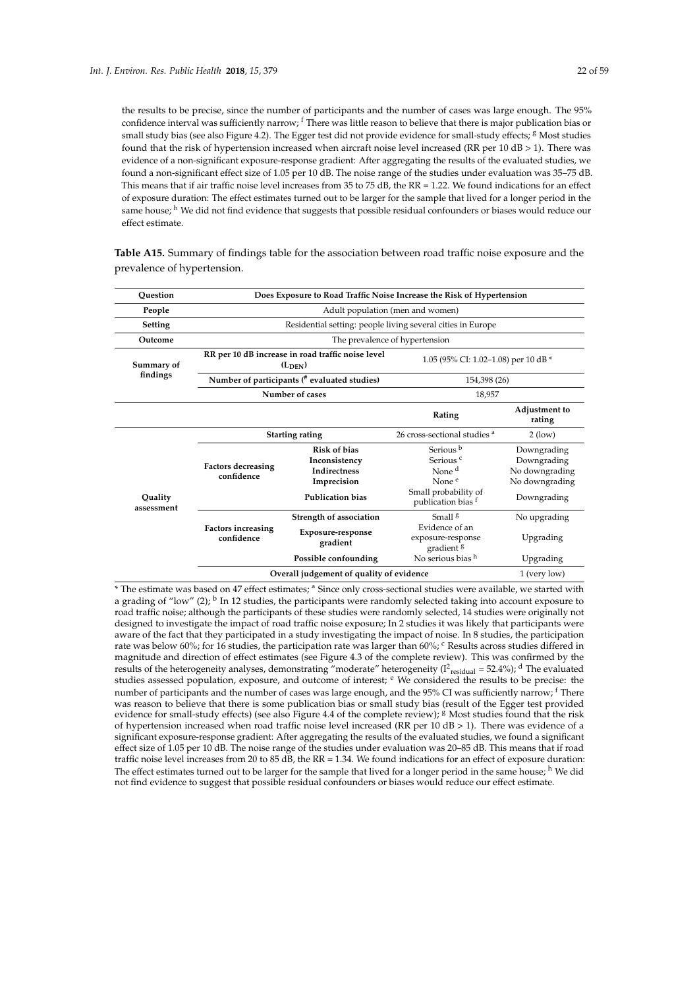the results to be precise, since the number of participants and the number of cases was large enough. The 95% confidence interval was sufficiently narrow; <sup>f</sup> There was little reason to believe that there is major publication bias or small study bias (see also Figure 4.2). The Egger test did not provide evidence for small-study effects; <sup>g</sup> Most studies found that the risk of hypertension increased when aircraft noise level increased (RR per 10 dB > 1). There was evidence of a non-significant exposure-response gradient: After aggregating the results of the evaluated studies, we found a non-significant effect size of 1.05 per 10 dB. The noise range of the studies under evaluation was 35–75 dB. This means that if air traffic noise level increases from 35 to 75 dB, the RR = 1.22. We found indications for an effect of exposure duration: The effect estimates turned out to be larger for the sample that lived for a longer period in the same house; <sup>h</sup> We did not find evidence that suggests that possible residual confounders or biases would reduce our effect estimate.

**Table A15.** Summary of findings table for the association between road traffic noise exposure and the prevalence of hypertension.

| Ouestion              | Does Exposure to Road Traffic Noise Increase the Risk of Hypertension    |                                              |                                                               |                         |
|-----------------------|--------------------------------------------------------------------------|----------------------------------------------|---------------------------------------------------------------|-------------------------|
| People                | Adult population (men and women)                                         |                                              |                                                               |                         |
| Setting               |                                                                          |                                              | Residential setting: people living several cities in Europe   |                         |
| Outcome               |                                                                          |                                              | The prevalence of hypertension                                |                         |
| Summary of            | RR per 10 dB increase in road traffic noise level<br>(L <sub>DEN</sub> ) |                                              | 1.05 (95% CI: 1.02-1.08) per 10 dB *                          |                         |
| findings              |                                                                          | Number of participants (# evaluated studies) | 154,398 (26)                                                  |                         |
|                       |                                                                          | Number of cases                              | 18,957                                                        |                         |
|                       |                                                                          |                                              | Rating                                                        | Adjustment to<br>rating |
|                       | <b>Starting rating</b>                                                   |                                              | 26 cross-sectional studies <sup>a</sup>                       | $2$ (low)               |
|                       | <b>Factors decreasing</b><br>confidence                                  | <b>Risk of bias</b>                          | Serious <sup>b</sup>                                          | Downgrading             |
|                       |                                                                          | Inconsistency                                | Serious <sup>c</sup>                                          | Downgrading             |
|                       |                                                                          | <b>Indirectness</b>                          | None <sup>d</sup>                                             | No downgrading          |
|                       |                                                                          | Imprecision                                  | None <sup>e</sup>                                             | No downgrading          |
| Quality<br>assessment |                                                                          | <b>Publication bias</b>                      | Small probability of<br>publication bias <sup>f</sup>         | Downgrading             |
|                       |                                                                          | Strength of association                      | Small <sup>g</sup>                                            | No upgrading            |
|                       | <b>Factors increasing</b><br>confidence                                  | Exposure-response<br>gradient                | Evidence of an<br>exposure-response<br>gradient $\frac{g}{g}$ | Upgrading               |
|                       | Possible confounding                                                     |                                              | No serious bias h                                             | Upgrading               |
|                       | Overall judgement of quality of evidence                                 | 1 (very low)                                 |                                                               |                         |

\* The estimate was based on 47 effect estimates; <sup>a</sup> Since only cross-sectional studies were available, we started with a grading of "low" (2); <sup>b</sup> In 12 studies, the participants were randomly selected taking into account exposure to road traffic noise; although the participants of these studies were randomly selected, 14 studies were originally not designed to investigate the impact of road traffic noise exposure; In 2 studies it was likely that participants were aware of the fact that they participated in a study investigating the impact of noise. In 8 studies, the participation rate was below 60%; for 16 studies, the participation rate was larger than 60%; <sup>c</sup> Results across studies differed in magnitude and direction of effect estimates (see Figure 4.3 of the complete review). This was confirmed by the results of the heterogeneity analyses, demonstrating "moderate" heterogeneity (I<sup>2</sup><sub>residual</sub> = 52.4%); <sup>d</sup> The evaluated studies assessed population, exposure, and outcome of interest; <sup>e</sup> We considered the results to be precise: the number of participants and the number of cases was large enough, and the 95% CI was sufficiently narrow; <sup>f</sup> There was reason to believe that there is some publication bias or small study bias (result of the Egger test provided evidence for small-study effects) (see also Figure 4.4 of the complete review); <sup>g</sup> Most studies found that the risk of hypertension increased when road traffic noise level increased (RR per 10 dB > 1). There was evidence of a significant exposure-response gradient: After aggregating the results of the evaluated studies, we found a significant effect size of 1.05 per 10 dB. The noise range of the studies under evaluation was 20–85 dB. This means that if road traffic noise level increases from 20 to 85 dB, the RR = 1.34. We found indications for an effect of exposure duration: The effect estimates turned out to be larger for the sample that lived for a longer period in the same house;  $^h$  We did not find evidence to suggest that possible residual confounders or biases would reduce our effect estimate.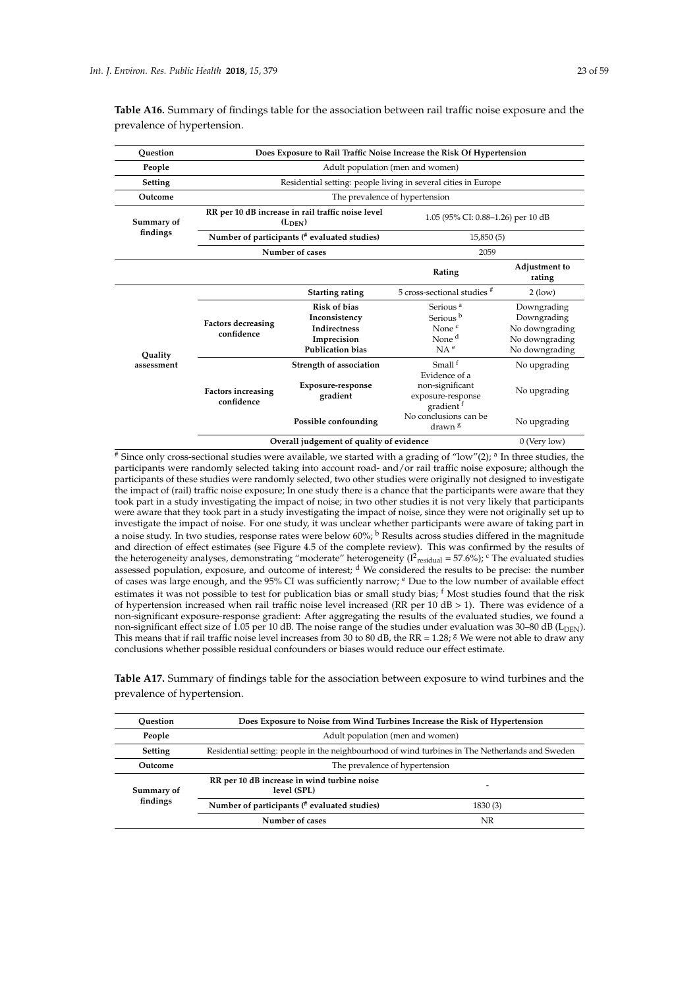| Ouestion       | Does Exposure to Rail Traffic Noise Increase the Risk Of Hypertension |                                                                                                |                                                                                                                    |                                                                                  |  |  |
|----------------|-----------------------------------------------------------------------|------------------------------------------------------------------------------------------------|--------------------------------------------------------------------------------------------------------------------|----------------------------------------------------------------------------------|--|--|
| People         | Adult population (men and women)                                      |                                                                                                |                                                                                                                    |                                                                                  |  |  |
| <b>Setting</b> |                                                                       | Residential setting: people living in several cities in Europe                                 |                                                                                                                    |                                                                                  |  |  |
| Outcome        |                                                                       | The prevalence of hypertension                                                                 |                                                                                                                    |                                                                                  |  |  |
| Summary of     |                                                                       | RR per 10 dB increase in rail traffic noise level<br>$(L_{DEN})$                               | 1.05 (95% CI: 0.88-1.26) per 10 dB                                                                                 |                                                                                  |  |  |
| findings       |                                                                       | Number of participants (# evaluated studies)                                                   | 15,850(5)                                                                                                          |                                                                                  |  |  |
|                |                                                                       | Number of cases                                                                                |                                                                                                                    |                                                                                  |  |  |
|                |                                                                       |                                                                                                | Rating                                                                                                             | Adjustment to<br>rating                                                          |  |  |
|                |                                                                       | <b>Starting rating</b>                                                                         | 5 cross-sectional studies #                                                                                        | $2$ (low)                                                                        |  |  |
| Quality        | <b>Factors decreasing</b><br>confidence                               | Risk of bias<br>Inconsistency<br><b>Indirectness</b><br>Imprecision<br><b>Publication bias</b> | Serious <sup>a</sup><br>Serious <sup>b</sup><br>None <sup>c</sup><br>None <sup>d</sup><br>NA <sup>e</sup>          | Downgrading<br>Downgrading<br>No downgrading<br>No downgrading<br>No downgrading |  |  |
| assessment     | <b>Factors increasing</b><br>confidence                               | Strength of association<br>Exposure-response<br>gradient                                       | Small f<br>Evidence of a<br>non-significant<br>exposure-response<br>gradient <sup>f</sup><br>No conclusions can be | No upgrading<br>No upgrading                                                     |  |  |
|                |                                                                       | Possible confounding                                                                           | drawn <sup>g</sup>                                                                                                 | No upgrading                                                                     |  |  |
|                | Overall judgement of quality of evidence                              |                                                                                                |                                                                                                                    | $0$ (Very low)                                                                   |  |  |

**Table A16.** Summary of findings table for the association between rail traffic noise exposure and the prevalence of hypertension.

 $*$  Since only cross-sectional studies were available, we started with a grading of "low"(2);  $^{\rm a}$  In three studies, the participants were randomly selected taking into account road- and/or rail traffic noise exposure; although the participants of these studies were randomly selected, two other studies were originally not designed to investigate the impact of (rail) traffic noise exposure; In one study there is a chance that the participants were aware that they took part in a study investigating the impact of noise; in two other studies it is not very likely that participants were aware that they took part in a study investigating the impact of noise, since they were not originally set up to investigate the impact of noise. For one study, it was unclear whether participants were aware of taking part in a noise study. In two studies, response rates were below  $60\%$ ;  $^{\rm b}$  Results across studies differed in the magnitude and direction of effect estimates (see Figure 4.5 of the complete review). This was confirmed by the results of the heterogeneity analyses, demonstrating "moderate" heterogeneity ( $I^2$ <sub>residual</sub> = 57.6%);  $\cdot$  The evaluated studies assessed population, exposure, and outcome of interest; <sup>d</sup> We considered the results to be precise: the number of cases was large enough, and the 95% CI was sufficiently narrow; <sup>e</sup> Due to the low number of available effect estimates it was not possible to test for publication bias or small study bias; f Most studies found that the risk of hypertension increased when rail traffic noise level increased (RR per 10 dB > 1). There was evidence of a non-significant exposure-response gradient: After aggregating the results of the evaluated studies, we found a non-significant effect size of 1.05 per 10 dB. The noise range of the studies under evaluation was 30–80 dB (L<sub>DEN</sub>). This means that if rail traffic noise level increases from 30 to 80 dB, the RR = 1.28; <sup>8</sup> We were not able to draw any conclusions whether possible residual confounders or biases would reduce our effect estimate.

**Table A17.** Summary of findings table for the association between exposure to wind turbines and the prevalence of hypertension.

| Ouestion       | Does Exposure to Noise from Wind Turbines Increase the Risk of Hypertension                     |         |  |
|----------------|-------------------------------------------------------------------------------------------------|---------|--|
| People         | Adult population (men and women)                                                                |         |  |
| <b>Setting</b> | Residential setting: people in the neighbourhood of wind turbines in The Netherlands and Sweden |         |  |
| Outcome        | The prevalence of hypertension                                                                  |         |  |
| Summary of     | RR per 10 dB increase in wind turbine noise<br>level (SPL)                                      | -       |  |
| findings       | Number of participants (# evaluated studies)                                                    | 1830(3) |  |
|                | Number of cases                                                                                 | NR      |  |
|                |                                                                                                 |         |  |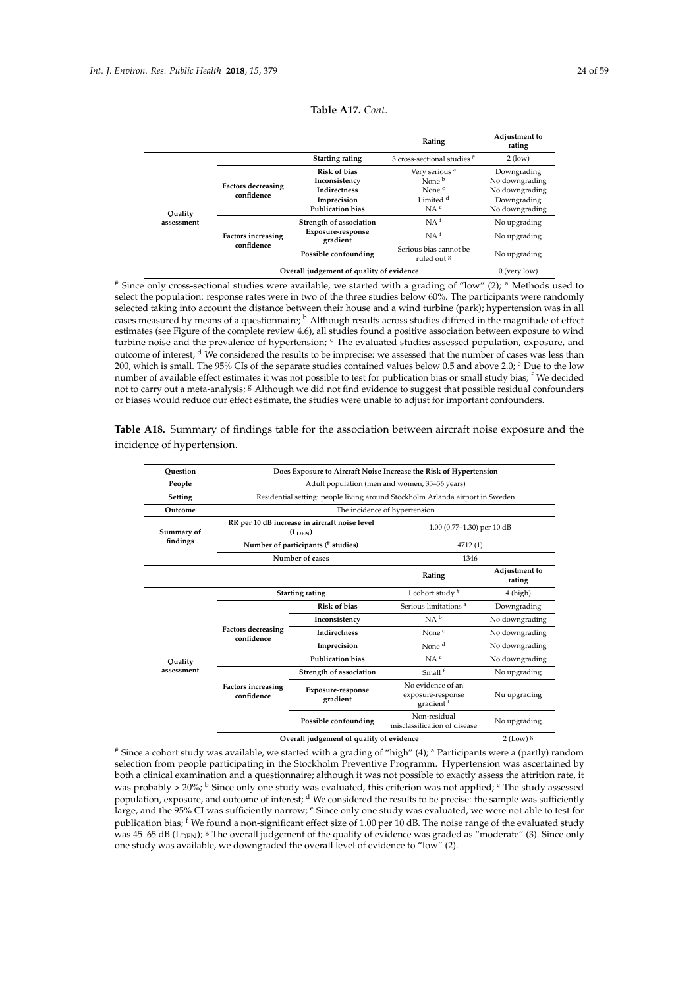|            |                                         |                                          | Rating                                           | Adjustment to<br>rating |
|------------|-----------------------------------------|------------------------------------------|--------------------------------------------------|-------------------------|
|            |                                         | <b>Starting rating</b>                   | 3 cross-sectional studies #                      | $2$ (low)               |
|            |                                         | Risk of bias                             | Very serious <sup>a</sup>                        | Downgrading             |
|            |                                         | Inconsistency                            | None b                                           | No downgrading          |
|            | <b>Factors decreasing</b><br>confidence | Indirectness                             | None $\degree$                                   | No downgrading          |
|            |                                         | Imprecision                              | Limited <sup>d</sup>                             | Downgrading             |
| Quality    |                                         | <b>Publication bias</b>                  | NA <sup>e</sup>                                  | No downgrading          |
| assessment | <b>Factors increasing</b><br>confidence | Strength of association                  | NA <sup>f</sup>                                  | No upgrading            |
|            |                                         | Exposure-response<br>gradient            | NA <sup>f</sup>                                  | No upgrading            |
|            |                                         | Possible confounding                     | Serious bias cannot be<br>ruled out <sup>g</sup> | No upgrading            |
|            |                                         | Overall judgement of quality of evidence |                                                  | $0$ (very low)          |

**Table A17.** *Cont.*

 $*$  Since only cross-sectional studies were available, we started with a grading of "low" (2);  $^{\text{a}}$  Methods used to select the population: response rates were in two of the three studies below 60%. The participants were randomly selected taking into account the distance between their house and a wind turbine (park); hypertension was in all cases measured by means of a questionnaire; <sup>b</sup> Although results across studies differed in the magnitude of effect estimates (see Figure of the complete review 4.6), all studies found a positive association between exposure to wind turbine noise and the prevalence of hypertension; <sup>c</sup> The evaluated studies assessed population, exposure, and outcome of interest; <sup>d</sup> We considered the results to be imprecise: we assessed that the number of cases was less than 200, which is small. The 95% CIs of the separate studies contained values below 0.5 and above 2.0;  $e^{\circ}$  Due to the low number of available effect estimates it was not possible to test for publication bias or small study bias; <sup>f</sup> We decided not to carry out a meta-analysis; <sup>g</sup> Although we did not find evidence to suggest that possible residual confounders or biases would reduce our effect estimate, the studies were unable to adjust for important confounders.

**Table A18.** Summary of findings table for the association between aircraft noise exposure and the incidence of hypertension.

| Ouestion   | Does Exposure to Aircraft Noise Increase the Risk of Hypertension |                                                                     |                                                                               |                                |  |
|------------|-------------------------------------------------------------------|---------------------------------------------------------------------|-------------------------------------------------------------------------------|--------------------------------|--|
| People     |                                                                   | Adult population (men and women, 35-56 years)                       |                                                                               |                                |  |
| Setting    |                                                                   |                                                                     | Residential setting: people living around Stockholm Arlanda airport in Sweden |                                |  |
| Outcome    |                                                                   |                                                                     | The incidence of hypertension                                                 |                                |  |
| Summary of |                                                                   | RR per 10 dB increase in aircraft noise level<br>$(L_{\text{DFN}})$ | $1.00$ (0.77-1.30) per 10 dB                                                  |                                |  |
| findings   |                                                                   | Number of participants (# studies)                                  | 4712(1)                                                                       |                                |  |
|            |                                                                   | Number of cases                                                     | 1346                                                                          |                                |  |
|            |                                                                   |                                                                     | Rating                                                                        | <b>Adjustment to</b><br>rating |  |
|            | <b>Starting rating</b>                                            |                                                                     | 1 cohort study #                                                              | $4$ (high)                     |  |
|            | <b>Factors decreasing</b><br>confidence                           | Risk of bias                                                        | Serious limitations <sup>a</sup>                                              | Downgrading                    |  |
|            |                                                                   | Inconsistency                                                       | $NA^b$                                                                        | No downgrading                 |  |
|            |                                                                   | <b>Indirectness</b>                                                 | None <sup>c</sup>                                                             | No downgrading                 |  |
|            |                                                                   | Imprecision                                                         | None <sup>d</sup>                                                             | No downgrading                 |  |
| Ouality    |                                                                   | <b>Publication bias</b>                                             | NA <sup>e</sup>                                                               | No downgrading                 |  |
| assessment |                                                                   | Strength of association                                             | Small <sup>f</sup>                                                            | No upgrading                   |  |
|            | <b>Factors increasing</b><br>confidence                           | Exposure-response<br>gradient                                       | No evidence of an<br>exposure-response<br>gradient <sup>f</sup>               | Nu upgrading                   |  |
|            |                                                                   | Possible confounding                                                | Non-residual<br>misclassification of disease                                  | No upgrading                   |  |
|            | Overall judgement of quality of evidence                          | $2$ (Low) $8$                                                       |                                                                               |                                |  |

# Since a cohort study was available, we started with a grading of "high" (4); <sup>a</sup> Participants were a (partly) random selection from people participating in the Stockholm Preventive Programm. Hypertension was ascertained by both a clinical examination and a questionnaire; although it was not possible to exactly assess the attrition rate, it was probably > 20%; <sup>b</sup> Since only one study was evaluated, this criterion was not applied; <sup>c</sup> The study assessed population, exposure, and outcome of interest; <sup>d</sup> We considered the results to be precise: the sample was sufficiently large, and the 95% CI was sufficiently narrow; <sup>e</sup> Since only one study was evaluated, we were not able to test for publication bias; <sup>f</sup> We found a non-significant effect size of 1.00 per 10 dB. The noise range of the evaluated study was 45-65 dB (L<sub>DEN</sub>); <sup>g</sup> The overall judgement of the quality of evidence was graded as "moderate" (3). Since only one study was available, we downgraded the overall level of evidence to "low" (2).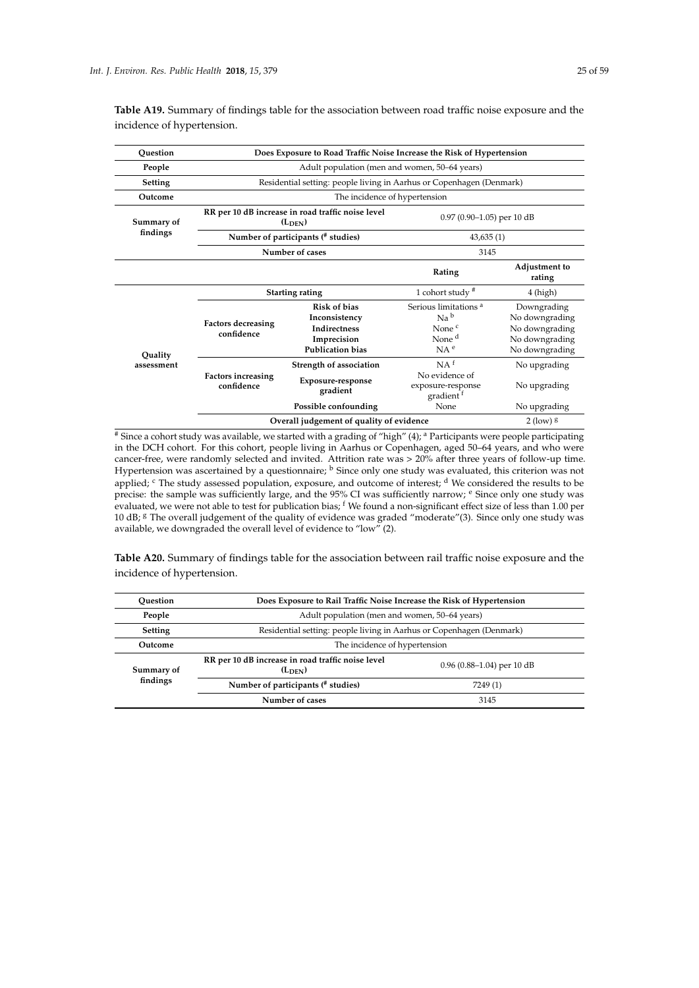**Table A19.** Summary of findings table for the association between road traffic noise exposure and the incidence of hypertension.

| Ouestion   | Does Exposure to Road Traffic Noise Increase the Risk of Hypertension    |                                                                      |                                                              |                                  |
|------------|--------------------------------------------------------------------------|----------------------------------------------------------------------|--------------------------------------------------------------|----------------------------------|
| People     | Adult population (men and women, 50–64 years)                            |                                                                      |                                                              |                                  |
| Setting    |                                                                          | Residential setting: people living in Aarhus or Copenhagen (Denmark) |                                                              |                                  |
| Outcome    |                                                                          | The incidence of hypertension                                        |                                                              |                                  |
| Summary of | RR per 10 dB increase in road traffic noise level<br>(L <sub>DEN</sub> ) |                                                                      | $0.97(0.90-1.05)$ per 10 dB                                  |                                  |
| findings   |                                                                          | Number of participants (# studies)                                   | 43,635(1)                                                    |                                  |
|            | Number of cases                                                          |                                                                      | 3145                                                         |                                  |
|            |                                                                          |                                                                      | Rating                                                       | Adjustment to<br>rating          |
|            |                                                                          | <b>Starting rating</b>                                               | 1 cohort study $#$                                           | $4$ (high)                       |
|            | <b>Factors decreasing</b><br>confidence                                  | Risk of bias                                                         | Serious limitations <sup>a</sup>                             | Downgrading                      |
|            |                                                                          | Inconsistency<br><b>Indirectness</b>                                 | Na b<br>None <sup>c</sup>                                    | No downgrading<br>No downgrading |
| Quality    |                                                                          | Imprecision<br><b>Publication bias</b>                               | None <sup>d</sup><br>$NA^e$                                  | No downgrading<br>No downgrading |
| assessment |                                                                          | Strength of association                                              | NA <sup>f</sup>                                              | No upgrading                     |
|            | <b>Factors increasing</b><br>confidence                                  | Exposure-response<br>gradient                                        | No evidence of<br>exposure-response<br>gradient <sup>f</sup> | No upgrading                     |
|            |                                                                          | Possible confounding                                                 | None                                                         | No upgrading                     |
|            | Overall judgement of quality of evidence                                 | $2$ (low) $8$                                                        |                                                              |                                  |

# Since a cohort study was available, we started with a grading of "high" (4); <sup>a</sup> Participants were people participating in the DCH cohort. For this cohort, people living in Aarhus or Copenhagen, aged 50–64 years, and who were cancer-free, were randomly selected and invited. Attrition rate was > 20% after three years of follow-up time. Hypertension was ascertained by a questionnaire; <sup>b</sup> Since only one study was evaluated, this criterion was not applied;  $\frac{1}{2}$  The study assessed population, exposure, and outcome of interest; d We considered the results to be precise: the sample was sufficiently large, and the 95% CI was sufficiently narrow; <sup>e</sup> Since only one study was evaluated, we were not able to test for publication bias; <sup>f</sup> We found a non-significant effect size of less than 1.00 per 10 dB; <sup>g</sup> The overall judgement of the quality of evidence was graded "moderate"(3). Since only one study was available, we downgraded the overall level of evidence to "low" (2).

**Table A20.** Summary of findings table for the association between rail traffic noise exposure and the incidence of hypertension.

| Ouestion   | Does Exposure to Rail Traffic Noise Increase the Risk of Hypertension    |                             |  |
|------------|--------------------------------------------------------------------------|-----------------------------|--|
| People     | Adult population (men and women, 50–64 years)                            |                             |  |
| Setting    | Residential setting: people living in Aarhus or Copenhagen (Denmark)     |                             |  |
| Outcome    | The incidence of hypertension                                            |                             |  |
| Summary of | RR per 10 dB increase in road traffic noise level<br>(L <sub>DEN</sub> ) | $0.96(0.88-1.04)$ per 10 dB |  |
| findings   | Number of participants (# studies)                                       | 7249 (1)                    |  |
|            | Number of cases                                                          | 3145                        |  |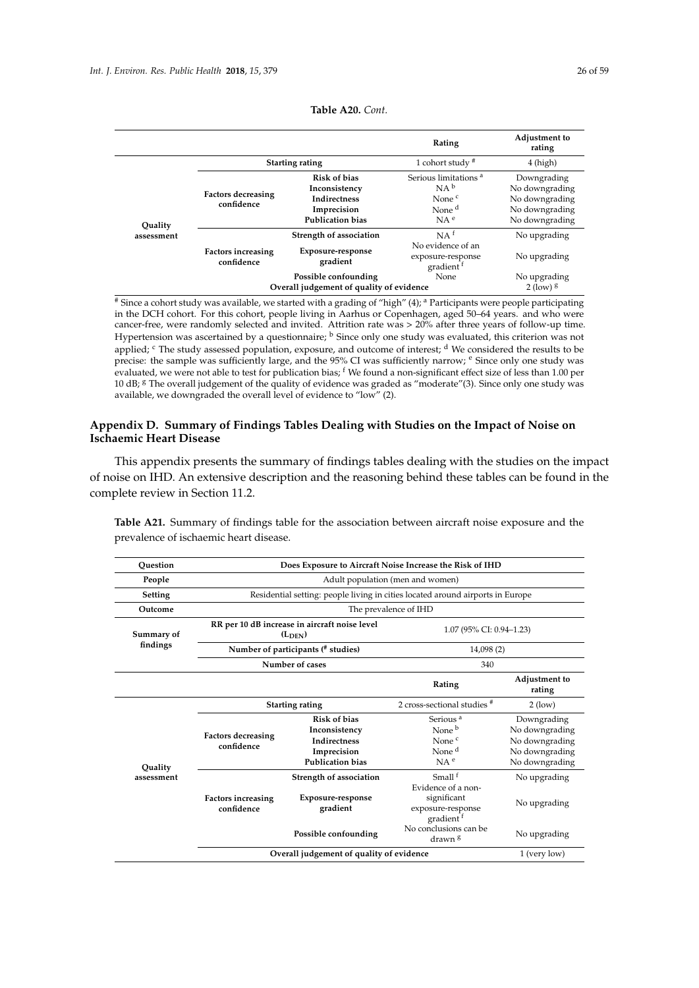|            |                                         |                                                                                         | Rating                                                                                      | Adjustment to<br>rating                                                             |
|------------|-----------------------------------------|-----------------------------------------------------------------------------------------|---------------------------------------------------------------------------------------------|-------------------------------------------------------------------------------------|
|            |                                         | <b>Starting rating</b>                                                                  | 1 cohort study $#$                                                                          | $4$ (high)                                                                          |
| Quality    | <b>Factors decreasing</b><br>confidence | Risk of bias<br>Inconsistency<br>Indirectness<br>Imprecision<br><b>Publication bias</b> | Serious limitations <sup>a</sup><br>$NA^b$<br>None $\degree$<br>None <sup>d</sup><br>$NA^e$ | Downgrading<br>No downgrading<br>No downgrading<br>No downgrading<br>No downgrading |
| assessment | <b>Factors increasing</b><br>confidence | Strength of association                                                                 | NA <sup>f</sup>                                                                             | No upgrading                                                                        |
|            |                                         | Exposure-response<br>gradient                                                           | No evidence of an<br>exposure-response<br>gradient <sup>f</sup>                             | No upgrading                                                                        |
|            |                                         | Possible confounding<br>Overall judgement of quality of evidence                        | None                                                                                        | No upgrading<br>$2$ (low) $8$                                                       |

**Table A20.** *Cont.*

# Since a cohort study was available, we started with a grading of "high" (4); <sup>a</sup> Participants were people participating in the DCH cohort. For this cohort, people living in Aarhus or Copenhagen, aged 50–64 years. and who were cancer-free, were randomly selected and invited. Attrition rate was > 20% after three years of follow-up time. Hypertension was ascertained by a questionnaire; <sup>b</sup> Since only one study was evaluated, this criterion was not applied;  $c$  The study assessed population, exposure, and outcome of interest;  $d$  We considered the results to be precise: the sample was sufficiently large, and the 95% CI was sufficiently narrow; <sup>e</sup> Since only one study was evaluated, we were not able to test for publication bias; <sup>f</sup> We found a non-significant effect size of less than 1.00 per 10 dB; <sup>g</sup> The overall judgement of the quality of evidence was graded as "moderate"(3). Since only one study was available, we downgraded the overall level of evidence to "low" (2).

## <span id="page-25-0"></span>**Appendix D. Summary of Findings Tables Dealing with Studies on the Impact of Noise on Ischaemic Heart Disease**

This appendix presents the summary of findings tables dealing with the studies on the impact of noise on IHD. An extensive description and the reasoning behind these tables can be found in the complete review in Section 11.2.

**Table A21.** Summary of findings table for the association between aircraft noise exposure and the prevalence of ischaemic heart disease.

| Ouestion   | Does Exposure to Aircraft Noise Increase the Risk of IHD                                         |                                          |                                                                                 |                         |
|------------|--------------------------------------------------------------------------------------------------|------------------------------------------|---------------------------------------------------------------------------------|-------------------------|
| People     | Adult population (men and women)                                                                 |                                          |                                                                                 |                         |
| Setting    |                                                                                                  |                                          | Residential setting: people living in cities located around airports in Europe  |                         |
| Outcome    |                                                                                                  |                                          | The prevalence of IHD                                                           |                         |
| Summary of | RR per 10 dB increase in aircraft noise level<br>1.07 (95% CI: 0.94–1.23)<br>(L <sub>DEN</sub> ) |                                          |                                                                                 |                         |
| findings   |                                                                                                  | Number of participants (# studies)       | 14,098 (2)                                                                      |                         |
|            |                                                                                                  | Number of cases                          | 340                                                                             |                         |
|            |                                                                                                  |                                          | Rating                                                                          | Adjustment to<br>rating |
|            | <b>Starting rating</b>                                                                           |                                          | 2 cross-sectional studies #                                                     | $2$ (low)               |
|            | <b>Factors decreasing</b><br>confidence                                                          | Risk of bias                             | Serious <sup>a</sup>                                                            | Downgrading             |
|            |                                                                                                  | Inconsistency                            | None b                                                                          | No downgrading          |
|            |                                                                                                  | <b>Indirectness</b>                      | None <sup>c</sup>                                                               | No downgrading          |
|            |                                                                                                  | Imprecision                              | None <sup>d</sup>                                                               | No downgrading          |
| Quality    |                                                                                                  | <b>Publication bias</b>                  | NA <sup>e</sup>                                                                 | No downgrading          |
| assessment |                                                                                                  | Strength of association                  | Small <sup>f</sup>                                                              | No upgrading            |
|            | <b>Factors increasing</b><br>confidence                                                          | Exposure-response<br>gradient            | Evidence of a non-<br>significant<br>exposure-response<br>gradient <sup>f</sup> | No upgrading            |
|            | Possible confounding                                                                             |                                          | No conclusions can be<br>drawn <sup>g</sup>                                     | No upgrading            |
|            |                                                                                                  | Overall judgement of quality of evidence |                                                                                 |                         |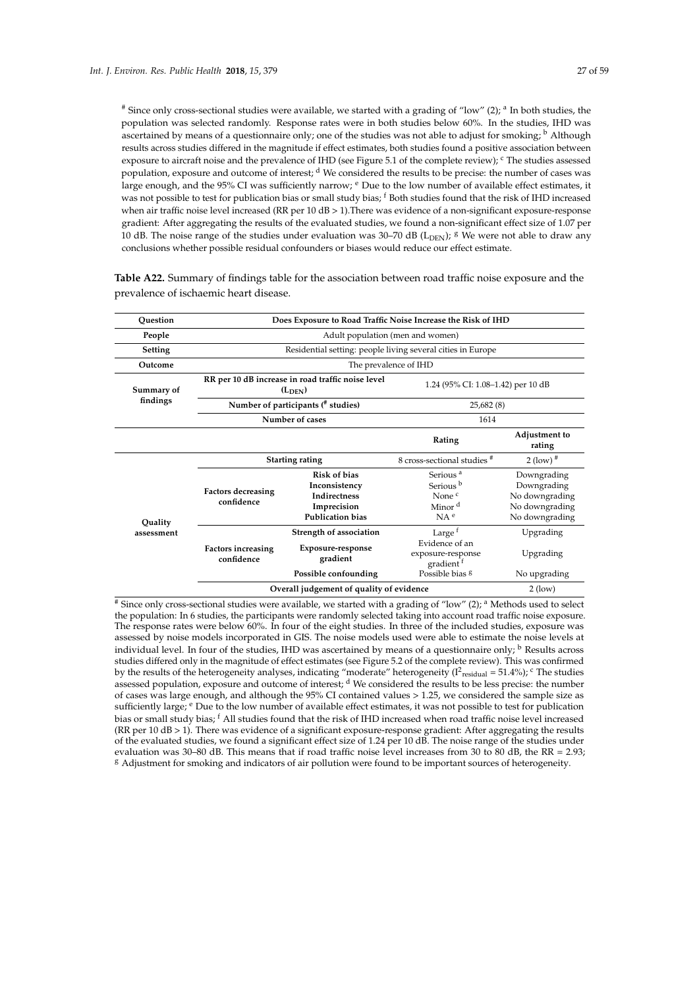$*$  Since only cross-sectional studies were available, we started with a grading of "low" (2);  $^{\rm a}$  In both studies, the population was selected randomly. Response rates were in both studies below 60%. In the studies, IHD was ascertained by means of a questionnaire only; one of the studies was not able to adjust for smoking; <sup>b</sup> Although results across studies differed in the magnitude if effect estimates, both studies found a positive association between exposure to aircraft noise and the prevalence of IHD (see Figure 5.1 of the complete review);  $c$  The studies assessed population, exposure and outcome of interest; <sup>d</sup> We considered the results to be precise: the number of cases was large enough, and the 95% CI was sufficiently narrow; <sup>e</sup> Due to the low number of available effect estimates, it was not possible to test for publication bias or small study bias; f Both studies found that the risk of IHD increased when air traffic noise level increased (RR per 10 dB > 1). There was evidence of a non-significant exposure-response gradient: After aggregating the results of the evaluated studies, we found a non-significant effect size of 1.07 per 10 dB. The noise range of the studies under evaluation was 30–70 dB ( $L_{\text{DEN}}$ ); <sup>g</sup> We were not able to draw any conclusions whether possible residual confounders or biases would reduce our effect estimate.

**Table A22.** Summary of findings table for the association between road traffic noise exposure and the prevalence of ischaemic heart disease.

| Ouestion   | Does Exposure to Road Traffic Noise Increase the Risk of IHD             |                                    |                                                              |                                    |  |
|------------|--------------------------------------------------------------------------|------------------------------------|--------------------------------------------------------------|------------------------------------|--|
| People     |                                                                          |                                    | Adult population (men and women)                             |                                    |  |
| Setting    |                                                                          |                                    | Residential setting: people living several cities in Europe  |                                    |  |
| Outcome    |                                                                          |                                    | The prevalence of IHD                                        |                                    |  |
| Summary of | RR per 10 dB increase in road traffic noise level<br>(L <sub>DEN</sub> ) |                                    |                                                              | 1.24 (95% CI: 1.08–1.42) per 10 dB |  |
| findings   |                                                                          | Number of participants (# studies) | 25,682(8)                                                    |                                    |  |
|            |                                                                          | Number of cases                    | 1614                                                         |                                    |  |
|            |                                                                          |                                    | Rating                                                       | <b>Adjustment to</b><br>rating     |  |
|            | <b>Starting rating</b>                                                   |                                    | 8 cross-sectional studies #                                  | $2$ (low) $#$                      |  |
|            | <b>Factors decreasing</b><br>confidence                                  | <b>Risk of bias</b>                | Serious <sup>a</sup>                                         | Downgrading                        |  |
|            |                                                                          | Inconsistency                      | Serious <sup>b</sup>                                         | Downgrading                        |  |
|            |                                                                          | <b>Indirectness</b>                | None <sup>c</sup>                                            | No downgrading                     |  |
|            |                                                                          | Imprecision                        | Minor <sup>d</sup>                                           | No downgrading                     |  |
| Quality    |                                                                          | <b>Publication bias</b>            | NA <sup>e</sup>                                              | No downgrading                     |  |
| assessment |                                                                          | Strength of association            | Large <sup>f</sup>                                           | Upgrading                          |  |
|            | <b>Factors increasing</b><br>confidence                                  | Exposure-response<br>gradient      | Evidence of an<br>exposure-response<br>gradient <sup>f</sup> | Upgrading                          |  |
|            |                                                                          | Possible confounding               | Possible bias 8                                              | No upgrading                       |  |
|            | Overall judgement of quality of evidence                                 |                                    |                                                              | $2$ (low)                          |  |

 $*$  Since only cross-sectional studies were available, we started with a grading of "low" (2);  $^{\text{a}}$  Methods used to select the population: In 6 studies, the participants were randomly selected taking into account road traffic noise exposure. The response rates were below 60%. In four of the eight studies. In three of the included studies, exposure was assessed by noise models incorporated in GIS. The noise models used were able to estimate the noise levels at individual level. In four of the studies, IHD was ascertained by means of a questionnaire only; <sup>b</sup> Results across studies differed only in the magnitude of effect estimates (see Figure 5.2 of the complete review). This was confirmed by the results of the heterogeneity analyses, indicating "moderate" heterogeneity  $(I^2_{residual} = 51.4\%)$ ;  $\textdegree$  The studies assessed population, exposure and outcome of interest; <sup>d</sup> We considered the results to be less precise: the number of cases was large enough, and although the 95% CI contained values > 1.25, we considered the sample size as sufficiently large; <sup>e</sup> Due to the low number of available effect estimates, it was not possible to test for publication bias or small study bias; <sup>f</sup> All studies found that the risk of IHD increased when road traffic noise level increased (RR per 10 dB > 1). There was evidence of a significant exposure-response gradient: After aggregating the results of the evaluated studies, we found a significant effect size of 1.24 per 10 dB. The noise range of the studies under evaluation was 30–80 dB. This means that if road traffic noise level increases from 30 to 80 dB, the RR = 2.93; <sup>g</sup> Adjustment for smoking and indicators of air pollution were found to be important sources of heterogeneity.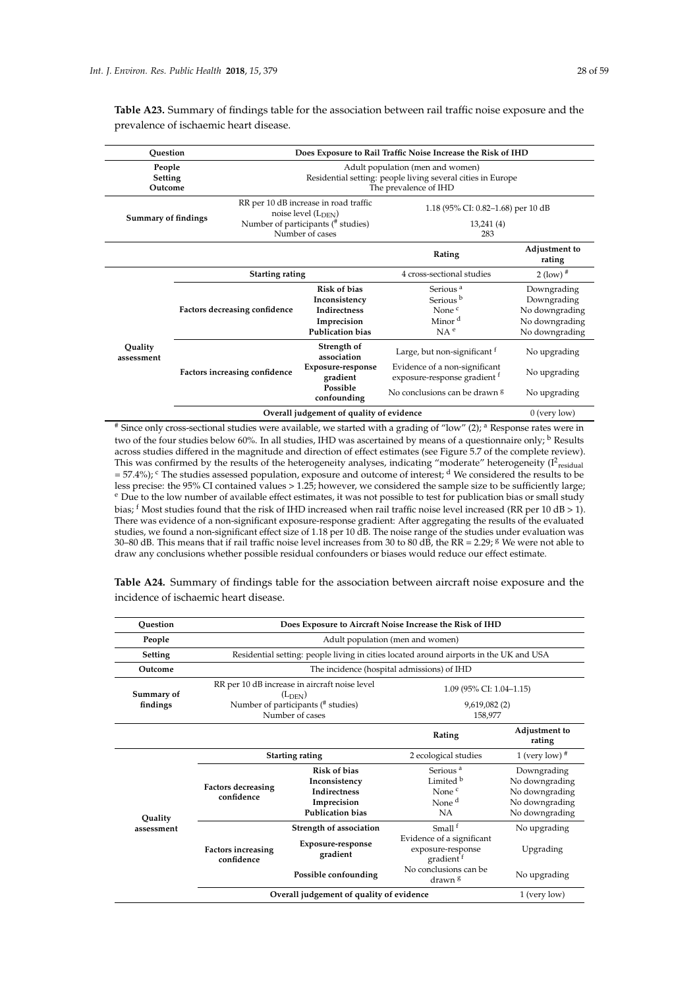| Ouestion                            | Does Exposure to Rail Traffic Noise Increase the Risk of IHD |                                                                                                                                    |                                                                                                |                                                                                                                                                      |                                                                                  |
|-------------------------------------|--------------------------------------------------------------|------------------------------------------------------------------------------------------------------------------------------------|------------------------------------------------------------------------------------------------|------------------------------------------------------------------------------------------------------------------------------------------------------|----------------------------------------------------------------------------------|
| People<br><b>Setting</b><br>Outcome |                                                              | Adult population (men and women)<br>Residential setting: people living several cities in Europe<br>The prevalence of IHD           |                                                                                                |                                                                                                                                                      |                                                                                  |
| <b>Summary of findings</b>          |                                                              | RR per 10 dB increase in road traffic<br>noise level $(L_{\text{DEN}})$<br>Number of participants $(*$ studies)<br>Number of cases | 1.18 (95% CI: 0.82–1.68) per 10 dB<br>13,241(4)<br>283                                         |                                                                                                                                                      |                                                                                  |
|                                     |                                                              |                                                                                                                                    |                                                                                                | Rating                                                                                                                                               | Adjustment to<br>rating                                                          |
| <b>Starting rating</b>              |                                                              |                                                                                                                                    | 4 cross-sectional studies                                                                      | $2$ (low) $#$                                                                                                                                        |                                                                                  |
| Quality<br>assessment               |                                                              | Factors decreasing confidence                                                                                                      | Risk of bias<br>Inconsistency<br><b>Indirectness</b><br>Imprecision<br><b>Publication bias</b> | Serious <sup>a</sup><br>Serious <sup>b</sup><br>None <sup>c</sup><br>Minor <sup>d</sup><br>NA <sup>e</sup>                                           | Downgrading<br>Downgrading<br>No downgrading<br>No downgrading<br>No downgrading |
|                                     |                                                              | Factors increasing confidence                                                                                                      | Strength of<br>association<br>Exposure-response<br>gradient<br>Possible<br>confounding         | Large, but non-significant f<br>Evidence of a non-significant<br>exposure-response gradient <sup>†</sup><br>No conclusions can be drawn <sup>g</sup> | No upgrading<br>No upgrading<br>No upgrading                                     |
|                                     | Overall judgement of quality of evidence                     |                                                                                                                                    |                                                                                                |                                                                                                                                                      | $0$ (very low)                                                                   |

**Table A23.** Summary of findings table for the association between rail traffic noise exposure and the prevalence of ischaemic heart disease.

 $*$  Since only cross-sectional studies were available, we started with a grading of "low" (2);  $^{\circ}$  Response rates were in two of the four studies below 60%. In all studies, IHD was ascertained by means of a questionnaire only; <sup>b</sup> Results across studies differed in the magnitude and direction of effect estimates (see Figure 5.7 of the complete review). This was confirmed by the results of the heterogeneity analyses, indicating "moderate" heterogeneity  $(I<sup>2</sup>$ <sub>residual</sub>  $=$  57.4%); <sup>c</sup> The studies assessed population, exposure and outcome of interest; <sup>d</sup> We considered the results to be less precise: the 95% CI contained values > 1.25; however, we considered the sample size to be sufficiently large; <sup>e</sup> Due to the low number of available effect estimates, it was not possible to test for publication bias or small study bias; <sup>f</sup> Most studies found that the risk of IHD increased when rail traffic noise level increased (RR per 10 dB > 1). There was evidence of a non-significant exposure-response gradient: After aggregating the results of the evaluated studies, we found a non-significant effect size of 1.18 per 10 dB. The noise range of the studies under evaluation was 30–80 dB. This means that if rail traffic noise level increases from 30 to 80 dB, the RR =  $2.29$ ; <sup>g</sup> We were not able to draw any conclusions whether possible residual confounders or biases would reduce our effect estimate.

**Table A24.** Summary of findings table for the association between aircraft noise exposure and the incidence of ischaemic heart disease.

| Ouestion   | Does Exposure to Aircraft Noise Increase the Risk of IHD             |                                                               |                                                                                        |                                                    |  |
|------------|----------------------------------------------------------------------|---------------------------------------------------------------|----------------------------------------------------------------------------------------|----------------------------------------------------|--|
| People     | Adult population (men and women)                                     |                                                               |                                                                                        |                                                    |  |
| Setting    |                                                                      |                                                               | Residential setting: people living in cities located around airports in the UK and USA |                                                    |  |
| Outcome    |                                                                      |                                                               | The incidence (hospital admissions) of IHD                                             |                                                    |  |
| Summary of | RR per 10 dB increase in aircraft noise level<br>(L <sub>DEN</sub> ) | 1.09 (95% CI: 1.04-1.15)                                      |                                                                                        |                                                    |  |
| findings   |                                                                      | Number of participants (# studies)<br>Number of cases         | 9,619,082(2)<br>158,977                                                                |                                                    |  |
|            |                                                                      |                                                               | Rating                                                                                 | Adjustment to<br>rating                            |  |
|            | <b>Starting rating</b>                                               |                                                               | 2 ecological studies                                                                   | 1 (very low) $#$                                   |  |
|            | <b>Factors decreasing</b>                                            | <b>Risk of bias</b><br>Inconsistency                          | Serious <sup>a</sup><br>Limited <sup>b</sup>                                           | Downgrading<br>No downgrading                      |  |
| Quality    | confidence                                                           | <b>Indirectness</b><br>Imprecision<br><b>Publication bias</b> | None <sup>c</sup><br>None <sup>d</sup><br>NA                                           | No downgrading<br>No downgrading<br>No downgrading |  |
| assessment |                                                                      | Strength of association                                       | Small f                                                                                | No upgrading                                       |  |
|            | <b>Factors increasing</b><br>confidence                              | Exposure-response<br>gradient                                 | Evidence of a significant<br>exposure-response<br>gradient <sup>f</sup>                | Upgrading                                          |  |
|            | Possible confounding                                                 |                                                               | No conclusions can be<br>drawn <sup>g</sup>                                            | No upgrading                                       |  |
|            |                                                                      | Overall judgement of quality of evidence                      |                                                                                        | 1 (very low)                                       |  |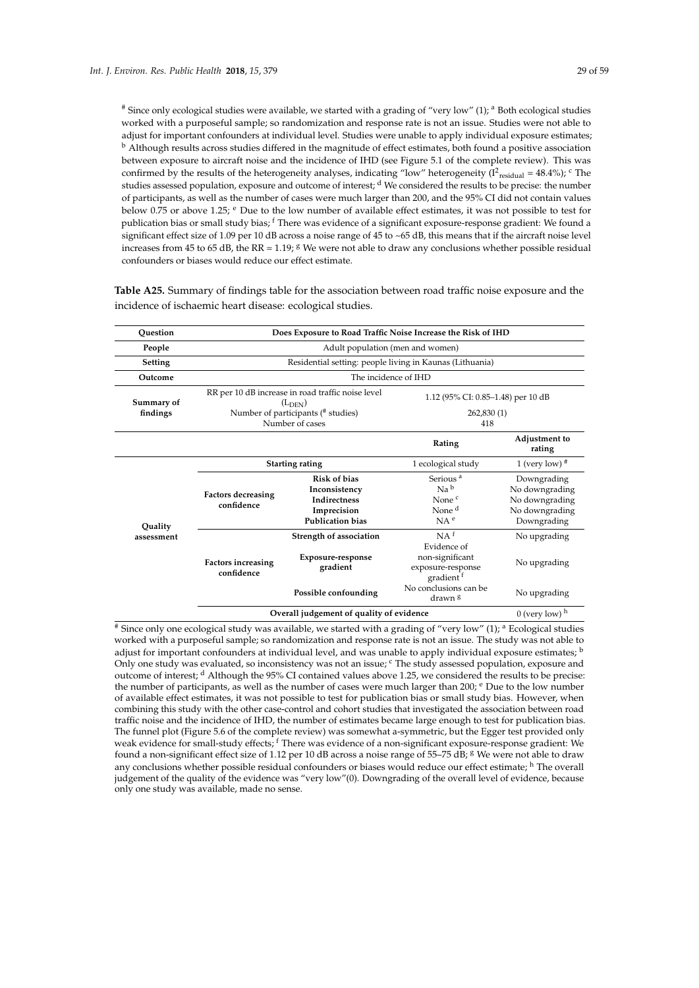# Since only ecological studies were available, we started with a grading of "very low" (1); <sup>a</sup> Both ecological studies worked with a purposeful sample; so randomization and response rate is not an issue. Studies were not able to adjust for important confounders at individual level. Studies were unable to apply individual exposure estimates; <sup>b</sup> Although results across studies differed in the magnitude of effect estimates, both found a positive association between exposure to aircraft noise and the incidence of IHD (see Figure 5.1 of the complete review). This was confirmed by the results of the heterogeneity analyses, indicating "low" heterogeneity  $(I^2_{residual} = 48.4\%)$ ;  $\Omega$ <sup>-</sup> The studies assessed population, exposure and outcome of interest; <sup>d</sup> We considered the results to be precise: the number of participants, as well as the number of cases were much larger than 200, and the 95% CI did not contain values below 0.75 or above 1.25; <sup>e</sup> Due to the low number of available effect estimates, it was not possible to test for publication bias or small study bias; <sup>f</sup> There was evidence of a significant exposure-response gradient: We found a significant effect size of 1.09 per 10 dB across a noise range of 45 to ~65 dB, this means that if the aircraft noise level increases from 45 to 65 dB, the RR = 1.19;  $\frac{g}{g}$  We were not able to draw any conclusions whether possible residual confounders or biases would reduce our effect estimate.

**Table A25.** Summary of findings table for the association between road traffic noise exposure and the incidence of ischaemic heart disease: ecological studies.

| Ouestion       | Does Exposure to Road Traffic Noise Increase the Risk of IHD |                                                                                                       |                                                                                                                                                |                                                                                  |  |
|----------------|--------------------------------------------------------------|-------------------------------------------------------------------------------------------------------|------------------------------------------------------------------------------------------------------------------------------------------------|----------------------------------------------------------------------------------|--|
| People         | Adult population (men and women)                             |                                                                                                       |                                                                                                                                                |                                                                                  |  |
| <b>Setting</b> |                                                              |                                                                                                       | Residential setting: people living in Kaunas (Lithuania)                                                                                       |                                                                                  |  |
| Outcome        |                                                              | The incidence of IHD                                                                                  |                                                                                                                                                |                                                                                  |  |
| Summary of     |                                                              | RR per 10 dB increase in road traffic noise level<br>$(L_{\text{DEN}})$                               | 1.12 (95% CI: 0.85–1.48) per 10 dB                                                                                                             |                                                                                  |  |
| findings       |                                                              | Number of participants $(*$ studies)<br>Number of cases                                               | 262,830 (1)<br>418                                                                                                                             |                                                                                  |  |
|                |                                                              |                                                                                                       | Rating                                                                                                                                         | Adjustment to<br>rating                                                          |  |
|                | <b>Starting rating</b>                                       |                                                                                                       | 1 ecological study                                                                                                                             | 1 (very low) $#$                                                                 |  |
| Quality        | <b>Factors decreasing</b><br>confidence                      | <b>Risk of bias</b><br>Inconsistency<br><b>Indirectness</b><br>Imprecision<br><b>Publication bias</b> | Serious <sup>a</sup><br>Na <sup>b</sup><br>None <sup>c</sup><br>None <sup>d</sup><br>$NA^e$                                                    | Downgrading<br>No downgrading<br>No downgrading<br>No downgrading<br>Downgrading |  |
| assessment     | <b>Factors increasing</b><br>confidence                      | Strength of association<br>Exposure-response<br>gradient<br>Possible confounding                      | NA <sup>f</sup><br>Evidence of<br>non-significant<br>exposure-response<br>gradient <sup>f</sup><br>No conclusions can be<br>drawn <sup>g</sup> | No upgrading<br>No upgrading<br>No upgrading                                     |  |
|                | Overall judgement of quality of evidence                     |                                                                                                       |                                                                                                                                                | $0$ (very low) $^h$                                                              |  |

# Since only one ecological study was available, we started with a grading of "very low" (1); a Ecological studies worked with a purposeful sample; so randomization and response rate is not an issue. The study was not able to adjust for important confounders at individual level, and was unable to apply individual exposure estimates; b Only one study was evaluated, so inconsistency was not an issue; <sup>c</sup> The study assessed population, exposure and outcome of interest;  $d$  Although the 95% CI contained values above 1.25, we considered the results to be precise: the number of participants, as well as the number of cases were much larger than 200; <sup>e</sup> Due to the low number of available effect estimates, it was not possible to test for publication bias or small study bias. However, when combining this study with the other case-control and cohort studies that investigated the association between road traffic noise and the incidence of IHD, the number of estimates became large enough to test for publication bias. The funnel plot (Figure 5.6 of the complete review) was somewhat a-symmetric, but the Egger test provided only weak evidence for small-study effects; <sup>f</sup> There was evidence of a non-significant exposure-response gradient: We found a non-significant effect size of 1.12 per 10 dB across a noise range of 55–75 dB; <sup>g</sup> We were not able to draw any conclusions whether possible residual confounders or biases would reduce our effect estimate; <sup>h</sup> The overall judgement of the quality of the evidence was "very low"(0). Downgrading of the overall level of evidence, because only one study was available, made no sense.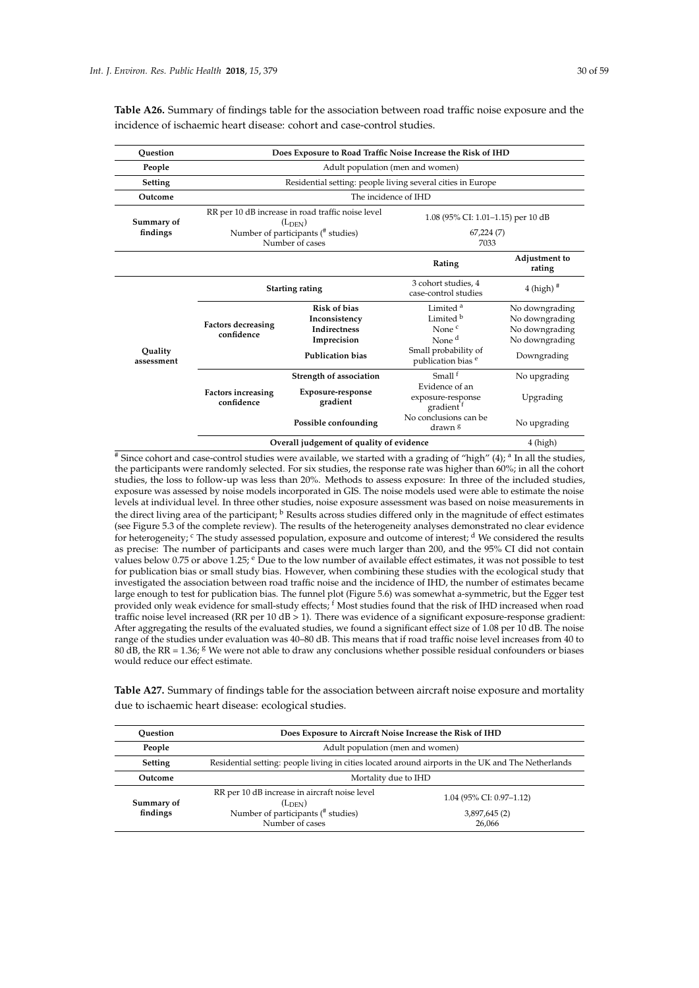| Question              | Does Exposure to Road Traffic Noise Increase the Risk of IHD |                                                                         |                                                              |                                  |  |
|-----------------------|--------------------------------------------------------------|-------------------------------------------------------------------------|--------------------------------------------------------------|----------------------------------|--|
| People                | Adult population (men and women)                             |                                                                         |                                                              |                                  |  |
| Setting               |                                                              | Residential setting: people living several cities in Europe             |                                                              |                                  |  |
| Outcome               |                                                              | The incidence of IHD                                                    |                                                              |                                  |  |
| Summary of            |                                                              | RR per 10 dB increase in road traffic noise level<br>$(L_{\text{DEN}})$ | 1.08 (95% CI: 1.01-1.15) per 10 dB                           |                                  |  |
| findings              |                                                              | Number of participants (# studies)<br>Number of cases                   | 67,224(7)<br>7033                                            |                                  |  |
|                       |                                                              |                                                                         | Rating                                                       | Adjustment to<br>rating          |  |
|                       | <b>Starting rating</b>                                       |                                                                         | 3 cohort studies, 4<br>case-control studies                  | $4$ (high) <sup>#</sup>          |  |
|                       | <b>Factors decreasing</b><br>confidence                      | Risk of bias<br>Inconsistency                                           | Limited <sup>a</sup><br>Limited <sup>b</sup>                 | No downgrading<br>No downgrading |  |
|                       |                                                              | <b>Indirectness</b><br>Imprecision                                      | None <sup>c</sup><br>None <sup>d</sup>                       | No downgrading<br>No downgrading |  |
| Quality<br>assessment |                                                              | <b>Publication bias</b>                                                 | Small probability of<br>publication bias <sup>e</sup>        | Downgrading                      |  |
|                       |                                                              | Strength of association                                                 | Small $f$                                                    | No upgrading                     |  |
|                       | <b>Factors increasing</b><br>confidence                      | Exposure-response<br>gradient                                           | Evidence of an<br>exposure-response<br>gradient <sup>t</sup> | Upgrading                        |  |
|                       |                                                              | Possible confounding                                                    | No conclusions can be<br>drawn <sup>g</sup>                  | No upgrading                     |  |
|                       | Overall judgement of quality of evidence                     |                                                                         |                                                              | $4$ (high)                       |  |

**Table A26.** Summary of findings table for the association between road traffic noise exposure and the incidence of ischaemic heart disease: cohort and case-control studies.

 $*$  Since cohort and case-control studies were available, we started with a grading of "high" (4);  $^{\rm a}$  In all the studies, the participants were randomly selected. For six studies, the response rate was higher than 60%; in all the cohort studies, the loss to follow-up was less than 20%. Methods to assess exposure: In three of the included studies, exposure was assessed by noise models incorporated in GIS. The noise models used were able to estimate the noise levels at individual level. In three other studies, noise exposure assessment was based on noise measurements in the direct living area of the participant; <sup>b</sup> Results across studies differed only in the magnitude of effect estimates (see Figure 5.3 of the complete review). The results of the heterogeneity analyses demonstrated no clear evidence for heterogeneity; <sup>c</sup> The study assessed population, exposure and outcome of interest; <sup>d</sup> We considered the results as precise: The number of participants and cases were much larger than 200, and the 95% CI did not contain values below 0.75 or above 1.25;  $\text{e}$  Due to the low number of available effect estimates, it was not possible to test for publication bias or small study bias. However, when combining these studies with the ecological study that investigated the association between road traffic noise and the incidence of IHD, the number of estimates became large enough to test for publication bias. The funnel plot (Figure 5.6) was somewhat a-symmetric, but the Egger test provided only weak evidence for small-study effects; <sup>f</sup> Most studies found that the risk of IHD increased when road traffic noise level increased (RR per  $10$  dB  $> 1$ ). There was evidence of a significant exposure-response gradient: After aggregating the results of the evaluated studies, we found a significant effect size of 1.08 per 10 dB. The noise range of the studies under evaluation was 40–80 dB. This means that if road traffic noise level increases from 40 to 80 dB, the RR = 1.36; <sup>8</sup> We were not able to draw any conclusions whether possible residual confounders or biases would reduce our effect estimate.

**Table A27.** Summary of findings table for the association between aircraft noise exposure and mortality due to ischaemic heart disease: ecological studies.

| Ouestion   | Does Exposure to Aircraft Noise Increase the Risk of IHD                                           |                            |  |
|------------|----------------------------------------------------------------------------------------------------|----------------------------|--|
| People     | Adult population (men and women)                                                                   |                            |  |
| Setting    | Residential setting: people living in cities located around airports in the UK and The Netherlands |                            |  |
| Outcome    | Mortality due to IHD                                                                               |                            |  |
| Summary of | RR per 10 dB increase in aircraft noise level<br>$(L_{\text{DEN}})$                                | $1.04$ (95% CI: 0.97-1.12) |  |
| findings   | Number of participants (# studies)<br>Number of cases                                              | 3,897,645 (2)<br>26.066    |  |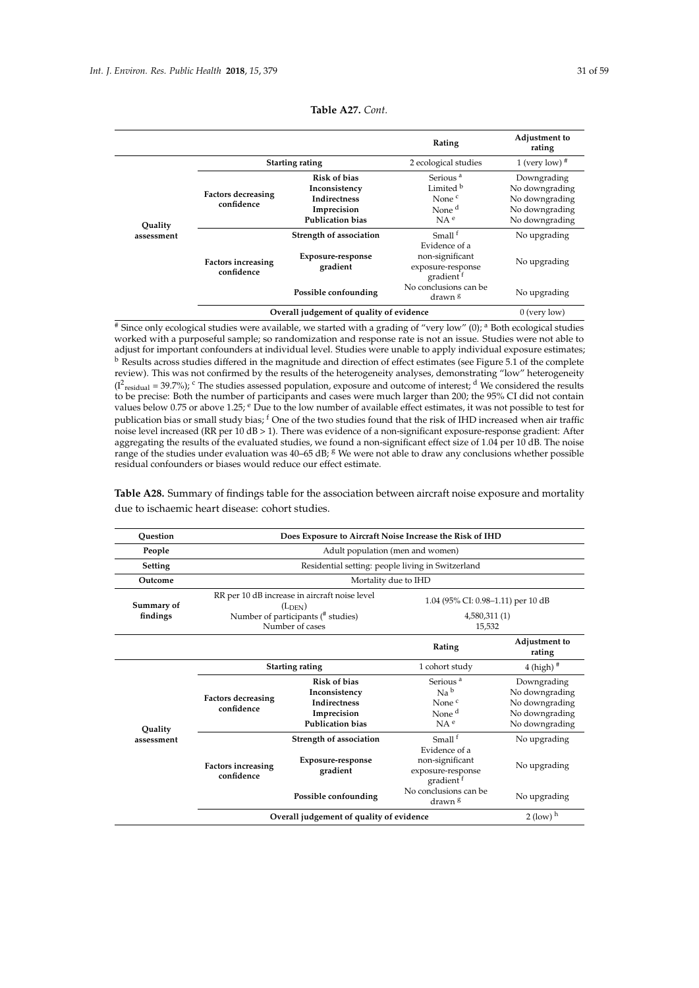|            |                                                     |                                          | Rating                                                        | Adjustment to<br>rating          |
|------------|-----------------------------------------------------|------------------------------------------|---------------------------------------------------------------|----------------------------------|
|            |                                                     | <b>Starting rating</b>                   | 2 ecological studies                                          | 1 (very low) $#$                 |
|            | <b>Factors decreasing</b><br>confidence             | <b>Risk of bias</b><br>Inconsistency     | Serious <sup>a</sup><br>Limited <sup>b</sup>                  | Downgrading<br>No downgrading    |
|            |                                                     | <b>Indirectness</b>                      | None $c$<br>None <sup>d</sup>                                 | No downgrading                   |
| Quality    |                                                     | Imprecision<br><b>Publication bias</b>   | NA <sup>e</sup>                                               | No downgrading<br>No downgrading |
| assessment | <b>Factors increasing</b><br>gradient<br>confidence | Strength of association                  | Small <sup>f</sup><br>Evidence of a                           | No upgrading                     |
|            |                                                     | Exposure-response                        | non-significant<br>exposure-response<br>gradient <sup>†</sup> | No upgrading                     |
|            |                                                     | Possible confounding                     | No conclusions can be<br>drawn <sup>g</sup>                   | No upgrading                     |
|            |                                                     | Overall judgement of quality of evidence |                                                               | $0$ (very low)                   |

**Table A27.** *Cont.*

# Since only ecological studies were available, we started with a grading of "very low" (0); <sup>a</sup> Both ecological studies worked with a purposeful sample; so randomization and response rate is not an issue. Studies were not able to adjust for important confounders at individual level. Studies were unable to apply individual exposure estimates; b Results across studies differed in the magnitude and direction of effect estimates (see Figure 5.1 of the complete review). This was not confirmed by the results of the heterogeneity analyses, demonstrating "low" heterogeneity  $(I<sup>2</sup>$ <sub>residual</sub> = 39.7%); <sup>c</sup> The studies assessed population, exposure and outcome of interest; <sup>d</sup> We considered the results to be precise: Both the number of participants and cases were much larger than 200; the 95% CI did not contain values below 0.75 or above 1.25; <sup>e</sup> Due to the low number of available effect estimates, it was not possible to test for publication bias or small study bias; <sup>f</sup> One of the two studies found that the risk of IHD increased when air traffic noise level increased (RR per 10 dB > 1). There was evidence of a non-significant exposure-response gradient: After aggregating the results of the evaluated studies, we found a non-significant effect size of 1.04 per 10 dB. The noise range of the studies under evaluation was 40–65 dB; <sup>g</sup> We were not able to draw any conclusions whether possible residual confounders or biases would reduce our effect estimate.

**Table A28.** Summary of findings table for the association between aircraft noise exposure and mortality due to ischaemic heart disease: cohort studies.

| Ouestion   | Does Exposure to Aircraft Noise Increase the Risk of IHD |                                                                                                       |                                                                                             |                                                                                     |  |  |
|------------|----------------------------------------------------------|-------------------------------------------------------------------------------------------------------|---------------------------------------------------------------------------------------------|-------------------------------------------------------------------------------------|--|--|
| People     |                                                          | Adult population (men and women)                                                                      |                                                                                             |                                                                                     |  |  |
| Setting    | Residential setting: people living in Switzerland        |                                                                                                       |                                                                                             |                                                                                     |  |  |
| Outcome    | Mortality due to IHD                                     |                                                                                                       |                                                                                             |                                                                                     |  |  |
| Summary of |                                                          | RR per 10 dB increase in aircraft noise level<br>(L <sub>DEN</sub> )                                  | 1.04 (95% CI: 0.98-1.11) per 10 dB                                                          |                                                                                     |  |  |
| findings   |                                                          | Number of participants $(*$ studies)<br>Number of cases                                               | 4,580,311(1)<br>15,532                                                                      |                                                                                     |  |  |
|            |                                                          |                                                                                                       | Rating                                                                                      | <b>Adjustment to</b><br>rating                                                      |  |  |
|            | <b>Starting rating</b>                                   |                                                                                                       | 1 cohort study                                                                              | $4$ (high) $#$                                                                      |  |  |
| Ouality    | <b>Factors decreasing</b><br>confidence                  | <b>Risk of bias</b><br>Inconsistency<br><b>Indirectness</b><br>Imprecision<br><b>Publication bias</b> | Serious <sup>a</sup><br>Na <sup>b</sup><br>None <sup>c</sup><br>None <sup>d</sup><br>$NA^e$ | Downgrading<br>No downgrading<br>No downgrading<br>No downgrading<br>No downgrading |  |  |
| assessment | <b>Factors increasing</b><br>confidence                  | Strength of association<br>Exposure-response<br>gradient                                              | Small $f$<br>Evidence of a<br>non-significant<br>exposure-response<br>gradient <sup>f</sup> | No upgrading<br>No upgrading                                                        |  |  |
|            |                                                          | Possible confounding                                                                                  | No conclusions can be<br>drawn 8                                                            | No upgrading                                                                        |  |  |
|            | Overall judgement of quality of evidence                 |                                                                                                       |                                                                                             | $2$ (low) $^h$                                                                      |  |  |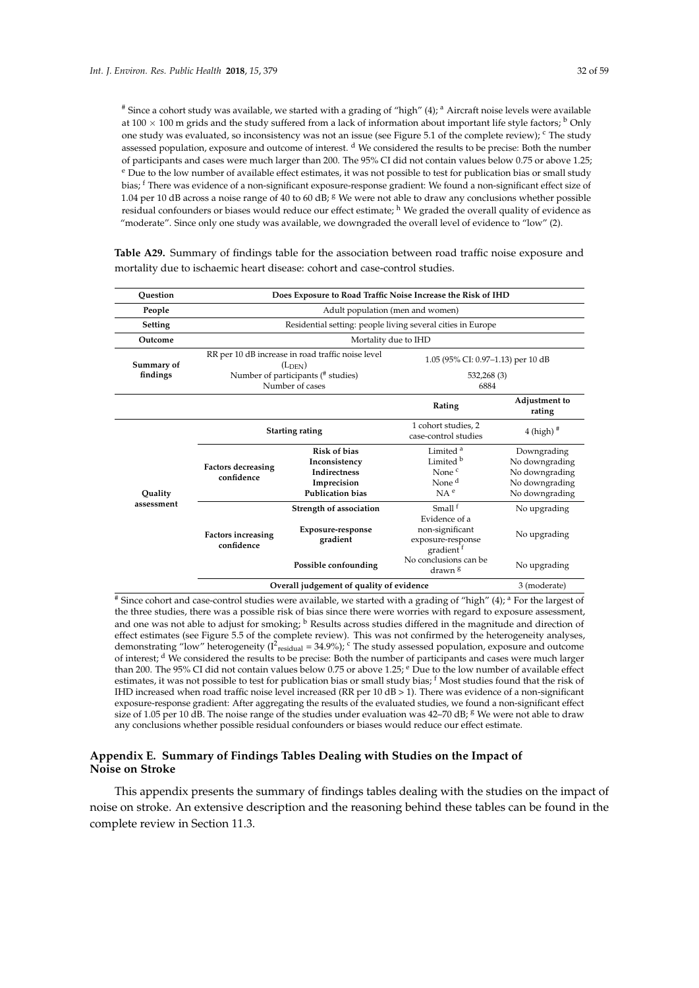# Since a cohort study was available, we started with a grading of "high" (4); <sup>a</sup> Aircraft noise levels were available at 100  $\times$  100 m grids and the study suffered from a lack of information about important life style factors; <sup>b</sup> Only one study was evaluated, so inconsistency was not an issue (see Figure 5.1 of the complete review);  $\epsilon$  The study assessed population, exposure and outcome of interest. <sup>d</sup> We considered the results to be precise: Both the number of participants and cases were much larger than 200. The 95% CI did not contain values below 0.75 or above 1.25; <sup>e</sup> Due to the low number of available effect estimates, it was not possible to test for publication bias or small study bias; <sup>f</sup> There was evidence of a non-significant exposure-response gradient: We found a non-significant effect size of 1.04 per 10 dB across a noise range of 40 to 60 dB; <sup>g</sup> We were not able to draw any conclusions whether possible residual confounders or biases would reduce our effect estimate; <sup>h</sup> We graded the overall quality of evidence as "moderate". Since only one study was available, we downgraded the overall level of evidence to "low" (2).

**Table A29.** Summary of findings table for the association between road traffic noise exposure and mortality due to ischaemic heart disease: cohort and case-control studies.

| Question   | Does Exposure to Road Traffic Noise Increase the Risk of IHD |                                                                         |                                                                                |                         |  |  |
|------------|--------------------------------------------------------------|-------------------------------------------------------------------------|--------------------------------------------------------------------------------|-------------------------|--|--|
| People     | Adult population (men and women)                             |                                                                         |                                                                                |                         |  |  |
| Setting    |                                                              | Residential setting: people living several cities in Europe             |                                                                                |                         |  |  |
| Outcome    |                                                              | Mortality due to IHD                                                    |                                                                                |                         |  |  |
| Summary of |                                                              | RR per 10 dB increase in road traffic noise level<br>$(L_{\text{DEN}})$ | 1.05 (95% CI: 0.97–1.13) per 10 dB                                             |                         |  |  |
| findings   |                                                              | Number of participants (# studies)<br>Number of cases                   | 532,268 (3)<br>6884                                                            |                         |  |  |
|            |                                                              |                                                                         | Rating                                                                         | Adjustment to<br>rating |  |  |
|            | <b>Starting rating</b>                                       |                                                                         | 1 cohort studies, 2<br>case-control studies                                    | $4$ (high) $#$          |  |  |
|            | <b>Factors decreasing</b><br>confidence                      | <b>Risk of bias</b>                                                     | Limited <sup>a</sup>                                                           | Downgrading             |  |  |
|            |                                                              | Inconsistency                                                           | Limited <sup>b</sup>                                                           | No downgrading          |  |  |
|            |                                                              | <b>Indirectness</b>                                                     | None <sup>c</sup>                                                              | No downgrading          |  |  |
|            |                                                              | Imprecision                                                             | None <sup>d</sup>                                                              | No downgrading          |  |  |
| Quality    |                                                              | <b>Publication bias</b>                                                 | $NA^e$                                                                         | No downgrading          |  |  |
| assessment |                                                              | Strength of association                                                 | Small f                                                                        | No upgrading            |  |  |
|            | <b>Factors increasing</b><br>confidence                      | Exposure-response<br>gradient                                           | Evidence of a<br>non-significant<br>exposure-response<br>gradient <sup>f</sup> | No upgrading            |  |  |
|            |                                                              | Possible confounding                                                    | No conclusions can be<br>drawn <sup>g</sup>                                    | No upgrading            |  |  |
|            | Overall judgement of quality of evidence                     |                                                                         |                                                                                | 3 (moderate)            |  |  |

# Since cohort and case-control studies were available, we started with a grading of "high" (4); <sup>a</sup> For the largest of the three studies, there was a possible risk of bias since there were worries with regard to exposure assessment, and one was not able to adjust for smoking;  $\frac{b}{b}$  Results across studies differed in the magnitude and direction of effect estimates (see Figure 5.5 of the complete review). This was not confirmed by the heterogeneity analyses, demonstrating "low" heterogeneity ( $I^2$ <sub>residual</sub> = 34.9%);  $\epsilon$  The study assessed population, exposure and outcome of interest; <sup>d</sup> We considered the results to be precise: Both the number of participants and cases were much larger than 200. The 95% CI did not contain values below 0.75 or above 1.25; <sup>e</sup> Due to the low number of available effect estimates, it was not possible to test for publication bias or small study bias; <sup>f</sup> Most studies found that the risk of IHD increased when road traffic noise level increased (RR per 10 dB > 1). There was evidence of a non-significant exposure-response gradient: After aggregating the results of the evaluated studies, we found a non-significant effect size of 1.05 per 10 dB. The noise range of the studies under evaluation was  $42-70$  dB; <sup>g</sup> We were not able to draw any conclusions whether possible residual confounders or biases would reduce our effect estimate.

# <span id="page-31-0"></span>**Appendix E. Summary of Findings Tables Dealing with Studies on the Impact of Noise on Stroke**

This appendix presents the summary of findings tables dealing with the studies on the impact of noise on stroke. An extensive description and the reasoning behind these tables can be found in the complete review in Section 11.3.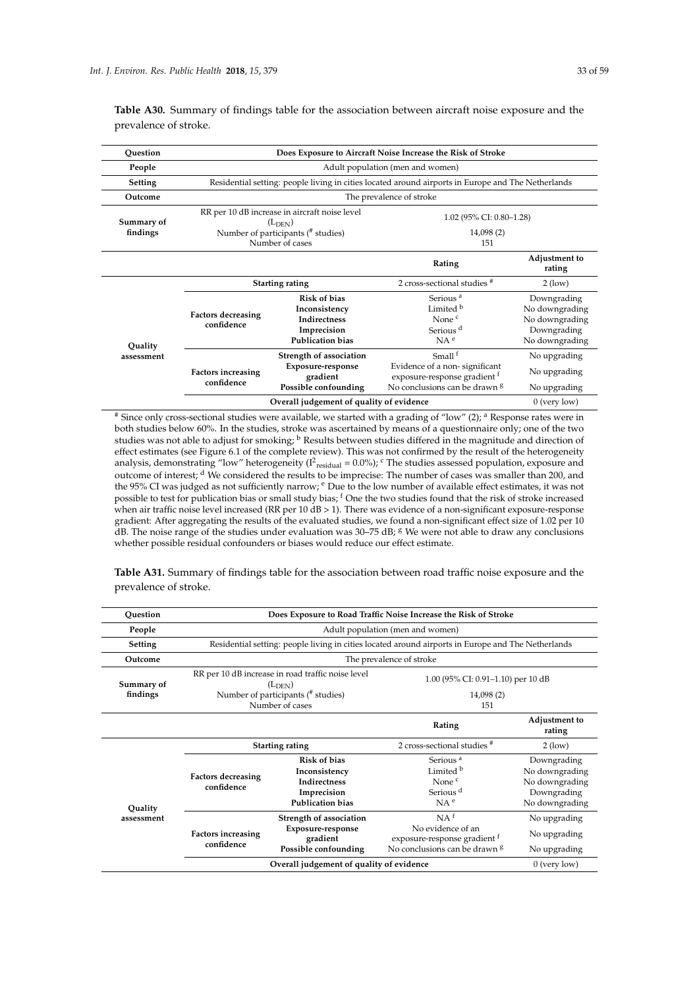**Table A30.** Summary of findings table for the association between aircraft noise exposure and the prevalence of stroke.

| Ouestion   | Does Exposure to Aircraft Noise Increase the Risk of Stroke |                                                                                                    |                                                                                                                      |                                                                                  |  |  |
|------------|-------------------------------------------------------------|----------------------------------------------------------------------------------------------------|----------------------------------------------------------------------------------------------------------------------|----------------------------------------------------------------------------------|--|--|
| People     | Adult population (men and women)                            |                                                                                                    |                                                                                                                      |                                                                                  |  |  |
| Setting    |                                                             | Residential setting: people living in cities located around airports in Europe and The Netherlands |                                                                                                                      |                                                                                  |  |  |
| Outcome    | The prevalence of stroke                                    |                                                                                                    |                                                                                                                      |                                                                                  |  |  |
| Summary of |                                                             | RR per 10 dB increase in aircraft noise level<br>$(L_{\text{DEN}})$                                | 1.02 (95% CI: 0.80-1.28)                                                                                             |                                                                                  |  |  |
| findings   | Number of participants (# studies)<br>Number of cases       |                                                                                                    | 14,098 (2)<br>151                                                                                                    |                                                                                  |  |  |
|            |                                                             |                                                                                                    | Rating                                                                                                               | Adjustment to<br>rating                                                          |  |  |
|            |                                                             | <b>Starting rating</b>                                                                             | 2 cross-sectional studies #                                                                                          | $2$ (low)                                                                        |  |  |
| Quality    | <b>Factors decreasing</b><br>confidence                     | Risk of bias<br>Inconsistency<br>Indirectness<br>Imprecision<br><b>Publication bias</b>            | Serious <sup>a</sup><br>Limited <sup>b</sup><br>None $\degree$<br>Serious <sup>d</sup><br>NA <sup>e</sup>            | Downgrading<br>No downgrading<br>No downgrading<br>Downgrading<br>No downgrading |  |  |
| assessment | <b>Factors increasing</b><br>confidence                     | Strength of association<br>Exposure-response<br>gradient<br>Possible confounding                   | Small f<br>Evidence of a non-significant<br>exposure-response gradient f<br>No conclusions can be drawn <sup>g</sup> | No upgrading<br>No upgrading<br>No upgrading                                     |  |  |
|            | Overall judgement of quality of evidence                    |                                                                                                    |                                                                                                                      | $0$ (very low)                                                                   |  |  |

# Since only cross-sectional studies were available, we started with a grading of "low" (2); <sup>a</sup> Response rates were in both studies below 60%. In the studies, stroke was ascertained by means of a questionnaire only; one of the two studies was not able to adjust for smoking; <sup>b</sup> Results between studies differed in the magnitude and direction of effect estimates (see Figure 6.1 of the complete review). This was not confirmed by the result of the heterogeneity analysis, demonstrating "low" heterogeneity ( $l^2$ <sub>residual</sub> = 0.0%);  $\textdegree$  The studies assessed population, exposure and outcome of interest; <sup>d</sup> We considered the results to be imprecise: The number of cases was smaller than 200, and the 95% CI was judged as not sufficiently narrow; <sup>e</sup> Due to the low number of available effect estimates, it was not possible to test for publication bias or small study bias; <sup>f</sup> One the two studies found that the risk of stroke increased when air traffic noise level increased (RR per  $10$  dB  $> 1$ ). There was evidence of a non-significant exposure-response gradient: After aggregating the results of the evaluated studies, we found a non-significant effect size of 1.02 per 10  $dB$ . The noise range of the studies under evaluation was 30–75 dB;  $\frac{g}{g}$  We were not able to draw any conclusions whether possible residual confounders or biases would reduce our effect estimate.

**Table A31.** Summary of findings table for the association between road traffic noise exposure and the prevalence of stroke.

| Ouestion   | Does Exposure to Road Traffic Noise Increase the Risk of Stroke                                    |                                                                                                |                                                                                                                             |                                                                                  |  |
|------------|----------------------------------------------------------------------------------------------------|------------------------------------------------------------------------------------------------|-----------------------------------------------------------------------------------------------------------------------------|----------------------------------------------------------------------------------|--|
| People     | Adult population (men and women)                                                                   |                                                                                                |                                                                                                                             |                                                                                  |  |
| Setting    | Residential setting: people living in cities located around airports in Europe and The Netherlands |                                                                                                |                                                                                                                             |                                                                                  |  |
| Outcome    | The prevalence of stroke                                                                           |                                                                                                |                                                                                                                             |                                                                                  |  |
| Summary of |                                                                                                    | RR per 10 dB increase in road traffic noise level<br>$(L_{DEN})$                               | $1.00$ (95% CI: 0.91–1.10) per 10 dB                                                                                        |                                                                                  |  |
| findings   | Number of participants $(*$ studies)<br>Number of cases                                            |                                                                                                | 14,098 (2)<br>151                                                                                                           |                                                                                  |  |
|            |                                                                                                    |                                                                                                | Rating                                                                                                                      | <b>Adjustment to</b><br>rating                                                   |  |
|            | <b>Starting rating</b>                                                                             |                                                                                                | 2 cross-sectional studies #                                                                                                 | $2$ (low)                                                                        |  |
| Quality    | <b>Factors decreasing</b><br>confidence                                                            | <b>Risk of bias</b><br>Inconsistency<br>Indirectness<br>Imprecision<br><b>Publication bias</b> | Serious <sup>a</sup><br>Limited <sup>b</sup><br>None <sup>c</sup><br>Serious <sup>d</sup><br>$NA^e$                         | Downgrading<br>No downgrading<br>No downgrading<br>Downgrading<br>No downgrading |  |
| assessment | <b>Factors increasing</b><br>confidence                                                            | Strength of association<br>Exposure-response<br>gradient<br>Possible confounding               | NA <sup>f</sup><br>No evidence of an<br>exposure-response gradient <sup>†</sup><br>No conclusions can be drawn <sup>g</sup> | No upgrading<br>No upgrading<br>No upgrading                                     |  |
|            | Overall judgement of quality of evidence                                                           |                                                                                                |                                                                                                                             | $0$ (very low)                                                                   |  |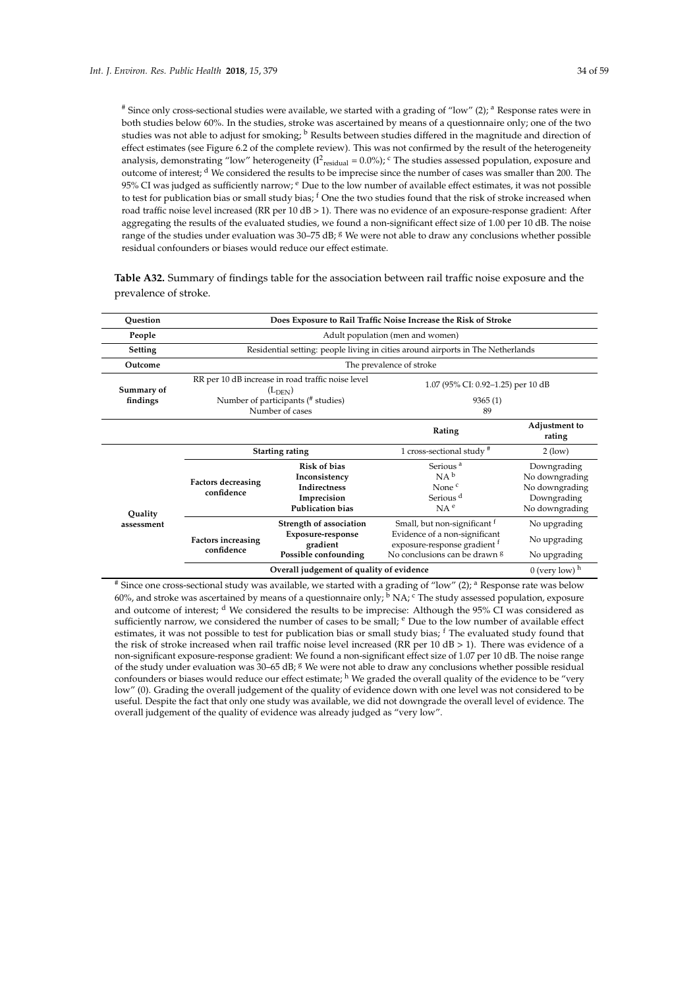# Since only cross-sectional studies were available, we started with a grading of "low" (2); <sup>a</sup> Response rates were in both studies below 60%. In the studies, stroke was ascertained by means of a questionnaire only; one of the two studies was not able to adjust for smoking; <sup>b</sup> Results between studies differed in the magnitude and direction of effect estimates (see Figure 6.2 of the complete review). This was not confirmed by the result of the heterogeneity analysis, demonstrating "low" heterogeneity ( $I^2$ <sub>residual</sub> = 0.0%);  $\circ$  The studies assessed population, exposure and outcome of interest; <sup>d</sup> We considered the results to be imprecise since the number of cases was smaller than 200. The 95% CI was judged as sufficiently narrow;  $e$  Due to the low number of available effect estimates, it was not possible to test for publication bias or small study bias; <sup>f</sup> One the two studies found that the risk of stroke increased when road traffic noise level increased (RR per 10 dB > 1). There was no evidence of an exposure-response gradient: After aggregating the results of the evaluated studies, we found a non-significant effect size of 1.00 per 10 dB. The noise range of the studies under evaluation was  $30-75$  dB;  $8$  We were not able to draw any conclusions whether possible residual confounders or biases would reduce our effect estimate.

**Table A32.** Summary of findings table for the association between rail traffic noise exposure and the prevalence of stroke.

| Ouestion   | Does Exposure to Rail Traffic Noise Increase the Risk of Stroke |                                                                                                |                                                                                                                                           |                                                                                  |
|------------|-----------------------------------------------------------------|------------------------------------------------------------------------------------------------|-------------------------------------------------------------------------------------------------------------------------------------------|----------------------------------------------------------------------------------|
| People     | Adult population (men and women)                                |                                                                                                |                                                                                                                                           |                                                                                  |
| Setting    |                                                                 |                                                                                                | Residential setting: people living in cities around airports in The Netherlands                                                           |                                                                                  |
| Outcome    | The prevalence of stroke                                        |                                                                                                |                                                                                                                                           |                                                                                  |
| Summary of |                                                                 | RR per 10 dB increase in road traffic noise level<br>$(L_{\text{DEN}})$                        | 1.07 (95% CI: 0.92–1.25) per 10 dB                                                                                                        |                                                                                  |
| findings   | Number of participants $(*$ studies)<br>Number of cases         |                                                                                                | 9365(1)<br>89                                                                                                                             |                                                                                  |
|            |                                                                 |                                                                                                | Rating                                                                                                                                    | Adjustment to<br>rating                                                          |
|            | <b>Starting rating</b>                                          |                                                                                                | 1 cross-sectional study #                                                                                                                 | $2$ (low)                                                                        |
| Quality    | <b>Factors decreasing</b><br>confidence                         | Risk of bias<br>Inconsistency<br><b>Indirectness</b><br>Imprecision<br><b>Publication bias</b> | Serious <sup>a</sup><br>$NA^b$<br>None $c$<br>Serious <sup>d</sup><br>NA <sup>e</sup>                                                     | Downgrading<br>No downgrading<br>No downgrading<br>Downgrading<br>No downgrading |
| assessment | <b>Factors increasing</b><br>confidence                         | Strength of association<br>Exposure-response<br>gradient<br>Possible confounding               | Small, but non-significant f<br>Evidence of a non-significant<br>exposure-response gradient f<br>No conclusions can be drawn <sup>g</sup> | No upgrading<br>No upgrading<br>No upgrading                                     |
|            | Overall judgement of quality of evidence                        |                                                                                                |                                                                                                                                           | $0$ (very low) $^h$                                                              |

# Since one cross-sectional study was available, we started with a grading of "low" (2); <sup>a</sup> Response rate was below 60%, and stroke was ascertained by means of a questionnaire only;  $\overrightarrow{b}$  NA;  $\overrightarrow{c}$  The study assessed population, exposure and outcome of interest; <sup>d</sup> We considered the results to be imprecise: Although the 95% CI was considered as sufficiently narrow, we considered the number of cases to be small;  $e$  Due to the low number of available effect estimates, it was not possible to test for publication bias or small study bias; <sup>f</sup> The evaluated study found that the risk of stroke increased when rail traffic noise level increased (RR per 10 dB > 1). There was evidence of a non-significant exposure-response gradient: We found a non-significant effect size of 1.07 per 10 dB. The noise range of the study under evaluation was  $30-65$  dB; <sup>g</sup> We were not able to draw any conclusions whether possible residual confounders or biases would reduce our effect estimate; h We graded the overall quality of the evidence to be "very low" (0). Grading the overall judgement of the quality of evidence down with one level was not considered to be useful. Despite the fact that only one study was available, we did not downgrade the overall level of evidence. The overall judgement of the quality of evidence was already judged as "very low".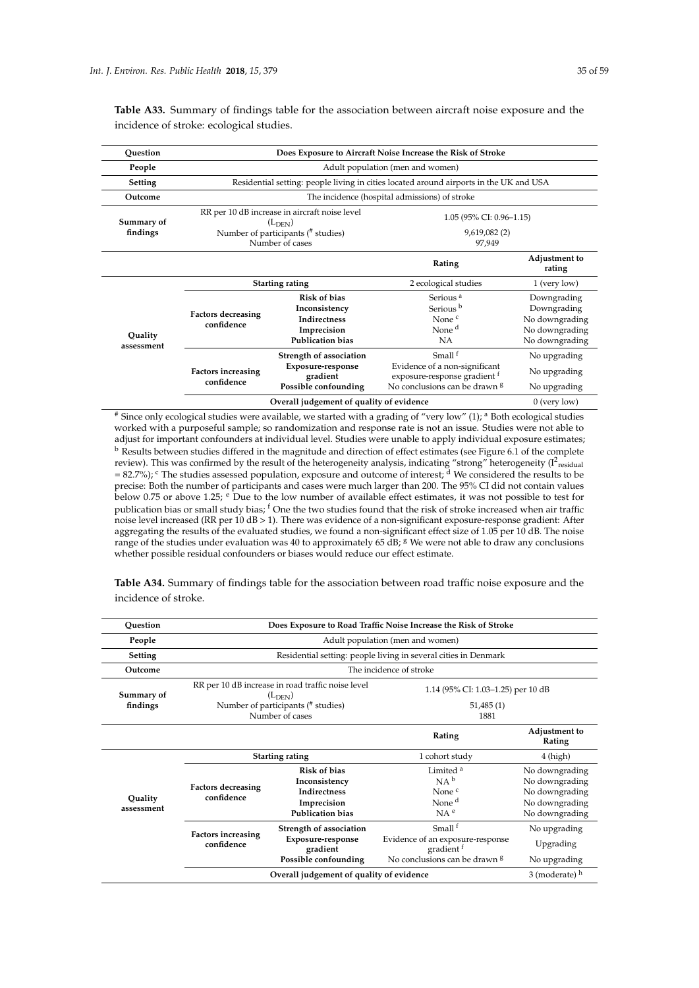| Ouestion              | Does Exposure to Aircraft Noise Increase the Risk of Stroke                            |                                                                                                |                                                                                                                                   |                                                                                  |  |
|-----------------------|----------------------------------------------------------------------------------------|------------------------------------------------------------------------------------------------|-----------------------------------------------------------------------------------------------------------------------------------|----------------------------------------------------------------------------------|--|
| People                | Adult population (men and women)                                                       |                                                                                                |                                                                                                                                   |                                                                                  |  |
| Setting               | Residential setting: people living in cities located around airports in the UK and USA |                                                                                                |                                                                                                                                   |                                                                                  |  |
| Outcome               | The incidence (hospital admissions) of stroke                                          |                                                                                                |                                                                                                                                   |                                                                                  |  |
| Summary of            | RR per 10 dB increase in aircraft noise level<br>$(L_{\text{DEN}})$                    |                                                                                                | $1.05$ (95% CI: 0.96-1.15)                                                                                                        |                                                                                  |  |
| findings              | Number of participants (# studies)<br>Number of cases                                  |                                                                                                | 9,619,082(2)<br>97,949                                                                                                            |                                                                                  |  |
|                       |                                                                                        |                                                                                                | Rating                                                                                                                            | Adjustment to<br>rating                                                          |  |
|                       | <b>Starting rating</b>                                                                 |                                                                                                | 2 ecological studies                                                                                                              | 1 (very low)                                                                     |  |
| Quality<br>assessment | <b>Factors decreasing</b><br>confidence                                                | <b>Risk of bias</b><br>Inconsistency<br>Indirectness<br>Imprecision<br><b>Publication bias</b> | Serious <sup>a</sup><br>Serious <sup>b</sup><br>None $c$<br>None <sup>d</sup><br>NA                                               | Downgrading<br>Downgrading<br>No downgrading<br>No downgrading<br>No downgrading |  |
|                       | <b>Factors increasing</b><br>confidence                                                | Strength of association<br>Exposure-response<br>gradient<br>Possible confounding               | Small $f$<br>Evidence of a non-significant<br>exposure-response gradient <sup>†</sup><br>No conclusions can be drawn <sup>g</sup> | No upgrading<br>No upgrading<br>No upgrading                                     |  |
|                       | Overall judgement of quality of evidence                                               |                                                                                                |                                                                                                                                   | $0$ (very low)                                                                   |  |

**Table A33.** Summary of findings table for the association between aircraft noise exposure and the incidence of stroke: ecological studies.

# Since only ecological studies were available, we started with a grading of "very low" (1); <sup>a</sup> Both ecological studies worked with a purposeful sample; so randomization and response rate is not an issue. Studies were not able to adjust for important confounders at individual level. Studies were unable to apply individual exposure estimates; <sup>b</sup> Results between studies differed in the magnitude and direction of effect estimates (see Figure 6.1 of the complete review). This was confirmed by the result of the heterogeneity analysis, indicating "strong" heterogeneity  $(I^2_{residual} = 82.7\%)$ ; <sup>c</sup> The studies assessed population, exposure and outcome of interest; <sup>d</sup> We considered the re precise: Both the number of participants and cases were much larger than 200. The 95% CI did not contain values below 0.75 or above 1.25;  $e^i$  Due to the low number of available effect estimates, it was not possible to test for publication bias or small study bias; <sup>f</sup> One the two studies found that the risk of stroke increased when air traffic noise level increased (RR per 10 dB > 1). There was evidence of a non-significant exposure-response gradient: After aggregating the results of the evaluated studies, we found a non-significant effect size of 1.05 per 10 dB. The noise range of the studies under evaluation was 40 to approximately 65 dB; <sup>g</sup> We were not able to draw any conclusions whether possible residual confounders or biases would reduce our effect estimate.

**Table A34.** Summary of findings table for the association between road traffic noise exposure and the incidence of stroke.

| Ouestion              | Does Exposure to Road Traffic Noise Increase the Risk of Stroke                                                |                                                                                                       |                                                                                                                    |                                                                                        |  |
|-----------------------|----------------------------------------------------------------------------------------------------------------|-------------------------------------------------------------------------------------------------------|--------------------------------------------------------------------------------------------------------------------|----------------------------------------------------------------------------------------|--|
| People                |                                                                                                                | Adult population (men and women)                                                                      |                                                                                                                    |                                                                                        |  |
| Setting               |                                                                                                                |                                                                                                       | Residential setting: people living in several cities in Denmark                                                    |                                                                                        |  |
| Outcome               |                                                                                                                |                                                                                                       | The incidence of stroke                                                                                            |                                                                                        |  |
| Summary of            | RR per 10 dB increase in road traffic noise level<br>1.14 (95% CI: 1.03–1.25) per 10 dB<br>(L <sub>DEN</sub> ) |                                                                                                       |                                                                                                                    |                                                                                        |  |
| findings              | Number of participants $(*$ studies)<br>Number of cases                                                        |                                                                                                       | 51,485(1)<br>1881                                                                                                  |                                                                                        |  |
|                       |                                                                                                                |                                                                                                       | Rating                                                                                                             | Adjustment to<br>Rating                                                                |  |
|                       | <b>Starting rating</b>                                                                                         |                                                                                                       | 1 cohort study                                                                                                     | $4$ (high)                                                                             |  |
| Quality<br>assessment | <b>Factors decreasing</b><br>confidence                                                                        | <b>Risk of bias</b><br>Inconsistency<br><b>Indirectness</b><br>Imprecision<br><b>Publication bias</b> | Limited <sup>a</sup><br>$NA^b$<br>None $\degree$<br>None <sup>d</sup><br>$NA^e$                                    | No downgrading<br>No downgrading<br>No downgrading<br>No downgrading<br>No downgrading |  |
|                       | <b>Factors increasing</b><br>confidence                                                                        | Strength of association<br>Exposure-response<br>gradient<br>Possible confounding                      | Small $f$<br>Evidence of an exposure-response<br>gradient <sup>t</sup><br>No conclusions can be drawn <sup>g</sup> | No upgrading<br>Upgrading<br>No upgrading                                              |  |
|                       |                                                                                                                | Overall judgement of quality of evidence                                                              |                                                                                                                    |                                                                                        |  |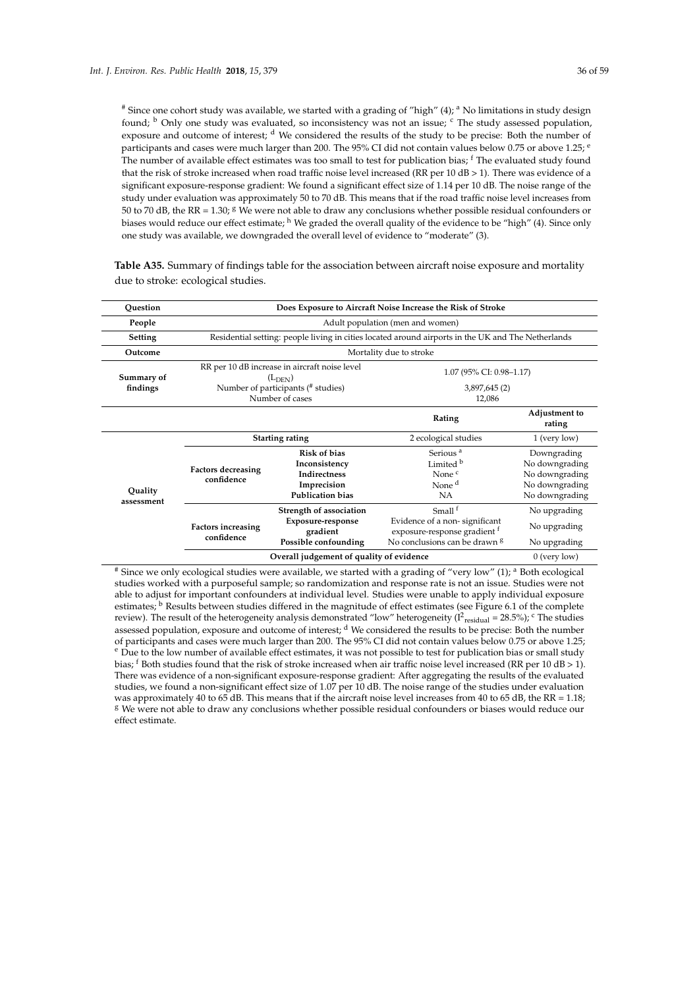# Since one cohort study was available, we started with a grading of "high" (4); <sup>a</sup> No limitations in study design found; <sup>b</sup> Only one study was evaluated, so inconsistency was not an issue; <sup>c</sup> The study assessed population, exposure and outcome of interest;  $d$  We considered the results of the study to be precise: Both the number of participants and cases were much larger than 200. The 95% CI did not contain values below 0.75 or above 1.25; <sup>e</sup> The number of available effect estimates was too small to test for publication bias; <sup>f</sup> The evaluated study found that the risk of stroke increased when road traffic noise level increased (RR per 10 dB > 1). There was evidence of a significant exposure-response gradient: We found a significant effect size of 1.14 per 10 dB. The noise range of the study under evaluation was approximately 50 to 70 dB. This means that if the road traffic noise level increases from 50 to 70 dB, the RR = 1.30;  $\frac{8}{3}$  We were not able to draw any conclusions whether possible residual confounders or biases would reduce our effect estimate; <sup>h</sup> We graded the overall quality of the evidence to be "high" (4). Since only one study was available, we downgraded the overall level of evidence to "moderate" (3).

**Table A35.** Summary of findings table for the association between aircraft noise exposure and mortality due to stroke: ecological studies.

| Ouestion              | Does Exposure to Aircraft Noise Increase the Risk of Stroke                                        |                                                                                                       |                                                                                                                                 |                                                                                     |  |
|-----------------------|----------------------------------------------------------------------------------------------------|-------------------------------------------------------------------------------------------------------|---------------------------------------------------------------------------------------------------------------------------------|-------------------------------------------------------------------------------------|--|
| People                | Adult population (men and women)                                                                   |                                                                                                       |                                                                                                                                 |                                                                                     |  |
| Setting               | Residential setting: people living in cities located around airports in the UK and The Netherlands |                                                                                                       |                                                                                                                                 |                                                                                     |  |
| Outcome               | Mortality due to stroke                                                                            |                                                                                                       |                                                                                                                                 |                                                                                     |  |
| Summary of            | RR per 10 dB increase in aircraft noise level<br>(L <sub>DEN</sub> )                               |                                                                                                       | 1.07 (95% CI: 0.98-1.17)                                                                                                        |                                                                                     |  |
| findings              |                                                                                                    | Number of participants (# studies)<br>3,897,645 (2)<br>Number of cases<br>12,086                      |                                                                                                                                 |                                                                                     |  |
|                       |                                                                                                    |                                                                                                       | Rating                                                                                                                          | <b>Adjustment to</b><br>rating                                                      |  |
|                       | <b>Starting rating</b>                                                                             |                                                                                                       | 2 ecological studies                                                                                                            | 1 (very low)                                                                        |  |
| Quality<br>assessment | <b>Factors decreasing</b><br>confidence                                                            | <b>Risk of bias</b><br>Inconsistency<br><b>Indirectness</b><br>Imprecision<br><b>Publication bias</b> | Serious <sup>a</sup><br>Limited <sup>b</sup><br>None <sup>c</sup><br>None <sup>d</sup><br>NA                                    | Downgrading<br>No downgrading<br>No downgrading<br>No downgrading<br>No downgrading |  |
|                       | <b>Factors increasing</b><br>confidence                                                            | Strength of association<br>Exposure-response<br>gradient<br>Possible confounding                      | Small f<br>Evidence of a non-significant<br>exposure-response gradient <sup>†</sup><br>No conclusions can be drawn <sup>g</sup> | No upgrading<br>No upgrading<br>No upgrading                                        |  |
|                       | Overall judgement of quality of evidence                                                           |                                                                                                       |                                                                                                                                 | $0$ (very low)                                                                      |  |

 $*$  Since we only ecological studies were available, we started with a grading of "very low" (1);  $*$  Both ecological studies worked with a purposeful sample; so randomization and response rate is not an issue. Studies were not able to adjust for important confounders at individual level. Studies were unable to apply individual exposure estimates; <sup>b</sup> Results between studies differed in the magnitude of effect estimates (see Figure 6.1 of the complete review). The result of the heterogeneity analysis demonstrated "low" heterogeneity  $(I^2_{residual} = 28.5\%)$ ;  $c$  The studies assessed population, exposure and outcome of interest; <sup>d</sup> We considered the results to be precise: Both the number of participants and cases were much larger than 200. The 95% CI did not contain values below 0.75 or above 1.25; <sup>e</sup> Due to the low number of available effect estimates, it was not possible to test for publication bias or small study bias; <sup>f</sup> Both studies found that the risk of stroke increased when air traffic noise level increased (RR per 10 dB > 1). There was evidence of a non-significant exposure-response gradient: After aggregating the results of the evaluated studies, we found a non-significant effect size of 1.07 per 10 dB. The noise range of the studies under evaluation was approximately 40 to 65 dB. This means that if the aircraft noise level increases from 40 to 65 dB, the  $RR = 1.18$ ; <sup>g</sup> We were not able to draw any conclusions whether possible residual confounders or biases would reduce our effect estimate.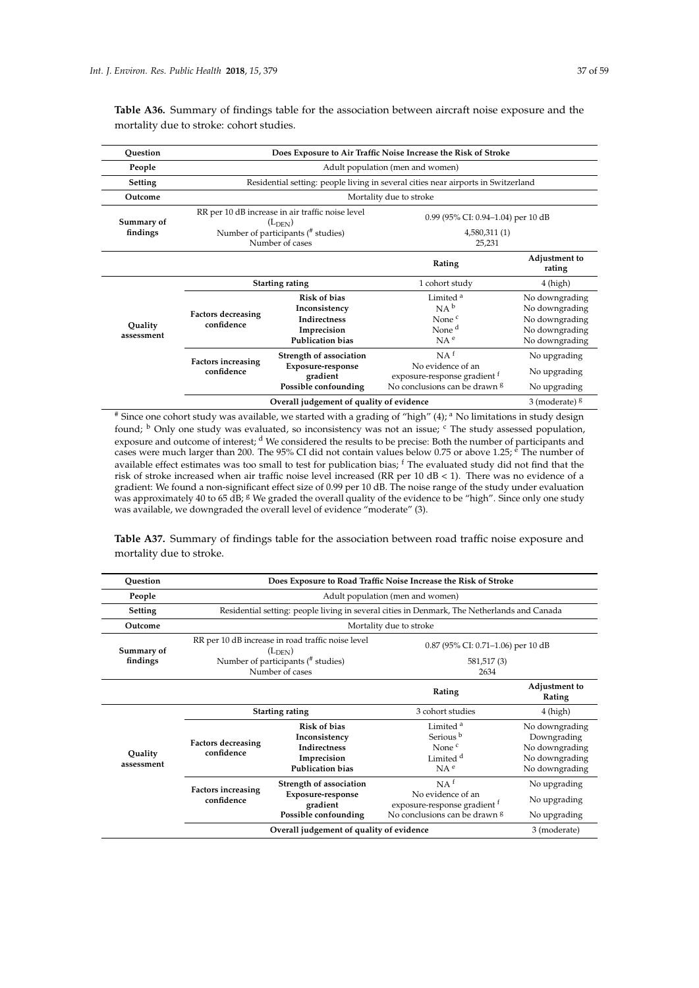| Ouestion              | Does Exposure to Air Traffic Noise Increase the Risk of Stroke                    |                                                                                                                           |                                                                                                                |                                                                                                        |
|-----------------------|-----------------------------------------------------------------------------------|---------------------------------------------------------------------------------------------------------------------------|----------------------------------------------------------------------------------------------------------------|--------------------------------------------------------------------------------------------------------|
| People                | Adult population (men and women)                                                  |                                                                                                                           |                                                                                                                |                                                                                                        |
| Setting               | Residential setting: people living in several cities near airports in Switzerland |                                                                                                                           |                                                                                                                |                                                                                                        |
| Outcome               | Mortality due to stroke                                                           |                                                                                                                           |                                                                                                                |                                                                                                        |
| Summary of            |                                                                                   | RR per 10 dB increase in air traffic noise level<br>$(L_{\text{DEN}})$                                                    | $0.99$ (95% CI: 0.94–1.04) per 10 dB                                                                           |                                                                                                        |
| findings              | Number of participants $(*$ studies)<br>Number of cases                           |                                                                                                                           | 4,580,311 (1)<br>25,231                                                                                        |                                                                                                        |
|                       |                                                                                   |                                                                                                                           | Rating                                                                                                         | Adjustment to<br>rating                                                                                |
|                       | <b>Starting rating</b>                                                            |                                                                                                                           | 1 cohort study                                                                                                 | $4$ (high)                                                                                             |
| Quality<br>assessment | <b>Factors decreasing</b><br>confidence                                           | <b>Risk of bias</b><br>Inconsistency<br>Indirectness<br>Imprecision<br><b>Publication bias</b><br>Strength of association | Limited <sup>a</sup><br>$NA^b$<br>None <sup>c</sup><br>None <sup>d</sup><br>NA <sup>e</sup><br>NA <sup>f</sup> | No downgrading<br>No downgrading<br>No downgrading<br>No downgrading<br>No downgrading<br>No upgrading |
|                       | <b>Factors increasing</b><br>confidence<br>gradient                               | Exposure-response<br>Possible confounding                                                                                 | No evidence of an<br>exposure-response gradient <sup>†</sup><br>No conclusions can be drawn <sup>g</sup>       | No upgrading<br>No upgrading                                                                           |
|                       |                                                                                   | Overall judgement of quality of evidence                                                                                  |                                                                                                                | 3 (moderate) 8                                                                                         |

**Table A36.** Summary of findings table for the association between aircraft noise exposure and the mortality due to stroke: cohort studies.

# Since one cohort study was available, we started with a grading of "high" (4); <sup>a</sup> No limitations in study design found; <sup>b</sup> Only one study was evaluated, so inconsistency was not an issue; <sup>c</sup> The study assessed population, exposure and outcome of interest; <sup>d</sup> We considered the results to be precise: Both the number of participants and cases were much larger than 200. The 95% CI did not contain values below 0.75 or above 1.25; <sup>e</sup> The number of available effect estimates was too small to test for publication bias; <sup>f</sup> The evaluated study did not find that the risk of stroke increased when air traffic noise level increased (RR per 10 dB < 1). There was no evidence of a gradient: We found a non-significant effect size of 0.99 per 10 dB. The noise range of the study under evaluation was approximately 40 to 65 dB;  $\frac{8}{3}$  We graded the overall quality of the evidence to be "high". Since only one study was available, we downgraded the overall level of evidence "moderate" (3).

**Table A37.** Summary of findings table for the association between road traffic noise exposure and mortality due to stroke.

| Ouestion              | Does Exposure to Road Traffic Noise Increase the Risk of Stroke                             |                                                                                                |                                                                                                                  |                                                                                     |
|-----------------------|---------------------------------------------------------------------------------------------|------------------------------------------------------------------------------------------------|------------------------------------------------------------------------------------------------------------------|-------------------------------------------------------------------------------------|
| People                | Adult population (men and women)                                                            |                                                                                                |                                                                                                                  |                                                                                     |
| Setting               | Residential setting: people living in several cities in Denmark, The Netherlands and Canada |                                                                                                |                                                                                                                  |                                                                                     |
| Outcome               | Mortality due to stroke                                                                     |                                                                                                |                                                                                                                  |                                                                                     |
| Summary of            |                                                                                             | RR per 10 dB increase in road traffic noise level<br>(L <sub>DEN</sub> )                       | $0.87$ (95% CI: 0.71–1.06) per 10 dB                                                                             |                                                                                     |
| findings              | Number of participants $(*$ studies)<br>Number of cases                                     |                                                                                                | 581,517(3)<br>2634                                                                                               |                                                                                     |
|                       |                                                                                             |                                                                                                | Rating                                                                                                           | Adjustment to<br>Rating                                                             |
|                       |                                                                                             | <b>Starting rating</b>                                                                         | 3 cohort studies                                                                                                 | $4$ (high)                                                                          |
| Quality<br>assessment | <b>Factors decreasing</b><br>confidence                                                     | Risk of bias<br>Inconsistency<br><b>Indirectness</b><br>Imprecision<br><b>Publication bias</b> | Limited <sup>a</sup><br>Serious <sup>b</sup><br>None <sup>c</sup><br>Limited <sup>d</sup><br>$NA^e$              | No downgrading<br>Downgrading<br>No downgrading<br>No downgrading<br>No downgrading |
|                       | <b>Factors increasing</b><br>confidence                                                     | Strength of association<br>Exposure-response<br>gradient<br>Possible confounding               | NA <sup>f</sup><br>No evidence of an<br>exposure-response gradient f<br>No conclusions can be drawn <sup>g</sup> | No upgrading<br>No upgrading<br>No upgrading                                        |
|                       |                                                                                             | Overall judgement of quality of evidence                                                       |                                                                                                                  | 3 (moderate)                                                                        |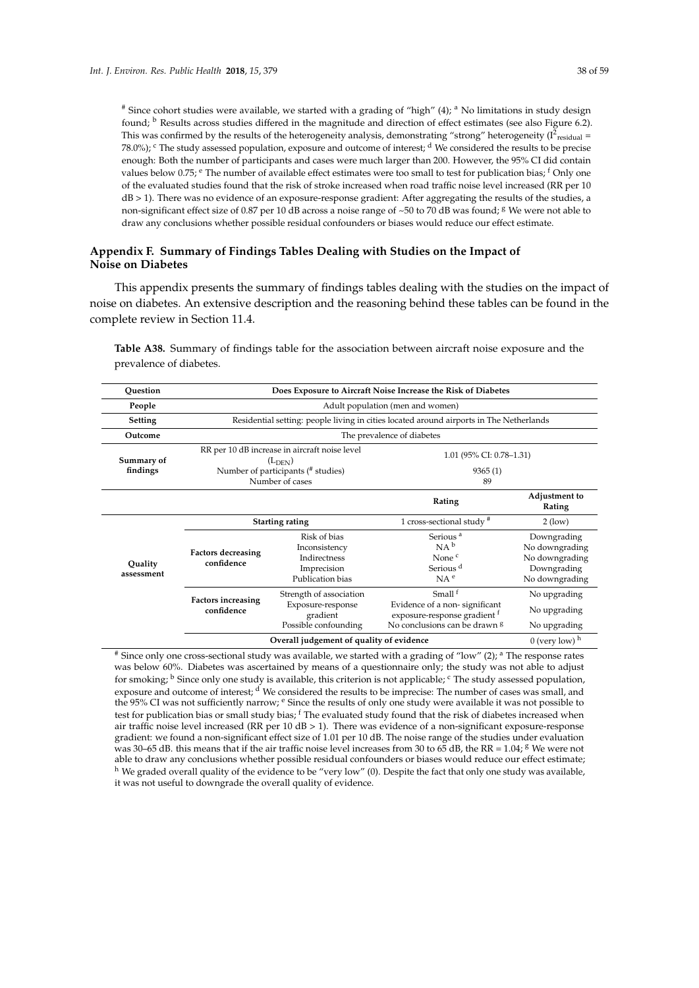# Since cohort studies were available, we started with a grading of "high" (4); <sup>a</sup> No limitations in study design found;  $\frac{b}{c}$  Results across studies differed in the magnitude and direction of effect estimates (see also Figure 6.2). This was confirmed by the results of the heterogeneity analysis, demonstrating "strong" heterogeneity  $(I<sup>2</sup>_{residual} =$  $78.0\%)$ ; <sup>c</sup> The study assessed population, exposure and outcome of interest; <sup>d</sup> We considered the results to be precise enough: Both the number of participants and cases were much larger than 200. However, the 95% CI did contain values below 0.75; <sup>e</sup> The number of available effect estimates were too small to test for publication bias; <sup>f</sup> Only one of the evaluated studies found that the risk of stroke increased when road traffic noise level increased (RR per 10 dB > 1). There was no evidence of an exposure-response gradient: After aggregating the results of the studies, a non-significant effect size of 0.87 per 10 dB across a noise range of ~50 to 70 dB was found; <sup>g</sup> We were not able to draw any conclusions whether possible residual confounders or biases would reduce our effect estimate.

# <span id="page-37-0"></span>**Appendix F. Summary of Findings Tables Dealing with Studies on the Impact of Noise on Diabetes**

This appendix presents the summary of findings tables dealing with the studies on the impact of noise on diabetes. An extensive description and the reasoning behind these tables can be found in the complete review in Section 11.4.

**Table A38.** Summary of findings table for the association between aircraft noise exposure and the prevalence of diabetes.

| Ouestion              | Does Exposure to Aircraft Noise Increase the Risk of Diabetes                           |                                                                                  |                                                                                                                        |                                                                                  |
|-----------------------|-----------------------------------------------------------------------------------------|----------------------------------------------------------------------------------|------------------------------------------------------------------------------------------------------------------------|----------------------------------------------------------------------------------|
| People                | Adult population (men and women)                                                        |                                                                                  |                                                                                                                        |                                                                                  |
| Setting               | Residential setting: people living in cities located around airports in The Netherlands |                                                                                  |                                                                                                                        |                                                                                  |
| Outcome               | The prevalence of diabetes                                                              |                                                                                  |                                                                                                                        |                                                                                  |
| Summary of            | RR per 10 dB increase in aircraft noise level<br>$(L_{\text{DEN}})$                     |                                                                                  | $1.01$ (95% CI: 0.78-1.31)                                                                                             |                                                                                  |
| findings              | Number of participants (# studies)<br>Number of cases                                   |                                                                                  | 9365(1)<br>89                                                                                                          |                                                                                  |
|                       |                                                                                         |                                                                                  | Rating                                                                                                                 | Adjustment to<br>Rating                                                          |
|                       | <b>Starting rating</b>                                                                  |                                                                                  | 1 cross-sectional study #                                                                                              | $2$ (low)                                                                        |
| Quality<br>assessment | <b>Factors decreasing</b><br>confidence                                                 | Risk of bias<br>Inconsistency<br>Indirectness<br>Imprecision<br>Publication bias | Serious <sup>a</sup><br>$NA^b$<br>None $\degree$<br>Serious <sup>d</sup><br>$NA^e$                                     | Downgrading<br>No downgrading<br>No downgrading<br>Downgrading<br>No downgrading |
|                       | <b>Factors increasing</b><br>confidence                                                 | Strength of association<br>Exposure-response<br>gradient<br>Possible confounding | Small $f$<br>Evidence of a non-significant<br>exposure-response gradient f<br>No conclusions can be drawn <sup>g</sup> | No upgrading<br>No upgrading<br>No upgrading                                     |
|                       | Overall judgement of quality of evidence                                                |                                                                                  |                                                                                                                        |                                                                                  |

 $*$  Since only one cross-sectional study was available, we started with a grading of "low" (2);  $^{\circ}$  The response rates was below 60%. Diabetes was ascertained by means of a questionnaire only; the study was not able to adjust for smoking;  $\frac{b}{c}$  Since only one study is available, this criterion is not applicable;  $\frac{c}{c}$  The study assessed population, exposure and outcome of interest; <sup>d</sup> We considered the results to be imprecise: The number of cases was small, and the 95% CI was not sufficiently narrow; <sup>e</sup> Since the results of only one study were available it was not possible to test for publication bias or small study bias; <sup>f</sup> The evaluated study found that the risk of diabetes increased when air traffic noise level increased (RR per 10 dB > 1). There was evidence of a non-significant exposure-response gradient: we found a non-significant effect size of 1.01 per 10 dB. The noise range of the studies under evaluation was 30–65 dB. this means that if the air traffic noise level increases from 30 to 65 dB, the RR = 1.04;  $8$  We were not able to draw any conclusions whether possible residual confounders or biases would reduce our effect estimate; <sup>h</sup> We graded overall quality of the evidence to be "very low" (0). Despite the fact that only one study was available, it was not useful to downgrade the overall quality of evidence.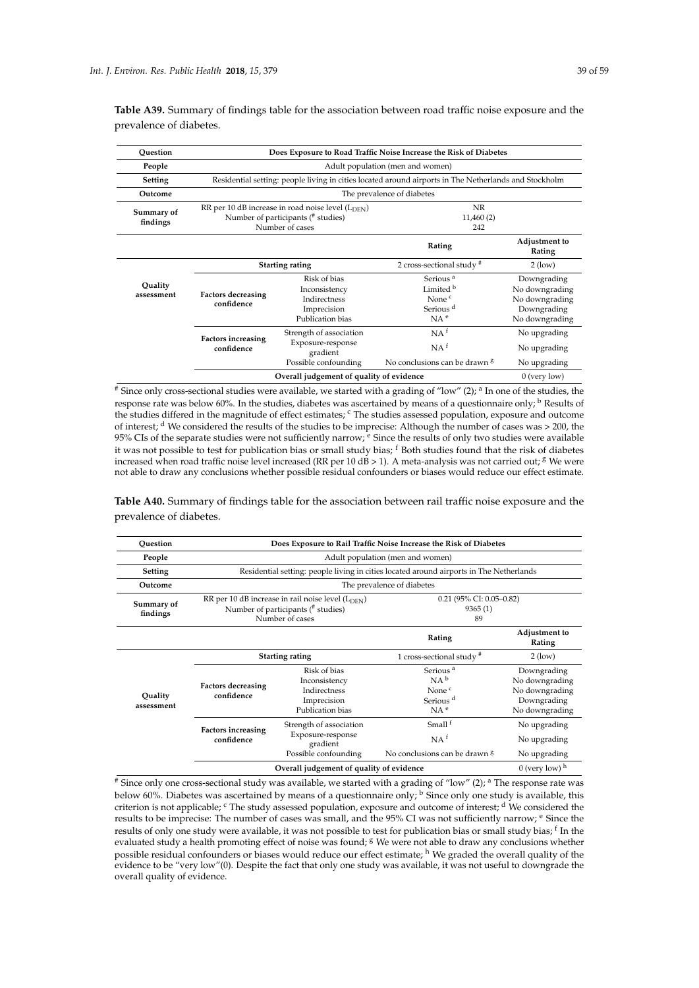**Table A39.** Summary of findings table for the association between road traffic noise exposure and the prevalence of diabetes.

| Ouestion               | Does Exposure to Road Traffic Noise Increase the Risk of Diabetes                                                                                       |                                                                                                       |                                                                                                              |                                                                                  |  |  |
|------------------------|---------------------------------------------------------------------------------------------------------------------------------------------------------|-------------------------------------------------------------------------------------------------------|--------------------------------------------------------------------------------------------------------------|----------------------------------------------------------------------------------|--|--|
| People                 | Adult population (men and women)                                                                                                                        |                                                                                                       |                                                                                                              |                                                                                  |  |  |
| Setting                |                                                                                                                                                         | Residential setting: people living in cities located around airports in The Netherlands and Stockholm |                                                                                                              |                                                                                  |  |  |
| Outcome                | The prevalence of diabetes                                                                                                                              |                                                                                                       |                                                                                                              |                                                                                  |  |  |
| Summary of<br>findings | <b>NR</b><br>RR per 10 dB increase in road noise level (L <sub>DEN</sub> )<br>Number of participants (# studies)<br>11,460(2)<br>Number of cases<br>242 |                                                                                                       |                                                                                                              |                                                                                  |  |  |
|                        |                                                                                                                                                         |                                                                                                       | Rating                                                                                                       | Adjustment to<br>Rating                                                          |  |  |
|                        | <b>Starting rating</b>                                                                                                                                  |                                                                                                       | 2 cross-sectional study #                                                                                    | $2$ (low)                                                                        |  |  |
| Quality<br>assessment  | <b>Factors decreasing</b><br>confidence                                                                                                                 | Risk of bias<br>Inconsistency<br><b>Indirectness</b><br>Imprecision<br>Publication bias               | Serious <sup>a</sup><br>Limited <sup>b</sup><br>None <sup>c</sup><br>Serious <sup>d</sup><br>NA <sup>e</sup> | Downgrading<br>No downgrading<br>No downgrading<br>Downgrading<br>No downgrading |  |  |
|                        | <b>Factors increasing</b><br>confidence                                                                                                                 | Strength of association<br>Exposure-response<br>gradient<br>Possible confounding                      | NA <sup>f</sup><br>NA <sup>f</sup><br>No conclusions can be drawn <sup>g</sup>                               | No upgrading<br>No upgrading<br>No upgrading                                     |  |  |
|                        |                                                                                                                                                         | Overall judgement of quality of evidence                                                              |                                                                                                              | $0$ (very low)                                                                   |  |  |

 $*$  Since only cross-sectional studies were available, we started with a grading of "low" (2);  $^a$  In one of the studies, the response rate was below 60%. In the studies, diabetes was ascertained by means of a questionnaire only; <sup>b</sup> Results of the studies differed in the magnitude of effect estimates; <sup>c</sup> The studies assessed population, exposure and outcome of interest;  $d$  We considered the results of the studies to be imprecise: Although the number of cases was  $>$  200, the 95% CIs of the separate studies were not sufficiently narrow; <sup>e</sup> Since the results of only two studies were available it was not possible to test for publication bias or small study bias; <sup>f</sup> Both studies found that the risk of diabetes increased when road traffic noise level increased (RR per  $10 \text{ dB} > 1$ ). A meta-analysis was not carried out; <sup>g</sup> We were not able to draw any conclusions whether possible residual confounders or biases would reduce our effect estimate.

**Table A40.** Summary of findings table for the association between rail traffic noise exposure and the prevalence of diabetes.

| Ouestion               | Does Exposure to Rail Traffic Noise Increase the Risk of Diabetes                                                           |                                                                                  |                                                                                             |                                                                                  |  |
|------------------------|-----------------------------------------------------------------------------------------------------------------------------|----------------------------------------------------------------------------------|---------------------------------------------------------------------------------------------|----------------------------------------------------------------------------------|--|
| People                 |                                                                                                                             | Adult population (men and women)                                                 |                                                                                             |                                                                                  |  |
| Setting                | Residential setting: people living in cities located around airports in The Netherlands                                     |                                                                                  |                                                                                             |                                                                                  |  |
| Outcome                | The prevalence of diabetes                                                                                                  |                                                                                  |                                                                                             |                                                                                  |  |
| Summary of<br>findings | RR per 10 dB increase in rail noise level $(L_{\text{DEN}})$<br>Number of participants (# studies)<br>Number of cases<br>89 |                                                                                  | $0.21$ (95% CI: 0.05-0.82)<br>9365(1)                                                       |                                                                                  |  |
|                        |                                                                                                                             |                                                                                  | Rating                                                                                      | Adjustment to<br>Rating                                                          |  |
| Quality<br>assessment  | <b>Starting rating</b>                                                                                                      |                                                                                  | 1 cross-sectional study #                                                                   | $2$ (low)                                                                        |  |
|                        | <b>Factors decreasing</b><br>confidence                                                                                     | Risk of bias<br>Inconsistency<br>Indirectness<br>Imprecision<br>Publication bias | Serious <sup>a</sup><br>$NA^b$<br>None $\degree$<br>Serious <sup>d</sup><br>NA <sup>e</sup> | Downgrading<br>No downgrading<br>No downgrading<br>Downgrading<br>No downgrading |  |
|                        | <b>Factors increasing</b><br>confidence                                                                                     | Strength of association<br>Exposure-response<br>gradient<br>Possible confounding | Small <sup>f</sup><br>NA <sup>f</sup><br>No conclusions can be drawn <sup>g</sup>           | No upgrading<br>No upgrading<br>No upgrading                                     |  |
|                        |                                                                                                                             | Overall judgement of quality of evidence                                         |                                                                                             | $0$ (very low) $^h$                                                              |  |

 $*$  Since only one cross-sectional study was available, we started with a grading of "low" (2);  $*$  The response rate was below 60%. Diabetes was ascertained by means of a questionnaire only; <sup>b</sup> Since only one study is available, this criterion is not applicable; <sup>c</sup> The study assessed population, exposure and outcome of interest; <sup>d</sup> We considered the results to be imprecise: The number of cases was small, and the 95% CI was not sufficiently narrow; <sup>e</sup> Since the results of only one study were available, it was not possible to test for publication bias or small study bias; <sup>f</sup> In the evaluated study a health promoting effect of noise was found;  $g$  We were not able to draw any conclusions whether possible residual confounders or biases would reduce our effect estimate; <sup>h</sup> We graded the overall quality of the evidence to be "very low"(0). Despite the fact that only one study was available, it was not useful to downgrade the overall quality of evidence.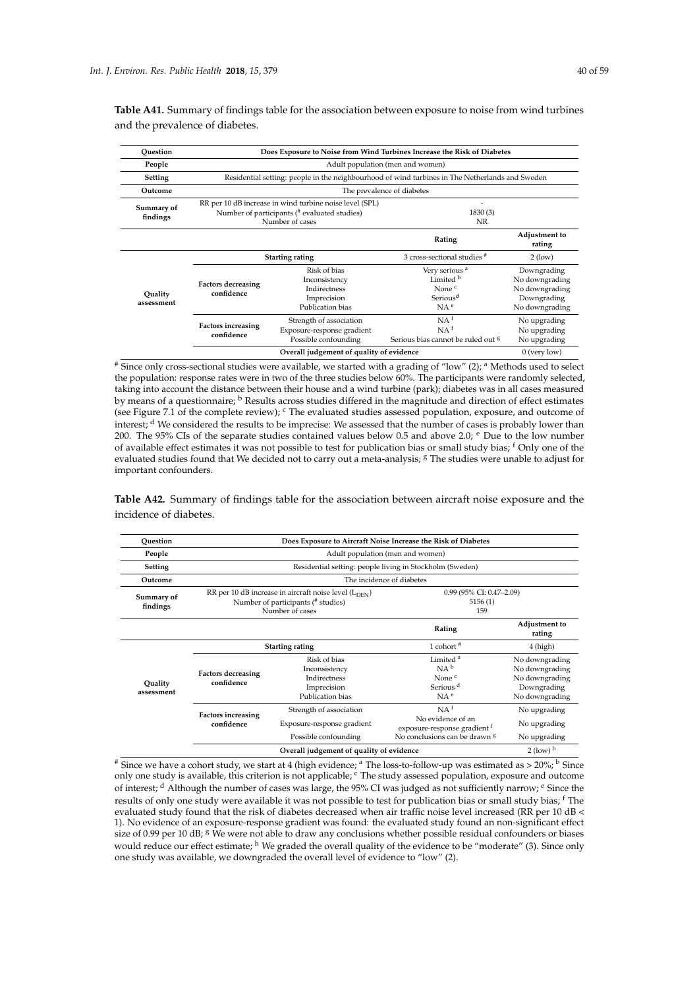**Table A41.** Summary of findings table for the association between exposure to noise from wind turbines and the prevalence of diabetes.

| Ouestion               | Does Exposure to Noise from Wind Turbines Increase the Risk of Diabetes                                                                             |                                                                                                 |                                                                                                          |                                                                                  |  |  |
|------------------------|-----------------------------------------------------------------------------------------------------------------------------------------------------|-------------------------------------------------------------------------------------------------|----------------------------------------------------------------------------------------------------------|----------------------------------------------------------------------------------|--|--|
| People                 | Adult population (men and women)                                                                                                                    |                                                                                                 |                                                                                                          |                                                                                  |  |  |
| Setting                |                                                                                                                                                     | Residential setting: people in the neighbourhood of wind turbines in The Netherlands and Sweden |                                                                                                          |                                                                                  |  |  |
| Outcome                |                                                                                                                                                     | The prevalence of diabetes                                                                      |                                                                                                          |                                                                                  |  |  |
| Summary of<br>findings | RR per 10 dB increase in wind turbine noise level (SPL)<br>Number of participants (# evaluated studies)<br>1830 (3)<br>Number of cases<br><b>NR</b> |                                                                                                 |                                                                                                          |                                                                                  |  |  |
|                        |                                                                                                                                                     |                                                                                                 | Rating                                                                                                   | Adjustment to<br>rating                                                          |  |  |
|                        |                                                                                                                                                     | <b>Starting rating</b>                                                                          | 3 cross-sectional studies #                                                                              | $2$ (low)                                                                        |  |  |
| Ouality<br>assessment  | <b>Factors decreasing</b><br>confidence                                                                                                             | Risk of bias<br>Inconsistency<br>Indirectness<br>Imprecision<br>Publication bias                | Very serious <sup>a</sup><br>Limited <sup>b</sup><br>None $c$<br>Serious <sup>d</sup><br>NA <sup>e</sup> | Downgrading<br>No downgrading<br>No downgrading<br>Downgrading<br>No downgrading |  |  |
|                        | <b>Factors increasing</b><br>confidence                                                                                                             | Strength of association<br>Exposure-response gradient<br>Possible confounding                   | NA <sup>f</sup><br>NA <sup>f</sup><br>Serious bias cannot be ruled out <sup>g</sup>                      | No upgrading<br>No upgrading<br>No upgrading                                     |  |  |
|                        |                                                                                                                                                     | Overall judgement of quality of evidence                                                        |                                                                                                          | $0$ (very low)                                                                   |  |  |

# Since only cross-sectional studies were available, we started with a grading of "low" (2); <sup>a</sup> Methods used to select the population: response rates were in two of the three studies below 60%. The participants were randomly selected, taking into account the distance between their house and a wind turbine (park); diabetes was in all cases measured by means of a questionnaire; <sup>b</sup> Results across studies differed in the magnitude and direction of effect estimates (see Figure 7.1 of the complete review);  $c$  The evaluated studies assessed population, exposure, and outcome of interest; <sup>d</sup> We considered the results to be imprecise: We assessed that the number of cases is probably lower than 200. The 95% CIs of the separate studies contained values below 0.5 and above 2.0; <sup>e</sup> Due to the low number of available effect estimates it was not possible to test for publication bias or small study bias;  $f$  Only one of the evaluated studies found that We decided not to carry out a meta-analysis; <sup>g</sup> The studies were unable to adjust for important confounders.

**Table A42.** Summary of findings table for the association between aircraft noise exposure and the incidence of diabetes.

| Ouestion               | Does Exposure to Aircraft Noise Increase the Risk of Diabetes                                                               |                                                                                         |                                                                                                                  |                                                                                     |
|------------------------|-----------------------------------------------------------------------------------------------------------------------------|-----------------------------------------------------------------------------------------|------------------------------------------------------------------------------------------------------------------|-------------------------------------------------------------------------------------|
| People                 | Adult population (men and women)                                                                                            |                                                                                         |                                                                                                                  |                                                                                     |
| Setting                |                                                                                                                             |                                                                                         | Residential setting: people living in Stockholm (Sweden)                                                         |                                                                                     |
| Outcome                |                                                                                                                             |                                                                                         | The incidence of diabetes                                                                                        |                                                                                     |
| Summary of<br>findings | RR per 10 dB increase in aircraft noise level $(L_{\text{DFN}})$<br>Number of participants $(*$ studies)<br>Number of cases |                                                                                         | 0.99 (95% CI: 0.47-2.09)<br>5156(1)<br>159                                                                       |                                                                                     |
|                        |                                                                                                                             |                                                                                         | Rating                                                                                                           | <b>Adjustment to</b><br>rating                                                      |
|                        | <b>Starting rating</b>                                                                                                      |                                                                                         | 1 cohort $#$                                                                                                     | $4$ (high)                                                                          |
| Quality<br>assessment  | <b>Factors decreasing</b><br>confidence                                                                                     | Risk of bias<br>Inconsistency<br><b>Indirectness</b><br>Imprecision<br>Publication bias | Limited <sup>a</sup><br>$NA^b$<br>None $c$<br>Serious <sup>d</sup><br>NA <sup>e</sup>                            | No downgrading<br>No downgrading<br>No downgrading<br>Downgrading<br>No downgrading |
|                        | <b>Factors increasing</b><br>confidence                                                                                     | Strength of association<br>Exposure-response gradient<br>Possible confounding           | NA <sup>f</sup><br>No evidence of an<br>exposure-response gradient f<br>No conclusions can be drawn <sup>g</sup> | No upgrading<br>No upgrading<br>No upgrading                                        |
|                        | Overall judgement of quality of evidence                                                                                    |                                                                                         | $2$ (low) $h$                                                                                                    |                                                                                     |

 $*$  Since we have a cohort study, we start at 4 (high evidence; <sup>a</sup> The loss-to-follow-up was estimated as > 20%; <sup>b</sup> Since only one study is available, this criterion is not applicable; <sup>c</sup> The study assessed population, exposure and outcome of interest; <sup>d</sup> Although the number of cases was large, the 95% CI was judged as not sufficiently narrow; <sup>e</sup> Since the results of only one study were available it was not possible to test for publication bias or small study bias; <sup>f</sup> The evaluated study found that the risk of diabetes decreased when air traffic noise level increased (RR per 10 dB < 1). No evidence of an exposure-response gradient was found: the evaluated study found an non-significant effect size of 0.99 per 10 dB;  $\frac{g}{g}$  We were not able to draw any conclusions whether possible residual confounders or biases would reduce our effect estimate; <sup>h</sup> We graded the overall quality of the evidence to be "moderate" (3). Since only one study was available, we downgraded the overall level of evidence to "low" (2).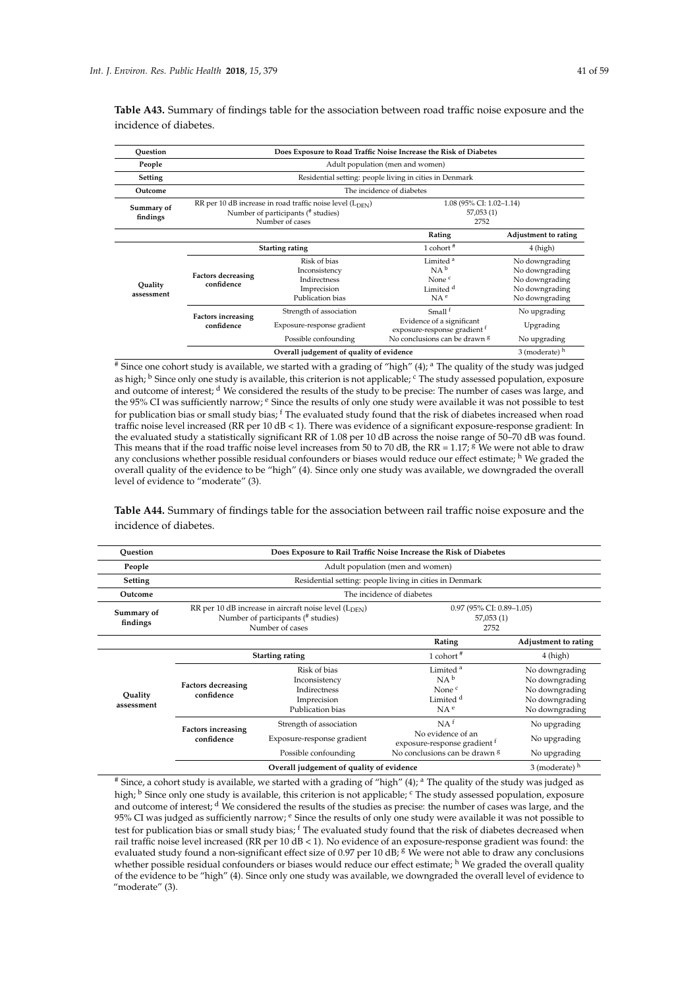**Table A43.** Summary of findings table for the association between road traffic noise exposure and the incidence of diabetes.

| Ouestion               |                                                                                                                         | Does Exposure to Road Traffic Noise Increase the Risk of Diabetes                |                                                                                                                             |                                                                                        |  |  |
|------------------------|-------------------------------------------------------------------------------------------------------------------------|----------------------------------------------------------------------------------|-----------------------------------------------------------------------------------------------------------------------------|----------------------------------------------------------------------------------------|--|--|
| People                 |                                                                                                                         | Adult population (men and women)                                                 |                                                                                                                             |                                                                                        |  |  |
| Setting                |                                                                                                                         | Residential setting: people living in cities in Denmark                          |                                                                                                                             |                                                                                        |  |  |
| Outcome                |                                                                                                                         | The incidence of diabetes                                                        |                                                                                                                             |                                                                                        |  |  |
| Summary of<br>findings | $RR$ per 10 dB increase in road traffic noise level ( $LDEN$ )<br>Number of participants (# studies)<br>Number of cases |                                                                                  | $1.08$ (95% CI: 1.02-1.14)<br>57,053(1)<br>2752                                                                             |                                                                                        |  |  |
|                        |                                                                                                                         |                                                                                  | Rating                                                                                                                      | Adjustment to rating                                                                   |  |  |
|                        | <b>Starting rating</b>                                                                                                  |                                                                                  | 1 cohort $#$                                                                                                                | $4$ (high)                                                                             |  |  |
| Quality<br>assessment  | <b>Factors decreasing</b><br>confidence                                                                                 | Risk of bias<br>Inconsistency<br>Indirectness<br>Imprecision<br>Publication bias | Limited <sup>a</sup><br>$NA^b$<br>None $\degree$<br>Limited <sup>d</sup><br>NA <sup>e</sup>                                 | No downgrading<br>No downgrading<br>No downgrading<br>No downgrading<br>No downgrading |  |  |
|                        | <b>Factors increasing</b><br>confidence                                                                                 | Strength of association<br>Exposure-response gradient<br>Possible confounding    | Small <sup>f</sup><br>Evidence of a significant<br>exposure-response gradient f<br>No conclusions can be drawn <sup>g</sup> | No upgrading<br>Upgrading<br>No upgrading                                              |  |  |
|                        |                                                                                                                         | Overall judgement of quality of evidence                                         |                                                                                                                             | 3 (moderate) h                                                                         |  |  |

 $*$  Since one cohort study is available, we started with a grading of "high" (4);  $^{\circ}$  The quality of the study was judged as high; <sup>b</sup> Since only one study is available, this criterion is not applicable; <sup>c</sup> The study assessed population, exposure and outcome of interest; <sup>d</sup> We considered the results of the study to be precise: The number of cases was large, and the 95% CI was sufficiently narrow;  $e$  Since the results of only one study were available it was not possible to test for publication bias or small study bias; <sup>f</sup> The evaluated study found that the risk of diabetes increased when road traffic noise level increased (RR per 10 dB < 1). There was evidence of a significant exposure-response gradient: In the evaluated study a statistically significant RR of 1.08 per 10 dB across the noise range of 50–70 dB was found. This means that if the road traffic noise level increases from 50 to 70 dB, the RR = 1.17;  $\frac{g}{g}$  We were not able to draw any conclusions whether possible residual confounders or biases would reduce our effect estimate; <sup>h</sup> We graded the overall quality of the evidence to be "high" (4). Since only one study was available, we downgraded the overall level of evidence to "moderate" (3).

**Table A44.** Summary of findings table for the association between rail traffic noise exposure and the incidence of diabetes.

| Ouestion               | Does Exposure to Rail Traffic Noise Increase the Risk of Diabetes                                                   |                                                                                  |                                                                                                                  |                                                                                        |  |
|------------------------|---------------------------------------------------------------------------------------------------------------------|----------------------------------------------------------------------------------|------------------------------------------------------------------------------------------------------------------|----------------------------------------------------------------------------------------|--|
| People                 | Adult population (men and women)                                                                                    |                                                                                  |                                                                                                                  |                                                                                        |  |
| Setting                | Residential setting: people living in cities in Denmark                                                             |                                                                                  |                                                                                                                  |                                                                                        |  |
| Outcome                | The incidence of diabetes                                                                                           |                                                                                  |                                                                                                                  |                                                                                        |  |
| Summary of<br>findings | $RR$ per 10 dB increase in aircraft noise level ( $LDEN$ )<br>Number of participants (# studies)<br>Number of cases |                                                                                  | 2752                                                                                                             | $0.97$ (95% CI: 0.89-1.05)<br>57,053(1)                                                |  |
|                        |                                                                                                                     |                                                                                  | Rating                                                                                                           | Adjustment to rating                                                                   |  |
|                        | <b>Starting rating</b>                                                                                              |                                                                                  | 1 cohort $#$                                                                                                     | $4$ (high)                                                                             |  |
| Quality<br>assessment  | <b>Factors decreasing</b><br>confidence                                                                             | Risk of bias<br>Inconsistency<br>Indirectness<br>Imprecision<br>Publication bias | Limited <sup>a</sup><br>$NA^b$<br>None $c$<br>Limited <sup>d</sup><br>NA <sup>e</sup>                            | No downgrading<br>No downgrading<br>No downgrading<br>No downgrading<br>No downgrading |  |
|                        | <b>Factors increasing</b><br>confidence                                                                             | Strength of association<br>Exposure-response gradient<br>Possible confounding    | NA <sup>f</sup><br>No evidence of an<br>exposure-response gradient <sup>†</sup><br>No conclusions can be drawn 8 | No upgrading<br>No upgrading<br>No upgrading                                           |  |
|                        | Overall judgement of quality of evidence                                                                            |                                                                                  |                                                                                                                  | 3 (moderate) h                                                                         |  |

 $*$  Since, a cohort study is available, we started with a grading of "high" (4);  $^{\rm a}$  The quality of the study was judged as high; <sup>b</sup> Since only one study is available, this criterion is not applicable; <sup>c</sup> The study assessed population, exposure and outcome of interest; <sup>d</sup> We considered the results of the studies as precise: the number of cases was large, and the 95% CI was judged as sufficiently narrow;  $e^e$  Since the results of only one study were available it was not possible to test for publication bias or small study bias; <sup>f</sup> The evaluated study found that the risk of diabetes decreased when rail traffic noise level increased (RR per 10 dB < 1). No evidence of an exposure-response gradient was found: the evaluated study found a non-significant effect size of 0.97 per 10 dB;  $\frac{8}{10}$  We were not able to draw any conclusions whether possible residual confounders or biases would reduce our effect estimate;  $h$  We graded the overall quality of the evidence to be "high" (4). Since only one study was available, we downgraded the overall level of evidence to "moderate" (3).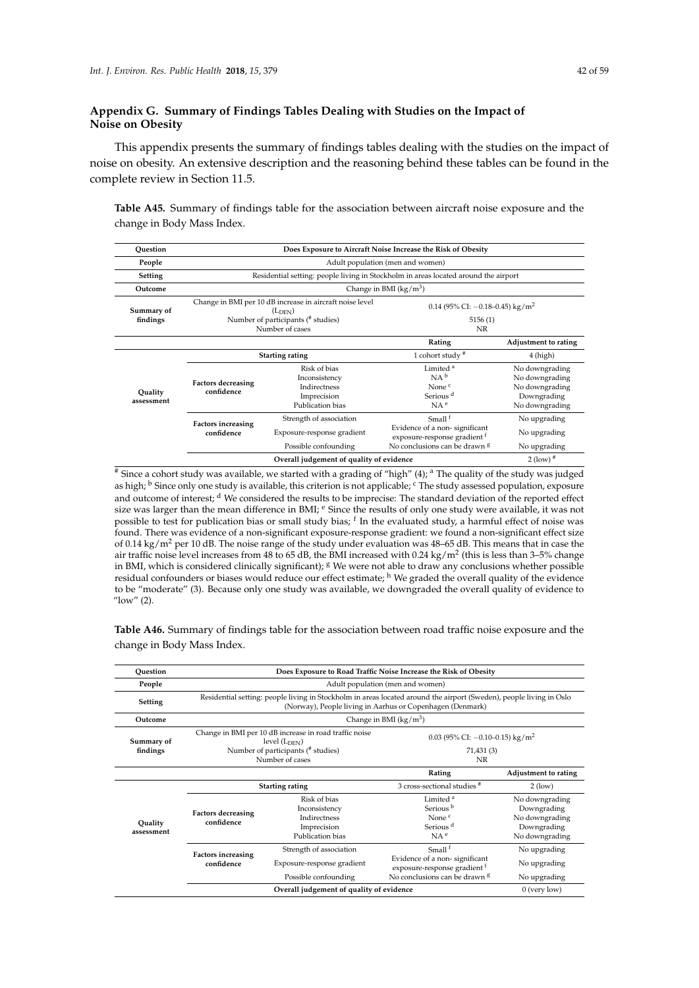# <span id="page-41-0"></span>**Appendix G. Summary of Findings Tables Dealing with Studies on the Impact of Noise on Obesity**

This appendix presents the summary of findings tables dealing with the studies on the impact of noise on obesity. An extensive description and the reasoning behind these tables can be found in the complete review in Section 11.5.

**Table A45.** Summary of findings table for the association between aircraft noise exposure and the change in Body Mass Index.

| Ouestion   | Does Exposure to Aircraft Noise Increase the Risk of Obesity                        |                                                                         |                                                               |                      |
|------------|-------------------------------------------------------------------------------------|-------------------------------------------------------------------------|---------------------------------------------------------------|----------------------|
| People     |                                                                                     |                                                                         | Adult population (men and women)                              |                      |
| Setting    | Residential setting: people living in Stockholm in areas located around the airport |                                                                         |                                                               |                      |
| Outcome    | Change in BMI $(kg/m3)$                                                             |                                                                         |                                                               |                      |
| Summary of |                                                                                     | Change in BMI per 10 dB increase in aircraft noise level<br>$(L_{DEN})$ | 0.14 (95% CI: $-0.18 - 0.45$ ) kg/m <sup>2</sup>              |                      |
| findings   |                                                                                     | Number of participants (# studies)<br>5156(1)<br>Number of cases<br>NR  |                                                               |                      |
|            |                                                                                     |                                                                         | Rating                                                        | Adjustment to rating |
|            | <b>Starting rating</b>                                                              |                                                                         | 1 cohort study #                                              | $4$ (high)           |
|            | <b>Factors decreasing</b><br>confidence                                             | Risk of bias                                                            | Limited <sup>a</sup>                                          | No downgrading       |
|            |                                                                                     | Inconsistency                                                           | $NA^b$                                                        | No downgrading       |
|            |                                                                                     | Indirectness                                                            | None $\degree$                                                | No downgrading       |
| Ouality    |                                                                                     | Imprecision                                                             | Serious <sup>d</sup>                                          | Downgrading          |
| assessment |                                                                                     | Publication bias                                                        | NA <sup>e</sup>                                               | No downgrading       |
|            | <b>Factors increasing</b>                                                           | Strength of association                                                 | Small <sup>f</sup>                                            | No upgrading         |
|            | confidence                                                                          | Exposure-response gradient                                              | Evidence of a non-significant<br>exposure-response gradient f | No upgrading         |
|            |                                                                                     | Possible confounding                                                    | No conclusions can be drawn <sup>g</sup>                      | No upgrading         |
|            |                                                                                     | Overall judgement of quality of evidence                                |                                                               | $2$ (low) $#$        |

 $\overline{f}$  Since a cohort study was available, we started with a grading of "high" (4); <sup>a</sup> The quality of the study was judged as high; <sup>b</sup> Since only one study is available, this criterion is not applicable; <sup>c</sup> The study assessed population, exposure and outcome of interest; <sup>d</sup> We considered the results to be imprecise: The standard deviation of the reported effect size was larger than the mean difference in BMI; e Since the results of only one study were available, it was not possible to test for publication bias or small study bias; <sup>f</sup> In the evaluated study, a harmful effect of noise was found. There was evidence of a non-significant exposure-response gradient: we found a non-significant effect size of 0.14 kg/m<sup>2</sup> per 10 dB. The noise range of the study under evaluation was 48–65 dB. This means that in case the air traffic noise level increases from 48 to 65 dB, the BMI increased with 0.24 kg/m<sup>2</sup> (this is less than 3-5% change in BMI, which is considered clinically significant);  $g$  We were not able to draw any conclusions whether possible residual confounders or biases would reduce our effect estimate; h We graded the overall quality of the evidence to be "moderate" (3). Because only one study was available, we downgraded the overall quality of evidence to " $low"$  (2).

**Table A46.** Summary of findings table for the association between road traffic noise exposure and the change in Body Mass Index.

| Ouestion              | Does Exposure to Road Traffic Noise Increase the Risk of Obesity                                                                                                                 |                                                                                  |                                                                                                                                 |                                                                                  |
|-----------------------|----------------------------------------------------------------------------------------------------------------------------------------------------------------------------------|----------------------------------------------------------------------------------|---------------------------------------------------------------------------------------------------------------------------------|----------------------------------------------------------------------------------|
| People                | Adult population (men and women)                                                                                                                                                 |                                                                                  |                                                                                                                                 |                                                                                  |
| Setting               | Residential setting: people living in Stockholm in areas located around the airport (Sweden), people living in Oslo<br>(Norway), People living in Aarhus or Copenhagen (Denmark) |                                                                                  |                                                                                                                                 |                                                                                  |
| Outcome               | Change in BMI $(kg/m3)$                                                                                                                                                          |                                                                                  |                                                                                                                                 |                                                                                  |
| Summary of            |                                                                                                                                                                                  | Change in BMI per 10 dB increase in road traffic noise<br>$level (L_{DFN})$      | 0.03 (95% CI: $-0.10-0.15$ ) kg/m <sup>2</sup>                                                                                  |                                                                                  |
| findings              |                                                                                                                                                                                  | Number of participants (# studies)<br>Number of cases                            | 71,431 (3)<br>NR                                                                                                                |                                                                                  |
|                       |                                                                                                                                                                                  |                                                                                  | Rating                                                                                                                          | Adjustment to rating                                                             |
|                       | <b>Starting rating</b>                                                                                                                                                           |                                                                                  | 3 cross-sectional studies #                                                                                                     | $2$ (low)                                                                        |
| Quality<br>assessment | <b>Factors decreasing</b><br>confidence                                                                                                                                          | Risk of bias<br>Inconsistency<br>Indirectness<br>Imprecision<br>Publication bias | Limited <sup>a</sup><br>Serious <sup>b</sup><br>None $\degree$<br>Serious <sup>d</sup><br>$NA^e$                                | No downgrading<br>Downgrading<br>No downgrading<br>Downgrading<br>No downgrading |
|                       | Strength of association<br><b>Factors increasing</b><br>Exposure-response gradient<br>confidence<br>Possible confounding                                                         |                                                                                  | Small <sup>f</sup><br>Evidence of a non-significant<br>exposure-response gradient f<br>No conclusions can be drawn <sup>g</sup> | No upgrading<br>No upgrading<br>No upgrading                                     |
|                       |                                                                                                                                                                                  | Overall judgement of quality of evidence                                         |                                                                                                                                 | $0$ (very low)                                                                   |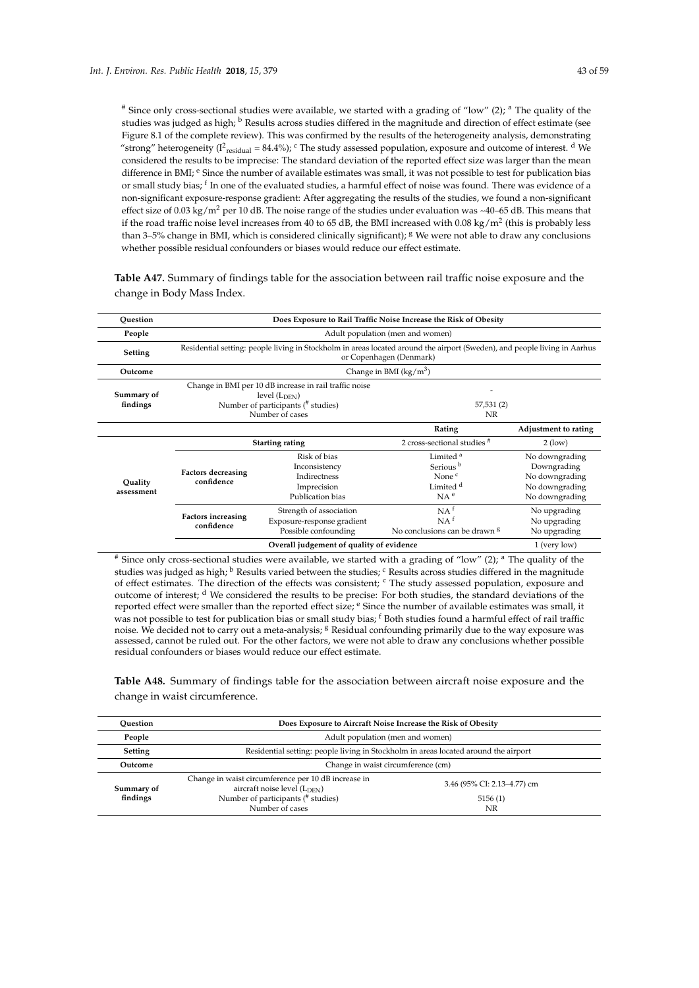# Since only cross-sectional studies were available, we started with a grading of "low" (2); <sup>a</sup> The quality of the studies was judged as high; <sup>b</sup> Results across studies differed in the magnitude and direction of effect estimate (see Figure 8.1 of the complete review). This was confirmed by the results of the heterogeneity analysis, demonstrating "strong" heterogeneity ( $I^2$ <sub>residual</sub> = 84.4%); <sup>c</sup> The study assessed population, exposure and outcome of interest. <sup>d</sup> We considered the results to be imprecise: The standard deviation of the reported effect size was larger than the mean difference in BMI; <sup>e</sup> Since the number of available estimates was small, it was not possible to test for publication bias or small study bias; <sup>f</sup> In one of the evaluated studies, a harmful effect of noise was found. There was evidence of a non-significant exposure-response gradient: After aggregating the results of the studies, we found a non-significant effect size of 0.03 kg/m<sup>2</sup> per 10 dB. The noise range of the studies under evaluation was ~40–65 dB. This means that if the road traffic noise level increases from 40 to 65 dB, the BMI increased with 0.08 kg/m<sup>2</sup> (this is probably less than 3–5% change in BMI, which is considered clinically significant);  $g$  We were not able to draw any conclusions whether possible residual confounders or biases would reduce our effect estimate.

**Table A47.** Summary of findings table for the association between rail traffic noise exposure and the change in Body Mass Index.

| Ouestion               | Does Exposure to Rail Traffic Noise Increase the Risk of Obesity                                                                                                       |                                                                                  |                                                                                                           |                                                                                     |  |
|------------------------|------------------------------------------------------------------------------------------------------------------------------------------------------------------------|----------------------------------------------------------------------------------|-----------------------------------------------------------------------------------------------------------|-------------------------------------------------------------------------------------|--|
| People                 |                                                                                                                                                                        | Adult population (men and women)                                                 |                                                                                                           |                                                                                     |  |
| Setting                | Residential setting: people living in Stockholm in areas located around the airport (Sweden), and people living in Aarhus<br>or Copenhagen (Denmark)                   |                                                                                  |                                                                                                           |                                                                                     |  |
| Outcome                | Change in BMI ( $\text{kg/m}^3$ )                                                                                                                                      |                                                                                  |                                                                                                           |                                                                                     |  |
| Summary of<br>findings | Change in BMI per 10 dB increase in rail traffic noise<br>level $(L_{\text{DEN}})$<br>Number of participants (# studies)<br>57,531 (2)<br>Number of cases<br><b>NR</b> |                                                                                  |                                                                                                           |                                                                                     |  |
|                        |                                                                                                                                                                        |                                                                                  | Rating                                                                                                    | Adjustment to rating                                                                |  |
|                        | <b>Starting rating</b>                                                                                                                                                 |                                                                                  | 2 cross-sectional studies #                                                                               | $2$ (low)                                                                           |  |
| Quality<br>assessment  | <b>Factors decreasing</b><br>confidence                                                                                                                                | Risk of bias<br>Inconsistency<br>Indirectness<br>Imprecision<br>Publication bias | Limited <sup>a</sup><br>Serious <sup>b</sup><br>None $\degree$<br>Limited <sup>d</sup><br>NA <sup>e</sup> | No downgrading<br>Downgrading<br>No downgrading<br>No downgrading<br>No downgrading |  |
|                        | <b>Factors increasing</b><br>confidence                                                                                                                                | Strength of association<br>Exposure-response gradient<br>Possible confounding    | NA <sup>f</sup><br>NA <sup>f</sup><br>No conclusions can be drawn 8                                       | No upgrading<br>No upgrading<br>No upgrading                                        |  |
|                        |                                                                                                                                                                        | Overall judgement of quality of evidence                                         |                                                                                                           | 1 (very low)                                                                        |  |

 $*$  Since only cross-sectional studies were available, we started with a grading of "low" (2);  $^{\circ}$  The quality of the studies was judged as high;  $\rm{^b}$  Results varied between the studies;  $\rm{^c}$  Results across studies differed in the magnitude of effect estimates. The direction of the effects was consistent; <sup>c</sup> The study assessed population, exposure and outcome of interest;  $d$  We considered the results to be precise: For both studies, the standard deviations of the reported effect were smaller than the reported effect size; <sup>e</sup> Since the number of available estimates was small, it was not possible to test for publication bias or small study bias; <sup>f</sup> Both studies found a harmful effect of rail traffic noise. We decided not to carry out a meta-analysis; <sup>g</sup> Residual confounding primarily due to the way exposure was assessed, cannot be ruled out. For the other factors, we were not able to draw any conclusions whether possible residual confounders or biases would reduce our effect estimate.

# **Table A48.** Summary of findings table for the association between aircraft noise exposure and the change in waist circumference.

| Ouestion               | Does Exposure to Aircraft Noise Increase the Risk of Obesity                                                                                                                                                |  |  |
|------------------------|-------------------------------------------------------------------------------------------------------------------------------------------------------------------------------------------------------------|--|--|
| People                 | Adult population (men and women)                                                                                                                                                                            |  |  |
| Setting                | Residential setting: people living in Stockholm in areas located around the airport                                                                                                                         |  |  |
| Outcome                | Change in waist circumference (cm)                                                                                                                                                                          |  |  |
| Summary of<br>findings | Change in waist circumference per 10 dB increase in<br>3.46 (95% CI: 2.13–4.77) cm<br>aircraft noise level (L <sub>DEN</sub> )<br>Number of participants $($ # studies)<br>5156(1)<br>Number of cases<br>NR |  |  |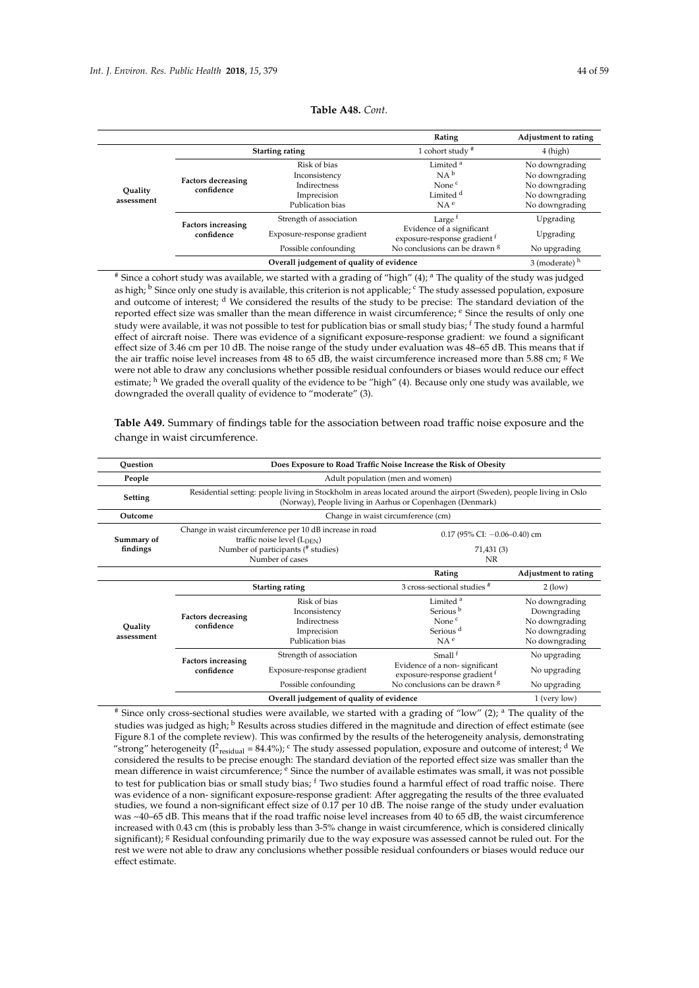|                       |                                         |                                                                                         | Rating                                                                                                                                 | <b>Adjustment to rating</b>                                                            |
|-----------------------|-----------------------------------------|-----------------------------------------------------------------------------------------|----------------------------------------------------------------------------------------------------------------------------------------|----------------------------------------------------------------------------------------|
|                       | <b>Starting rating</b>                  |                                                                                         | 1 cohort study $#$                                                                                                                     | $4$ (high)                                                                             |
| Quality<br>assessment | <b>Factors decreasing</b><br>confidence | Risk of bias<br>Inconsistency<br><b>Indirectness</b><br>Imprecision<br>Publication bias | Limited <sup>a</sup><br>$NA^b$<br>None <sup>c</sup><br>Limited <sup>d</sup><br>NA <sup>e</sup>                                         | No downgrading<br>No downgrading<br>No downgrading<br>No downgrading<br>No downgrading |
|                       | <b>Factors increasing</b><br>confidence | Strength of association<br>Exposure-response gradient<br>Possible confounding           | Large <sup>t</sup><br>Evidence of a significant<br>exposure-response gradient <sup>†</sup><br>No conclusions can be drawn <sup>g</sup> | Upgrading<br>Upgrading<br>No upgrading                                                 |
|                       |                                         | Overall judgement of quality of evidence                                                |                                                                                                                                        | $3$ (moderate) <sup>h</sup>                                                            |

#### **Table A48.** *Cont.*

# Since a cohort study was available, we started with a grading of "high" (4); a The quality of the study was judged as high; <sup>b</sup> Since only one study is available, this criterion is not applicable; <sup>c</sup> The study assessed population, exposure and outcome of interest; <sup>d</sup> We considered the results of the study to be precise: The standard deviation of the reported effect size was smaller than the mean difference in waist circumference; <sup>e</sup> Since the results of only one study were available, it was not possible to test for publication bias or small study bias; <sup>f</sup> The study found a harmful effect of aircraft noise. There was evidence of a significant exposure-response gradient: we found a significant effect size of 3.46 cm per 10 dB. The noise range of the study under evaluation was 48–65 dB. This means that if the air traffic noise level increases from 48 to  $65$  dB, the waist circumference increased more than 5.88 cm;  $8$  We were not able to draw any conclusions whether possible residual confounders or biases would reduce our effect estimate; <sup>h</sup> We graded the overall quality of the evidence to be "high" (4). Because only one study was available, we downgraded the overall quality of evidence to "moderate" (3).

**Table A49.** Summary of findings table for the association between road traffic noise exposure and the change in waist circumference.

| Ouestion              | Does Exposure to Road Traffic Noise Increase the Risk of Obesity                                                                                                                 |                                                                                         |                                                                                                                      |                                                                                     |
|-----------------------|----------------------------------------------------------------------------------------------------------------------------------------------------------------------------------|-----------------------------------------------------------------------------------------|----------------------------------------------------------------------------------------------------------------------|-------------------------------------------------------------------------------------|
| People                | Adult population (men and women)                                                                                                                                                 |                                                                                         |                                                                                                                      |                                                                                     |
| Setting               | Residential setting: people living in Stockholm in areas located around the airport (Sweden), people living in Oslo<br>(Norway), People living in Aarhus or Copenhagen (Denmark) |                                                                                         |                                                                                                                      |                                                                                     |
| Outcome               |                                                                                                                                                                                  | Change in waist circumference (cm)                                                      |                                                                                                                      |                                                                                     |
| Summary of            | Change in waist circumference per 10 dB increase in road<br>$0.17$ (95% CI: $-0.06 - 0.40$ ) cm<br>traffic noise level $(LDEN)$                                                  |                                                                                         |                                                                                                                      |                                                                                     |
| findings              | Number of participants $($ <sup>#</sup> studies)<br>Number of cases                                                                                                              |                                                                                         | 71,431 (3)<br><b>NR</b>                                                                                              |                                                                                     |
|                       |                                                                                                                                                                                  |                                                                                         | Rating                                                                                                               | Adjustment to rating                                                                |
|                       | <b>Starting rating</b>                                                                                                                                                           |                                                                                         | 3 cross-sectional studies #                                                                                          | $2$ (low)                                                                           |
| Quality<br>assessment | <b>Factors decreasing</b><br>confidence                                                                                                                                          | Risk of bias<br>Inconsistency<br><b>Indirectness</b><br>Imprecision<br>Publication bias | Limited <sup>a</sup><br>Serious <sup>b</sup><br>None $\degree$<br>Serious <sup>d</sup><br>$NA^e$                     | No downgrading<br>Downgrading<br>No downgrading<br>No downgrading<br>No downgrading |
|                       | <b>Factors increasing</b><br>confidence                                                                                                                                          | Strength of association<br>Exposure-response gradient<br>Possible confounding           | Small <sup>f</sup><br>Evidence of a non-significant<br>exposure-response gradient f<br>No conclusions can be drawn 8 | No upgrading<br>No upgrading<br>No upgrading                                        |
|                       | Overall judgement of quality of evidence                                                                                                                                         |                                                                                         |                                                                                                                      | 1 (very low)                                                                        |

 $*$  Since only cross-sectional studies were available, we started with a grading of "low" (2);  $*$  The quality of the studies was judged as high; <sup>b</sup> Results across studies differed in the magnitude and direction of effect estimate (see Figure 8.1 of the complete review). This was confirmed by the results of the heterogeneity analysis, demonstrating "strong" heterogeneity ( $I^2$ <sub>residual</sub> = 84.4%); <sup>c</sup> The study assessed population, exposure and outcome of interest; <sup>d</sup> We considered the results to be precise enough: The standard deviation of the reported effect size was smaller than the mean difference in waist circumference; e Since the number of available estimates was small, it was not possible to test for publication bias or small study bias; <sup>f</sup> Two studies found a harmful effect of road traffic noise. There was evidence of a non- significant exposure-response gradient: After aggregating the results of the three evaluated studies, we found a non-significant effect size of 0.17 per 10 dB. The noise range of the study under evaluation was ~40–65 dB. This means that if the road traffic noise level increases from 40 to 65 dB, the waist circumference increased with 0.43 cm (this is probably less than 3-5% change in waist circumference, which is considered clinically significant); <sup>g</sup> Residual confounding primarily due to the way exposure was assessed cannot be ruled out. For the rest we were not able to draw any conclusions whether possible residual confounders or biases would reduce our effect estimate.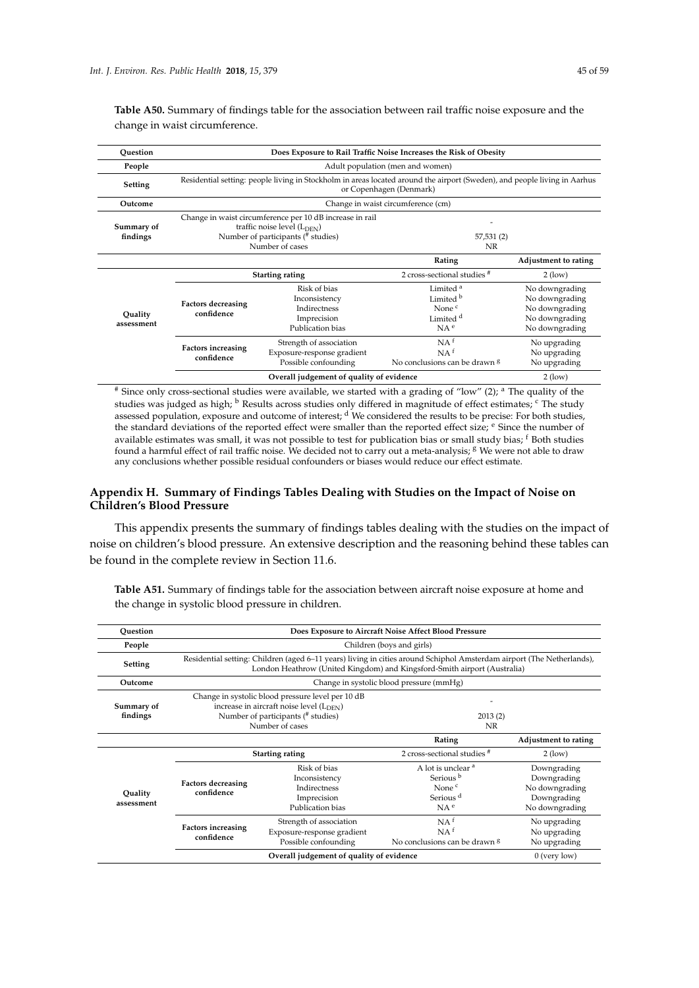**Table A50.** Summary of findings table for the association between rail traffic noise exposure and the change in waist circumference.

| Ouestion               | Does Exposure to Rail Traffic Noise Increases the Risk of Obesity                                                                                                               |                                                                                  |                                                                                                           |                                                                                        |
|------------------------|---------------------------------------------------------------------------------------------------------------------------------------------------------------------------------|----------------------------------------------------------------------------------|-----------------------------------------------------------------------------------------------------------|----------------------------------------------------------------------------------------|
| People                 | Adult population (men and women)                                                                                                                                                |                                                                                  |                                                                                                           |                                                                                        |
| <b>Setting</b>         | Residential setting: people living in Stockholm in areas located around the airport (Sweden), and people living in Aarhus<br>or Copenhagen (Denmark)                            |                                                                                  |                                                                                                           |                                                                                        |
| Outcome                |                                                                                                                                                                                 | Change in waist circumference (cm)                                               |                                                                                                           |                                                                                        |
| Summary of<br>findings | Change in waist circumference per 10 dB increase in rail<br>traffic noise level $(L_{\text{DER}})$<br>Number of participants (# studies)<br>57,531(2)<br>Number of cases<br>NR. |                                                                                  |                                                                                                           |                                                                                        |
|                        |                                                                                                                                                                                 |                                                                                  | Rating                                                                                                    | Adjustment to rating                                                                   |
|                        | <b>Starting rating</b>                                                                                                                                                          |                                                                                  | 2 cross-sectional studies #                                                                               | $2$ (low)                                                                              |
| Quality<br>assessment  | <b>Factors decreasing</b><br>confidence                                                                                                                                         | Risk of bias<br>Inconsistency<br>Indirectness<br>Imprecision<br>Publication bias | Limited <sup>a</sup><br>Limited <sup>b</sup><br>None $\degree$<br>Limited <sup>d</sup><br>NA <sup>e</sup> | No downgrading<br>No downgrading<br>No downgrading<br>No downgrading<br>No downgrading |
|                        | <b>Factors increasing</b><br>confidence                                                                                                                                         | Strength of association<br>Exposure-response gradient<br>Possible confounding    | NA <sup>f</sup><br>NA <sup>f</sup><br>No conclusions can be drawn 8                                       | No upgrading<br>No upgrading<br>No upgrading                                           |
|                        | Overall judgement of quality of evidence                                                                                                                                        |                                                                                  |                                                                                                           | $2$ (low)                                                                              |

 $*$  Since only cross-sectional studies were available, we started with a grading of "low" (2);  $*$  The quality of the studies was judged as high; <sup>b</sup> Results across studies only differed in magnitude of effect estimates; <sup>c</sup> The study assessed population, exposure and outcome of interest; d We considered the results to be precise: For both studies, the standard deviations of the reported effect were smaller than the reported effect size; <sup>e</sup> Since the number of available estimates was small, it was not possible to test for publication bias or small study bias; <sup>f</sup> Both studies found a harmful effect of rail traffic noise. We decided not to carry out a meta-analysis;  $g$  We were not able to draw any conclusions whether possible residual confounders or biases would reduce our effect estimate.

# <span id="page-44-0"></span>**Appendix H. Summary of Findings Tables Dealing with Studies on the Impact of Noise on Children's Blood Pressure**

This appendix presents the summary of findings tables dealing with the studies on the impact of noise on children's blood pressure. An extensive description and the reasoning behind these tables can be found in the complete review in Section 11.6.

**Table A51.** Summary of findings table for the association between aircraft noise exposure at home and the change in systolic blood pressure in children.

| Ouestion               | Does Exposure to Aircraft Noise Affect Blood Pressure                                                                                                                                             |                                                                                  |                                                                                                                  |                                                                               |
|------------------------|---------------------------------------------------------------------------------------------------------------------------------------------------------------------------------------------------|----------------------------------------------------------------------------------|------------------------------------------------------------------------------------------------------------------|-------------------------------------------------------------------------------|
| People                 | Children (boys and girls)                                                                                                                                                                         |                                                                                  |                                                                                                                  |                                                                               |
| <b>Setting</b>         | Residential setting: Children (aged 6–11 years) living in cities around Schiphol Amsterdam airport (The Netherlands),<br>London Heathrow (United Kingdom) and Kingsford-Smith airport (Australia) |                                                                                  |                                                                                                                  |                                                                               |
| Outcome                |                                                                                                                                                                                                   | Change in systolic blood pressure (mmHg)                                         |                                                                                                                  |                                                                               |
| Summary of<br>findings | Change in systolic blood pressure level per 10 dB<br>increase in aircraft noise level (L <sub>DEN</sub> )<br>Number of participants (# studies)<br>2013(2)<br>Number of cases<br><b>NR</b>        |                                                                                  |                                                                                                                  |                                                                               |
|                        |                                                                                                                                                                                                   |                                                                                  | Rating                                                                                                           | Adjustment to rating                                                          |
|                        |                                                                                                                                                                                                   | <b>Starting rating</b>                                                           | 2 cross-sectional studies #                                                                                      | $2$ (low)                                                                     |
| Quality<br>assessment  | <b>Factors decreasing</b><br>confidence                                                                                                                                                           | Risk of bias<br>Inconsistency<br>Indirectness<br>Imprecision<br>Publication bias | A lot is unclear <sup>a</sup><br>Serious <sup>b</sup><br>None $\circ$<br>Serious <sup>d</sup><br>NA <sup>e</sup> | Downgrading<br>Downgrading<br>No downgrading<br>Downgrading<br>No downgrading |
|                        | <b>Factors increasing</b><br>confidence                                                                                                                                                           | Strength of association<br>Exposure-response gradient<br>Possible confounding    | NA <sup>f</sup><br>NA <sup>f</sup><br>No conclusions can be drawn <sup>g</sup>                                   | No upgrading<br>No upgrading<br>No upgrading                                  |
|                        | Overall judgement of quality of evidence                                                                                                                                                          |                                                                                  |                                                                                                                  | $0$ (very low)                                                                |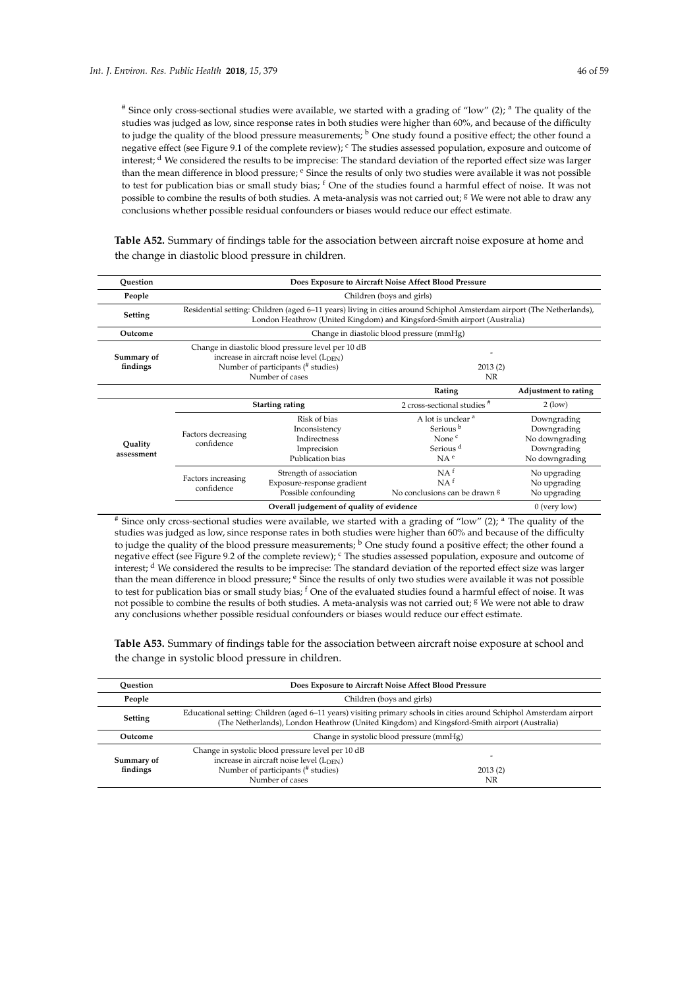# Since only cross-sectional studies were available, we started with a grading of "low" (2); <sup>a</sup> The quality of the studies was judged as low, since response rates in both studies were higher than 60%, and because of the difficulty to judge the quality of the blood pressure measurements; <sup>b</sup> One study found a positive effect; the other found a negative effect (see Figure 9.1 of the complete review); <sup>c</sup> The studies assessed population, exposure and outcome of interest; <sup>d</sup> We considered the results to be imprecise: The standard deviation of the reported effect size was larger than the mean difference in blood pressure; <sup>e</sup> Since the results of only two studies were available it was not possible to test for publication bias or small study bias; <sup>f</sup> One of the studies found a harmful effect of noise. It was not possible to combine the results of both studies. A meta-analysis was not carried out; <sup>g</sup> We were not able to draw any conclusions whether possible residual confounders or biases would reduce our effect estimate.

**Table A52.** Summary of findings table for the association between aircraft noise exposure at home and the change in diastolic blood pressure in children.

| Ouestion               | Does Exposure to Aircraft Noise Affect Blood Pressure                                                                                                                                             |                                                                                         |                                                                                                           |                                                                               |
|------------------------|---------------------------------------------------------------------------------------------------------------------------------------------------------------------------------------------------|-----------------------------------------------------------------------------------------|-----------------------------------------------------------------------------------------------------------|-------------------------------------------------------------------------------|
| People                 | Children (boys and girls)                                                                                                                                                                         |                                                                                         |                                                                                                           |                                                                               |
| Setting                | Residential setting: Children (aged 6-11 years) living in cities around Schiphol Amsterdam airport (The Netherlands),<br>London Heathrow (United Kingdom) and Kingsford-Smith airport (Australia) |                                                                                         |                                                                                                           |                                                                               |
| Outcome                | Change in diastolic blood pressure (mmHg)                                                                                                                                                         |                                                                                         |                                                                                                           |                                                                               |
| Summary of<br>findings | Change in diastolic blood pressure level per 10 dB<br>increase in aircraft noise level $(L_{\text{DEN}})$<br>Number of participants $(*$ studies)<br>2013(2)<br>Number of cases<br><b>NR</b>      |                                                                                         |                                                                                                           |                                                                               |
|                        |                                                                                                                                                                                                   |                                                                                         | Rating                                                                                                    | Adjustment to rating                                                          |
|                        |                                                                                                                                                                                                   | <b>Starting rating</b>                                                                  | 2 cross-sectional studies #                                                                               | $2$ (low)                                                                     |
| Quality<br>assessment  | Factors decreasing<br>confidence                                                                                                                                                                  | Risk of bias<br>Inconsistency<br><b>Indirectness</b><br>Imprecision<br>Publication bias | A lot is unclear <sup>a</sup><br>Serious <sup>b</sup><br>None $\degree$<br>Serious <sup>d</sup><br>$NA^e$ | Downgrading<br>Downgrading<br>No downgrading<br>Downgrading<br>No downgrading |
|                        | Factors increasing<br>confidence                                                                                                                                                                  | Strength of association<br>Exposure-response gradient<br>Possible confounding           | NA <sup>f</sup><br>NA <sup>f</sup><br>No conclusions can be drawn <sup>g</sup>                            | No upgrading<br>No upgrading<br>No upgrading                                  |
|                        |                                                                                                                                                                                                   | $0$ (very low)                                                                          |                                                                                                           |                                                                               |

# Since only cross-sectional studies were available, we started with a grading of "low" (2); a The quality of the studies was judged as low, since response rates in both studies were higher than 60% and because of the difficulty to judge the quality of the blood pressure measurements; b One study found a positive effect; the other found a negative effect (see Figure 9.2 of the complete review); <sup>c</sup> The studies assessed population, exposure and outcome of interest; <sup>d</sup> We considered the results to be imprecise: The standard deviation of the reported effect size was larger than the mean difference in blood pressure;  $e^i$  Since the results of only two studies were available it was not possible to test for publication bias or small study bias;  $f$  One of the evaluated studies found a harmful effect of noise. It was not possible to combine the results of both studies. A meta-analysis was not carried out; <sup>g</sup> We were not able to draw any conclusions whether possible residual confounders or biases would reduce our effect estimate.

**Table A53.** Summary of findings table for the association between aircraft noise exposure at school and the change in systolic blood pressure in children.

| Ouestion               | Does Exposure to Aircraft Noise Affect Blood Pressure                                                                                                                                                               |  |  |
|------------------------|---------------------------------------------------------------------------------------------------------------------------------------------------------------------------------------------------------------------|--|--|
| People                 | Children (boys and girls)                                                                                                                                                                                           |  |  |
| <b>Setting</b>         | Educational setting: Children (aged 6–11 years) visiting primary schools in cities around Schiphol Amsterdam airport<br>(The Netherlands), London Heathrow (United Kingdom) and Kingsford-Smith airport (Australia) |  |  |
| Outcome                | Change in systolic blood pressure (mmHg)                                                                                                                                                                            |  |  |
| Summary of<br>findings | Change in systolic blood pressure level per 10 dB<br>increase in aircraft noise level $(L_{\text{DEN}})$<br>Number of participants $(*$ studies)<br>2013(2)<br>Number of cases<br>NR                                |  |  |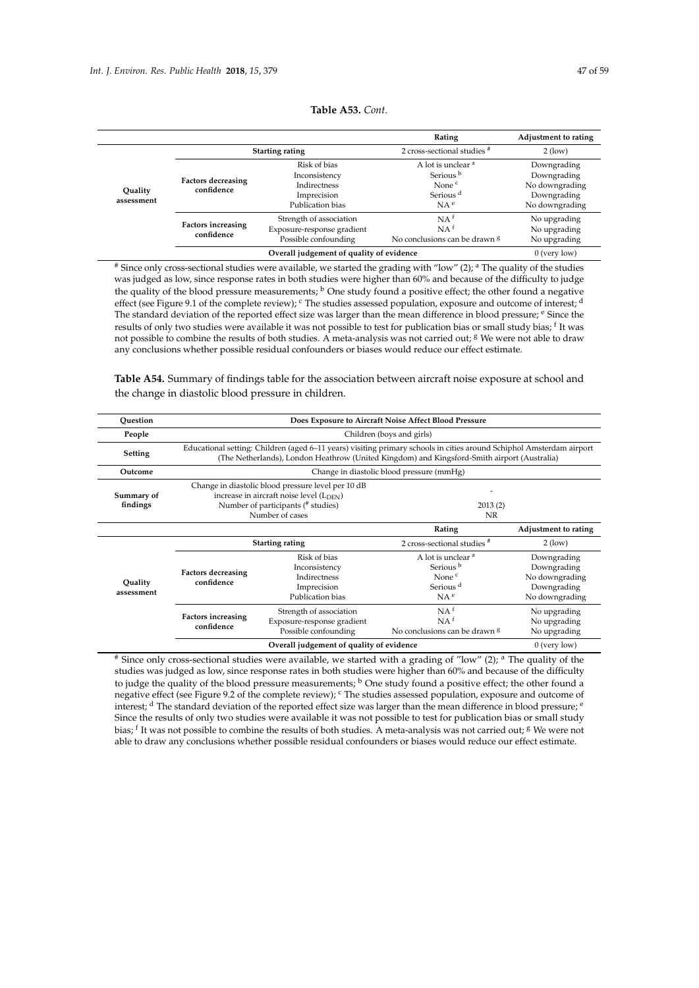|                       |                                         |                                                                                  | Rating                                                                                                             | Adjustment to rating                                                          |
|-----------------------|-----------------------------------------|----------------------------------------------------------------------------------|--------------------------------------------------------------------------------------------------------------------|-------------------------------------------------------------------------------|
| Quality<br>assessment | Starting rating                         |                                                                                  | 2 cross-sectional studies #                                                                                        | $2$ (low)                                                                     |
|                       | <b>Factors decreasing</b><br>confidence | Risk of bias<br>Inconsistency<br>Indirectness<br>Imprecision<br>Publication bias | A lot is unclear <sup>a</sup><br>Serious <sup>b</sup><br>None $\degree$<br>Serious <sup>d</sup><br>NA <sup>e</sup> | Downgrading<br>Downgrading<br>No downgrading<br>Downgrading<br>No downgrading |
|                       | <b>Factors increasing</b><br>confidence | Strength of association<br>Exposure-response gradient<br>Possible confounding    | NA <sup>f</sup><br>NA <sup>t</sup><br>No conclusions can be drawn 8                                                | No upgrading<br>No upgrading<br>No upgrading                                  |
|                       |                                         | Overall judgement of quality of evidence                                         |                                                                                                                    | $0$ (very low)                                                                |

#### **Table A53.** *Cont.*

 $*$  Since only cross-sectional studies were available, we started the grading with "low" (2);  $^{\text{a}}$  The quality of the studies was judged as low, since response rates in both studies were higher than 60% and because of the difficulty to judge the quality of the blood pressure measurements; <sup>b</sup> One study found a positive effect; the other found a negative effect (see Figure 9.1 of the complete review);  $c$  The studies assessed population, exposure and outcome of interest;  $d$ The standard deviation of the reported effect size was larger than the mean difference in blood pressure; <sup>e</sup> Since the results of only two studies were available it was not possible to test for publication bias or small study bias; <sup>f</sup> It was not possible to combine the results of both studies. A meta-analysis was not carried out; <sup>g</sup> We were not able to draw any conclusions whether possible residual confounders or biases would reduce our effect estimate.

**Table A54.** Summary of findings table for the association between aircraft noise exposure at school and the change in diastolic blood pressure in children.

| Ouestion               | Does Exposure to Aircraft Noise Affect Blood Pressure                                                                                                                                                               |                                                                                  |                                                                                                                  |                                                                               |
|------------------------|---------------------------------------------------------------------------------------------------------------------------------------------------------------------------------------------------------------------|----------------------------------------------------------------------------------|------------------------------------------------------------------------------------------------------------------|-------------------------------------------------------------------------------|
| People                 | Children (boys and girls)                                                                                                                                                                                           |                                                                                  |                                                                                                                  |                                                                               |
| Setting                | Educational setting: Children (aged 6–11 years) visiting primary schools in cities around Schiphol Amsterdam airport<br>(The Netherlands), London Heathrow (United Kingdom) and Kingsford-Smith airport (Australia) |                                                                                  |                                                                                                                  |                                                                               |
| Outcome                |                                                                                                                                                                                                                     | Change in diastolic blood pressure (mmHg)                                        |                                                                                                                  |                                                                               |
| Summary of<br>findings | Change in diastolic blood pressure level per 10 dB<br>increase in aircraft noise level (L <sub>DEN</sub> )<br>Number of participants (# studies)<br>2013(2)<br>Number of cases<br><b>NR</b>                         |                                                                                  |                                                                                                                  |                                                                               |
|                        |                                                                                                                                                                                                                     |                                                                                  | Rating                                                                                                           | <b>Adjustment to rating</b>                                                   |
|                        | <b>Starting rating</b>                                                                                                                                                                                              |                                                                                  | 2 cross-sectional studies #                                                                                      | $2$ (low)                                                                     |
| Quality<br>assessment  | <b>Factors decreasing</b><br>confidence                                                                                                                                                                             | Risk of bias<br>Inconsistency<br>Indirectness<br>Imprecision<br>Publication bias | A lot is unclear <sup>a</sup><br>Serious <sup>b</sup><br>None $\circ$<br>Serious <sup>d</sup><br>NA <sup>e</sup> | Downgrading<br>Downgrading<br>No downgrading<br>Downgrading<br>No downgrading |
|                        | <b>Factors increasing</b><br>confidence                                                                                                                                                                             | Strength of association<br>Exposure-response gradient<br>Possible confounding    | NA <sup>f</sup><br>NA <sup>f</sup><br>No conclusions can be drawn 8                                              | No upgrading<br>No upgrading<br>No upgrading                                  |
|                        | Overall judgement of quality of evidence                                                                                                                                                                            |                                                                                  |                                                                                                                  | $0$ (very low)                                                                |

# Since only cross-sectional studies were available, we started with a grading of "low" (2); <sup>a</sup> The quality of the studies was judged as low, since response rates in both studies were higher than 60% and because of the difficulty to judge the quality of the blood pressure measurements; <sup>b</sup> One study found a positive effect; the other found a negative effect (see Figure 9.2 of the complete review); <sup>c</sup> The studies assessed population, exposure and outcome of interest;  $d$  The standard deviation of the reported effect size was larger than the mean difference in blood pressure;  $e$ Since the results of only two studies were available it was not possible to test for publication bias or small study bias; <sup>f</sup> It was not possible to combine the results of both studies. A meta-analysis was not carried out; <sup>g</sup> We were not able to draw any conclusions whether possible residual confounders or biases would reduce our effect estimate.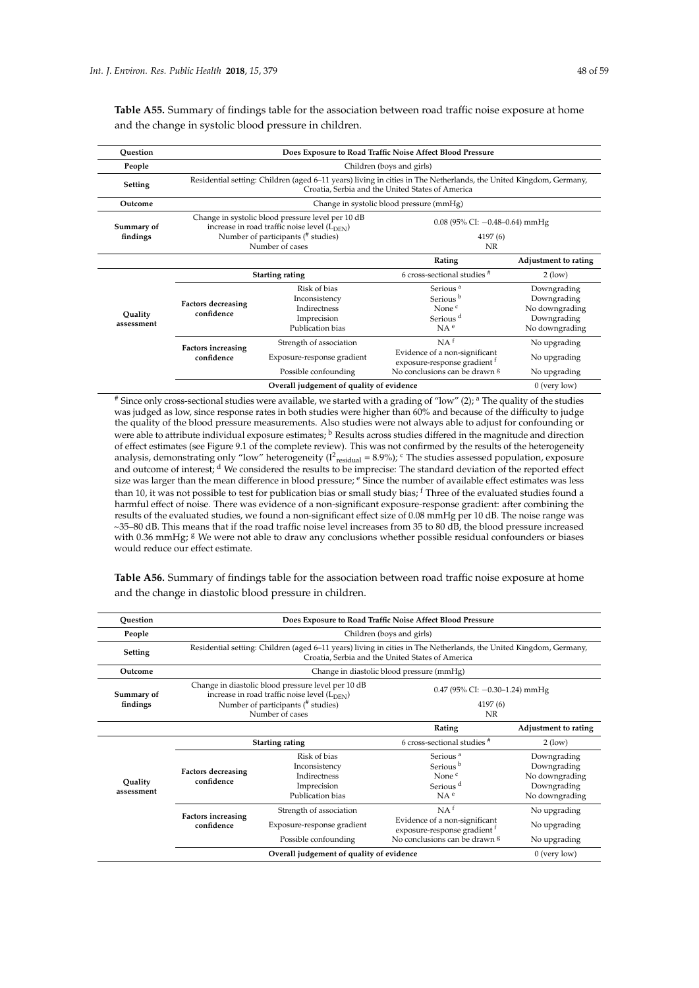| Question   | Does Exposure to Road Traffic Noise Affect Blood Pressure                                                                                                             |                            |                                                                          |                      |
|------------|-----------------------------------------------------------------------------------------------------------------------------------------------------------------------|----------------------------|--------------------------------------------------------------------------|----------------------|
| People     | Children (boys and girls)                                                                                                                                             |                            |                                                                          |                      |
| Setting    | Residential setting: Children (aged 6-11 years) living in cities in The Netherlands, the United Kingdom, Germany,<br>Croatia, Serbia and the United States of America |                            |                                                                          |                      |
| Outcome    |                                                                                                                                                                       |                            | Change in systolic blood pressure (mmHg)                                 |                      |
| Summary of | Change in systolic blood pressure level per 10 dB<br>$0.08$ (95% CI: $-0.48 - 0.64$ ) mmHg<br>increase in road traffic noise level (L <sub>DEN</sub> )                |                            |                                                                          |                      |
| findings   | Number of participants (# studies)<br>Number of cases                                                                                                                 |                            | 4197(6)                                                                  |                      |
|            |                                                                                                                                                                       |                            | <b>NR</b>                                                                |                      |
|            |                                                                                                                                                                       |                            | Rating                                                                   | Adjustment to rating |
|            | <b>Starting rating</b>                                                                                                                                                |                            | 6 cross-sectional studies #                                              | $2$ (low)            |
|            |                                                                                                                                                                       | Risk of bias               | Serious <sup>a</sup>                                                     | Downgrading          |
|            |                                                                                                                                                                       | Inconsistency              | Serious <sup>b</sup>                                                     | Downgrading          |
|            | <b>Factors decreasing</b><br>confidence                                                                                                                               | Indirectness               | None <sup>c</sup>                                                        | No downgrading       |
| Quality    |                                                                                                                                                                       | Imprecision                | Serious <sup>d</sup>                                                     | Downgrading          |
| assessment |                                                                                                                                                                       | Publication bias           | NA <sup>e</sup>                                                          | No downgrading       |
|            | <b>Factors increasing</b>                                                                                                                                             | Strength of association    | NA <sup>f</sup>                                                          | No upgrading         |
|            | confidence                                                                                                                                                            | Exposure-response gradient | Evidence of a non-significant<br>exposure-response gradient <sup>†</sup> | No upgrading         |
|            |                                                                                                                                                                       | Possible confounding       | No conclusions can be drawn <sup>8</sup>                                 | No upgrading         |
|            | Overall judgement of quality of evidence                                                                                                                              |                            |                                                                          | $0$ (very low)       |

**Table A55.** Summary of findings table for the association between road traffic noise exposure at home and the change in systolic blood pressure in children.

# Since only cross-sectional studies were available, we started with a grading of "low" (2); <sup>a</sup> The quality of the studies was judged as low, since response rates in both studies were higher than 60% and because of the difficulty to judge the quality of the blood pressure measurements. Also studies were not always able to adjust for confounding or were able to attribute individual exposure estimates; <sup>b</sup> Results across studies differed in the magnitude and direction of effect estimates (see Figure 9.1 of the complete review). This was not confirmed by the results of the heterogeneity analysis, demonstrating only "low" heterogeneity ( $I^2$ <sub>residual</sub> = 8.9%);  $c$  The studies assessed population, exposure and outcome of interest; <sup>d</sup> We considered the results to be imprecise: The standard deviation of the reported effect size was larger than the mean difference in blood pressure; <sup>e</sup> Since the number of available effect estimates was less than 10, it was not possible to test for publication bias or small study bias; <sup>f</sup> Three of the evaluated studies found a harmful effect of noise. There was evidence of a non-significant exposure-response gradient: after combining the results of the evaluated studies, we found a non-significant effect size of 0.08 mmHg per 10 dB. The noise range was ~35–80 dB. This means that if the road traffic noise level increases from 35 to 80 dB, the blood pressure increased with 0.36 mmHg; <sup>g</sup> We were not able to draw any conclusions whether possible residual confounders or biases would reduce our effect estimate.

**Table A56.** Summary of findings table for the association between road traffic noise exposure at home and the change in diastolic blood pressure in children.

| Ouestion   | Does Exposure to Road Traffic Noise Affect Blood Pressure                                                                                                             |                                                                                                                                                     |                                                               |                      |  |
|------------|-----------------------------------------------------------------------------------------------------------------------------------------------------------------------|-----------------------------------------------------------------------------------------------------------------------------------------------------|---------------------------------------------------------------|----------------------|--|
| People     | Children (boys and girls)                                                                                                                                             |                                                                                                                                                     |                                                               |                      |  |
| Setting    | Residential setting: Children (aged 6-11 years) living in cities in The Netherlands, the United Kingdom, Germany,<br>Croatia, Serbia and the United States of America |                                                                                                                                                     |                                                               |                      |  |
| Outcome    |                                                                                                                                                                       |                                                                                                                                                     | Change in diastolic blood pressure (mmHg)                     |                      |  |
| Summary of |                                                                                                                                                                       | Change in diastolic blood pressure level per 10 dB<br>0.47 (95% CI: $-0.30-1.24$ ) mmHg<br>increase in road traffic noise level (L <sub>DEN</sub> ) |                                                               |                      |  |
| findings   |                                                                                                                                                                       | Number of participants (# studies)                                                                                                                  |                                                               |                      |  |
|            |                                                                                                                                                                       | Number of cases                                                                                                                                     | <b>NR</b>                                                     |                      |  |
|            |                                                                                                                                                                       |                                                                                                                                                     | Rating                                                        | Adjustment to rating |  |
|            | <b>Starting rating</b>                                                                                                                                                |                                                                                                                                                     | 6 cross-sectional studies #                                   | $2$ (low)            |  |
|            |                                                                                                                                                                       | Risk of bias                                                                                                                                        | Serious <sup>a</sup>                                          | Downgrading          |  |
|            |                                                                                                                                                                       | Inconsistency                                                                                                                                       | Serious <sup>b</sup>                                          | Downgrading          |  |
|            | <b>Factors decreasing</b><br>confidence                                                                                                                               | <b>Indirectness</b>                                                                                                                                 | None $c$                                                      | No downgrading       |  |
| Quality    |                                                                                                                                                                       | Imprecision                                                                                                                                         | Serious <sup>d</sup>                                          | Downgrading          |  |
| assessment |                                                                                                                                                                       | Publication bias                                                                                                                                    | NA <sup>e</sup>                                               | No downgrading       |  |
|            | <b>Factors increasing</b>                                                                                                                                             | Strength of association                                                                                                                             | NA <sup>f</sup>                                               | No upgrading         |  |
|            | confidence                                                                                                                                                            | Exposure-response gradient                                                                                                                          | Evidence of a non-significant<br>exposure-response gradient f | No upgrading         |  |
|            |                                                                                                                                                                       | Possible confounding                                                                                                                                | No conclusions can be drawn <sup>g</sup>                      | No upgrading         |  |
|            | Overall judgement of quality of evidence                                                                                                                              |                                                                                                                                                     |                                                               |                      |  |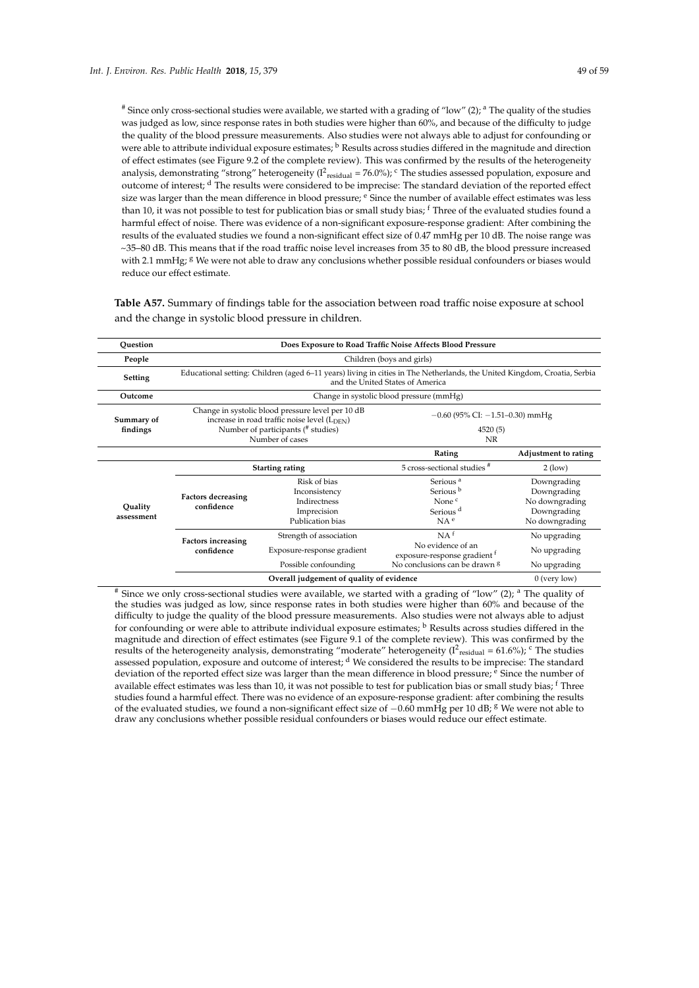# Since only cross-sectional studies were available, we started with a grading of "low" (2); <sup>a</sup> The quality of the studies was judged as low, since response rates in both studies were higher than 60%, and because of the difficulty to judge the quality of the blood pressure measurements. Also studies were not always able to adjust for confounding or were able to attribute individual exposure estimates; <sup>b</sup> Results across studies differed in the magnitude and direction of effect estimates (see Figure 9.2 of the complete review). This was confirmed by the results of the heterogeneity analysis, demonstrating "strong" heterogeneity  $(I^2_{residual} = 76.0\%)$ ;  $c$  The studies assessed population, exposure and outcome of interest; <sup>d</sup> The results were considered to be imprecise: The standard deviation of the reported effect size was larger than the mean difference in blood pressure; <sup>e</sup> Since the number of available effect estimates was less than 10, it was not possible to test for publication bias or small study bias;  $f$  Three of the evaluated studies found a harmful effect of noise. There was evidence of a non-significant exposure-response gradient: After combining the results of the evaluated studies we found a non-significant effect size of 0.47 mmHg per 10 dB. The noise range was ~35–80 dB. This means that if the road traffic noise level increases from 35 to 80 dB, the blood pressure increased with 2.1 mmHg; <sup>g</sup> We were not able to draw any conclusions whether possible residual confounders or biases would reduce our effect estimate.

**Table A57.** Summary of findings table for the association between road traffic noise exposure at school and the change in systolic blood pressure in children.

| Ouestion              | Does Exposure to Road Traffic Noise Affects Blood Pressure                                                                                                   |                                                                                                                                                       |                                                                                                                                                                                        |                                                                                                               |
|-----------------------|--------------------------------------------------------------------------------------------------------------------------------------------------------------|-------------------------------------------------------------------------------------------------------------------------------------------------------|----------------------------------------------------------------------------------------------------------------------------------------------------------------------------------------|---------------------------------------------------------------------------------------------------------------|
| People                | Children (boys and girls)                                                                                                                                    |                                                                                                                                                       |                                                                                                                                                                                        |                                                                                                               |
| Setting               | Educational setting: Children (aged 6-11 years) living in cities in The Netherlands, the United Kingdom, Croatia, Serbia<br>and the United States of America |                                                                                                                                                       |                                                                                                                                                                                        |                                                                                                               |
| Outcome               |                                                                                                                                                              |                                                                                                                                                       | Change in systolic blood pressure (mmHg)                                                                                                                                               |                                                                                                               |
| Summary of            |                                                                                                                                                              | Change in systolic blood pressure level per 10 dB<br>$-0.60$ (95% CI: $-1.51-0.30$ ) mmHg<br>increase in road traffic noise level (L <sub>DEN</sub> ) |                                                                                                                                                                                        |                                                                                                               |
| findings              | Number of participants (# studies)<br>Number of cases                                                                                                        |                                                                                                                                                       | 4520 (5)<br><b>NR</b>                                                                                                                                                                  |                                                                                                               |
|                       |                                                                                                                                                              |                                                                                                                                                       | Rating                                                                                                                                                                                 | Adjustment to rating                                                                                          |
|                       | <b>Starting rating</b>                                                                                                                                       |                                                                                                                                                       | 5 cross-sectional studies #                                                                                                                                                            | $2$ (low)                                                                                                     |
| Quality<br>assessment | <b>Factors decreasing</b><br>confidence<br><b>Factors increasing</b><br>confidence                                                                           | Risk of bias<br>Inconsistency<br><b>Indirectness</b><br>Imprecision<br>Publication bias<br>Strength of association<br>Exposure-response gradient      | Serious <sup>a</sup><br>Serious <sup>b</sup><br>None <sup>c</sup><br>Serious <sup>d</sup><br>$NA^e$<br>NA <sup>f</sup><br>No evidence of an<br>exposure-response gradient <sup>†</sup> | Downgrading<br>Downgrading<br>No downgrading<br>Downgrading<br>No downgrading<br>No upgrading<br>No upgrading |
|                       |                                                                                                                                                              | Possible confounding                                                                                                                                  | No conclusions can be drawn <sup>g</sup>                                                                                                                                               | No upgrading                                                                                                  |
|                       |                                                                                                                                                              | Overall judgement of quality of evidence                                                                                                              |                                                                                                                                                                                        | $0$ (very low)                                                                                                |

 $*$  Since we only cross-sectional studies were available, we started with a grading of "low" (2);  $^{\circ}$  The quality of the studies was judged as low, since response rates in both studies were higher than 60% and because of the difficulty to judge the quality of the blood pressure measurements. Also studies were not always able to adjust for confounding or were able to attribute individual exposure estimates;  $\frac{b}{b}$  Results across studies differed in the magnitude and direction of effect estimates (see Figure 9.1 of the complete review). This was confirmed by the results of the heterogeneity analysis, demonstrating "moderate" heterogeneity ( $l^2$ <sub>residual</sub> = 61.6%); <sup>c</sup> The studies assessed population, exposure and outcome of interest; <sup>d</sup> We considered the results to be imprecise: The standard deviation of the reported effect size was larger than the mean difference in blood pressure; <sup>e</sup> Since the number of available effect estimates was less than 10, it was not possible to test for publication bias or small study bias; <sup>f</sup> Three studies found a harmful effect. There was no evidence of an exposure-response gradient: after combining the results of the evaluated studies, we found a non-significant effect size of −0.60 mmHg per 10 dB; <sup>g</sup> We were not able to draw any conclusions whether possible residual confounders or biases would reduce our effect estimate.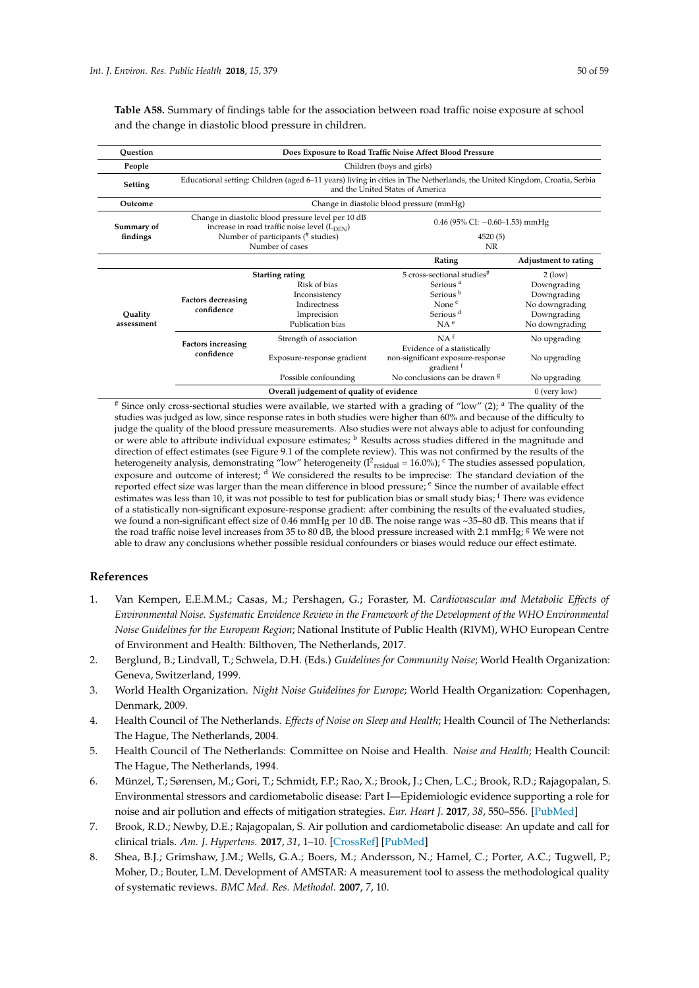| Ouestion   | Does Exposure to Road Traffic Noise Affect Blood Pressure                                                                                                    |                            |                                                                                           |                      |
|------------|--------------------------------------------------------------------------------------------------------------------------------------------------------------|----------------------------|-------------------------------------------------------------------------------------------|----------------------|
| People     | Children (boys and girls)                                                                                                                                    |                            |                                                                                           |                      |
| Setting    | Educational setting: Children (aged 6–11 years) living in cities in The Netherlands, the United Kingdom, Croatia, Serbia<br>and the United States of America |                            |                                                                                           |                      |
| Outcome    | Change in diastolic blood pressure (mmHg)                                                                                                                    |                            |                                                                                           |                      |
| Summary of | Change in diastolic blood pressure level per 10 dB<br>increase in road traffic noise level $(L_{\text{DEN}})$                                                |                            | 0.46 (95% CI: $-0.60-1.53$ ) mmHg                                                         |                      |
| findings   | Number of participants (# studies)                                                                                                                           |                            | 4520(5)                                                                                   |                      |
|            | Number of cases                                                                                                                                              |                            | <b>NR</b>                                                                                 |                      |
|            |                                                                                                                                                              |                            | Rating                                                                                    | Adjustment to rating |
|            | <b>Starting rating</b>                                                                                                                                       |                            | 5 cross-sectional studies <sup>#</sup>                                                    | $2$ (low)            |
|            | <b>Factors decreasing</b><br>confidence                                                                                                                      | Risk of bias               | Serious <sup>a</sup>                                                                      | Downgrading          |
|            |                                                                                                                                                              | Inconsistency              | Serious <sup>b</sup>                                                                      | Downgrading          |
|            |                                                                                                                                                              | Indirectness               | None $\circ$                                                                              | No downgrading       |
| Quality    |                                                                                                                                                              | Imprecision                | Serious <sup>d</sup>                                                                      | Downgrading          |
| assessment |                                                                                                                                                              | Publication bias           | NA <sup>e</sup>                                                                           | No downgrading       |
|            | <b>Factors increasing</b><br>confidence                                                                                                                      | Strength of association    | NA <sup>f</sup>                                                                           | No upgrading         |
|            |                                                                                                                                                              | Exposure-response gradient | Evidence of a statistically<br>non-significant exposure-response<br>gradient <sup>f</sup> | No upgrading         |
|            |                                                                                                                                                              | Possible confounding       | No conclusions can be drawn <sup>g</sup>                                                  | No upgrading         |
|            | Overall judgement of quality of evidence                                                                                                                     |                            |                                                                                           | $0$ (very low)       |

**Table A58.** Summary of findings table for the association between road traffic noise exposure at school and the change in diastolic blood pressure in children.

 $*$  Since only cross-sectional studies were available, we started with a grading of "low" (2);  $^{\circ}$  The quality of the studies was judged as low, since response rates in both studies were higher than 60% and because of the difficulty to judge the quality of the blood pressure measurements. Also studies were not always able to adjust for confounding or were able to attribute individual exposure estimates;  $\overline{b}$  Results across studies differed in the magnitude and direction of effect estimates (see Figure 9.1 of the complete review). This was not confirmed by the results of the heterogeneity analysis, demonstrating "low" heterogeneity ( $I^2$ <sub>residual</sub> = 16.0%);  $\circ$  The studies assessed population, exposure and outcome of interest; <sup>d</sup> We considered the results to be imprecise: The standard deviation of the reported effect size was larger than the mean difference in blood pressure; <sup>e</sup> Since the number of available effect estimates was less than 10, it was not possible to test for publication bias or small study bias; <sup>f</sup> There was evidence of a statistically non-significant exposure-response gradient: after combining the results of the evaluated studies, we found a non-significant effect size of 0.46 mmHg per 10 dB. The noise range was ~35–80 dB. This means that if the road traffic noise level increases from 35 to 80 dB, the blood pressure increased with 2.1 mmHg; <sup>g</sup> We were not able to draw any conclusions whether possible residual confounders or biases would reduce our effect estimate.

### **References**

- <span id="page-49-0"></span>1. Van Kempen, E.E.M.M.; Casas, M.; Pershagen, G.; Foraster, M. *Cardiovascular and Metabolic Effects of Environmental Noise. Systematic Envidence Review in the Framework of the Development of the WHO Environmental Noise Guidelines for the European Region*; National Institute of Public Health (RIVM), WHO European Centre of Environment and Health: Bilthoven, The Netherlands, 2017.
- <span id="page-49-1"></span>2. Berglund, B.; Lindvall, T.; Schwela, D.H. (Eds.) *Guidelines for Community Noise*; World Health Organization: Geneva, Switzerland, 1999.
- <span id="page-49-3"></span>3. World Health Organization. *Night Noise Guidelines for Europe*; World Health Organization: Copenhagen, Denmark, 2009.
- 4. Health Council of The Netherlands. *Effects of Noise on Sleep and Health*; Health Council of The Netherlands: The Hague, The Netherlands, 2004.
- <span id="page-49-2"></span>5. Health Council of The Netherlands: Committee on Noise and Health. *Noise and Health*; Health Council: The Hague, The Netherlands, 1994.
- <span id="page-49-4"></span>6. Münzel, T.; Sørensen, M.; Gori, T.; Schmidt, F.P.; Rao, X.; Brook, J.; Chen, L.C.; Brook, R.D.; Rajagopalan, S. Environmental stressors and cardiometabolic disease: Part I—Epidemiologic evidence supporting a role for noise and air pollution and effects of mitigation strategies. *Eur. Heart J.* **2017**, *38*, 550–556. [\[PubMed\]](http://www.ncbi.nlm.nih.gov/pubmed/27460892)
- <span id="page-49-5"></span>7. Brook, R.D.; Newby, D.E.; Rajagopalan, S. Air pollution and cardiometabolic disease: An update and call for clinical trials. *Am. J. Hypertens.* **2017**, *31*, 1–10. [\[CrossRef\]](http://dx.doi.org/10.1093/ajh/hpx109) [\[PubMed\]](http://www.ncbi.nlm.nih.gov/pubmed/28655143)
- <span id="page-49-6"></span>8. Shea, B.J.; Grimshaw, J.M.; Wells, G.A.; Boers, M.; Andersson, N.; Hamel, C.; Porter, A.C.; Tugwell, P.; Moher, D.; Bouter, L.M. Development of AMSTAR: A measurement tool to assess the methodological quality of systematic reviews. *BMC Med. Res. Methodol.* **2007**, *7*, 10.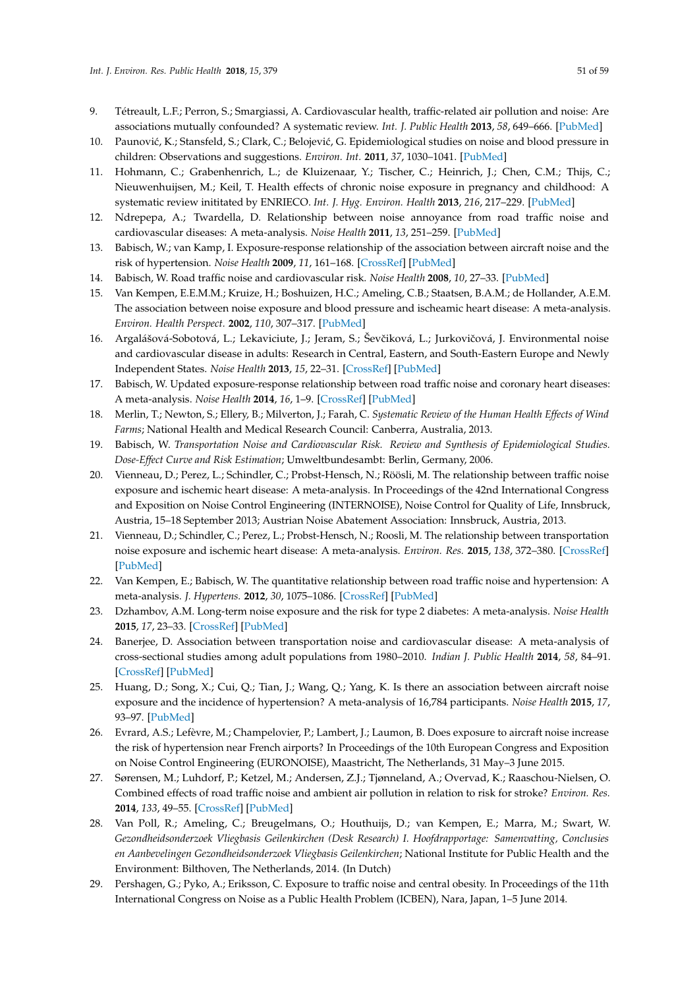- <span id="page-50-0"></span>9. Tétreault, L.F.; Perron, S.; Smargiassi, A. Cardiovascular health, traffic-related air pollution and noise: Are associations mutually confounded? A systematic review. *Int. J. Public Health* **2013**, *58*, 649–666. [\[PubMed\]](http://www.ncbi.nlm.nih.gov/pubmed/23887610)
- 10. Paunović, K.; Stansfeld, S.; Clark, C.; Belojević, G. Epidemiological studies on noise and blood pressure in children: Observations and suggestions. *Environ. Int.* **2011**, *37*, 1030–1041. [\[PubMed\]](http://www.ncbi.nlm.nih.gov/pubmed/21496926)
- 11. Hohmann, C.; Grabenhenrich, L.; de Kluizenaar, Y.; Tischer, C.; Heinrich, J.; Chen, C.M.; Thijs, C.; Nieuwenhuijsen, M.; Keil, T. Health effects of chronic noise exposure in pregnancy and childhood: A systematic review inititated by ENRIECO. *Int. J. Hyg. Environ. Health* **2013**, *216*, 217–229. [\[PubMed\]](http://www.ncbi.nlm.nih.gov/pubmed/22854276)
- 12. Ndrepepa, A.; Twardella, D. Relationship between noise annoyance from road traffic noise and cardiovascular diseases: A meta-analysis. *Noise Health* **2011**, *13*, 251–259. [\[PubMed\]](http://www.ncbi.nlm.nih.gov/pubmed/21537109)
- 13. Babisch, W.; van Kamp, I. Exposure-response relationship of the association between aircraft noise and the risk of hypertension. *Noise Health* **2009**, *11*, 161–168. [\[CrossRef\]](http://dx.doi.org/10.4103/1463-1741.53363) [\[PubMed\]](http://www.ncbi.nlm.nih.gov/pubmed/19602770)
- 14. Babisch, W. Road traffic noise and cardiovascular risk. *Noise Health* **2008**, *10*, 27–33. [\[PubMed\]](http://www.ncbi.nlm.nih.gov/pubmed/18270405)
- 15. Van Kempen, E.E.M.M.; Kruize, H.; Boshuizen, H.C.; Ameling, C.B.; Staatsen, B.A.M.; de Hollander, A.E.M. The association between noise exposure and blood pressure and ischeamic heart disease: A meta-analysis. *Environ. Health Perspect.* **2002**, *110*, 307–317. [\[PubMed\]](http://www.ncbi.nlm.nih.gov/pubmed/11882483)
- 16. Argalášová-Sobotová, L.; Lekaviciute, J.; Jeram, S.; Ševčiková, L.; Jurkovičová, J. Environmental noise and cardiovascular disease in adults: Research in Central, Eastern, and South-Eastern Europe and Newly Independent States. *Noise Health* **2013**, *15*, 22–31. [\[CrossRef\]](http://dx.doi.org/10.4103/1463-1741.107149) [\[PubMed\]](http://www.ncbi.nlm.nih.gov/pubmed/23412577)
- 17. Babisch, W. Updated exposure-response relationship between road traffic noise and coronary heart diseases: A meta-analysis. *Noise Health* **2014**, *16*, 1–9. [\[CrossRef\]](http://dx.doi.org/10.4103/1463-1741.127847) [\[PubMed\]](http://www.ncbi.nlm.nih.gov/pubmed/24583674)
- 18. Merlin, T.; Newton, S.; Ellery, B.; Milverton, J.; Farah, C. *Systematic Review of the Human Health Effects of Wind Farms*; National Health and Medical Research Council: Canberra, Australia, 2013.
- 19. Babisch, W. *Transportation Noise and Cardiovascular Risk. Review and Synthesis of Epidemiological Studies. Dose-Effect Curve and Risk Estimation*; Umweltbundesambt: Berlin, Germany, 2006.
- 20. Vienneau, D.; Perez, L.; Schindler, C.; Probst-Hensch, N.; Röösli, M. The relationship between traffic noise exposure and ischemic heart disease: A meta-analysis. In Proceedings of the 42nd International Congress and Exposition on Noise Control Engineering (INTERNOISE), Noise Control for Quality of Life, Innsbruck, Austria, 15–18 September 2013; Austrian Noise Abatement Association: Innsbruck, Austria, 2013.
- <span id="page-50-6"></span>21. Vienneau, D.; Schindler, C.; Perez, L.; Probst-Hensch, N.; Roosli, M. The relationship between transportation noise exposure and ischemic heart disease: A meta-analysis. *Environ. Res.* **2015**, *138*, 372–380. [\[CrossRef\]](http://dx.doi.org/10.1016/j.envres.2015.02.023) [\[PubMed\]](http://www.ncbi.nlm.nih.gov/pubmed/25769126)
- 22. Van Kempen, E.; Babisch, W. The quantitative relationship between road traffic noise and hypertension: A meta-analysis. *J. Hypertens.* **2012**, *30*, 1075–1086. [\[CrossRef\]](http://dx.doi.org/10.1097/HJH.0b013e328352ac54) [\[PubMed\]](http://www.ncbi.nlm.nih.gov/pubmed/22473017)
- 23. Dzhambov, A.M. Long-term noise exposure and the risk for type 2 diabetes: A meta-analysis. *Noise Health* **2015**, *17*, 23–33. [\[CrossRef\]](http://dx.doi.org/10.4103/1463-1741.149571) [\[PubMed\]](http://www.ncbi.nlm.nih.gov/pubmed/25599755)
- 24. Banerjee, D. Association between transportation noise and cardiovascular disease: A meta-analysis of cross-sectional studies among adult populations from 1980–2010. *Indian J. Public Health* **2014**, *58*, 84–91. [\[CrossRef\]](http://dx.doi.org/10.4103/0019-557X.132279) [\[PubMed\]](http://www.ncbi.nlm.nih.gov/pubmed/24820980)
- <span id="page-50-1"></span>25. Huang, D.; Song, X.; Cui, Q.; Tian, J.; Wang, Q.; Yang, K. Is there an association between aircraft noise exposure and the incidence of hypertension? A meta-analysis of 16,784 participants. *Noise Health* **2015**, *17*, 93–97. [\[PubMed\]](http://www.ncbi.nlm.nih.gov/pubmed/25774612)
- <span id="page-50-2"></span>26. Evrard, A.S.; Lefèvre, M.; Champelovier, P.; Lambert, J.; Laumon, B. Does exposure to aircraft noise increase the risk of hypertension near French airports? In Proceedings of the 10th European Congress and Exposition on Noise Control Engineering (EURONOISE), Maastricht, The Netherlands, 31 May–3 June 2015.
- <span id="page-50-4"></span>27. Sørensen, M.; Luhdorf, P.; Ketzel, M.; Andersen, Z.J.; Tjønneland, A.; Overvad, K.; Raaschou-Nielsen, O. Combined effects of road traffic noise and ambient air pollution in relation to risk for stroke? *Environ. Res.* **2014**, *133*, 49–55. [\[CrossRef\]](http://dx.doi.org/10.1016/j.envres.2014.05.011) [\[PubMed\]](http://www.ncbi.nlm.nih.gov/pubmed/24906068)
- <span id="page-50-5"></span>28. Van Poll, R.; Ameling, C.; Breugelmans, O.; Houthuijs, D.; van Kempen, E.; Marra, M.; Swart, W. *Gezondheidsonderzoek Vliegbasis Geilenkirchen (Desk Research) I. Hoofdrapportage: Samenvatting, Conclusies en Aanbevelingen Gezondheidsonderzoek Vliegbasis Geilenkirchen*; National Institute for Public Health and the Environment: Bilthoven, The Netherlands, 2014. (In Dutch)
- <span id="page-50-3"></span>29. Pershagen, G.; Pyko, A.; Eriksson, C. Exposure to traffic noise and central obesity. In Proceedings of the 11th International Congress on Noise as a Public Health Problem (ICBEN), Nara, Japan, 1–5 June 2014.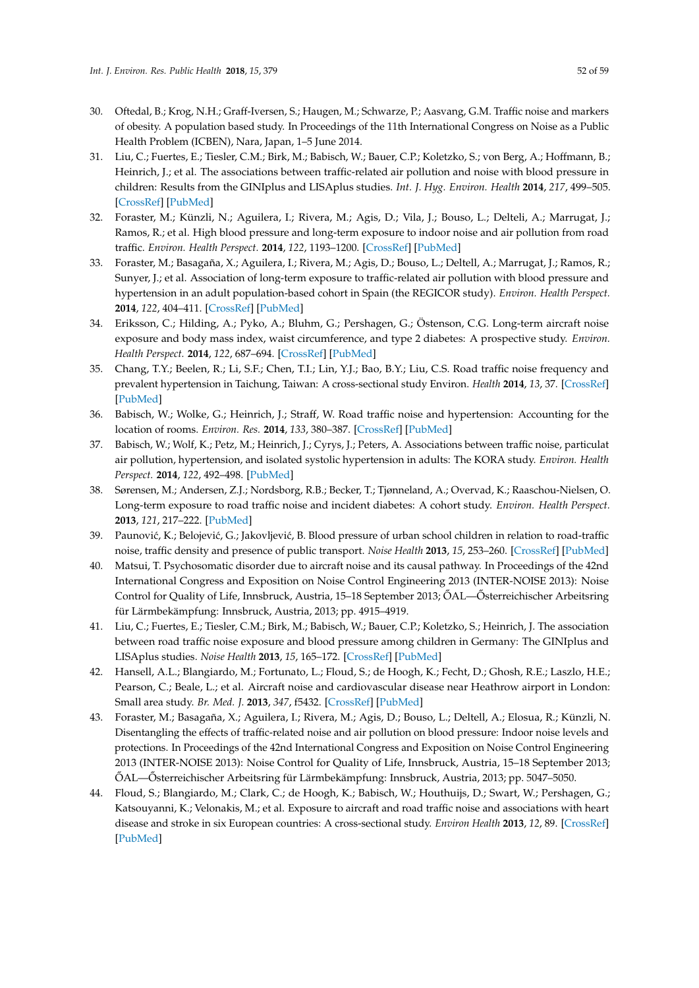- <span id="page-51-4"></span>30. Oftedal, B.; Krog, N.H.; Graff-Iversen, S.; Haugen, M.; Schwarze, P.; Aasvang, G.M. Traffic noise and markers of obesity. A population based study. In Proceedings of the 11th International Congress on Noise as a Public Health Problem (ICBEN), Nara, Japan, 1–5 June 2014.
- <span id="page-51-11"></span>31. Liu, C.; Fuertes, E.; Tiesler, C.M.; Birk, M.; Babisch, W.; Bauer, C.P.; Koletzko, S.; von Berg, A.; Hoffmann, B.; Heinrich, J.; et al. The associations between traffic-related air pollution and noise with blood pressure in children: Results from the GINIplus and LISAplus studies. *Int. J. Hyg. Environ. Health* **2014**, *217*, 499–505. [\[CrossRef\]](http://dx.doi.org/10.1016/j.ijheh.2013.09.008) [\[PubMed\]](http://www.ncbi.nlm.nih.gov/pubmed/24183515)
- <span id="page-51-0"></span>32. Foraster, M.; Künzli, N.; Aguilera, I.; Rivera, M.; Agis, D.; Vila, J.; Bouso, L.; Delteli, A.; Marrugat, J.; Ramos, R.; et al. High blood pressure and long-term exposure to indoor noise and air pollution from road traffic. *Environ. Health Perspect.* **2014**, *122*, 1193–1200. [\[CrossRef\]](http://dx.doi.org/10.1289/ehp.1307156) [\[PubMed\]](http://www.ncbi.nlm.nih.gov/pubmed/25003348)
- <span id="page-51-1"></span>33. Foraster, M.; Basagaña, X.; Aguilera, I.; Rivera, M.; Agis, D.; Bouso, L.; Deltell, A.; Marrugat, J.; Ramos, R.; Sunyer, J.; et al. Association of long-term exposure to traffic-related air pollution with blood pressure and hypertension in an adult population-based cohort in Spain (the REGICOR study). *Environ. Health Perspect.* **2014**, *122*, 404–411. [\[CrossRef\]](http://dx.doi.org/10.1289/ehp.1306497) [\[PubMed\]](http://www.ncbi.nlm.nih.gov/pubmed/24531056)
- <span id="page-51-3"></span>34. Eriksson, C.; Hilding, A.; Pyko, A.; Bluhm, G.; Pershagen, G.; Östenson, C.G. Long-term aircraft noise exposure and body mass index, waist circumference, and type 2 diabetes: A prospective study. *Environ. Health Perspect.* **2014**, *122*, 687–694. [\[CrossRef\]](http://dx.doi.org/10.1289/ehp.1307115) [\[PubMed\]](http://www.ncbi.nlm.nih.gov/pubmed/24800763)
- <span id="page-51-6"></span>35. Chang, T.Y.; Beelen, R.; Li, S.F.; Chen, T.I.; Lin, Y.J.; Bao, B.Y.; Liu, C.S. Road traffic noise frequency and prevalent hypertension in Taichung, Taiwan: A cross-sectional study Environ. *Health* **2014**, *13*, 37. [\[CrossRef\]](http://dx.doi.org/10.1186/1476-069X-13-37) [\[PubMed\]](http://www.ncbi.nlm.nih.gov/pubmed/24886205)
- <span id="page-51-14"></span>36. Babisch, W.; Wolke, G.; Heinrich, J.; Straff, W. Road traffic noise and hypertension: Accounting for the location of rooms. *Environ. Res.* **2014**, *133*, 380–387. [\[CrossRef\]](http://dx.doi.org/10.1016/j.envres.2014.05.007) [\[PubMed\]](http://www.ncbi.nlm.nih.gov/pubmed/24952459)
- <span id="page-51-7"></span>37. Babisch, W.; Wolf, K.; Petz, M.; Heinrich, J.; Cyrys, J.; Peters, A. Associations between traffic noise, particulat air pollution, hypertension, and isolated systolic hypertension in adults: The KORA study. *Environ. Health Perspect.* **2014**, *122*, 492–498. [\[PubMed\]](http://www.ncbi.nlm.nih.gov/pubmed/24602804)
- <span id="page-51-5"></span>38. Sørensen, M.; Andersen, Z.J.; Nordsborg, R.B.; Becker, T.; Tjønneland, A.; Overvad, K.; Raaschou-Nielsen, O. Long-term exposure to road traffic noise and incident diabetes: A cohort study. *Environ. Health Perspect.* **2013**, *121*, 217–222. [\[PubMed\]](http://www.ncbi.nlm.nih.gov/pubmed/23229017)
- <span id="page-51-12"></span>39. Paunović, K.; Belojević, G.; Jakovljević, B. Blood pressure of urban school children in relation to road-traffic noise, traffic density and presence of public transport. *Noise Health* **2013**, *15*, 253–260. [\[CrossRef\]](http://dx.doi.org/10.4103/1463-1741.113521) [\[PubMed\]](http://www.ncbi.nlm.nih.gov/pubmed/23771424)
- <span id="page-51-8"></span>40. Matsui, T. Psychosomatic disorder due to aircraft noise and its causal pathway. In Proceedings of the 42nd International Congress and Exposition on Noise Control Engineering 2013 (INTER-NOISE 2013): Noise Control for Quality of Life, Innsbruck, Austria, 15–18 September 2013; ÖAL—Österreichischer Arbeitsring für Lärmbekämpfung: Innsbruck, Austria, 2013; pp. 4915–4919.
- <span id="page-51-13"></span>41. Liu, C.; Fuertes, E.; Tiesler, C.M.; Birk, M.; Babisch, W.; Bauer, C.P.; Koletzko, S.; Heinrich, J. The association between road traffic noise exposure and blood pressure among children in Germany: The GINIplus and LISAplus studies. *Noise Health* **2013**, *15*, 165–172. [\[CrossRef\]](http://dx.doi.org/10.4103/1463-1741.112364) [\[PubMed\]](http://www.ncbi.nlm.nih.gov/pubmed/23689298)
- <span id="page-51-9"></span>42. Hansell, A.L.; Blangiardo, M.; Fortunato, L.; Floud, S.; de Hoogh, K.; Fecht, D.; Ghosh, R.E.; Laszlo, H.E.; Pearson, C.; Beale, L.; et al. Aircraft noise and cardiovascular disease near Heathrow airport in London: Small area study. *Br. Med. J.* **2013**, *347*, f5432. [\[CrossRef\]](http://dx.doi.org/10.1136/bmj.f5432) [\[PubMed\]](http://www.ncbi.nlm.nih.gov/pubmed/24103537)
- <span id="page-51-2"></span>43. Foraster, M.; Basagaña, X.; Aguilera, I.; Rivera, M.; Agis, D.; Bouso, L.; Deltell, A.; Elosua, R.; Künzli, N. Disentangling the effects of traffic-related noise and air pollution on blood pressure: Indoor noise levels and protections. In Proceedings of the 42nd International Congress and Exposition on Noise Control Engineering 2013 (INTER-NOISE 2013): Noise Control for Quality of Life, Innsbruck, Austria, 15–18 September 2013; OAL— ˝ Osterreichischer Arbeitsring für Lärmbekämpfung: Innsbruck, Austria, 2013; pp. 5047–5050. ˝
- <span id="page-51-10"></span>44. Floud, S.; Blangiardo, M.; Clark, C.; de Hoogh, K.; Babisch, W.; Houthuijs, D.; Swart, W.; Pershagen, G.; Katsouyanni, K.; Velonakis, M.; et al. Exposure to aircraft and road traffic noise and associations with heart disease and stroke in six European countries: A cross-sectional study. *Environ Health* **2013**, *12*, 89. [\[CrossRef\]](http://dx.doi.org/10.1186/1476-069X-12-89) [\[PubMed\]](http://www.ncbi.nlm.nih.gov/pubmed/24131577)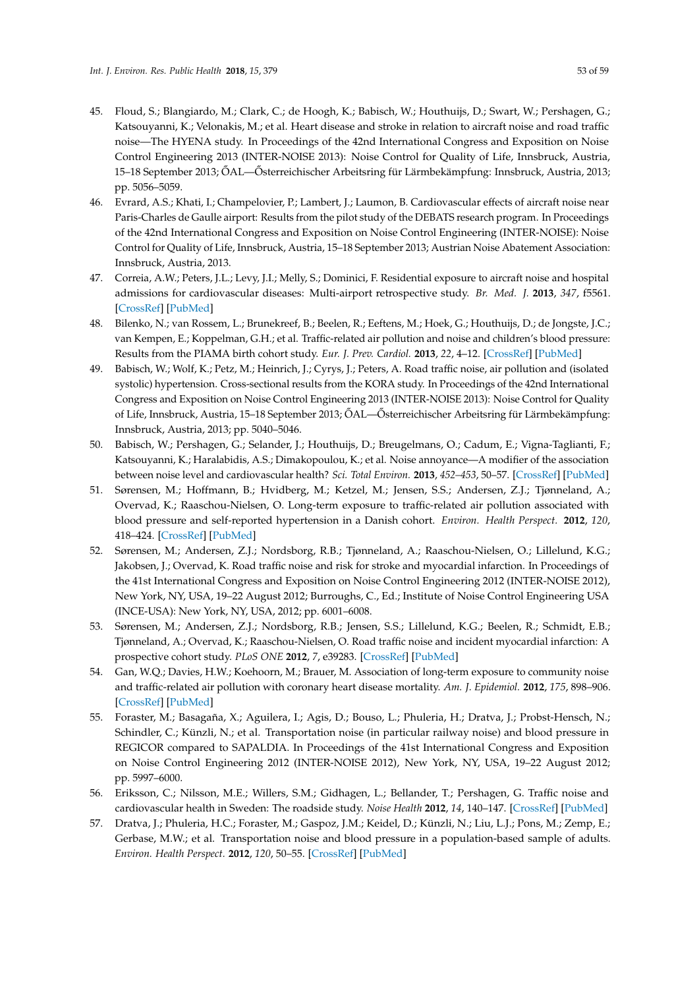- <span id="page-52-8"></span>45. Floud, S.; Blangiardo, M.; Clark, C.; de Hoogh, K.; Babisch, W.; Houthuijs, D.; Swart, W.; Pershagen, G.; Katsouyanni, K.; Velonakis, M.; et al. Heart disease and stroke in relation to aircraft noise and road traffic noise—The HYENA study. In Proceedings of the 42nd International Congress and Exposition on Noise Control Engineering 2013 (INTER-NOISE 2013): Noise Control for Quality of Life, Innsbruck, Austria, 15–18 September 2013; OAL— ˝ Osterreichischer Arbeitsring für Lärmbekämpfung: Innsbruck, Austria, 2013; ˝ pp. 5056–5059.
- <span id="page-52-0"></span>46. Evrard, A.S.; Khati, I.; Champelovier, P.; Lambert, J.; Laumon, B. Cardiovascular effects of aircraft noise near Paris-Charles de Gaulle airport: Results from the pilot study of the DEBATS research program. In Proceedings of the 42nd International Congress and Exposition on Noise Control Engineering (INTER-NOISE): Noise Control for Quality of Life, Innsbruck, Austria, 15–18 September 2013; Austrian Noise Abatement Association: Innsbruck, Austria, 2013.
- <span id="page-52-9"></span>47. Correia, A.W.; Peters, J.L.; Levy, J.I.; Melly, S.; Dominici, F. Residential exposure to aircraft noise and hospital admissions for cardiovascular diseases: Multi-airport retrospective study. *Br. Med. J.* **2013**, *347*, f5561. [\[CrossRef\]](http://dx.doi.org/10.1136/bmj.f5561) [\[PubMed\]](http://www.ncbi.nlm.nih.gov/pubmed/24103538)
- <span id="page-52-12"></span>48. Bilenko, N.; van Rossem, L.; Brunekreef, B.; Beelen, R.; Eeftens, M.; Hoek, G.; Houthuijs, D.; de Jongste, J.C.; van Kempen, E.; Koppelman, G.H.; et al. Traffic-related air pollution and noise and children's blood pressure: Results from the PIAMA birth cohort study. *Eur. J. Prev. Cardiol.* **2013**, *22*, 4–12. [\[CrossRef\]](http://dx.doi.org/10.1177/2047487313505821) [\[PubMed\]](http://www.ncbi.nlm.nih.gov/pubmed/24047569)
- <span id="page-52-3"></span>49. Babisch, W.; Wolf, K.; Petz, M.; Heinrich, J.; Cyrys, J.; Peters, A. Road traffic noise, air pollution and (isolated systolic) hypertension. Cross-sectional results from the KORA study. In Proceedings of the 42nd International Congress and Exposition on Noise Control Engineering 2013 (INTER-NOISE 2013): Noise Control for Quality of Life, Innsbruck, Austria, 15–18 September 2013; OAL— ˝ Osterreichischer Arbeitsring für Lärmbekämpfung: ˝ Innsbruck, Austria, 2013; pp. 5040–5046.
- <span id="page-52-6"></span>50. Babisch, W.; Pershagen, G.; Selander, J.; Houthuijs, D.; Breugelmans, O.; Cadum, E.; Vigna-Taglianti, F.; Katsouyanni, K.; Haralabidis, A.S.; Dimakopoulou, K.; et al. Noise annoyance—A modifier of the association between noise level and cardiovascular health? *Sci. Total Environ.* **2013**, *452–453*, 50–57. [\[CrossRef\]](http://dx.doi.org/10.1016/j.scitotenv.2013.02.034) [\[PubMed\]](http://www.ncbi.nlm.nih.gov/pubmed/23500398)
- <span id="page-52-1"></span>51. Sørensen, M.; Hoffmann, B.; Hvidberg, M.; Ketzel, M.; Jensen, S.S.; Andersen, Z.J.; Tjønneland, A.; Overvad, K.; Raaschou-Nielsen, O. Long-term exposure to traffic-related air pollution associated with blood pressure and self-reported hypertension in a Danish cohort. *Environ. Health Perspect.* **2012**, *120*, 418–424. [\[CrossRef\]](http://dx.doi.org/10.1289/ehp.1103631) [\[PubMed\]](http://www.ncbi.nlm.nih.gov/pubmed/22214647)
- <span id="page-52-10"></span>52. Sørensen, M.; Andersen, Z.J.; Nordsborg, R.B.; Tjønneland, A.; Raaschou-Nielsen, O.; Lillelund, K.G.; Jakobsen, J.; Overvad, K. Road traffic noise and risk for stroke and myocardial infarction. In Proceedings of the 41st International Congress and Exposition on Noise Control Engineering 2012 (INTER-NOISE 2012), New York, NY, USA, 19–22 August 2012; Burroughs, C., Ed.; Institute of Noise Control Engineering USA (INCE-USA): New York, NY, USA, 2012; pp. 6001–6008.
- <span id="page-52-2"></span>53. Sørensen, M.; Andersen, Z.J.; Nordsborg, R.B.; Jensen, S.S.; Lillelund, K.G.; Beelen, R.; Schmidt, E.B.; Tjønneland, A.; Overvad, K.; Raaschou-Nielsen, O. Road traffic noise and incident myocardial infarction: A prospective cohort study. *PLoS ONE* **2012**, *7*, e39283. [\[CrossRef\]](http://dx.doi.org/10.1371/journal.pone.0039283) [\[PubMed\]](http://www.ncbi.nlm.nih.gov/pubmed/22745727)
- <span id="page-52-11"></span>54. Gan, W.Q.; Davies, H.W.; Koehoorn, M.; Brauer, M. Association of long-term exposure to community noise and traffic-related air pollution with coronary heart disease mortality. *Am. J. Epidemiol.* **2012**, *175*, 898–906. [\[CrossRef\]](http://dx.doi.org/10.1093/aje/kwr424) [\[PubMed\]](http://www.ncbi.nlm.nih.gov/pubmed/22491084)
- <span id="page-52-4"></span>55. Foraster, M.; Basagaña, X.; Aguilera, I.; Agis, D.; Bouso, L.; Phuleria, H.; Dratva, J.; Probst-Hensch, N.; Schindler, C.; Künzli, N.; et al. Transportation noise (in particular railway noise) and blood pressure in REGICOR compared to SAPALDIA. In Proceedings of the 41st International Congress and Exposition on Noise Control Engineering 2012 (INTER-NOISE 2012), New York, NY, USA, 19–22 August 2012; pp. 5997–6000.
- <span id="page-52-7"></span>56. Eriksson, C.; Nilsson, M.E.; Willers, S.M.; Gidhagen, L.; Bellander, T.; Pershagen, G. Traffic noise and cardiovascular health in Sweden: The roadside study. *Noise Health* **2012**, *14*, 140–147. [\[CrossRef\]](http://dx.doi.org/10.4103/1463-1741.99864) [\[PubMed\]](http://www.ncbi.nlm.nih.gov/pubmed/22918143)
- <span id="page-52-5"></span>57. Dratva, J.; Phuleria, H.C.; Foraster, M.; Gaspoz, J.M.; Keidel, D.; Künzli, N.; Liu, L.J.; Pons, M.; Zemp, E.; Gerbase, M.W.; et al. Transportation noise and blood pressure in a population-based sample of adults. *Environ. Health Perspect.* **2012**, *120*, 50–55. [\[CrossRef\]](http://dx.doi.org/10.1289/ehp.1103448) [\[PubMed\]](http://www.ncbi.nlm.nih.gov/pubmed/21885382)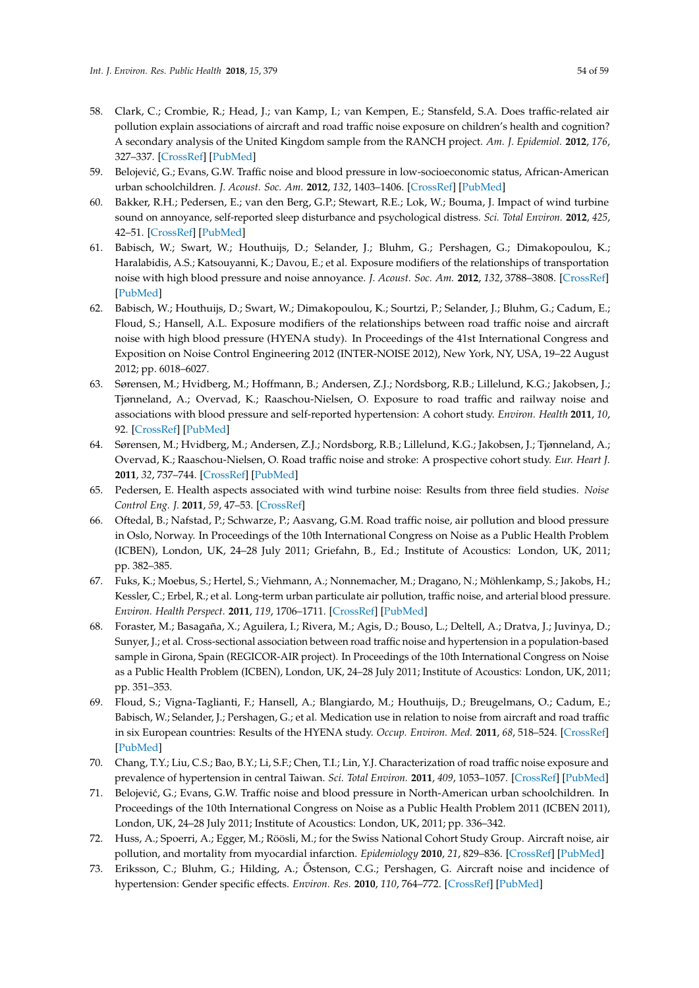- <span id="page-53-12"></span>58. Clark, C.; Crombie, R.; Head, J.; van Kamp, I.; van Kempen, E.; Stansfeld, S.A. Does traffic-related air pollution explain associations of aircraft and road traffic noise exposure on children's health and cognition? A secondary analysis of the United Kingdom sample from the RANCH project. *Am. J. Epidemiol.* **2012**, *176*, 327–337. [\[CrossRef\]](http://dx.doi.org/10.1093/aje/kws012) [\[PubMed\]](http://www.ncbi.nlm.nih.gov/pubmed/22842719)
- <span id="page-53-13"></span>59. Belojević, G.; Evans, G.W. Traffic noise and blood pressure in low-socioeconomic status, African-American urban schoolchildren. *J. Acoust. Soc. Am.* **2012**, *132*, 1403–1406. [\[CrossRef\]](http://dx.doi.org/10.1121/1.4739449) [\[PubMed\]](http://www.ncbi.nlm.nih.gov/pubmed/22978869)
- <span id="page-53-5"></span>60. Bakker, R.H.; Pedersen, E.; van den Berg, G.P.; Stewart, R.E.; Lok, W.; Bouma, J. Impact of wind turbine sound on annoyance, self-reported sleep disturbance and psychological distress. *Sci. Total Environ.* **2012**, *425*, 42–51. [\[CrossRef\]](http://dx.doi.org/10.1016/j.scitotenv.2012.03.005) [\[PubMed\]](http://www.ncbi.nlm.nih.gov/pubmed/22481052)
- <span id="page-53-8"></span>61. Babisch, W.; Swart, W.; Houthuijs, D.; Selander, J.; Bluhm, G.; Pershagen, G.; Dimakopoulou, K.; Haralabidis, A.S.; Katsouyanni, K.; Davou, E.; et al. Exposure modifiers of the relationships of transportation noise with high blood pressure and noise annoyance. *J. Acoust. Soc. Am.* **2012**, *132*, 3788–3808. [\[CrossRef\]](http://dx.doi.org/10.1121/1.4764881) [\[PubMed\]](http://www.ncbi.nlm.nih.gov/pubmed/23231109)
- <span id="page-53-9"></span>62. Babisch, W.; Houthuijs, D.; Swart, W.; Dimakopoulou, K.; Sourtzi, P.; Selander, J.; Bluhm, G.; Cadum, E.; Floud, S.; Hansell, A.L. Exposure modifiers of the relationships between road traffic noise and aircraft noise with high blood pressure (HYENA study). In Proceedings of the 41st International Congress and Exposition on Noise Control Engineering 2012 (INTER-NOISE 2012), New York, NY, USA, 19–22 August 2012; pp. 6018–6027.
- <span id="page-53-3"></span>63. Sørensen, M.; Hvidberg, M.; Hoffmann, B.; Andersen, Z.J.; Nordsborg, R.B.; Lillelund, K.G.; Jakobsen, J.; Tjønneland, A.; Overvad, K.; Raaschou-Nielsen, O. Exposure to road traffic and railway noise and associations with blood pressure and self-reported hypertension: A cohort study. *Environ. Health* **2011**, *10*, 92. [\[CrossRef\]](http://dx.doi.org/10.1186/1476-069X-10-92) [\[PubMed\]](http://www.ncbi.nlm.nih.gov/pubmed/22034939)
- <span id="page-53-4"></span>64. Sørensen, M.; Hvidberg, M.; Andersen, Z.J.; Nordsborg, R.B.; Lillelund, K.G.; Jakobsen, J.; Tjønneland, A.; Overvad, K.; Raaschou-Nielsen, O. Road traffic noise and stroke: A prospective cohort study. *Eur. Heart J.* **2011**, *32*, 737–744. [\[CrossRef\]](http://dx.doi.org/10.1093/eurheartj/ehq466) [\[PubMed\]](http://www.ncbi.nlm.nih.gov/pubmed/21266374)
- <span id="page-53-6"></span>65. Pedersen, E. Health aspects associated with wind turbine noise: Results from three field studies. *Noise Control Eng. J.* **2011**, *59*, 47–53. [\[CrossRef\]](http://dx.doi.org/10.3397/1.3533898)
- <span id="page-53-2"></span>66. Oftedal, B.; Nafstad, P.; Schwarze, P.; Aasvang, G.M. Road traffic noise, air pollution and blood pressure in Oslo, Norway. In Proceedings of the 10th International Congress on Noise as a Public Health Problem (ICBEN), London, UK, 24–28 July 2011; Griefahn, B., Ed.; Institute of Acoustics: London, UK, 2011; pp. 382–385.
- <span id="page-53-15"></span>67. Fuks, K.; Moebus, S.; Hertel, S.; Viehmann, A.; Nonnemacher, M.; Dragano, N.; Möhlenkamp, S.; Jakobs, H.; Kessler, C.; Erbel, R.; et al. Long-term urban particulate air pollution, traffic noise, and arterial blood pressure. *Environ. Health Perspect.* **2011**, *119*, 1706–1711. [\[CrossRef\]](http://dx.doi.org/10.1289/ehp.1103564) [\[PubMed\]](http://www.ncbi.nlm.nih.gov/pubmed/21827977)
- <span id="page-53-0"></span>68. Foraster, M.; Basagaña, X.; Aguilera, I.; Rivera, M.; Agis, D.; Bouso, L.; Deltell, A.; Dratva, J.; Juvinya, D.; Sunyer, J.; et al. Cross-sectional association between road traffic noise and hypertension in a population-based sample in Girona, Spain (REGICOR-AIR project). In Proceedings of the 10th International Congress on Noise as a Public Health Problem (ICBEN), London, UK, 24–28 July 2011; Institute of Acoustics: London, UK, 2011; pp. 351–353.
- <span id="page-53-10"></span>69. Floud, S.; Vigna-Taglianti, F.; Hansell, A.; Blangiardo, M.; Houthuijs, D.; Breugelmans, O.; Cadum, E.; Babisch, W.; Selander, J.; Pershagen, G.; et al. Medication use in relation to noise from aircraft and road traffic in six European countries: Results of the HYENA study. *Occup. Environ. Med.* **2011**, *68*, 518–524. [\[CrossRef\]](http://dx.doi.org/10.1136/oem.2010.058586) [\[PubMed\]](http://www.ncbi.nlm.nih.gov/pubmed/21084328)
- <span id="page-53-7"></span>70. Chang, T.Y.; Liu, C.S.; Bao, B.Y.; Li, S.F.; Chen, T.I.; Lin, Y.J. Characterization of road traffic noise exposure and prevalence of hypertension in central Taiwan. *Sci. Total Environ.* **2011**, *409*, 1053–1057. [\[CrossRef\]](http://dx.doi.org/10.1016/j.scitotenv.2010.11.039) [\[PubMed\]](http://www.ncbi.nlm.nih.gov/pubmed/21183206)
- <span id="page-53-14"></span>71. Belojević, G.; Evans, G.W. Traffic noise and blood pressure in North-American urban schoolchildren. In Proceedings of the 10th International Congress on Noise as a Public Health Problem 2011 (ICBEN 2011), London, UK, 24–28 July 2011; Institute of Acoustics: London, UK, 2011; pp. 336–342.
- <span id="page-53-11"></span>72. Huss, A.; Spoerri, A.; Egger, M.; Röösli, M.; for the Swiss National Cohort Study Group. Aircraft noise, air pollution, and mortality from myocardial infarction. *Epidemiology* **2010**, *21*, 829–836. [\[CrossRef\]](http://dx.doi.org/10.1097/EDE.0b013e3181f4e634) [\[PubMed\]](http://www.ncbi.nlm.nih.gov/pubmed/20881600)
- <span id="page-53-1"></span>73. Eriksson, C.; Bluhm, G.; Hilding, A.; Őstenson, C.G.; Pershagen, G. Aircraft noise and incidence of hypertension: Gender specific effects. *Environ. Res.* **2010**, *110*, 764–772. [\[CrossRef\]](http://dx.doi.org/10.1016/j.envres.2010.09.001) [\[PubMed\]](http://www.ncbi.nlm.nih.gov/pubmed/20880521)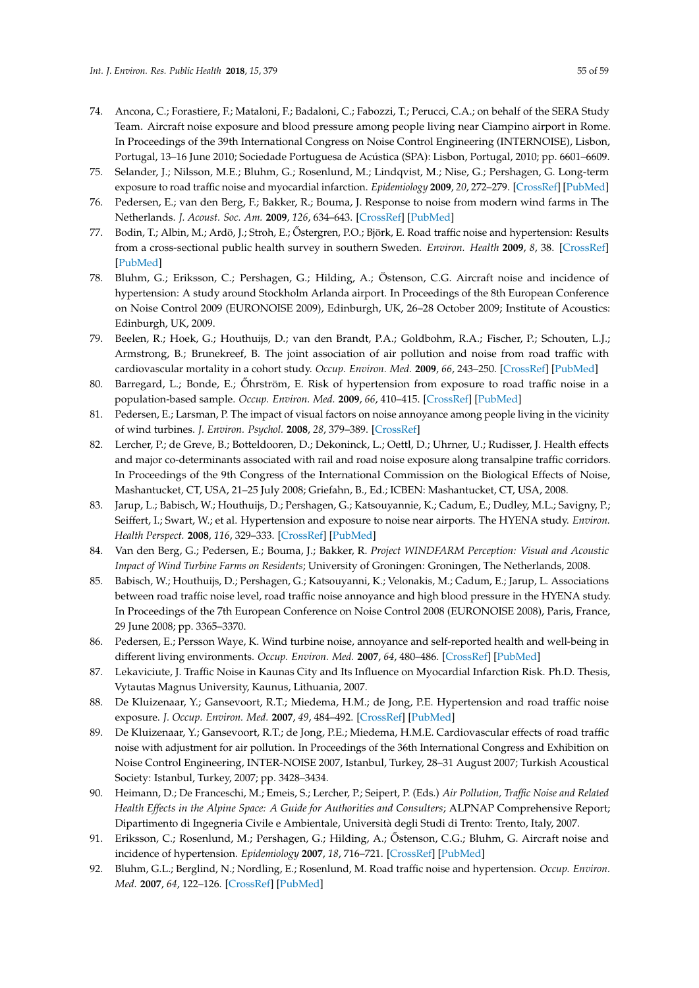- <span id="page-54-11"></span>74. Ancona, C.; Forastiere, F.; Mataloni, F.; Badaloni, C.; Fabozzi, T.; Perucci, C.A.; on behalf of the SERA Study Team. Aircraft noise exposure and blood pressure among people living near Ciampino airport in Rome. In Proceedings of the 39th International Congress on Noise Control Engineering (INTERNOISE), Lisbon, Portugal, 13–16 June 2010; Sociedade Portuguesa de Acústica (SPA): Lisbon, Portugal, 2010; pp. 6601–6609.
- <span id="page-54-6"></span>75. Selander, J.; Nilsson, M.E.; Bluhm, G.; Rosenlund, M.; Lindqvist, M.; Nise, G.; Pershagen, G. Long-term exposure to road traffic noise and myocardial infarction. *Epidemiology* **2009**, *20*, 272–279. [\[CrossRef\]](http://dx.doi.org/10.1097/EDE.0b013e31819463bd) [\[PubMed\]](http://www.ncbi.nlm.nih.gov/pubmed/19116496)
- <span id="page-54-16"></span>76. Pedersen, E.; van den Berg, F.; Bakker, R.; Bouma, J. Response to noise from modern wind farms in The Netherlands. *J. Acoust. Soc. Am.* **2009**, *126*, 634–643. [\[CrossRef\]](http://dx.doi.org/10.1121/1.3160293) [\[PubMed\]](http://www.ncbi.nlm.nih.gov/pubmed/19640029)
- <span id="page-54-7"></span>77. Bodin, T.; Albin, M.; Ardö, J.; Stroh, E.; Őstergren, P.O.; Björk, E. Road traffic noise and hypertension: Results from a cross-sectional public health survey in southern Sweden. *Environ. Health* **2009**, *8*, 38. [\[CrossRef\]](http://dx.doi.org/10.1186/1476-069X-8-38) [\[PubMed\]](http://www.ncbi.nlm.nih.gov/pubmed/19744313)
- <span id="page-54-0"></span>78. Bluhm, G.; Eriksson, C.; Pershagen, G.; Hilding, A.; Östenson, C.G. Aircraft noise and incidence of hypertension: A study around Stockholm Arlanda airport. In Proceedings of the 8th European Conference on Noise Control 2009 (EURONOISE 2009), Edinburgh, UK, 26–28 October 2009; Institute of Acoustics: Edinburgh, UK, 2009.
- <span id="page-54-13"></span>79. Beelen, R.; Hoek, G.; Houthuijs, D.; van den Brandt, P.A.; Goldbohm, R.A.; Fischer, P.; Schouten, L.J.; Armstrong, B.; Brunekreef, B. The joint association of air pollution and noise from road traffic with cardiovascular mortality in a cohort study. *Occup. Environ. Med.* **2009**, *66*, 243–250. [\[CrossRef\]](http://dx.doi.org/10.1136/oem.2008.042358) [\[PubMed\]](http://www.ncbi.nlm.nih.gov/pubmed/19017691)
- <span id="page-54-2"></span>80. Barregard, L.; Bonde, E.; Öhrström, E. Risk of hypertension from exposure to road traffic noise in a population-based sample. *Occup. Environ. Med.* **2009**, *66*, 410–415. [\[CrossRef\]](http://dx.doi.org/10.1136/oem.2008.042804) [\[PubMed\]](http://www.ncbi.nlm.nih.gov/pubmed/19188199)
- <span id="page-54-17"></span>81. Pedersen, E.; Larsman, P. The impact of visual factors on noise annoyance among people living in the vicinity of wind turbines. *J. Environ. Psychol.* **2008**, *28*, 379–389. [\[CrossRef\]](http://dx.doi.org/10.1016/j.jenvp.2008.02.009)
- <span id="page-54-8"></span>82. Lercher, P.; de Greve, B.; Botteldooren, D.; Dekoninck, L.; Oettl, D.; Uhrner, U.; Rudisser, J. Health effects and major co-determinants associated with rail and road noise exposure along transalpine traffic corridors. In Proceedings of the 9th Congress of the International Commission on the Biological Effects of Noise, Mashantucket, CT, USA, 21–25 July 2008; Griefahn, B., Ed.; ICBEN: Mashantucket, CT, USA, 2008.
- <span id="page-54-12"></span>83. Jarup, L.; Babisch, W.; Houthuijs, D.; Pershagen, G.; Katsouyannie, K.; Cadum, E.; Dudley, M.L.; Savigny, P.; Seiffert, I.; Swart, W.; et al. Hypertension and exposure to noise near airports. The HYENA study. *Environ. Health Perspect.* **2008**, *116*, 329–333. [\[CrossRef\]](http://dx.doi.org/10.1289/ehp.10775) [\[PubMed\]](http://www.ncbi.nlm.nih.gov/pubmed/18335099)
- <span id="page-54-18"></span>84. Van den Berg, G.; Pedersen, E.; Bouma, J.; Bakker, R. *Project WINDFARM Perception: Visual and Acoustic Impact of Wind Turbine Farms on Residents*; University of Groningen: Groningen, The Netherlands, 2008.
- <span id="page-54-9"></span>85. Babisch, W.; Houthuijs, D.; Pershagen, G.; Katsouyanni, K.; Velonakis, M.; Cadum, E.; Jarup, L. Associations between road traffic noise level, road traffic noise annoyance and high blood pressure in the HYENA study. In Proceedings of the 7th European Conference on Noise Control 2008 (EURONOISE 2008), Paris, France, 29 June 2008; pp. 3365–3370.
- <span id="page-54-3"></span>86. Pedersen, E.; Persson Waye, K. Wind turbine noise, annoyance and self-reported health and well-being in different living environments. *Occup. Environ. Med.* **2007**, *64*, 480–486. [\[CrossRef\]](http://dx.doi.org/10.1136/oem.2006.031039) [\[PubMed\]](http://www.ncbi.nlm.nih.gov/pubmed/17332136)
- <span id="page-54-14"></span>87. Lekaviciute, J. Traffic Noise in Kaunas City and Its Influence on Myocardial Infarction Risk. Ph.D. Thesis, Vytautas Magnus University, Kaunus, Lithuania, 2007.
- <span id="page-54-4"></span>88. De Kluizenaar, Y.; Gansevoort, R.T.; Miedema, H.M.; de Jong, P.E. Hypertension and road traffic noise exposure. *J. Occup. Environ. Med.* **2007**, *49*, 484–492. [\[CrossRef\]](http://dx.doi.org/10.1097/JOM.0b013e318058a9ff) [\[PubMed\]](http://www.ncbi.nlm.nih.gov/pubmed/17495691)
- <span id="page-54-10"></span>89. De Kluizenaar, Y.; Gansevoort, R.T.; de Jong, P.E.; Miedema, H.M.E. Cardiovascular effects of road traffic noise with adjustment for air pollution. In Proceedings of the 36th International Congress and Exhibition on Noise Control Engineering, INTER-NOISE 2007, Istanbul, Turkey, 28–31 August 2007; Turkish Acoustical Society: Istanbul, Turkey, 2007; pp. 3428–3434.
- <span id="page-54-15"></span>90. Heimann, D.; De Franceschi, M.; Emeis, S.; Lercher, P.; Seipert, P. (Eds.) *Air Pollution, Traffic Noise and Related Health Effects in the Alpine Space: A Guide for Authorities and Consulters*; ALPNAP Comprehensive Report; Dipartimento di Ingegneria Civile e Ambientale, Università degli Studi di Trento: Trento, Italy, 2007.
- <span id="page-54-1"></span>91. Eriksson, C.; Rosenlund, M.; Pershagen, G.; Hilding, A.; Őstenson, C.G.; Bluhm, G. Aircraft noise and incidence of hypertension. *Epidemiology* **2007**, *18*, 716–721. [\[CrossRef\]](http://dx.doi.org/10.1097/EDE.0b013e3181567e77) [\[PubMed\]](http://www.ncbi.nlm.nih.gov/pubmed/17917607)
- <span id="page-54-5"></span>92. Bluhm, G.L.; Berglind, N.; Nordling, E.; Rosenlund, M. Road traffic noise and hypertension. *Occup. Environ. Med.* **2007**, *64*, 122–126. [\[CrossRef\]](http://dx.doi.org/10.1136/oem.2005.025866) [\[PubMed\]](http://www.ncbi.nlm.nih.gov/pubmed/17053022)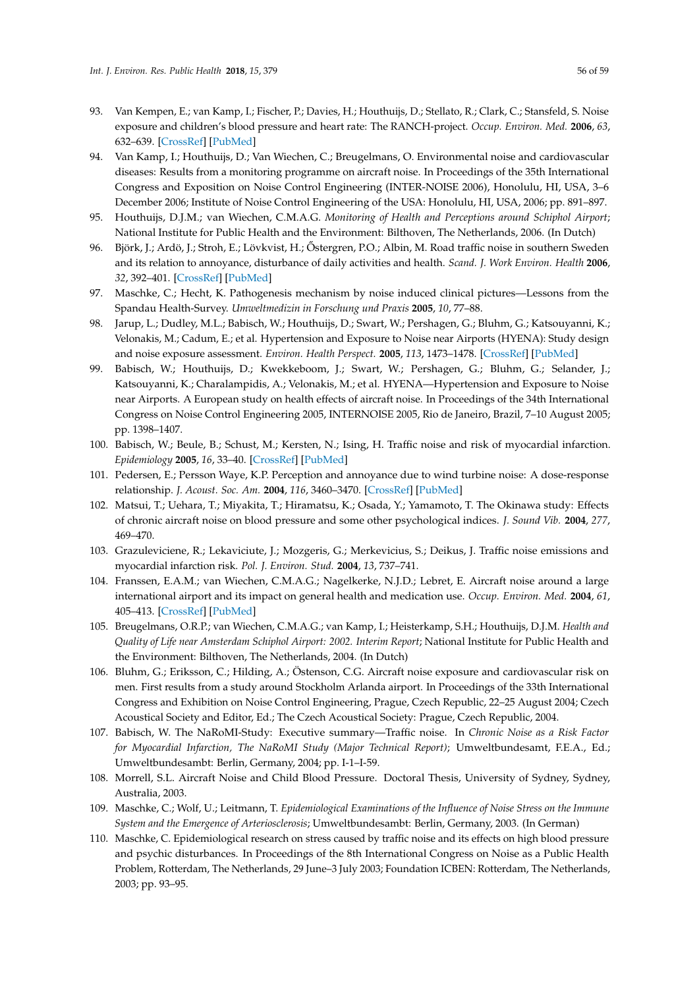- <span id="page-55-15"></span>93. Van Kempen, E.; van Kamp, I.; Fischer, P.; Davies, H.; Houthuijs, D.; Stellato, R.; Clark, C.; Stansfeld, S. Noise exposure and children's blood pressure and heart rate: The RANCH-project. *Occup. Environ. Med.* **2006**, *63*, 632–639. [\[CrossRef\]](http://dx.doi.org/10.1136/oem.2006.026831) [\[PubMed\]](http://www.ncbi.nlm.nih.gov/pubmed/16728500)
- <span id="page-55-1"></span>94. Van Kamp, I.; Houthuijs, D.; Van Wiechen, C.; Breugelmans, O. Environmental noise and cardiovascular diseases: Results from a monitoring programme on aircraft noise. In Proceedings of the 35th International Congress and Exposition on Noise Control Engineering (INTER-NOISE 2006), Honolulu, HI, USA, 3–6 December 2006; Institute of Noise Control Engineering of the USA: Honolulu, HI, USA, 2006; pp. 891–897.
- <span id="page-55-9"></span>95. Houthuijs, D.J.M.; van Wiechen, C.M.A.G. *Monitoring of Health and Perceptions around Schiphol Airport*; National Institute for Public Health and the Environment: Bilthoven, The Netherlands, 2006. (In Dutch)
- <span id="page-55-8"></span>96. Björk, J.; Ardö, J.; Stroh, E.; Lövkvist, H.; Őstergren, P.O.; Albin, M. Road traffic noise in southern Sweden and its relation to annoyance, disturbance of daily activities and health. *Scand. J. Work Environ. Health* **2006**, *32*, 392–401. [\[CrossRef\]](http://dx.doi.org/10.5271/sjweh.1035) [\[PubMed\]](http://www.ncbi.nlm.nih.gov/pubmed/17091207)
- <span id="page-55-10"></span>97. Maschke, C.; Hecht, K. Pathogenesis mechanism by noise induced clinical pictures—Lessons from the Spandau Health-Survey. *Umweltmedizin in Forschung und Praxis* **2005**, *10*, 77–88.
- <span id="page-55-14"></span>98. Jarup, L.; Dudley, M.L.; Babisch, W.; Houthuijs, D.; Swart, W.; Pershagen, G.; Bluhm, G.; Katsouyanni, K.; Velonakis, M.; Cadum, E.; et al. Hypertension and Exposure to Noise near Airports (HYENA): Study design and noise exposure assessment. *Environ. Health Perspect.* **2005**, *113*, 1473–1478. [\[CrossRef\]](http://dx.doi.org/10.1289/ehp.8037) [\[PubMed\]](http://www.ncbi.nlm.nih.gov/pubmed/16263498)
- <span id="page-55-2"></span>99. Babisch, W.; Houthuijs, D.; Kwekkeboom, J.; Swart, W.; Pershagen, G.; Bluhm, G.; Selander, J.; Katsouyanni, K.; Charalampidis, A.; Velonakis, M.; et al. HYENA—Hypertension and Exposure to Noise near Airports. A European study on health effects of aircraft noise. In Proceedings of the 34th International Congress on Noise Control Engineering 2005, INTERNOISE 2005, Rio de Janeiro, Brazil, 7–10 August 2005; pp. 1398–1407.
- <span id="page-55-11"></span>100. Babisch, W.; Beule, B.; Schust, M.; Kersten, N.; Ising, H. Traffic noise and risk of myocardial infarction. *Epidemiology* **2005**, *16*, 33–40. [\[CrossRef\]](http://dx.doi.org/10.1097/01.ede.0000147104.84424.24) [\[PubMed\]](http://www.ncbi.nlm.nih.gov/pubmed/15613943)
- <span id="page-55-3"></span>101. Pedersen, E.; Persson Waye, K.P. Perception and annoyance due to wind turbine noise: A dose-response relationship. *J. Acoust. Soc. Am.* **2004**, *116*, 3460–3470. [\[CrossRef\]](http://dx.doi.org/10.1121/1.1815091) [\[PubMed\]](http://www.ncbi.nlm.nih.gov/pubmed/15658697)
- <span id="page-55-4"></span>102. Matsui, T.; Uehara, T.; Miyakita, T.; Hiramatsu, K.; Osada, Y.; Yamamoto, T. The Okinawa study: Effects of chronic aircraft noise on blood pressure and some other psychological indices. *J. Sound Vib.* **2004**, *277*, 469–470.
- <span id="page-55-12"></span>103. Grazuleviciene, R.; Lekaviciute, J.; Mozgeris, G.; Merkevicius, S.; Deikus, J. Traffic noise emissions and myocardial infarction risk. *Pol. J. Environ. Stud.* **2004**, *13*, 737–741.
- 104. Franssen, E.A.M.; van Wiechen, C.M.A.G.; Nagelkerke, N.J.D.; Lebret, E. Aircraft noise around a large international airport and its impact on general health and medication use. *Occup. Environ. Med.* **2004**, *61*, 405–413. [\[CrossRef\]](http://dx.doi.org/10.1136/oem.2002.005488) [\[PubMed\]](http://www.ncbi.nlm.nih.gov/pubmed/15090660)
- <span id="page-55-5"></span>105. Breugelmans, O.R.P.; van Wiechen, C.M.A.G.; van Kamp, I.; Heisterkamp, S.H.; Houthuijs, D.J.M. *Health and Quality of Life near Amsterdam Schiphol Airport: 2002. Interim Report*; National Institute for Public Health and the Environment: Bilthoven, The Netherlands, 2004. (In Dutch)
- <span id="page-55-0"></span>106. Bluhm, G.; Eriksson, C.; Hilding, A.; Östenson, C.G. Aircraft noise exposure and cardiovascular risk on men. First results from a study around Stockholm Arlanda airport. In Proceedings of the 33th International Congress and Exhibition on Noise Control Engineering, Prague, Czech Republic, 22–25 August 2004; Czech Acoustical Society and Editor, Ed.; The Czech Acoustical Society: Prague, Czech Republic, 2004.
- <span id="page-55-13"></span>107. Babisch, W. The NaRoMI-Study: Executive summary—Traffic noise. In *Chronic Noise as a Risk Factor for Myocardial Infarction, The NaRoMI Study (Major Technical Report)*; Umweltbundesamt, F.E.A., Ed.; Umweltbundesambt: Berlin, Germany, 2004; pp. I-1–I-59.
- 108. Morrell, S.L. Aircraft Noise and Child Blood Pressure. Doctoral Thesis, University of Sydney, Sydney, Australia, 2003.
- <span id="page-55-6"></span>109. Maschke, C.; Wolf, U.; Leitmann, T. *Epidemiological Examinations of the Influence of Noise Stress on the Immune System and the Emergence of Arteriosclerosis*; Umweltbundesambt: Berlin, Germany, 2003. (In German)
- <span id="page-55-7"></span>110. Maschke, C. Epidemiological research on stress caused by traffic noise and its effects on high blood pressure and psychic disturbances. In Proceedings of the 8th International Congress on Noise as a Public Health Problem, Rotterdam, The Netherlands, 29 June–3 July 2003; Foundation ICBEN: Rotterdam, The Netherlands, 2003; pp. 93–95.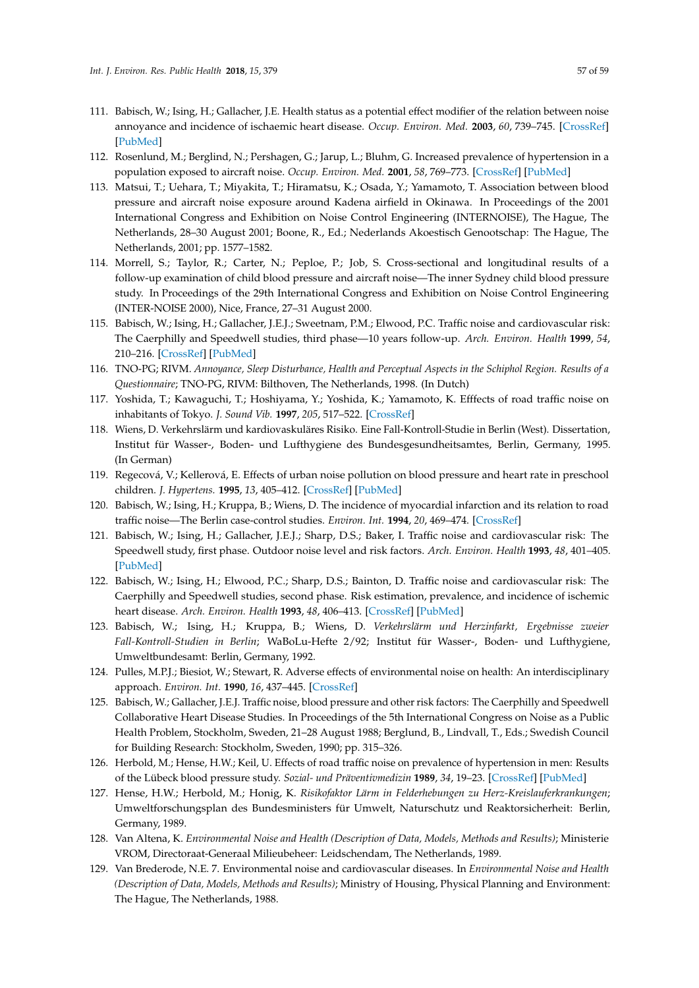- <span id="page-56-8"></span>111. Babisch, W.; Ising, H.; Gallacher, J.E. Health status as a potential effect modifier of the relation between noise annoyance and incidence of ischaemic heart disease. *Occup. Environ. Med.* **2003**, *60*, 739–745. [\[CrossRef\]](http://dx.doi.org/10.1136/oem.60.10.739) [\[PubMed\]](http://www.ncbi.nlm.nih.gov/pubmed/14504361)
- <span id="page-56-0"></span>112. Rosenlund, M.; Berglind, N.; Pershagen, G.; Jarup, L.; Bluhm, G. Increased prevalence of hypertension in a population exposed to aircraft noise. *Occup. Environ. Med.* **2001**, *58*, 769–773. [\[CrossRef\]](http://dx.doi.org/10.1136/oem.58.12.769) [\[PubMed\]](http://www.ncbi.nlm.nih.gov/pubmed/11706142)
- <span id="page-56-1"></span>113. Matsui, T.; Uehara, T.; Miyakita, T.; Hiramatsu, K.; Osada, Y.; Yamamoto, T. Association between blood pressure and aircraft noise exposure around Kadena airfield in Okinawa. In Proceedings of the 2001 International Congress and Exhibition on Noise Control Engineering (INTERNOISE), The Hague, The Netherlands, 28–30 August 2001; Boone, R., Ed.; Nederlands Akoestisch Genootschap: The Hague, The Netherlands, 2001; pp. 1577–1582.
- <span id="page-56-12"></span>114. Morrell, S.; Taylor, R.; Carter, N.; Peploe, P.; Job, S. Cross-sectional and longitudinal results of a follow-up examination of child blood pressure and aircraft noise—The inner Sydney child blood pressure study. In Proceedings of the 29th International Congress and Exhibition on Noise Control Engineering (INTER-NOISE 2000), Nice, France, 27–31 August 2000.
- <span id="page-56-9"></span>115. Babisch, W.; Ising, H.; Gallacher, J.E.J.; Sweetnam, P.M.; Elwood, P.C. Traffic noise and cardiovascular risk: The Caerphilly and Speedwell studies, third phase—10 years follow-up. *Arch. Environ. Health* **1999**, *54*, 210–216. [\[CrossRef\]](http://dx.doi.org/10.1080/00039899909602261) [\[PubMed\]](http://www.ncbi.nlm.nih.gov/pubmed/10444043)
- 116. TNO-PG; RIVM. *Annoyance, Sleep Disturbance, Health and Perceptual Aspects in the Schiphol Region. Results of a Questionnaire*; TNO-PG, RIVM: Bilthoven, The Netherlands, 1998. (In Dutch)
- <span id="page-56-2"></span>117. Yoshida, T.; Kawaguchi, T.; Hoshiyama, Y.; Yoshida, K.; Yamamoto, K. Efffects of road traffic noise on inhabitants of Tokyo. *J. Sound Vib.* **1997**, *205*, 517–522. [\[CrossRef\]](http://dx.doi.org/10.1006/jsvi.1997.1020)
- <span id="page-56-3"></span>118. Wiens, D. Verkehrslärm und kardiovaskuläres Risiko. Eine Fall-Kontroll-Studie in Berlin (West). Dissertation, Institut für Wasser-, Boden- und Lufthygiene des Bundesgesundheitsamtes, Berlin, Germany, 1995. (In German)
- <span id="page-56-13"></span>119. Regecová, V.; Kellerová, E. Effects of urban noise pollution on blood pressure and heart rate in preschool children. *J. Hypertens.* **1995**, *13*, 405–412. [\[CrossRef\]](http://dx.doi.org/10.1097/00004872-199504000-00005) [\[PubMed\]](http://www.ncbi.nlm.nih.gov/pubmed/7629400)
- <span id="page-56-4"></span>120. Babisch, W.; Ising, H.; Kruppa, B.; Wiens, D. The incidence of myocardial infarction and its relation to road traffic noise—The Berlin case-control studies. *Environ. Int.* **1994**, *20*, 469–474. [\[CrossRef\]](http://dx.doi.org/10.1016/0160-4120(94)90195-3)
- <span id="page-56-17"></span>121. Babisch, W.; Ising, H.; Gallacher, J.E.J.; Sharp, D.S.; Baker, I. Traffic noise and cardiovascular risk: The Speedwell study, first phase. Outdoor noise level and risk factors. *Arch. Environ. Health* **1993**, *48*, 401–405. [\[PubMed\]](http://www.ncbi.nlm.nih.gov/pubmed/8250591)
- <span id="page-56-16"></span>122. Babisch, W.; Ising, H.; Elwood, P.C.; Sharp, D.S.; Bainton, D. Traffic noise and cardiovascular risk: The Caerphilly and Speedwell studies, second phase. Risk estimation, prevalence, and incidence of ischemic heart disease. *Arch. Environ. Health* **1993**, *48*, 406–413. [\[CrossRef\]](http://dx.doi.org/10.1080/00039896.1993.10545962) [\[PubMed\]](http://www.ncbi.nlm.nih.gov/pubmed/8250592)
- <span id="page-56-5"></span>123. Babisch, W.; Ising, H.; Kruppa, B.; Wiens, D. *Verkehrslärm und Herzinfarkt, Ergebnisse zweier Fall-Kontroll-Studien in Berlin*; WaBoLu-Hefte 2/92; Institut für Wasser-, Boden- und Lufthygiene, Umweltbundesamt: Berlin, Germany, 1992.
- <span id="page-56-14"></span>124. Pulles, M.P.J.; Biesiot, W.; Stewart, R. Adverse effects of environmental noise on health: An interdisciplinary approach. *Environ. Int.* **1990**, *16*, 437–445. [\[CrossRef\]](http://dx.doi.org/10.1016/0160-4120(90)90012-U)
- <span id="page-56-10"></span>125. Babisch, W.; Gallacher, J.E.J. Traffic noise, blood pressure and other risk factors: The Caerphilly and Speedwell Collaborative Heart Disease Studies. In Proceedings of the 5th International Congress on Noise as a Public Health Problem, Stockholm, Sweden, 21–28 August 1988; Berglund, B., Lindvall, T., Eds.; Swedish Council for Building Research: Stockholm, Sweden, 1990; pp. 315–326.
- <span id="page-56-6"></span>126. Herbold, M.; Hense, H.W.; Keil, U. Effects of road traffic noise on prevalence of hypertension in men: Results of the Lübeck blood pressure study. *Sozial- und Präventivmedizin* **1989**, *34*, 19–23. [\[CrossRef\]](http://dx.doi.org/10.1007/BF02084747) [\[PubMed\]](http://www.ncbi.nlm.nih.gov/pubmed/2785319)
- <span id="page-56-7"></span>127. Hense, H.W.; Herbold, M.; Honig, K. *Risikofaktor Lärm in Felderhebungen zu Herz-Kreislauferkrankungen*; Umweltforschungsplan des Bundesministers für Umwelt, Naturschutz und Reaktorsicherheit: Berlin, Germany, 1989.
- <span id="page-56-11"></span>128. Van Altena, K. *Environmental Noise and Health (Description of Data, Models, Methods and Results)*; Ministerie VROM, Directoraat-Generaal Milieubeheer: Leidschendam, The Netherlands, 1989.
- <span id="page-56-15"></span>129. Van Brederode, N.E. 7. Environmental noise and cardiovascular diseases. In *Environmental Noise and Health (Description of Data, Models, Methods and Results)*; Ministry of Housing, Physical Planning and Environment: The Hague, The Netherlands, 1988.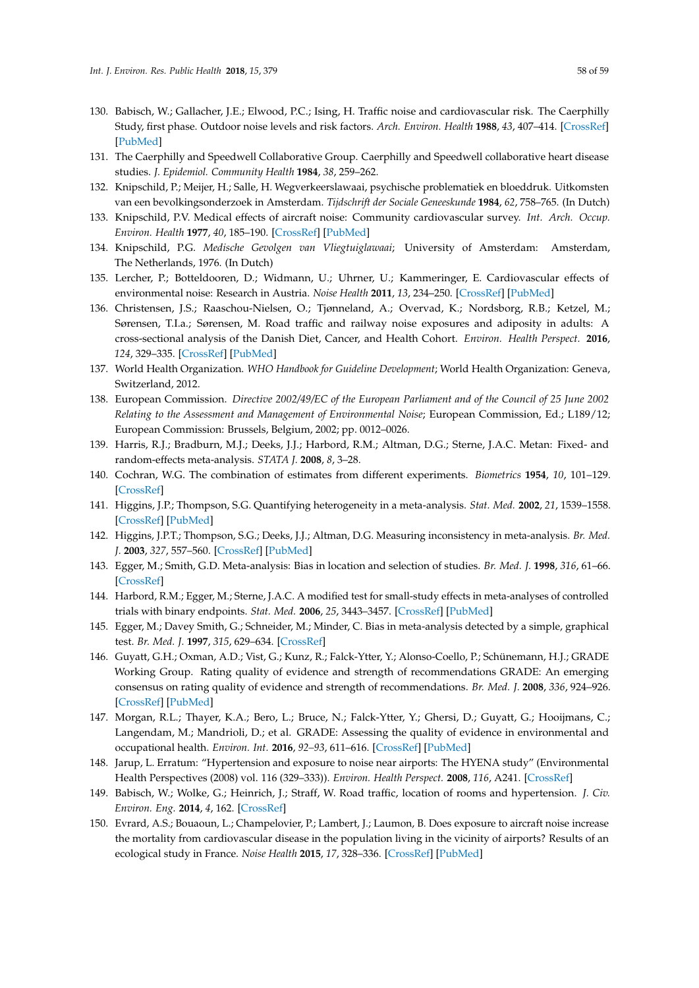- <span id="page-57-13"></span>130. Babisch, W.; Gallacher, J.E.; Elwood, P.C.; Ising, H. Traffic noise and cardiovascular risk. The Caerphilly Study, first phase. Outdoor noise levels and risk factors. *Arch. Environ. Health* **1988**, *43*, 407–414. [\[CrossRef\]](http://dx.doi.org/10.1080/00039896.1988.9935859) [\[PubMed\]](http://www.ncbi.nlm.nih.gov/pubmed/3264136)
- <span id="page-57-18"></span>131. The Caerphilly and Speedwell Collaborative Group. Caerphilly and Speedwell collaborative heart disease studies. *J. Epidemiol. Community Health* **1984**, *38*, 259–262.
- <span id="page-57-15"></span>132. Knipschild, P.; Meijer, H.; Salle, H. Wegverkeerslawaai, psychische problematiek en bloeddruk. Uitkomsten van een bevolkingsonderzoek in Amsterdam. *Tijdschrift der Sociale Geneeskunde* **1984**, *62*, 758–765. (In Dutch)
- <span id="page-57-19"></span>133. Knipschild, P.V. Medical effects of aircraft noise: Community cardiovascular survey. *Int. Arch. Occup. Environ. Health* **1977**, *40*, 185–190. [\[CrossRef\]](http://dx.doi.org/10.1007/BF01842081) [\[PubMed\]](http://www.ncbi.nlm.nih.gov/pubmed/591083)
- <span id="page-57-20"></span>134. Knipschild, P.G. *Medische Gevolgen van Vliegtuiglawaai*; University of Amsterdam: Amsterdam, The Netherlands, 1976. (In Dutch)
- <span id="page-57-0"></span>135. Lercher, P.; Botteldooren, D.; Widmann, U.; Uhrner, U.; Kammeringer, E. Cardiovascular effects of environmental noise: Research in Austria. *Noise Health* **2011**, *13*, 234–250. [\[CrossRef\]](http://dx.doi.org/10.4103/1463-1741.80160) [\[PubMed\]](http://www.ncbi.nlm.nih.gov/pubmed/21537108)
- <span id="page-57-1"></span>136. Christensen, J.S.; Raaschou-Nielsen, O.; Tjønneland, A.; Overvad, K.; Nordsborg, R.B.; Ketzel, M.; Sørensen, T.I.a.; Sørensen, M. Road traffic and railway noise exposures and adiposity in adults: A cross-sectional analysis of the Danish Diet, Cancer, and Health Cohort. *Environ. Health Perspect.* **2016**, *124*, 329–335. [\[CrossRef\]](http://dx.doi.org/10.1289/ehp.1409052) [\[PubMed\]](http://www.ncbi.nlm.nih.gov/pubmed/26241990)
- <span id="page-57-2"></span>137. World Health Organization. *WHO Handbook for Guideline Development*; World Health Organization: Geneva, Switzerland, 2012.
- <span id="page-57-3"></span>138. European Commission. *Directive 2002/49/EC of the European Parliament and of the Council of 25 June 2002 Relating to the Assessment and Management of Environmental Noise*; European Commission, Ed.; L189/12; European Commission: Brussels, Belgium, 2002; pp. 0012–0026.
- <span id="page-57-4"></span>139. Harris, R.J.; Bradburn, M.J.; Deeks, J.J.; Harbord, R.M.; Altman, D.G.; Sterne, J.A.C. Metan: Fixed- and random-effects meta-analysis. *STATA J.* **2008**, *8*, 3–28.
- <span id="page-57-5"></span>140. Cochran, W.G. The combination of estimates from different experiments. *Biometrics* **1954**, *10*, 101–129. [\[CrossRef\]](http://dx.doi.org/10.2307/3001666)
- <span id="page-57-6"></span>141. Higgins, J.P.; Thompson, S.G. Quantifying heterogeneity in a meta-analysis. *Stat. Med.* **2002**, *21*, 1539–1558. [\[CrossRef\]](http://dx.doi.org/10.1002/sim.1186) [\[PubMed\]](http://www.ncbi.nlm.nih.gov/pubmed/12111919)
- <span id="page-57-7"></span>142. Higgins, J.P.T.; Thompson, S.G.; Deeks, J.J.; Altman, D.G. Measuring inconsistency in meta-analysis. *Br. Med. J.* **2003**, *327*, 557–560. [\[CrossRef\]](http://dx.doi.org/10.1136/bmj.327.7414.557) [\[PubMed\]](http://www.ncbi.nlm.nih.gov/pubmed/12958120)
- <span id="page-57-8"></span>143. Egger, M.; Smith, G.D. Meta-analysis: Bias in location and selection of studies. *Br. Med. J.* **1998**, *316*, 61–66. [\[CrossRef\]](http://dx.doi.org/10.1136/bmj.316.7124.61)
- <span id="page-57-9"></span>144. Harbord, R.M.; Egger, M.; Sterne, J.A.C. A modified test for small-study effects in meta-analyses of controlled trials with binary endpoints. *Stat. Med.* **2006**, *25*, 3443–3457. [\[CrossRef\]](http://dx.doi.org/10.1002/sim.2380) [\[PubMed\]](http://www.ncbi.nlm.nih.gov/pubmed/16345038)
- <span id="page-57-10"></span>145. Egger, M.; Davey Smith, G.; Schneider, M.; Minder, C. Bias in meta-analysis detected by a simple, graphical test. *Br. Med. J.* **1997**, *315*, 629–634. [\[CrossRef\]](http://dx.doi.org/10.1136/bmj.315.7109.629)
- <span id="page-57-11"></span>146. Guyatt, G.H.; Oxman, A.D.; Vist, G.; Kunz, R.; Falck-Ytter, Y.; Alonso-Coello, P.; Schünemann, H.J.; GRADE Working Group. Rating quality of evidence and strength of recommendations GRADE: An emerging consensus on rating quality of evidence and strength of recommendations. *Br. Med. J.* **2008**, *336*, 924–926. [\[CrossRef\]](http://dx.doi.org/10.1136/bmj.39489.470347.AD) [\[PubMed\]](http://www.ncbi.nlm.nih.gov/pubmed/18436948)
- <span id="page-57-12"></span>147. Morgan, R.L.; Thayer, K.A.; Bero, L.; Bruce, N.; Falck-Ytter, Y.; Ghersi, D.; Guyatt, G.; Hooijmans, C.; Langendam, M.; Mandrioli, D.; et al. GRADE: Assessing the quality of evidence in environmental and occupational health. *Environ. Int.* **2016**, *92–93*, 611–616. [\[CrossRef\]](http://dx.doi.org/10.1016/j.envint.2016.01.004) [\[PubMed\]](http://www.ncbi.nlm.nih.gov/pubmed/26827182)
- <span id="page-57-14"></span>148. Jarup, L. Erratum: "Hypertension and exposure to noise near airports: The HYENA study" (Environmental Health Perspectives (2008) vol. 116 (329–333)). *Environ. Health Perspect.* **2008**, *116*, A241. [\[CrossRef\]](http://dx.doi.org/10.1093/oxfordjournals.aje.a116590)
- <span id="page-57-16"></span>149. Babisch, W.; Wolke, G.; Heinrich, J.; Straff, W. Road traffic, location of rooms and hypertension. *J. Civ. Environ. Eng.* **2014**, *4*, 162. [\[CrossRef\]](http://dx.doi.org/10.4172/2165-784X.1000162)
- <span id="page-57-17"></span>150. Evrard, A.S.; Bouaoun, L.; Champelovier, P.; Lambert, J.; Laumon, B. Does exposure to aircraft noise increase the mortality from cardiovascular disease in the population living in the vicinity of airports? Results of an ecological study in France. *Noise Health* **2015**, *17*, 328–336. [\[CrossRef\]](http://dx.doi.org/10.4103/1463-1741.165058) [\[PubMed\]](http://www.ncbi.nlm.nih.gov/pubmed/26356375)